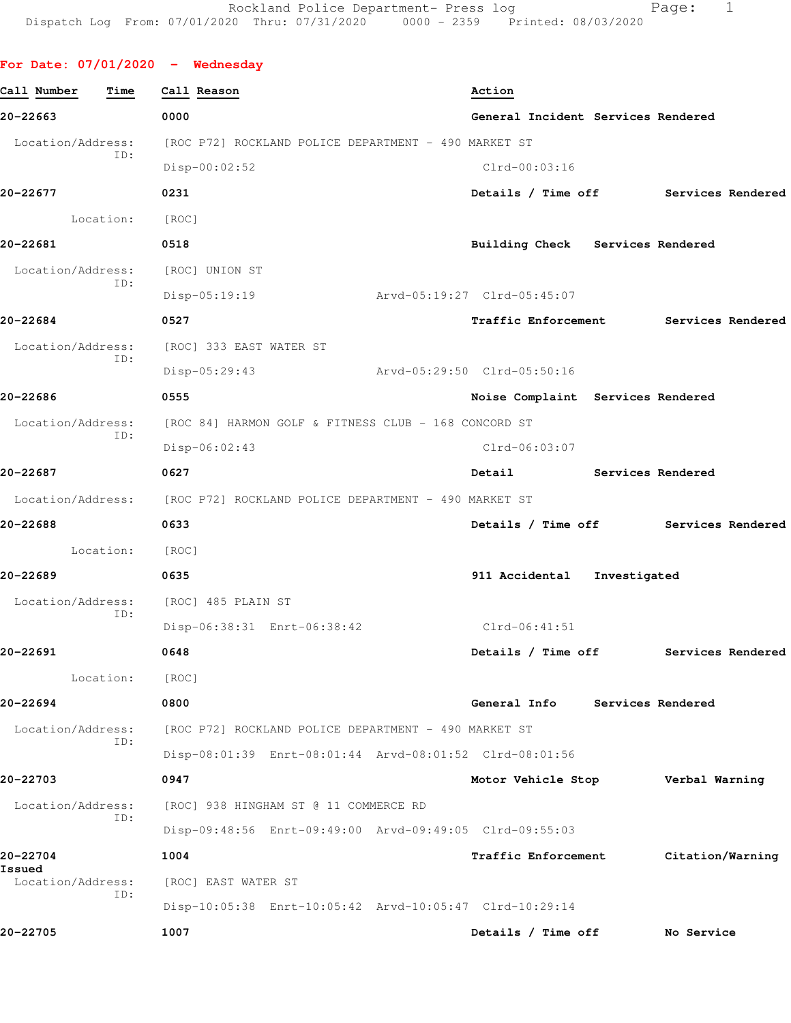**For Date: 07/01/2020 - Wednesday Call Number Time Call Reason Action 20-22663 0000 General Incident Services Rendered** Location/Address: [ROC P72] ROCKLAND POLICE DEPARTMENT - 490 MARKET ST ID: Disp-00:02:52 Clrd-00:03:16 **20-22677 0231 Details / Time off Services Rendered** Location: [ROC] **20-22681 0518 Building Check Services Rendered** Location/Address: [ROC] UNION ST ID: Disp-05:19:19 Arvd-05:19:27 Clrd-05:45:07 **20-22684 0527 Traffic Enforcement Services Rendered** Location/Address: [ROC] 333 EAST WATER ST ID: Disp-05:29:43 Arvd-05:29:50 Clrd-05:50:16 **20-22686 0555 Noise Complaint Services Rendered** Location/Address: [ROC 84] HARMON GOLF & FITNESS CLUB - 168 CONCORD ST ID: Disp-06:02:43 Clrd-06:03:07 **20-22687 0627 Detail Services Rendered** Location/Address: [ROC P72] ROCKLAND POLICE DEPARTMENT - 490 MARKET ST **20-22688 0633 Details / Time off Services Rendered** Location: [ROC] **20-22689 0635 911 Accidental Investigated** Location/Address: [ROC] 485 PLAIN ST ID: Disp-06:38:31 Enrt-06:38:42 Clrd-06:41:51 **20-22691 0648 Details / Time off Services Rendered** Location: [ROC] **20-22694 0800 General Info Services Rendered** Location/Address: [ROC P72] ROCKLAND POLICE DEPARTMENT - 490 MARKET ST ID: Disp-08:01:39 Enrt-08:01:44 Arvd-08:01:52 Clrd-08:01:56 **20-22703 0947 Motor Vehicle Stop Verbal Warning** Location/Address: [ROC] 938 HINGHAM ST @ 11 COMMERCE RD ID: Disp-09:48:56 Enrt-09:49:00 Arvd-09:49:05 Clrd-09:55:03 **20-22704 1004 Traffic Enforcement Citation/Warning Issued**  Location/Address: [ROC] EAST WATER ST

> ID: Disp-10:05:38 Enrt-10:05:42 Arvd-10:05:47 Clrd-10:29:14

**20-22705 1007 Details / Time off No Service**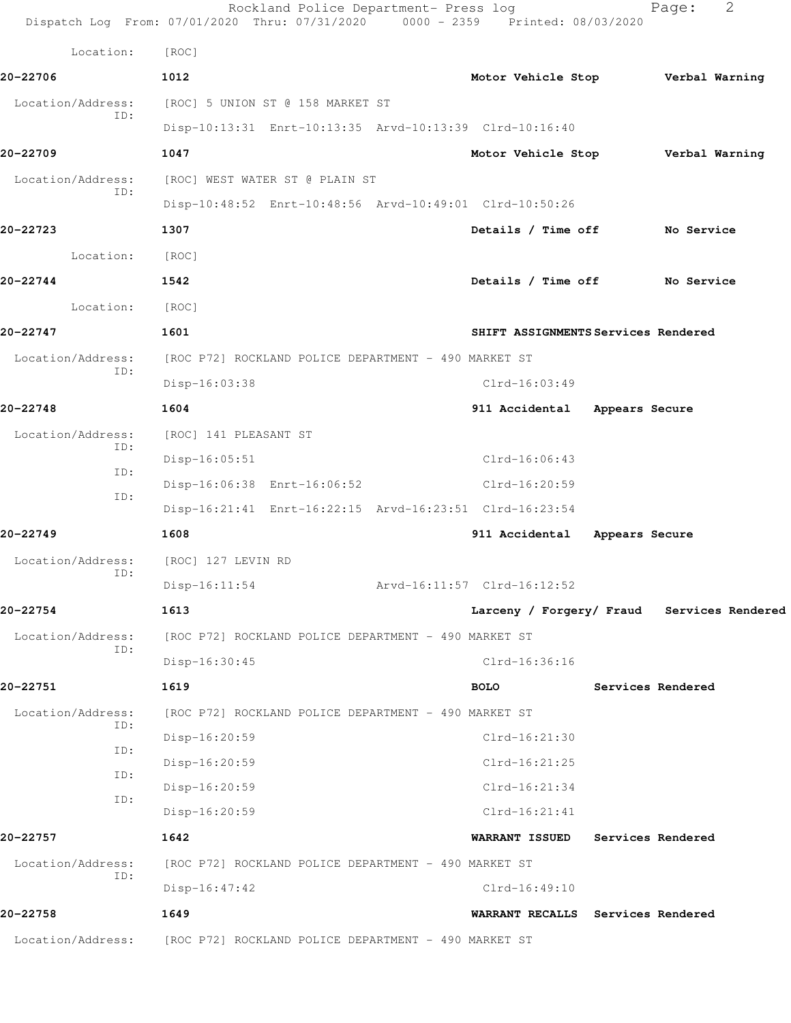|                          | Rockland Police Department- Press log<br>Dispatch Log From: 07/01/2020 Thru: 07/31/2020 0000 - 2359 Printed: 08/03/2020 |                                            | 2<br>Page:        |
|--------------------------|-------------------------------------------------------------------------------------------------------------------------|--------------------------------------------|-------------------|
| Location:                | [ROC]                                                                                                                   |                                            |                   |
| 20-22706                 | 1012                                                                                                                    | Motor Vehicle Stop Verbal Warning          |                   |
| Location/Address:        | [ROC] 5 UNION ST @ 158 MARKET ST                                                                                        |                                            |                   |
| ID:                      | Disp-10:13:31 Enrt-10:13:35 Arvd-10:13:39 Clrd-10:16:40                                                                 |                                            |                   |
| 20-22709                 | 1047                                                                                                                    | Motor Vehicle Stop Verbal Warning          |                   |
| Location/Address:        | [ROC] WEST WATER ST @ PLAIN ST                                                                                          |                                            |                   |
| ID:                      | Disp-10:48:52 Enrt-10:48:56 Arvd-10:49:01 Clrd-10:50:26                                                                 |                                            |                   |
| 20-22723                 | 1307                                                                                                                    | Details / Time off                         | No Service        |
| Location:                | [ROC]                                                                                                                   |                                            |                   |
| 20-22744                 | 1542                                                                                                                    | Details / Time off No Service              |                   |
| Location:                | [ROC]                                                                                                                   |                                            |                   |
| 20-22747                 | 1601                                                                                                                    | SHIFT ASSIGNMENTS Services Rendered        |                   |
| Location/Address:        | [ROC P72] ROCKLAND POLICE DEPARTMENT - 490 MARKET ST                                                                    |                                            |                   |
| ID:                      | Disp-16:03:38                                                                                                           | $Clrd-16:03:49$                            |                   |
| 20-22748                 | 1604                                                                                                                    | 911 Accidental<br>Appears Secure           |                   |
| Location/Address:        | [ROC] 141 PLEASANT ST                                                                                                   |                                            |                   |
| ID:<br>ID:               | $Disp-16:05:51$                                                                                                         | Clrd-16:06:43                              |                   |
| ID:                      | Disp-16:06:38 Enrt-16:06:52                                                                                             | Clrd-16:20:59                              |                   |
|                          | Disp-16:21:41 Enrt-16:22:15 Arvd-16:23:51 Clrd-16:23:54                                                                 |                                            |                   |
| 20-22749                 | 1608                                                                                                                    | 911 Accidental Appears Secure              |                   |
| Location/Address:<br>ID: | [ROC] 127 LEVIN RD                                                                                                      |                                            |                   |
|                          | Disp-16:11:54                                                                                                           | Arvd-16:11:57 Clrd-16:12:52                |                   |
| 20-22754                 | 1613                                                                                                                    | Larceny / Forgery/ Fraud Services Rendered |                   |
| Location/Address:<br>ID: | [ROC P72] ROCKLAND POLICE DEPARTMENT - 490 MARKET ST                                                                    |                                            |                   |
|                          | Disp-16:30:45                                                                                                           | Clrd-16:36:16                              |                   |
| 20-22751                 | 1619                                                                                                                    | <b>BOLO</b>                                | Services Rendered |
| Location/Address:<br>ID: | [ROC P72] ROCKLAND POLICE DEPARTMENT - 490 MARKET ST                                                                    |                                            |                   |
| ID:                      | Disp-16:20:59                                                                                                           | $Clrd-16:21:30$                            |                   |
| ID:                      | Disp-16:20:59                                                                                                           | $Clrd-16:21:25$                            |                   |
| ID:                      | Disp-16:20:59                                                                                                           | $Clrd-16:21:34$                            |                   |
|                          | Disp-16:20:59                                                                                                           | $Clrd-16:21:41$                            |                   |
| 20-22757                 | 1642                                                                                                                    | <b>WARRANT ISSUED</b>                      | Services Rendered |
| Location/Address:<br>ID: | [ROC P72] ROCKLAND POLICE DEPARTMENT - 490 MARKET ST                                                                    |                                            |                   |
|                          | $Disp-16:47:42$                                                                                                         | $Clrd-16:49:10$                            |                   |
| 20-22758                 | 1649                                                                                                                    | WARRANT RECALLS Services Rendered          |                   |
| Location/Address:        | [ROC P72] ROCKLAND POLICE DEPARTMENT - 490 MARKET ST                                                                    |                                            |                   |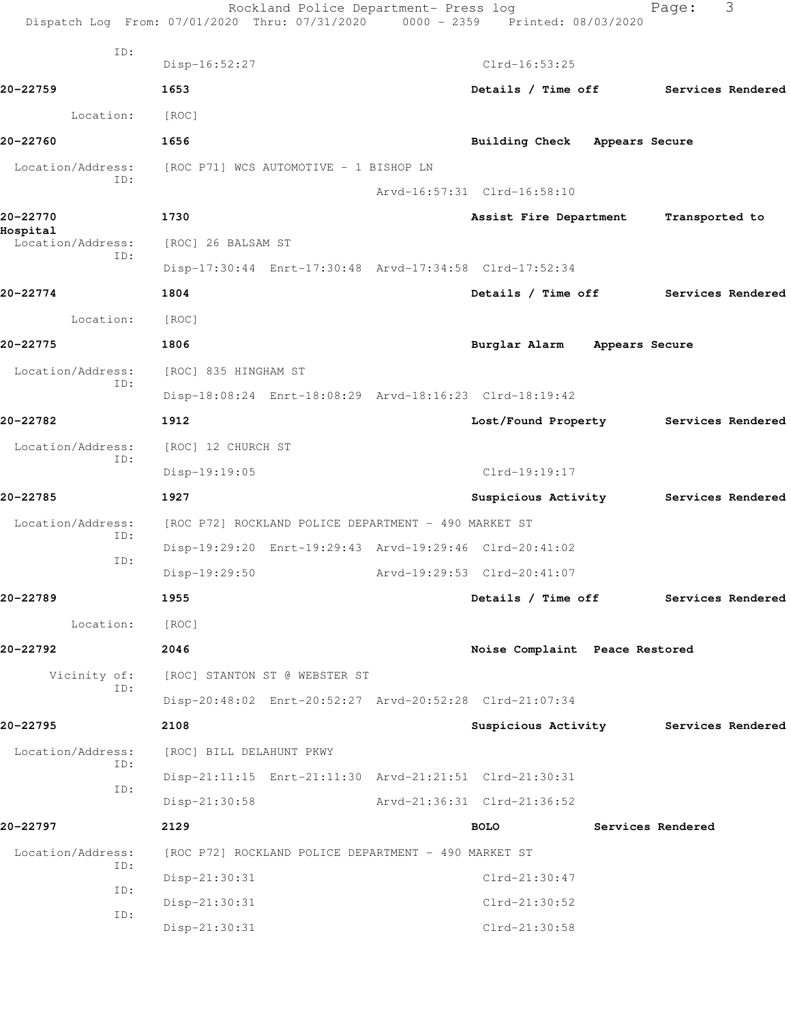|                          | Rockland Police Department- Press log<br>Dispatch Log From: 07/01/2020 Thru: 07/31/2020 0000 - 2359 Printed: 08/03/2020 |                                       | Page:             | 3                 |
|--------------------------|-------------------------------------------------------------------------------------------------------------------------|---------------------------------------|-------------------|-------------------|
| ID:                      | Disp-16:52:27                                                                                                           | $Clrd-16:53:25$                       |                   |                   |
| 20-22759                 | 1653                                                                                                                    | Details / Time off Services Rendered  |                   |                   |
|                          |                                                                                                                         |                                       |                   |                   |
| Location:                | [ROC]                                                                                                                   |                                       |                   |                   |
| 20-22760                 | 1656                                                                                                                    | Building Check Appears Secure         |                   |                   |
| Location/Address:<br>ID: | [ROC P71] WCS AUTOMOTIVE - 1 BISHOP LN                                                                                  |                                       |                   |                   |
|                          |                                                                                                                         | Arvd-16:57:31 Clrd-16:58:10           |                   |                   |
| 20-22770<br>Hospital     | 1730                                                                                                                    | Assist Fire Department                | Transported to    |                   |
| Location/Address:<br>ID: | [ROC] 26 BALSAM ST                                                                                                      |                                       |                   |                   |
|                          | Disp-17:30:44 Enrt-17:30:48 Arvd-17:34:58 Clrd-17:52:34                                                                 |                                       |                   |                   |
| 20-22774                 | 1804                                                                                                                    | Details / Time off Services Rendered  |                   |                   |
| Location:                | [ROC]                                                                                                                   |                                       |                   |                   |
| 20-22775                 | 1806                                                                                                                    | Burglar Alarm Appears Secure          |                   |                   |
| Location/Address:<br>ID: | [ROC] 835 HINGHAM ST                                                                                                    |                                       |                   |                   |
|                          | Disp-18:08:24 Enrt-18:08:29 Arvd-18:16:23 Clrd-18:19:42                                                                 |                                       |                   |                   |
| 20-22782                 | 1912                                                                                                                    | Lost/Found Property Services Rendered |                   |                   |
| Location/Address:<br>ID: | [ROC] 12 CHURCH ST                                                                                                      |                                       |                   |                   |
|                          | Disp-19:19:05                                                                                                           | $Clrd-19:19:17$                       |                   |                   |
| 20-22785                 | 1927                                                                                                                    | Suspicious Activity Services Rendered |                   |                   |
| Location/Address:<br>ID: | [ROC P72] ROCKLAND POLICE DEPARTMENT - 490 MARKET ST                                                                    |                                       |                   |                   |
| ID:                      | Disp-19:29:20 Enrt-19:29:43 Arvd-19:29:46 Clrd-20:41:02                                                                 |                                       |                   |                   |
|                          | Disp-19:29:50                                                                                                           | Arvd-19:29:53 Clrd-20:41:07           |                   |                   |
| 20-22789                 | 1955                                                                                                                    | Details / Time off                    |                   | Services Rendered |
| Location:                | [ROC]                                                                                                                   |                                       |                   |                   |
| 20-22792                 | 2046                                                                                                                    | Noise Complaint Peace Restored        |                   |                   |
| Vicinity of:             | [ROC] STANTON ST @ WEBSTER ST                                                                                           |                                       |                   |                   |
| ID:                      | Disp-20:48:02 Enrt-20:52:27 Arvd-20:52:28 Clrd-21:07:34                                                                 |                                       |                   |                   |
| 20-22795                 | 2108                                                                                                                    | Suspicious Activity Services Rendered |                   |                   |
| Location/Address:        | [ROC] BILL DELAHUNT PKWY                                                                                                |                                       |                   |                   |
| ID:<br>ID:               | Disp-21:11:15 Enrt-21:11:30 Arvd-21:21:51 Clrd-21:30:31                                                                 |                                       |                   |                   |
|                          | $Disp-21:30:58$                                                                                                         | Arvd-21:36:31 Clrd-21:36:52           |                   |                   |
| 20-22797                 | 2129                                                                                                                    | <b>BOLO</b>                           | Services Rendered |                   |
| Location/Address:        | [ROC P72] ROCKLAND POLICE DEPARTMENT - 490 MARKET ST                                                                    |                                       |                   |                   |
| ID:                      | Disp-21:30:31                                                                                                           | Clrd-21:30:47                         |                   |                   |
| ID:<br>ID:               | Disp-21:30:31                                                                                                           | Clrd-21:30:52                         |                   |                   |
|                          | Disp-21:30:31                                                                                                           | Clrd-21:30:58                         |                   |                   |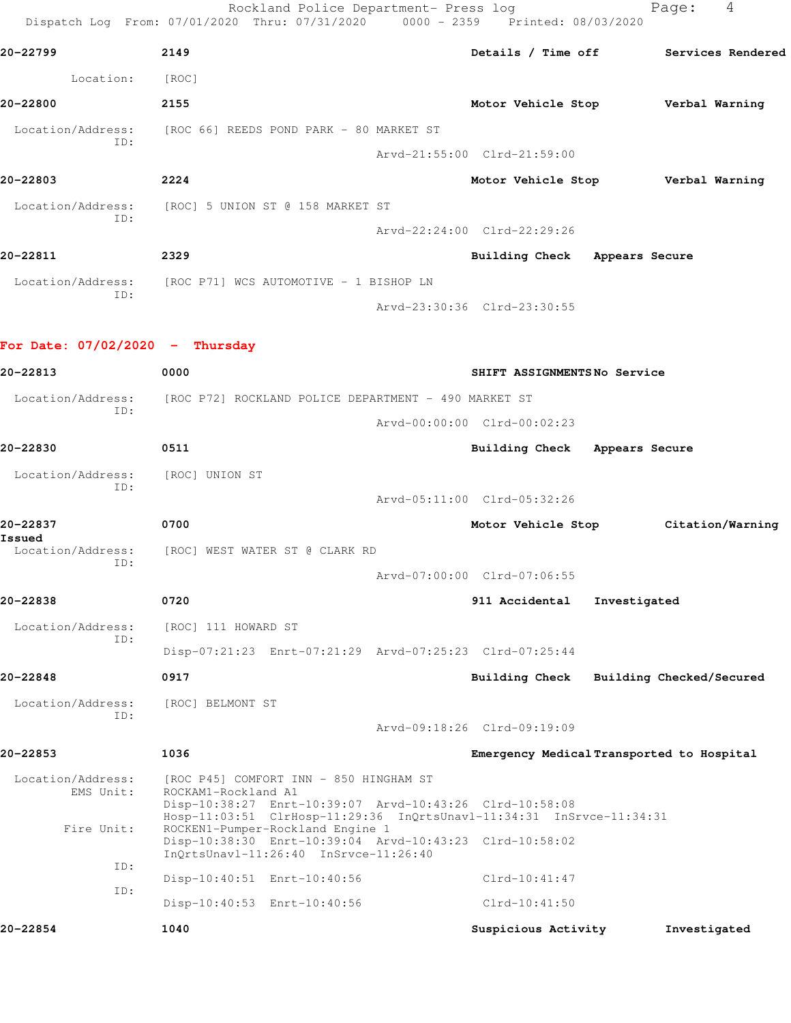Rockland Police Department- Press log Nage: 4 Dispatch Log From: 07/01/2020 Thru: 07/31/2020 0000 - 2359 Printed: 08/03/2020 **20-22799 2149 Details / Time off Services Rendered** Location: [ROC] **20-22800 2155 Motor Vehicle Stop Verbal Warning** Location/Address: [ROC 66] REEDS POND PARK - 80 MARKET ST ID: Arvd-21:55:00 Clrd-21:59:00 **20-22803 2224 Motor Vehicle Stop Verbal Warning** Location/Address: [ROC] 5 UNION ST @ 158 MARKET ST ID: Arvd-22:24:00 Clrd-22:29:26 **20-22811 2329 Building Check Appears Secure** Location/Address: [ROC P71] WCS AUTOMOTIVE - 1 BISHOP LN ID: Arvd-23:30:36 Clrd-23:30:55 **For Date: 07/02/2020 - Thursday 20-22813 0000 SHIFT ASSIGNMENTS No Service** Location/Address: [ROC P72] ROCKLAND POLICE DEPARTMENT - 490 MARKET ST ID: Arvd-00:00:00 Clrd-00:02:23 **20-22830 0511 Building Check Appears Secure** Location/Address: [ROC] UNION ST ID: Arvd-05:11:00 Clrd-05:32:26 **20-22837 0700 Motor Vehicle Stop Citation/Warning Issued**  Location/Address: [ROC] WEST WATER ST @ CLARK RD ID: Arvd-07:00:00 Clrd-07:06:55 **20-22838 0720 911 Accidental Investigated** Location/Address: [ROC] 111 HOWARD ST ID: Disp-07:21:23 Enrt-07:21:29 Arvd-07:25:23 Clrd-07:25:44 **20-22848 0917 Building Check Building Checked/Secured** Location/Address: [ROC] BELMONT ST ID: Arvd-09:18:26 Clrd-09:19:09 **20-22853 1036 Emergency Medical Transported to Hospital** Location/Address: [ROC P45] COMFORT INN - 850 HINGHAM ST EMS Unit: ROCKAM1-Rockland A1 Disp-10:38:27 Enrt-10:39:07 Arvd-10:43:26 Clrd-10:58:08 Hosp-11:03:51 ClrHosp-11:29:36 InQrtsUnavl-11:34:31 InSrvce-11:34:31 Fire Unit: ROCKEN1-Pumper-Rockland Engine 1 Disp-10:38:30 Enrt-10:39:04 Arvd-10:43:23 Clrd-10:58:02 InQrtsUnavl-11:26:40 InSrvce-11:26:40

 ID: Disp-10:40:51 Enrt-10:40:56 Clrd-10:41:47 ID:

Disp-10:40:53 Enrt-10:40:56 Clrd-10:41:50

**20-22854 1040 Suspicious Activity Investigated**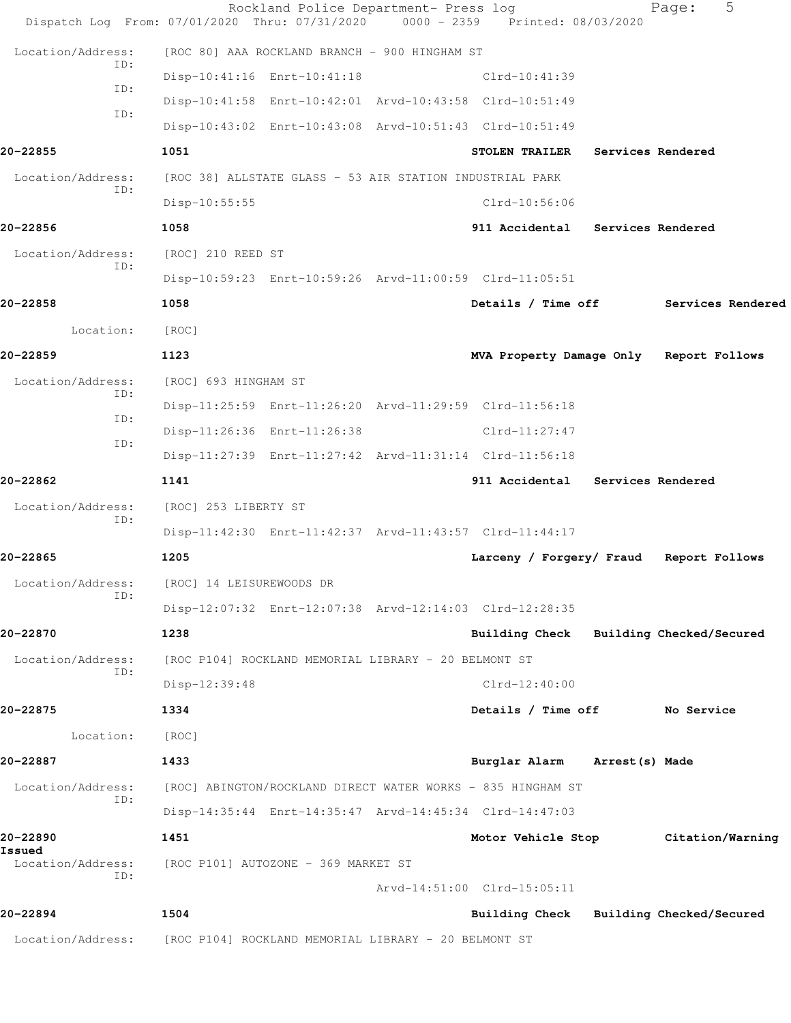|                          | Rockland Police Department- Press log<br>Dispatch Log From: 07/01/2020 Thru: 07/31/2020 | $0000 - 2359$ | Printed: 08/03/2020                     |                   | 5<br>Page:        |  |
|--------------------------|-----------------------------------------------------------------------------------------|---------------|-----------------------------------------|-------------------|-------------------|--|
| Location/Address:        | [ROC 80] AAA ROCKLAND BRANCH - 900 HINGHAM ST                                           |               |                                         |                   |                   |  |
| ID:                      | Disp-10:41:16 Enrt-10:41:18                                                             |               | $Clrd-10:41:39$                         |                   |                   |  |
| ID:                      | Disp-10:41:58 Enrt-10:42:01 Arvd-10:43:58 Clrd-10:51:49                                 |               |                                         |                   |                   |  |
| ID:                      | Disp-10:43:02 Enrt-10:43:08 Arvd-10:51:43 Clrd-10:51:49                                 |               |                                         |                   |                   |  |
| 20-22855                 | 1051                                                                                    |               | <b>STOLEN TRAILER</b>                   | Services Rendered |                   |  |
| Location/Address:        | [ROC 38] ALLSTATE GLASS - 53 AIR STATION INDUSTRIAL PARK                                |               |                                         |                   |                   |  |
| ID:                      | $Disp-10:55:55$                                                                         |               | $Clrd-10:56:06$                         |                   |                   |  |
| 20-22856                 | 1058                                                                                    |               | 911 Accidental Services Rendered        |                   |                   |  |
| Location/Address:        | [ROC] 210 REED ST                                                                       |               |                                         |                   |                   |  |
| ID:                      | Disp-10:59:23 Enrt-10:59:26 Arvd-11:00:59 Clrd-11:05:51                                 |               |                                         |                   |                   |  |
| 20-22858                 | 1058                                                                                    |               | Details / Time off                      |                   | Services Rendered |  |
| Location:                | [ROC]                                                                                   |               |                                         |                   |                   |  |
| 20-22859                 | 1123                                                                                    |               | MVA Property Damage Only Report Follows |                   |                   |  |
| Location/Address:        | [ROC] 693 HINGHAM ST                                                                    |               |                                         |                   |                   |  |
| ID:<br>ID:               | Disp-11:25:59 Enrt-11:26:20 Arvd-11:29:59 Clrd-11:56:18                                 |               |                                         |                   |                   |  |
| ID:                      | Disp-11:26:36 Enrt-11:26:38                                                             |               | $Clrd-11:27:47$                         |                   |                   |  |
|                          | Disp-11:27:39 Enrt-11:27:42 Arvd-11:31:14 Clrd-11:56:18                                 |               |                                         |                   |                   |  |
| 20-22862                 | 1141                                                                                    |               | 911 Accidental Services Rendered        |                   |                   |  |
| Location/Address:<br>ID: | [ROC] 253 LIBERTY ST                                                                    |               |                                         |                   |                   |  |
|                          | Disp-11:42:30 Enrt-11:42:37 Arvd-11:43:57 Clrd-11:44:17                                 |               |                                         |                   |                   |  |
| 20-22865                 | 1205                                                                                    |               | Larceny / Forgery/ Fraud Report Follows |                   |                   |  |
| Location/Address:<br>ID: | [ROC] 14 LEISUREWOODS DR                                                                |               |                                         |                   |                   |  |
|                          | Disp-12:07:32 Enrt-12:07:38 Arvd-12:14:03 Clrd-12:28:35                                 |               |                                         |                   |                   |  |
| 20-22870                 | 1238                                                                                    |               | Building Check Building Checked/Secured |                   |                   |  |
| Location/Address:<br>ID: | [ROC P104] ROCKLAND MEMORIAL LIBRARY - 20 BELMONT ST                                    |               |                                         |                   |                   |  |
|                          | Disp-12:39:48                                                                           |               | $Clrd-12:40:00$                         |                   |                   |  |
| 20-22875                 | 1334                                                                                    |               | Details / Time off                      |                   | No Service        |  |
| Location:                | [ROC]                                                                                   |               |                                         |                   |                   |  |
| 20-22887                 | 1433                                                                                    |               | Burglar Alarm                           | Arrest(s) Made    |                   |  |
| Location/Address:<br>ID: | [ROC] ABINGTON/ROCKLAND DIRECT WATER WORKS - 835 HINGHAM ST                             |               |                                         |                   |                   |  |
|                          | Disp-14:35:44 Enrt-14:35:47 Arvd-14:45:34 Clrd-14:47:03                                 |               |                                         |                   |                   |  |
| 20-22890<br>Issued       | 1451                                                                                    |               | Motor Vehicle Stop                      |                   | Citation/Warning  |  |
| Location/Address:<br>ID: | [ROC P101] AUTOZONE - 369 MARKET ST                                                     |               |                                         |                   |                   |  |
|                          |                                                                                         |               | Arvd-14:51:00 Clrd-15:05:11             |                   |                   |  |
| 20-22894                 | 1504                                                                                    |               | Building Check Building Checked/Secured |                   |                   |  |
| Location/Address:        | [ROC P104] ROCKLAND MEMORIAL LIBRARY - 20 BELMONT ST                                    |               |                                         |                   |                   |  |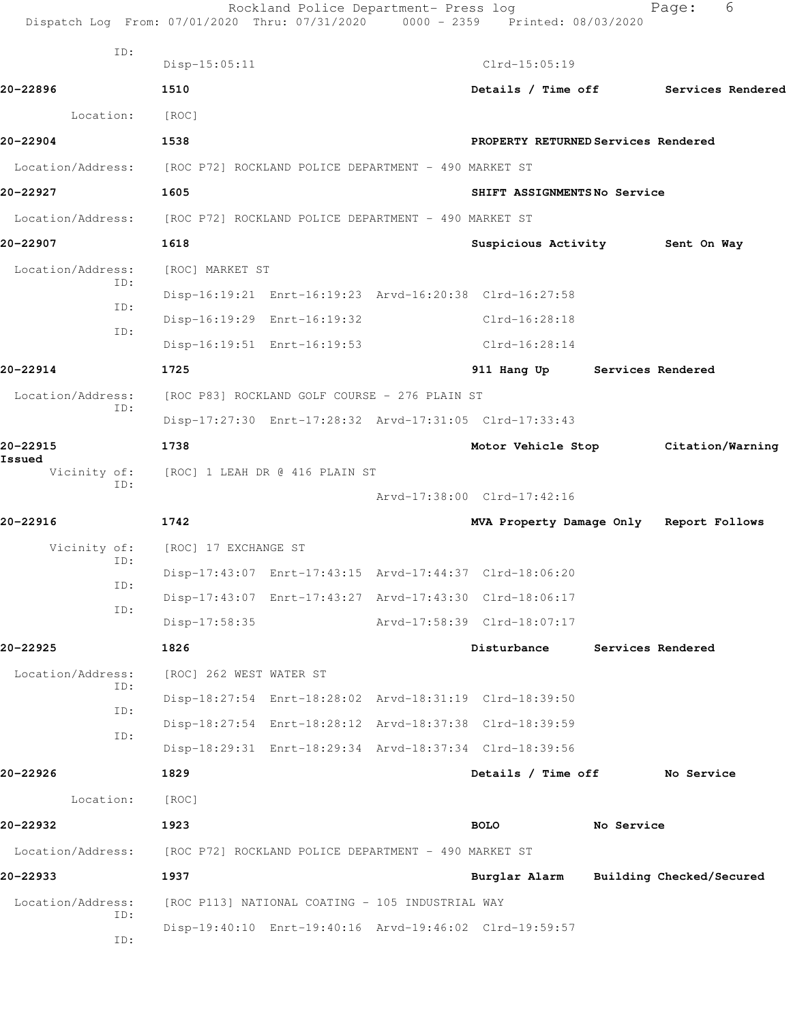|                          | Rockland Police Department- Press log<br>Dispatch Log From: 07/01/2020 Thru: 07/31/2020 0000 - 2359 Printed: 08/03/2020 |                             | 6<br>Page:                              |
|--------------------------|-------------------------------------------------------------------------------------------------------------------------|-----------------------------|-----------------------------------------|
| ID:                      | $Disp-15:05:11$                                                                                                         | $Clrd-15:05:19$             |                                         |
| 20-22896                 | 1510                                                                                                                    |                             | Details / Time off Services Rendered    |
| Location:                | [ROC]                                                                                                                   |                             |                                         |
| 20-22904                 | 1538                                                                                                                    |                             | PROPERTY RETURNED Services Rendered     |
| Location/Address:        | [ROC P72] ROCKLAND POLICE DEPARTMENT – 490 MARKET ST                                                                    |                             |                                         |
| 20-22927                 | 1605                                                                                                                    | SHIFT ASSIGNMENTSNo Service |                                         |
|                          | Location/Address: [ROC P72] ROCKLAND POLICE DEPARTMENT - 490 MARKET ST                                                  |                             |                                         |
|                          |                                                                                                                         |                             |                                         |
| 20-22907                 | 1618                                                                                                                    | Suspicious Activity         | Sent On Way                             |
| Location/Address:<br>ID: | [ROC] MARKET ST                                                                                                         |                             |                                         |
| ID:                      | Disp-16:19:21 Enrt-16:19:23 Arvd-16:20:38 Clrd-16:27:58                                                                 |                             |                                         |
| ID:                      | Disp-16:19:29 Enrt-16:19:32                                                                                             | Clrd-16:28:18               |                                         |
|                          | Disp-16:19:51 Enrt-16:19:53                                                                                             | $Clrd-16:28:14$             |                                         |
| 20-22914                 | 1725                                                                                                                    |                             | 911 Hang Up Services Rendered           |
| Location/Address:<br>ID: | [ROC P83] ROCKLAND GOLF COURSE - 276 PLAIN ST                                                                           |                             |                                         |
|                          | Disp-17:27:30 Enrt-17:28:32 Arvd-17:31:05 Clrd-17:33:43                                                                 |                             |                                         |
| 20-22915<br>Issued       | 1738                                                                                                                    | Motor Vehicle Stop          | Citation/Warning                        |
| Vicinity of:<br>ID:      | [ROC] 1 LEAH DR @ 416 PLAIN ST                                                                                          |                             |                                         |
|                          |                                                                                                                         | Arvd-17:38:00 Clrd-17:42:16 |                                         |
| 20-22916                 | 1742                                                                                                                    |                             | MVA Property Damage Only Report Follows |
| Vicinity of:<br>ID:      | [ROC] 17 EXCHANGE ST                                                                                                    |                             |                                         |
|                          | Disp-17:43:07 Enrt-17:43:15 Arvd-17:44:37 Clrd-18:06:20                                                                 |                             |                                         |
| ID:                      | Disp-17:43:07 Enrt-17:43:27 Arvd-17:43:30 Clrd-18:06:17                                                                 |                             |                                         |
| ID:                      | Disp-17:58:35                                                                                                           | Arvd-17:58:39 Clrd-18:07:17 |                                         |
| 20-22925                 | 1826                                                                                                                    | Disturbance                 | Services Rendered                       |
| Location/Address:        | [ROC] 262 WEST WATER ST                                                                                                 |                             |                                         |
| ID:                      | Disp-18:27:54 Enrt-18:28:02 Arvd-18:31:19 Clrd-18:39:50                                                                 |                             |                                         |
| ID:                      | Disp-18:27:54 Enrt-18:28:12 Arvd-18:37:38 Clrd-18:39:59                                                                 |                             |                                         |
| ID:                      | Disp-18:29:31 Enrt-18:29:34 Arvd-18:37:34 Clrd-18:39:56                                                                 |                             |                                         |
| 20-22926                 | 1829                                                                                                                    | Details / Time off          | No Service                              |
| Location:                | [ROC]                                                                                                                   |                             |                                         |
| 20-22932                 | 1923                                                                                                                    | <b>BOLO</b>                 | No Service                              |
| Location/Address:        | [ROC P72] ROCKLAND POLICE DEPARTMENT - 490 MARKET ST                                                                    |                             |                                         |
| 20-22933                 | 1937                                                                                                                    | Burglar Alarm               | Building Checked/Secured                |
| Location/Address:        | [ROC P113] NATIONAL COATING - 105 INDUSTRIAL WAY                                                                        |                             |                                         |
| ID:                      | Disp-19:40:10 Enrt-19:40:16 Arvd-19:46:02 Clrd-19:59:57                                                                 |                             |                                         |
| ID:                      |                                                                                                                         |                             |                                         |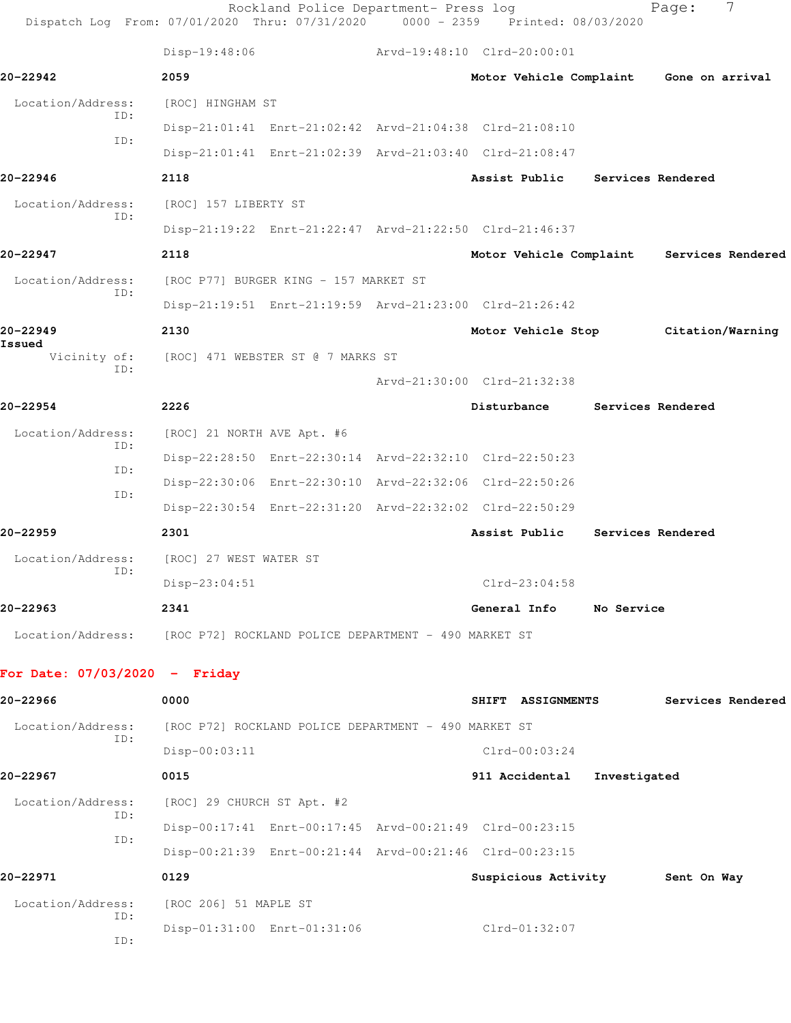|                                 |     |                                   | Rockland Police Department- Press log<br>Dispatch Log From: 07/01/2020 Thru: 07/31/2020 | $0000 - 2359$               |                             | Printed: 08/03/2020 | 7<br>Page:        |
|---------------------------------|-----|-----------------------------------|-----------------------------------------------------------------------------------------|-----------------------------|-----------------------------|---------------------|-------------------|
|                                 |     | Disp-19:48:06                     |                                                                                         |                             | Arvd-19:48:10 Clrd-20:00:01 |                     |                   |
| 20-22942                        |     | 2059                              |                                                                                         |                             | Motor Vehicle Complaint     |                     | Gone on arrival   |
| Location/Address:               |     | [ROC] HINGHAM ST                  |                                                                                         |                             |                             |                     |                   |
|                                 | ID: |                                   | Disp-21:01:41 Enrt-21:02:42 Arvd-21:04:38 Clrd-21:08:10                                 |                             |                             |                     |                   |
|                                 | ID: |                                   | Disp-21:01:41 Enrt-21:02:39 Arvd-21:03:40 Clrd-21:08:47                                 |                             |                             |                     |                   |
| 20-22946                        |     | 2118                              |                                                                                         |                             | Assist Public               |                     | Services Rendered |
| Location/Address:               |     | [ROC] 157 LIBERTY ST              |                                                                                         |                             |                             |                     |                   |
|                                 | ID: |                                   | Disp-21:19:22 Enrt-21:22:47 Arvd-21:22:50 Clrd-21:46:37                                 |                             |                             |                     |                   |
| 20-22947                        |     | 2118                              |                                                                                         |                             | Motor Vehicle Complaint     |                     | Services Rendered |
| Location/Address:               |     |                                   | [ROC P77] BURGER KING - 157 MARKET ST                                                   |                             |                             |                     |                   |
|                                 | ID: |                                   | Disp-21:19:51 Enrt-21:19:59 Arvd-21:23:00 Clrd-21:26:42                                 |                             |                             |                     |                   |
| 20-22949                        |     | 2130                              |                                                                                         |                             | Motor Vehicle Stop          |                     | Citation/Warning  |
| Issued<br>Vicinity of:<br>ID:   |     | [ROC] 471 WEBSTER ST @ 7 MARKS ST |                                                                                         |                             |                             |                     |                   |
|                                 |     |                                   |                                                                                         | Arvd-21:30:00 Clrd-21:32:38 |                             |                     |                   |
| 20-22954                        |     | 2226                              |                                                                                         |                             | Disturbance                 |                     | Services Rendered |
| Location/Address:               |     | [ROC] 21 NORTH AVE Apt. #6        |                                                                                         |                             |                             |                     |                   |
|                                 | ID: |                                   | Disp-22:28:50 Enrt-22:30:14 Arvd-22:32:10 Clrd-22:50:23                                 |                             |                             |                     |                   |
|                                 | ID: |                                   | Disp-22:30:06 Enrt-22:30:10 Arvd-22:32:06 Clrd-22:50:26                                 |                             |                             |                     |                   |
|                                 | ID: |                                   | Disp-22:30:54 Enrt-22:31:20 Arvd-22:32:02 Clrd-22:50:29                                 |                             |                             |                     |                   |
| 20-22959                        |     | 2301                              |                                                                                         |                             | Assist Public               |                     | Services Rendered |
| Location/Address:               |     | [ROC] 27 WEST WATER ST            |                                                                                         |                             |                             |                     |                   |
|                                 | ID: | Disp-23:04:51                     |                                                                                         |                             | Clrd-23:04:58               |                     |                   |
| 20-22963                        |     | 2341                              |                                                                                         |                             | General Info                | No Service          |                   |
| Location/Address:               |     |                                   | [ROC P72] ROCKLAND POLICE DEPARTMENT - 490 MARKET ST                                    |                             |                             |                     |                   |
| For Date: $07/03/2020 -$ Friday |     |                                   |                                                                                         |                             |                             |                     |                   |
| 20-22966                        |     | 0000                              |                                                                                         |                             | SHIFT ASSIGNMENTS           |                     | Services Rendered |
| Location/Address:               |     |                                   | [ROC P72] ROCKLAND POLICE DEPARTMENT - 490 MARKET ST                                    |                             |                             |                     |                   |
|                                 | ID: | $Disp-00:03:11$                   |                                                                                         |                             | $Clrd-00:03:24$             |                     |                   |
| 20-22967                        |     | 0015                              |                                                                                         |                             | 911 Accidental              | Investigated        |                   |
| Location/Address:               |     | [ROC] 29 CHURCH ST Apt. #2        |                                                                                         |                             |                             |                     |                   |
|                                 | ID: |                                   | Disp-00:17:41 Enrt-00:17:45 Arvd-00:21:49 Clrd-00:23:15                                 |                             |                             |                     |                   |
|                                 | ID: |                                   | Disp-00:21:39 Enrt-00:21:44 Arvd-00:21:46 Clrd-00:23:15                                 |                             |                             |                     |                   |
| 20-22971                        |     | 0129                              |                                                                                         |                             | Suspicious Activity         |                     | Sent On Way       |

 Location/Address: [ROC 206] 51 MAPLE ST ID: Disp-01:31:00 Enrt-01:31:06 Clrd-01:32:07 ID: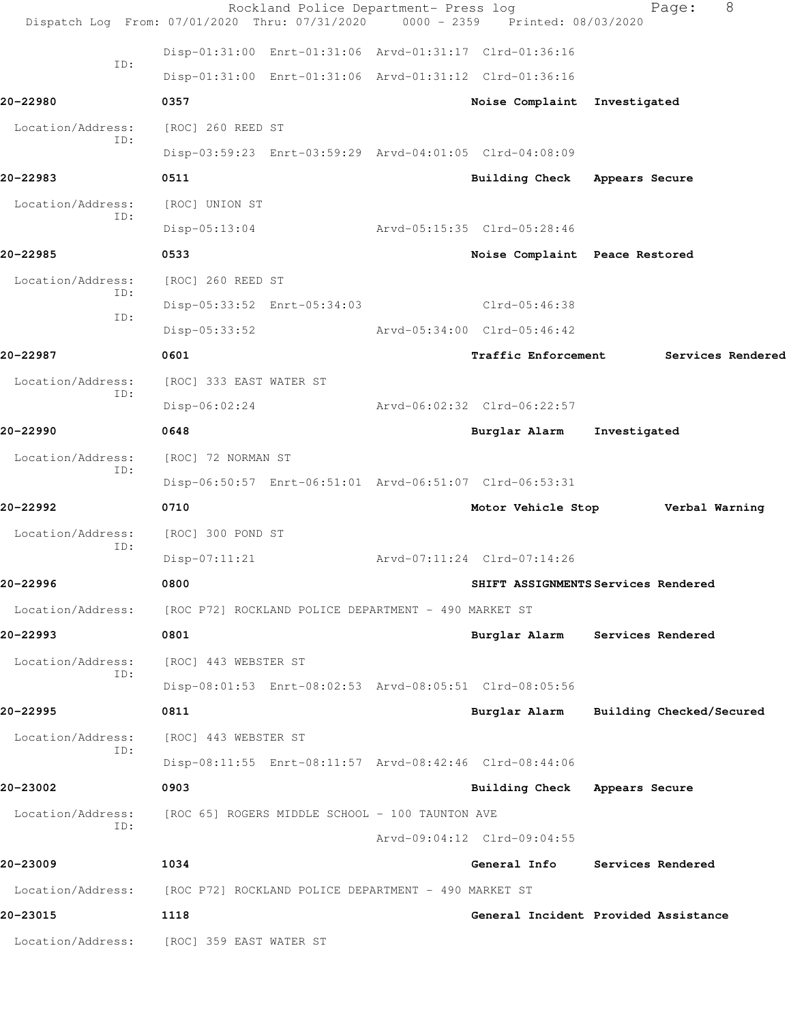|                          | Rockland Police Department- Press log<br>Dispatch Log From: 07/01/2020 Thru: 07/31/2020 | 0000 - 2359 Printed: 08/03/2020 | 8<br>Page:                             |
|--------------------------|-----------------------------------------------------------------------------------------|---------------------------------|----------------------------------------|
|                          | Disp-01:31:00 Enrt-01:31:06 Arvd-01:31:17 Clrd-01:36:16                                 |                                 |                                        |
| ID:                      | Disp-01:31:00 Enrt-01:31:06 Arvd-01:31:12 Clrd-01:36:16                                 |                                 |                                        |
| 20-22980                 | 0357                                                                                    | Noise Complaint Investigated    |                                        |
| Location/Address:        | [ROC] 260 REED ST                                                                       |                                 |                                        |
| ID:                      | Disp-03:59:23 Enrt-03:59:29 Arvd-04:01:05 Clrd-04:08:09                                 |                                 |                                        |
| 20-22983                 | 0511                                                                                    | Building Check                  | Appears Secure                         |
| Location/Address:        | [ROC] UNION ST                                                                          |                                 |                                        |
| ID:                      | $Disp-05:13:04$                                                                         | Arvd-05:15:35 Clrd-05:28:46     |                                        |
| 20-22985                 | 0533                                                                                    | Noise Complaint Peace Restored  |                                        |
| Location/Address:        | [ROC] 260 REED ST                                                                       |                                 |                                        |
| ID:                      | Disp-05:33:52 Enrt-05:34:03                                                             | $Clrd-05:46:38$                 |                                        |
| ID:                      | $Disp-05:33:52$                                                                         | Arvd-05:34:00 Clrd-05:46:42     |                                        |
| 20-22987                 | 0601                                                                                    | <b>Traffic Enforcement</b>      | Services Rendered                      |
| Location/Address:        | [ROC] 333 EAST WATER ST                                                                 |                                 |                                        |
| ID:                      | $Disp-06:02:24$                                                                         | Arvd-06:02:32 Clrd-06:22:57     |                                        |
| 20-22990                 | 0648                                                                                    | Burglar Alarm                   | Investigated                           |
| Location/Address:        | [ROC] 72 NORMAN ST                                                                      |                                 |                                        |
| ID:                      | Disp-06:50:57 Enrt-06:51:01 Arvd-06:51:07 Clrd-06:53:31                                 |                                 |                                        |
| 20-22992                 | 0710                                                                                    | Motor Vehicle Stop              | Verbal Warning                         |
| Location/Address:        | [ROC] 300 POND ST                                                                       |                                 |                                        |
| ID:                      | $Disp-07:11:21$                                                                         | Arvd-07:11:24 Clrd-07:14:26     |                                        |
| 20-22996                 | 0800                                                                                    |                                 | SHIFT ASSIGNMENTS Services Rendered    |
|                          | Location/Address: [ROC P72] ROCKLAND POLICE DEPARTMENT - 490 MARKET ST                  |                                 |                                        |
| 20-22993                 | 0801                                                                                    |                                 | Burglar Alarm Services Rendered        |
| Location/Address:<br>ID: | [ROC] 443 WEBSTER ST                                                                    |                                 |                                        |
|                          | Disp-08:01:53 Enrt-08:02:53 Arvd-08:05:51 Clrd-08:05:56                                 |                                 |                                        |
| 20-22995                 | 0811                                                                                    |                                 | Burglar Alarm Building Checked/Secured |
| Location/Address:<br>ID: | [ROC] 443 WEBSTER ST                                                                    |                                 |                                        |
|                          | Disp-08:11:55 Enrt-08:11:57 Arvd-08:42:46 Clrd-08:44:06                                 |                                 |                                        |
| 20-23002                 | 0903                                                                                    | Building Check Appears Secure   |                                        |
| Location/Address:<br>TD: | [ROC 65] ROGERS MIDDLE SCHOOL - 100 TAUNTON AVE                                         |                                 |                                        |
|                          |                                                                                         | Arvd-09:04:12 Clrd-09:04:55     |                                        |
| 20-23009                 | 1034                                                                                    |                                 | General Info Services Rendered         |
|                          | Location/Address: [ROC P72] ROCKLAND POLICE DEPARTMENT - 490 MARKET ST                  |                                 |                                        |
| 20-23015                 | 1118                                                                                    |                                 | General Incident Provided Assistance   |
|                          | Location/Address: [ROC] 359 EAST WATER ST                                               |                                 |                                        |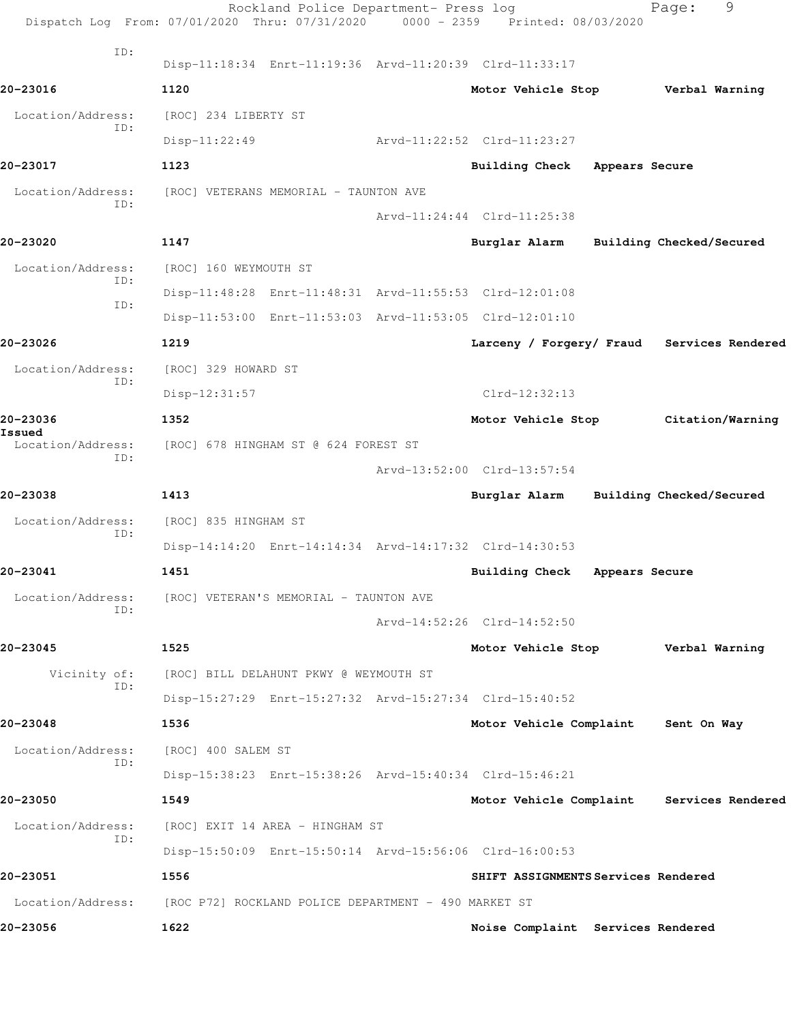|                             | Rockland Police Department- Press log<br>Dispatch Log From: 07/01/2020 Thru: 07/31/2020 | $0000 - 2359$ | Printed: 08/03/2020                        |                | 9<br>Page:               |  |
|-----------------------------|-----------------------------------------------------------------------------------------|---------------|--------------------------------------------|----------------|--------------------------|--|
| ID:                         | Disp-11:18:34 Enrt-11:19:36 Arvd-11:20:39 Clrd-11:33:17                                 |               |                                            |                |                          |  |
| 20-23016                    | 1120                                                                                    |               | Motor Vehicle Stop Verbal Warning          |                |                          |  |
| Location/Address:           | [ROC] 234 LIBERTY ST                                                                    |               |                                            |                |                          |  |
| ID:                         | $Disp-11:22:49$                                                                         |               | Arvd-11:22:52 Clrd-11:23:27                |                |                          |  |
| 20-23017                    | 1123                                                                                    |               | <b>Building Check</b>                      | Appears Secure |                          |  |
| Location/Address:           | [ROC] VETERANS MEMORIAL - TAUNTON AVE                                                   |               |                                            |                |                          |  |
| ID:                         |                                                                                         |               | Arvd-11:24:44 Clrd-11:25:38                |                |                          |  |
| 20-23020                    | 1147                                                                                    |               | Burglar Alarm                              |                | Building Checked/Secured |  |
| Location/Address:           | [ROC] 160 WEYMOUTH ST                                                                   |               |                                            |                |                          |  |
| ID:                         | Disp-11:48:28 Enrt-11:48:31 Arvd-11:55:53 Clrd-12:01:08                                 |               |                                            |                |                          |  |
| ID:                         | Disp-11:53:00 Enrt-11:53:03 Arvd-11:53:05 Clrd-12:01:10                                 |               |                                            |                |                          |  |
| 20-23026                    | 1219                                                                                    |               | Larceny / Forgery/ Fraud Services Rendered |                |                          |  |
| Location/Address:           | [ROC] 329 HOWARD ST                                                                     |               |                                            |                |                          |  |
| ID:                         | $Disp-12:31:57$                                                                         |               | $Clrd-12:32:13$                            |                |                          |  |
| 20-23036                    | 1352                                                                                    |               | Motor Vehicle Stop                         |                | Citation/Warning         |  |
| Issued<br>Location/Address: | [ROC] 678 HINGHAM ST @ 624 FOREST ST                                                    |               |                                            |                |                          |  |
| ID:                         |                                                                                         |               | Arvd-13:52:00 Clrd-13:57:54                |                |                          |  |
| 20-23038                    | 1413                                                                                    |               | Burglar Alarm                              |                | Building Checked/Secured |  |
| Location/Address:           | [ROC] 835 HINGHAM ST                                                                    |               |                                            |                |                          |  |
| ID:                         | Disp-14:14:20 Enrt-14:14:34 Arvd-14:17:32 Clrd-14:30:53                                 |               |                                            |                |                          |  |
| 20-23041                    | 1451                                                                                    |               | Building Check Appears Secure              |                |                          |  |
| Location/Address:           | [ROC] VETERAN'S MEMORIAL - TAUNTON AVE                                                  |               |                                            |                |                          |  |
| ID:                         |                                                                                         |               | Arvd-14:52:26 Clrd-14:52:50                |                |                          |  |
| 20-23045                    | 1525                                                                                    |               | Motor Vehicle Stop                         |                | Verbal Warning           |  |
|                             | Vicinity of: [ROC] BILL DELAHUNT PKWY @ WEYMOUTH ST                                     |               |                                            |                |                          |  |
| ID:                         | Disp-15:27:29 Enrt-15:27:32 Arvd-15:27:34 Clrd-15:40:52                                 |               |                                            |                |                          |  |
| 20-23048                    | 1536                                                                                    |               | Motor Vehicle Complaint                    |                | Sent On Way              |  |
| Location/Address:<br>ID:    | [ROC] 400 SALEM ST                                                                      |               |                                            |                |                          |  |
|                             | Disp-15:38:23 Enrt-15:38:26 Arvd-15:40:34 Clrd-15:46:21                                 |               |                                            |                |                          |  |
| 20-23050                    | 1549                                                                                    |               | Motor Vehicle Complaint Services Rendered  |                |                          |  |
| Location/Address:<br>ID:    | [ROC] EXIT 14 AREA - HINGHAM ST                                                         |               |                                            |                |                          |  |
|                             | Disp-15:50:09 Enrt-15:50:14 Arvd-15:56:06 Clrd-16:00:53                                 |               |                                            |                |                          |  |
| 20-23051                    | 1556                                                                                    |               | SHIFT ASSIGNMENTS Services Rendered        |                |                          |  |
| Location/Address:           | [ROC P72] ROCKLAND POLICE DEPARTMENT - 490 MARKET ST                                    |               |                                            |                |                          |  |
| 20-23056                    | 1622                                                                                    |               | Noise Complaint Services Rendered          |                |                          |  |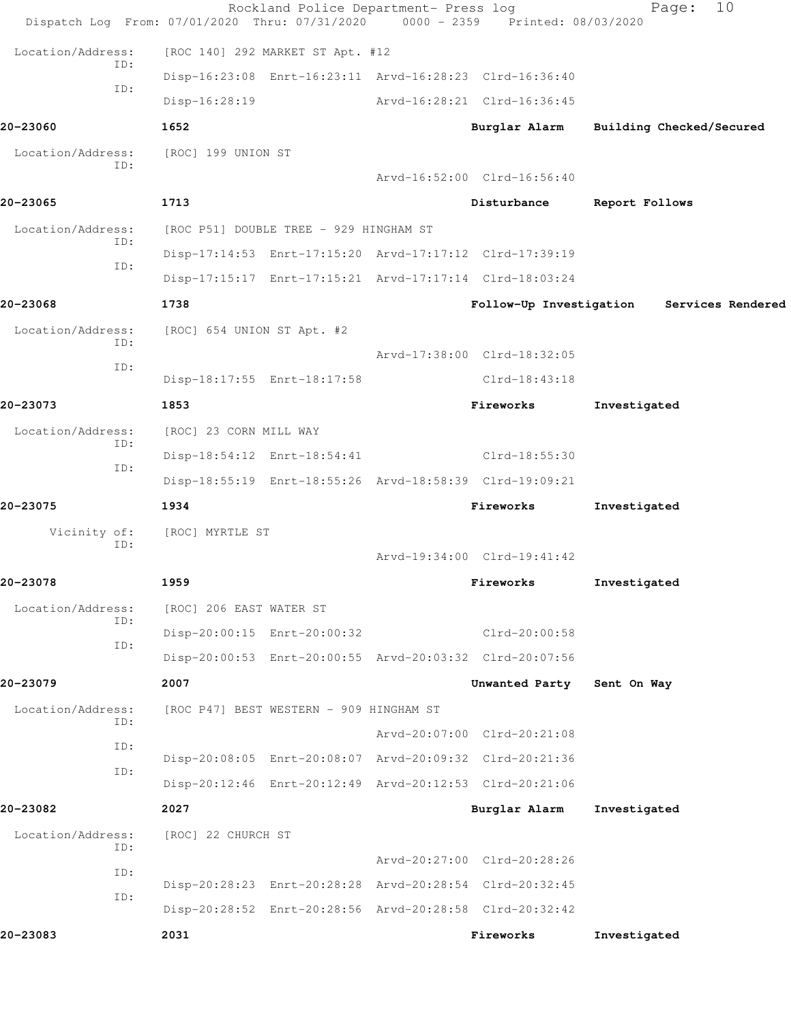| Dispatch Log From: 07/01/2020 Thru: 07/31/2020 0000 - 2359 Printed: 08/03/2020 |                                                         | Rockland Police Department- Press log |                             | 10<br>Page:              |
|--------------------------------------------------------------------------------|---------------------------------------------------------|---------------------------------------|-----------------------------|--------------------------|
| Location/Address:                                                              | [ROC 140] 292 MARKET ST Apt. #12                        |                                       |                             |                          |
| ID:                                                                            | Disp-16:23:08 Enrt-16:23:11 Arvd-16:28:23 Clrd-16:36:40 |                                       |                             |                          |
| ID:                                                                            | $Disp-16:28:19$                                         |                                       | Arvd-16:28:21 Clrd-16:36:45 |                          |
| 20-23060                                                                       | 1652                                                    |                                       | Burglar Alarm               | Building Checked/Secured |
| Location/Address:                                                              | [ROC] 199 UNION ST                                      |                                       |                             |                          |
| ID:                                                                            |                                                         |                                       | Arvd-16:52:00 Clrd-16:56:40 |                          |
| 20-23065                                                                       | 1713                                                    |                                       | Disturbance                 | Report Follows           |
| Location/Address:                                                              | [ROC P51] DOUBLE TREE - 929 HINGHAM ST                  |                                       |                             |                          |
| ID:                                                                            | Disp-17:14:53 Enrt-17:15:20 Arvd-17:17:12 Clrd-17:39:19 |                                       |                             |                          |
| ID:                                                                            | Disp-17:15:17 Enrt-17:15:21 Arvd-17:17:14 Clrd-18:03:24 |                                       |                             |                          |
| 20-23068                                                                       | 1738                                                    |                                       | Follow-Up Investigation     | Services Rendered        |
| Location/Address:                                                              | [ROC] 654 UNION ST Apt. #2                              |                                       |                             |                          |
| ID:                                                                            |                                                         |                                       | Arvd-17:38:00 Clrd-18:32:05 |                          |
| ID:                                                                            | Disp-18:17:55 Enrt-18:17:58                             |                                       | Clrd-18:43:18               |                          |
| 20-23073                                                                       | 1853                                                    |                                       | Fireworks                   | Investigated             |
| Location/Address:<br>ID:                                                       | [ROC] 23 CORN MILL WAY                                  |                                       |                             |                          |
| ID:                                                                            | Disp-18:54:12 Enrt-18:54:41                             |                                       | Clrd-18:55:30               |                          |
|                                                                                | Disp-18:55:19 Enrt-18:55:26 Arvd-18:58:39 Clrd-19:09:21 |                                       |                             |                          |
| 20-23075                                                                       | 1934                                                    |                                       | Fireworks                   | Investigated             |
| Vicinity of:<br>ID:                                                            | [ROC] MYRTLE ST                                         |                                       |                             |                          |
|                                                                                |                                                         |                                       | Arvd-19:34:00 Clrd-19:41:42 |                          |
| 20-23078                                                                       | 1959                                                    |                                       | Fireworks                   | Investigated             |
| Location/Address:<br>ID:                                                       | [ROC] 206 EAST WATER ST                                 |                                       |                             |                          |
| ID:                                                                            | Disp-20:00:15 Enrt-20:00:32                             |                                       | $Clrd-20:00:58$             |                          |
|                                                                                | Disp-20:00:53 Enrt-20:00:55 Arvd-20:03:32 Clrd-20:07:56 |                                       |                             |                          |
| 20-23079                                                                       | 2007                                                    |                                       | Unwanted Party              | Sent On Way              |
| Location/Address:<br>ID:                                                       | [ROC P47] BEST WESTERN - 909 HINGHAM ST                 |                                       |                             |                          |
| ID:                                                                            |                                                         |                                       | Arvd-20:07:00 Clrd-20:21:08 |                          |
| ID:                                                                            | Disp-20:08:05 Enrt-20:08:07 Arvd-20:09:32 Clrd-20:21:36 |                                       |                             |                          |
|                                                                                | Disp-20:12:46 Enrt-20:12:49 Arvd-20:12:53 Clrd-20:21:06 |                                       |                             |                          |
| 20-23082                                                                       | 2027                                                    |                                       | Burglar Alarm               | Investigated             |
| Location/Address:<br>ID:                                                       | [ROC] 22 CHURCH ST                                      |                                       |                             |                          |
| ID:                                                                            |                                                         |                                       | Arvd-20:27:00 Clrd-20:28:26 |                          |
| ID:                                                                            | Disp-20:28:23 Enrt-20:28:28 Arvd-20:28:54 Clrd-20:32:45 |                                       |                             |                          |
|                                                                                | Disp-20:28:52 Enrt-20:28:56 Arvd-20:28:58 Clrd-20:32:42 |                                       |                             |                          |
| 20-23083                                                                       | 2031                                                    |                                       | Fireworks                   | Investigated             |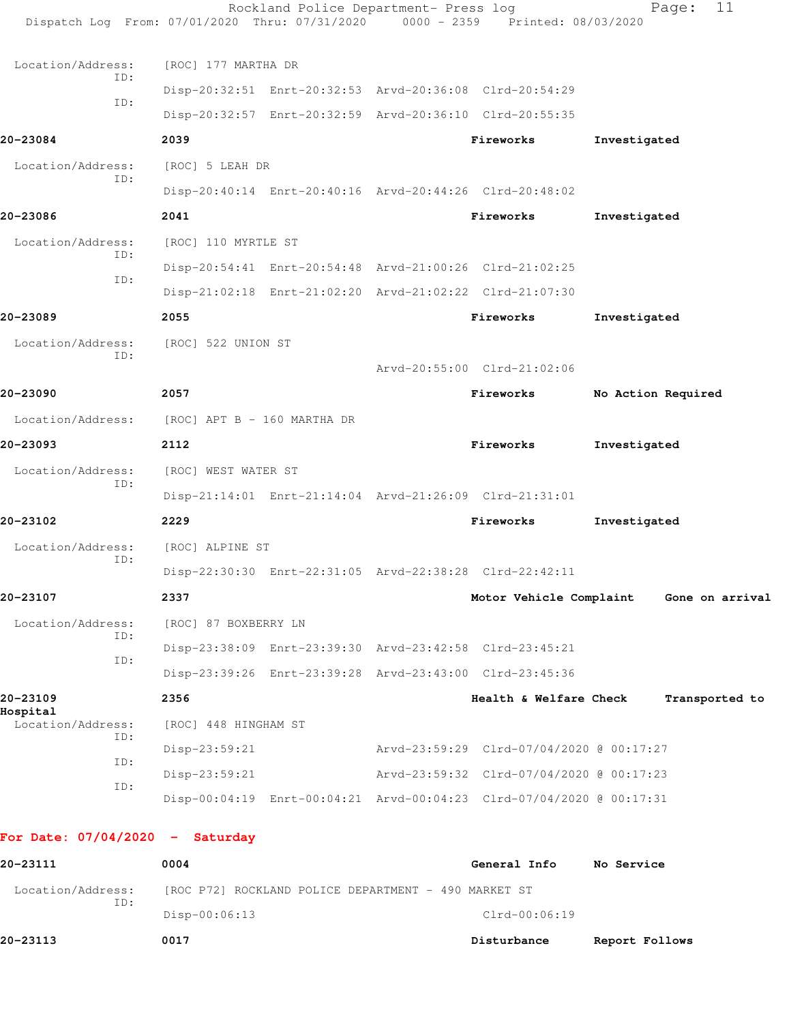| Dispatch Log From: 07/01/2020 Thru: 07/31/2020 0000 - 2359 Printed: 08/03/2020 |                             | Rockland Police Department- Press log |                                                                      |                    | 11<br>Page:    |
|--------------------------------------------------------------------------------|-----------------------------|---------------------------------------|----------------------------------------------------------------------|--------------------|----------------|
| Location/Address:                                                              | [ROC] 177 MARTHA DR         |                                       |                                                                      |                    |                |
| ID:                                                                            |                             |                                       | Disp-20:32:51 Enrt-20:32:53 Arvd-20:36:08 Clrd-20:54:29              |                    |                |
| ID:                                                                            |                             |                                       | Disp-20:32:57 Enrt-20:32:59 Arvd-20:36:10 Clrd-20:55:35              |                    |                |
| 20-23084                                                                       | 2039                        |                                       | Fireworks                                                            | Investigated       |                |
| Location/Address:                                                              | [ROC] 5 LEAH DR             |                                       |                                                                      |                    |                |
| ID:                                                                            |                             |                                       | Disp-20:40:14 Enrt-20:40:16 Arvd-20:44:26 Clrd-20:48:02              |                    |                |
| 20-23086                                                                       | 2041                        |                                       | Fireworks                                                            | Investigated       |                |
| Location/Address:                                                              |                             |                                       |                                                                      |                    |                |
| ID:                                                                            | [ROC] 110 MYRTLE ST         |                                       |                                                                      |                    |                |
| ID:                                                                            |                             |                                       | Disp-20:54:41 Enrt-20:54:48 Arvd-21:00:26 Clrd-21:02:25              |                    |                |
|                                                                                |                             |                                       | Disp-21:02:18 Enrt-21:02:20 Arvd-21:02:22 Clrd-21:07:30              |                    |                |
| 20-23089                                                                       | 2055                        |                                       | Fireworks                                                            | Investigated       |                |
| Location/Address:<br>ID:                                                       | [ROC] 522 UNION ST          |                                       |                                                                      |                    |                |
|                                                                                |                             |                                       | Arvd-20:55:00 Clrd-21:02:06                                          |                    |                |
| 20-23090                                                                       | 2057                        |                                       | Fireworks                                                            | No Action Required |                |
| Location/Address:                                                              | [ROC] APT B - 160 MARTHA DR |                                       |                                                                      |                    |                |
| 20-23093                                                                       | 2112                        |                                       | Fireworks                                                            | Investigated       |                |
| Location/Address:<br>ID:                                                       | [ROC] WEST WATER ST         |                                       |                                                                      |                    |                |
|                                                                                |                             |                                       | Disp-21:14:01 Enrt-21:14:04 Arvd-21:26:09 Clrd-21:31:01              |                    |                |
| 20-23102                                                                       | 2229                        |                                       | Fireworks                                                            | Investigated       |                |
| Location/Address:                                                              | [ROC] ALPINE ST             |                                       |                                                                      |                    |                |
| ID:                                                                            |                             |                                       | Disp-22:30:30 Enrt-22:31:05 Arvd-22:38:28 Clrd-22:42:11              |                    |                |
| 20-23107                                                                       | 2337                        |                                       | Motor Vehicle Complaint Gone on arrival                              |                    |                |
| Location/Address:                                                              | [ROC] 87 BOXBERRY LN        |                                       |                                                                      |                    |                |
| ID:                                                                            |                             |                                       | Disp-23:38:09 Enrt-23:39:30 Arvd-23:42:58 Clrd-23:45:21              |                    |                |
| ID:                                                                            |                             |                                       | Disp-23:39:26 Enrt-23:39:28 Arvd-23:43:00 Clrd-23:45:36              |                    |                |
| 20-23109                                                                       | 2356                        |                                       | Health & Welfare Check                                               |                    | Transported to |
| Hospital<br>Location/Address:                                                  | [ROC] 448 HINGHAM ST        |                                       |                                                                      |                    |                |
| ID:                                                                            | Disp-23:59:21               |                                       | Arvd-23:59:29 Clrd-07/04/2020 @ 00:17:27                             |                    |                |
| ID:                                                                            | $Disp-23:59:21$             |                                       | Arvd-23:59:32 Clrd-07/04/2020 @ 00:17:23                             |                    |                |
| ID:                                                                            |                             |                                       | Disp-00:04:19 Enrt-00:04:21 Arvd-00:04:23 Clrd-07/04/2020 @ 00:17:31 |                    |                |
| For Date: $07/04/2020 -$ Saturday                                              |                             |                                       |                                                                      |                    |                |

| 20-23111          | 0004                                                 | General Info    | No Service     |
|-------------------|------------------------------------------------------|-----------------|----------------|
| Location/Address: | [ROC P72] ROCKLAND POLICE DEPARTMENT - 490 MARKET ST |                 |                |
| ID:               | $Disp-00:06:13$                                      | $Clrd-00:06:19$ |                |
| 20-23113          | 0017                                                 | Disturbance     | Report Follows |
|                   |                                                      |                 |                |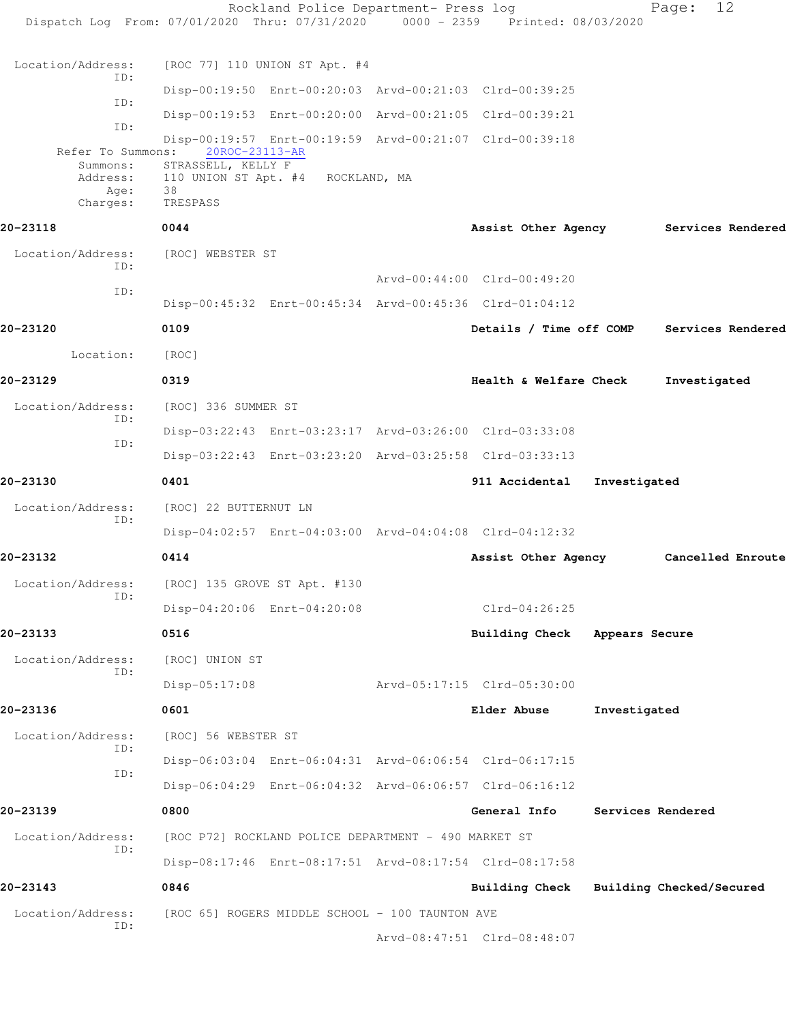|                                                                                |                                                      | Rockland Police Department- Press log |                                                         |                | 12<br>Page:              |  |
|--------------------------------------------------------------------------------|------------------------------------------------------|---------------------------------------|---------------------------------------------------------|----------------|--------------------------|--|
| Dispatch Log From: 07/01/2020 Thru: 07/31/2020 0000 - 2359 Printed: 08/03/2020 |                                                      |                                       |                                                         |                |                          |  |
| Location/Address:                                                              | [ROC 77] 110 UNION ST Apt. #4                        |                                       |                                                         |                |                          |  |
| ID:                                                                            |                                                      |                                       | Disp-00:19:50 Enrt-00:20:03 Arvd-00:21:03 Clrd-00:39:25 |                |                          |  |
| ID:                                                                            |                                                      |                                       | Disp-00:19:53 Enrt-00:20:00 Arvd-00:21:05 Clrd-00:39:21 |                |                          |  |
| ID:                                                                            |                                                      |                                       | Disp-00:19:57 Enrt-00:19:59 Arvd-00:21:07 Clrd-00:39:18 |                |                          |  |
| Refer To Summons:<br>Summons:                                                  | 20ROC-23113-AR<br>STRASSELL, KELLY F                 |                                       |                                                         |                |                          |  |
| Address:<br>Age:                                                               | 110 UNION ST Apt. #4 ROCKLAND, MA<br>38              |                                       |                                                         |                |                          |  |
| Charges:                                                                       | TRESPASS                                             |                                       |                                                         |                |                          |  |
| 20-23118                                                                       | 0044                                                 |                                       | Assist Other Agency                                     |                | Services Rendered        |  |
| Location/Address:<br>ID:                                                       | [ROC] WEBSTER ST                                     |                                       |                                                         |                |                          |  |
| ID:                                                                            |                                                      |                                       | Arvd-00:44:00 Clrd-00:49:20                             |                |                          |  |
|                                                                                |                                                      |                                       | Disp-00:45:32 Enrt-00:45:34 Arvd-00:45:36 Clrd-01:04:12 |                |                          |  |
| 20-23120                                                                       | 0109                                                 |                                       | Details / Time off COMP                                 |                | Services Rendered        |  |
| Location:                                                                      | [ROC]                                                |                                       |                                                         |                |                          |  |
| 20-23129                                                                       | 0319                                                 |                                       | Health & Welfare Check                                  |                | Investigated             |  |
| Location/Address:                                                              | [ROC] 336 SUMMER ST                                  |                                       |                                                         |                |                          |  |
| ID:                                                                            |                                                      |                                       | Disp-03:22:43 Enrt-03:23:17 Arvd-03:26:00 Clrd-03:33:08 |                |                          |  |
| ID:                                                                            |                                                      |                                       | Disp-03:22:43 Enrt-03:23:20 Arvd-03:25:58 Clrd-03:33:13 |                |                          |  |
| 20-23130                                                                       | 0401                                                 |                                       | 911 Accidental                                          | Investigated   |                          |  |
| Location/Address:                                                              | [ROC] 22 BUTTERNUT LN                                |                                       |                                                         |                |                          |  |
| ID:                                                                            |                                                      |                                       | Disp-04:02:57 Enrt-04:03:00 Arvd-04:04:08 Clrd-04:12:32 |                |                          |  |
| 20-23132                                                                       | 0414                                                 |                                       | Assist Other Agency                                     |                | Cancelled Enroute        |  |
| Location/Address:                                                              | [ROC] 135 GROVE ST Apt. #130                         |                                       |                                                         |                |                          |  |
| ID:                                                                            | Disp-04:20:06 Enrt-04:20:08                          |                                       | $Clrd-04:26:25$                                         |                |                          |  |
| 20-23133                                                                       | 0516                                                 |                                       | <b>Building Check</b>                                   | Appears Secure |                          |  |
| Location/Address:                                                              | [ROC] UNION ST                                       |                                       |                                                         |                |                          |  |
| ID:                                                                            | Disp-05:17:08                                        |                                       | Arvd-05:17:15 Clrd-05:30:00                             |                |                          |  |
| 20-23136                                                                       | 0601                                                 |                                       | Elder Abuse                                             | Investigated   |                          |  |
| Location/Address:                                                              | [ROC] 56 WEBSTER ST                                  |                                       |                                                         |                |                          |  |
| ID:                                                                            |                                                      |                                       | Disp-06:03:04 Enrt-06:04:31 Arvd-06:06:54 Clrd-06:17:15 |                |                          |  |
| ID:                                                                            |                                                      |                                       | Disp-06:04:29 Enrt-06:04:32 Arvd-06:06:57 Clrd-06:16:12 |                |                          |  |
| 20-23139                                                                       | 0800                                                 |                                       | General Info                                            |                | Services Rendered        |  |
| Location/Address:                                                              | [ROC P72] ROCKLAND POLICE DEPARTMENT - 490 MARKET ST |                                       |                                                         |                |                          |  |
| ID:                                                                            |                                                      |                                       | Disp-08:17:46 Enrt-08:17:51 Arvd-08:17:54 Clrd-08:17:58 |                |                          |  |
| 20-23143                                                                       | 0846                                                 |                                       | <b>Building Check</b>                                   |                | Building Checked/Secured |  |
|                                                                                |                                                      |                                       |                                                         |                |                          |  |
| Location/Address:<br>ID:                                                       | [ROC 65] ROGERS MIDDLE SCHOOL - 100 TAUNTON AVE      |                                       |                                                         |                |                          |  |
|                                                                                |                                                      |                                       | Arvd-08:47:51 Clrd-08:48:07                             |                |                          |  |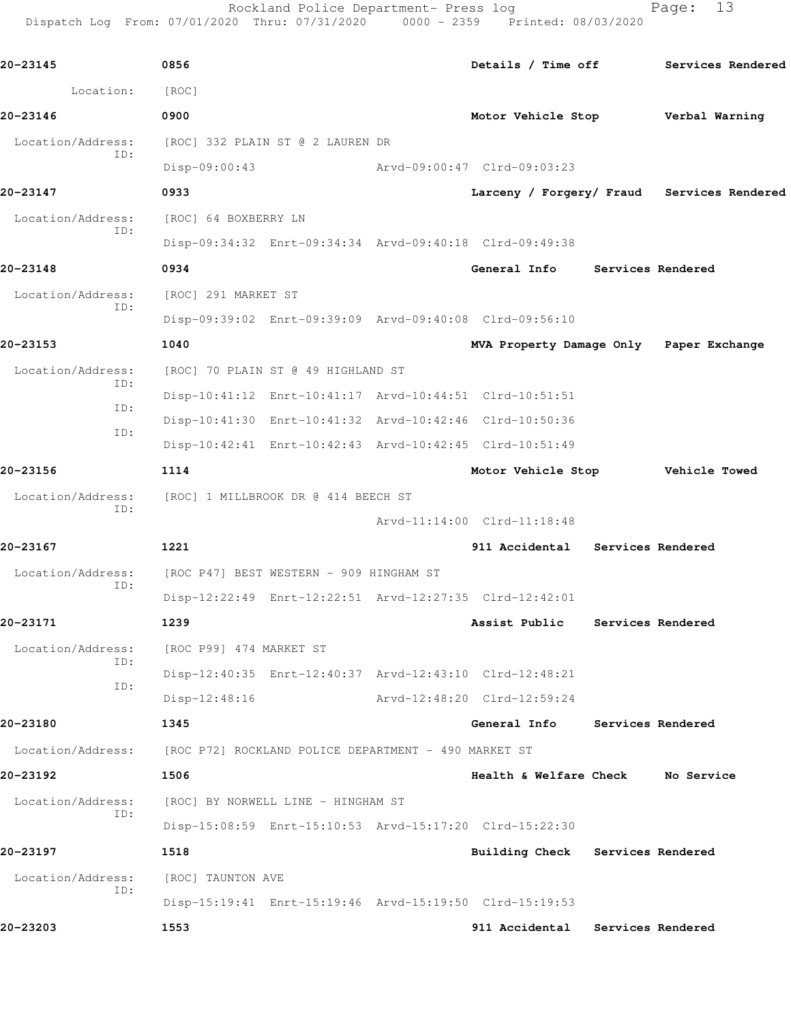Rockland Police Department- Press log Fage: 13 Dispatch Log From: 07/01/2020 Thru: 07/31/2020 0000 - 2359 Printed: 08/03/2020

**20-23145 0856 Details / Time off Services Rendered** Location: [ROC] **20-23146 0900 Motor Vehicle Stop Verbal Warning** Location/Address: [ROC] 332 PLAIN ST @ 2 LAUREN DR ID: Disp-09:00:43 Arvd-09:00:47 Clrd-09:03:23 **20-23147 0933 Larceny / Forgery/ Fraud Services Rendered** Location/Address: [ROC] 64 BOXBERRY LN ID: Disp-09:34:32 Enrt-09:34:34 Arvd-09:40:18 Clrd-09:49:38 **20-23148 0934 General Info Services Rendered** Location/Address: [ROC] 291 MARKET ST ID: Disp-09:39:02 Enrt-09:39:09 Arvd-09:40:08 Clrd-09:56:10 **20-23153 1040 MVA Property Damage Only Paper Exchange** Location/Address: [ROC] 70 PLAIN ST @ 49 HIGHLAND ST ID: Disp-10:41:12 Enrt-10:41:17 Arvd-10:44:51 Clrd-10:51:51 ID: Disp-10:41:30 Enrt-10:41:32 Arvd-10:42:46 Clrd-10:50:36 ID: Disp-10:42:41 Enrt-10:42:43 Arvd-10:42:45 Clrd-10:51:49 **20-23156 1114 Motor Vehicle Stop Vehicle Towed** Location/Address: [ROC] 1 MILLBROOK DR @ 414 BEECH ST ID: Arvd-11:14:00 Clrd-11:18:48 **20-23167 1221 911 Accidental Services Rendered** Location/Address: [ROC P47] BEST WESTERN - 909 HINGHAM ST ID: Disp-12:22:49 Enrt-12:22:51 Arvd-12:27:35 Clrd-12:42:01 **20-23171 1239 Assist Public Services Rendered** Location/Address: [ROC P99] 474 MARKET ST ID: Disp-12:40:35 Enrt-12:40:37 Arvd-12:43:10 Clrd-12:48:21 ID: Disp-12:48:16 Arvd-12:48:20 Clrd-12:59:24 **20-23180 1345 General Info Services Rendered** Location/Address: [ROC P72] ROCKLAND POLICE DEPARTMENT - 490 MARKET ST **20-23192 1506 Health & Welfare Check No Service** Location/Address: [ROC] BY NORWELL LINE - HINGHAM ST ID: Disp-15:08:59 Enrt-15:10:53 Arvd-15:17:20 Clrd-15:22:30 **20-23197 1518 Building Check Services Rendered** Location/Address: [ROC] TAUNTON AVE ID: Disp-15:19:41 Enrt-15:19:46 Arvd-15:19:50 Clrd-15:19:53 **20-23203 1553 911 Accidental Services Rendered**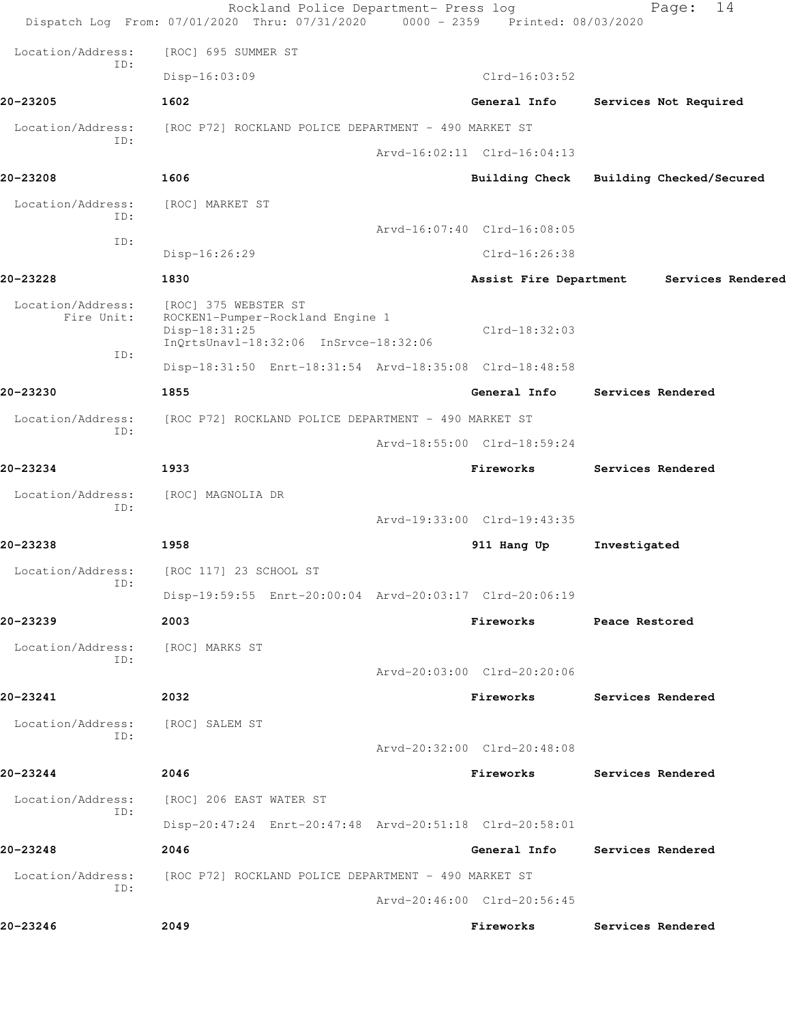|                                 | Rockland Police Department- Press log<br>Dispatch Log From: 07/01/2020 Thru: 07/31/2020 0000 - 2359 Printed: 08/03/2020 |                             | 14<br>Page:                    |
|---------------------------------|-------------------------------------------------------------------------------------------------------------------------|-----------------------------|--------------------------------|
| Location/Address:               | [ROC] 695 SUMMER ST                                                                                                     |                             |                                |
| ID:                             | $Disp-16:03:09$                                                                                                         | $Clrd-16:03:52$             |                                |
| 20-23205                        | 1602                                                                                                                    | General Info                | Services Not Required          |
| Location/Address:               | [ROC P72] ROCKLAND POLICE DEPARTMENT - 490 MARKET ST                                                                    |                             |                                |
| ID:                             |                                                                                                                         | Arvd-16:02:11 Clrd-16:04:13 |                                |
| 20-23208                        | 1606                                                                                                                    | <b>Building Check</b>       | Building Checked/Secured       |
| Location/Address:<br>ID:        | [ROC] MARKET ST                                                                                                         |                             |                                |
| ID:                             |                                                                                                                         | Arvd-16:07:40 Clrd-16:08:05 |                                |
|                                 | Disp-16:26:29                                                                                                           | $Clrd-16:26:38$             |                                |
| 20-23228                        | 1830                                                                                                                    | Assist Fire Department      | Services Rendered              |
| Location/Address:<br>Fire Unit: | [ROC] 375 WEBSTER ST<br>ROCKEN1-Pumper-Rockland Engine 1<br>Disp-18:31:25<br>InQrtsUnavl-18:32:06 InSrvce-18:32:06      | $Clrd-18:32:03$             |                                |
| ID:                             | Disp-18:31:50 Enrt-18:31:54 Arvd-18:35:08 Clrd-18:48:58                                                                 |                             |                                |
| 20-23230                        | 1855                                                                                                                    | General Info                | Services Rendered              |
| Location/Address:               | [ROC P72] ROCKLAND POLICE DEPARTMENT - 490 MARKET ST                                                                    |                             |                                |
| ID:                             |                                                                                                                         | Arvd-18:55:00 Clrd-18:59:24 |                                |
| 20-23234                        | 1933                                                                                                                    | Fireworks                   | Services Rendered              |
| Location/Address:               | [ROC] MAGNOLIA DR                                                                                                       |                             |                                |
| ID:                             |                                                                                                                         | Arvd-19:33:00 Clrd-19:43:35 |                                |
| 20-23238                        | 1958                                                                                                                    | 911 Hang Up                 | Investigated                   |
| Location/Address:<br>ID:        | [ROC 117] 23 SCHOOL ST                                                                                                  |                             |                                |
|                                 | Disp-19:59:55 Enrt-20:00:04 Arvd-20:03:17 Clrd-20:06:19                                                                 |                             |                                |
| 20-23239                        | 2003                                                                                                                    | Fireworks                   | Peace Restored                 |
| Location/Address:<br>ID:        | [ROC] MARKS ST                                                                                                          |                             |                                |
|                                 |                                                                                                                         | Arvd-20:03:00 Clrd-20:20:06 |                                |
| 20-23241                        | 2032                                                                                                                    | Fireworks                   | <b>Services Rendered</b>       |
| Location/Address:<br>ID:        | [ROC] SALEM ST                                                                                                          |                             |                                |
|                                 |                                                                                                                         | Arvd-20:32:00 Clrd-20:48:08 |                                |
| 20-23244                        | 2046                                                                                                                    | Fireworks                   | Services Rendered              |
| Location/Address:<br>ID:        | [ROC] 206 EAST WATER ST                                                                                                 |                             |                                |
|                                 | Disp-20:47:24 Enrt-20:47:48 Arvd-20:51:18 Clrd-20:58:01                                                                 |                             |                                |
| 20-23248                        | 2046                                                                                                                    |                             | General Info Services Rendered |
| Location/Address:<br>ID:        | [ROC P72] ROCKLAND POLICE DEPARTMENT - 490 MARKET ST                                                                    |                             |                                |
|                                 |                                                                                                                         | Arvd-20:46:00 Clrd-20:56:45 |                                |
| 20-23246                        | 2049                                                                                                                    | Fireworks                   | Services Rendered              |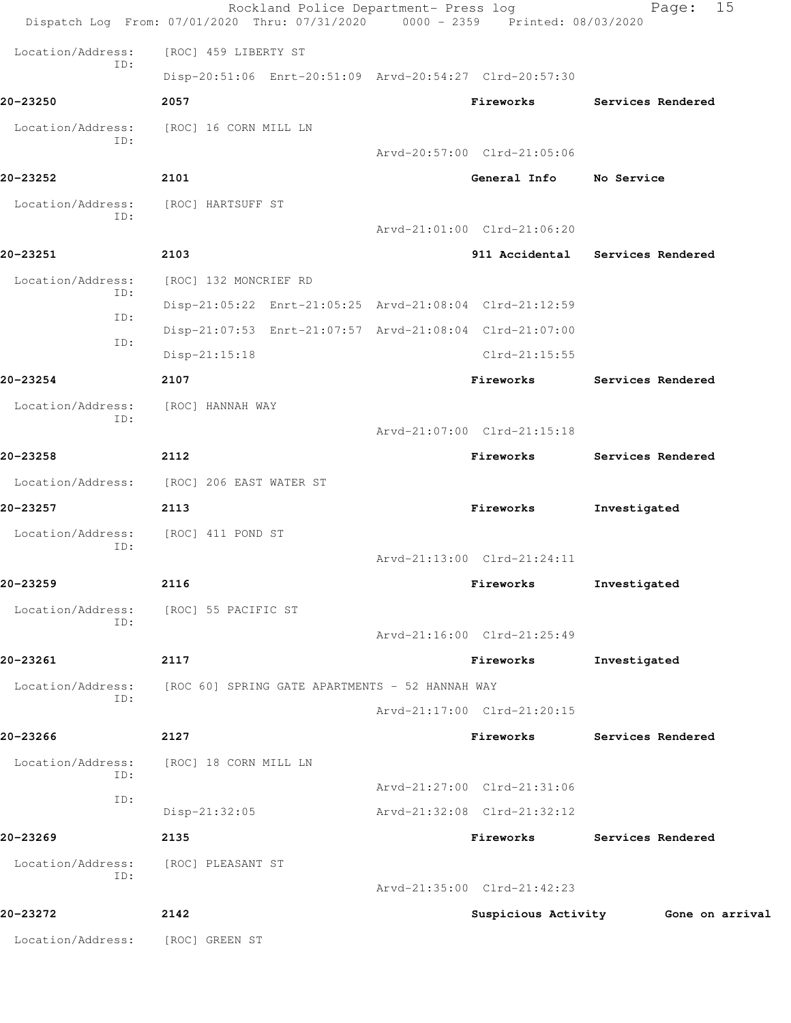|                          | Rockland Police Department- Press log<br>Dispatch Log From: 07/01/2020 Thru: 07/31/2020 0000 - 2359 Printed: 08/03/2020 |                             | 15<br>Page:       |
|--------------------------|-------------------------------------------------------------------------------------------------------------------------|-----------------------------|-------------------|
| Location/Address:        | [ROC] 459 LIBERTY ST                                                                                                    |                             |                   |
| ID:                      | Disp-20:51:06 Enrt-20:51:09 Arvd-20:54:27 Clrd-20:57:30                                                                 |                             |                   |
| 20-23250                 | 2057                                                                                                                    | Fireworks                   | Services Rendered |
| Location/Address:<br>ID: | [ROC] 16 CORN MILL LN                                                                                                   |                             |                   |
|                          |                                                                                                                         | Arvd-20:57:00 Clrd-21:05:06 |                   |
| 20-23252                 | 2101                                                                                                                    | General Info                | No Service        |
| Location/Address:<br>ID: | [ROC] HARTSUFF ST                                                                                                       |                             |                   |
|                          |                                                                                                                         | Arvd-21:01:00 Clrd-21:06:20 |                   |
| 20-23251                 | 2103                                                                                                                    | 911 Accidental              | Services Rendered |
| Location/Address:<br>ID: | [ROC] 132 MONCRIEF RD                                                                                                   |                             |                   |
| ID:                      | Disp-21:05:22 Enrt-21:05:25 Arvd-21:08:04 Clrd-21:12:59                                                                 |                             |                   |
| ID:                      | Disp-21:07:53 Enrt-21:07:57 Arvd-21:08:04 Clrd-21:07:00                                                                 |                             |                   |
|                          | $Disp-21:15:18$                                                                                                         | $Clrd-21:15:55$             |                   |
| 20-23254                 | 2107                                                                                                                    | Fireworks                   | Services Rendered |
| Location/Address:<br>ID: | [ROC] HANNAH WAY                                                                                                        |                             |                   |
|                          |                                                                                                                         | Arvd-21:07:00 Clrd-21:15:18 |                   |
| 20-23258                 | 2112                                                                                                                    | Fireworks                   | Services Rendered |
| Location/Address:        | [ROC] 206 EAST WATER ST                                                                                                 |                             |                   |
| 20-23257                 | 2113                                                                                                                    | Fireworks                   | Investigated      |
| Location/Address:<br>ID: | [ROC] 411 POND ST                                                                                                       |                             |                   |
|                          |                                                                                                                         | Arvd-21:13:00 Clrd-21:24:11 |                   |
| 20–23259                 | 2116                                                                                                                    | Fireworks                   | Investigated      |
| Location/Address:<br>ID: | [ROC] 55 PACIFIC ST                                                                                                     |                             |                   |
|                          |                                                                                                                         | Arvd-21:16:00 Clrd-21:25:49 |                   |
| 20-23261                 | 2117                                                                                                                    | Fireworks                   | Investigated      |
| Location/Address:<br>ID: | [ROC 60] SPRING GATE APARTMENTS - 52 HANNAH WAY                                                                         |                             |                   |
|                          |                                                                                                                         | Arvd-21:17:00 Clrd-21:20:15 |                   |
| 20-23266                 | 2127                                                                                                                    | Fireworks                   | Services Rendered |
| Location/Address:<br>ID: | [ROC] 18 CORN MILL LN                                                                                                   |                             |                   |
| ID:                      |                                                                                                                         | Arvd-21:27:00 Clrd-21:31:06 |                   |
|                          | Disp-21:32:05                                                                                                           | Arvd-21:32:08 Clrd-21:32:12 |                   |
| 20-23269                 | 2135                                                                                                                    | Fireworks                   | Services Rendered |
| Location/Address:<br>ID: | [ROC] PLEASANT ST                                                                                                       |                             |                   |
|                          |                                                                                                                         | Arvd-21:35:00 Clrd-21:42:23 |                   |
| 20-23272                 | 2142                                                                                                                    | Suspicious Activity         | Gone on arrival   |
| Location/Address:        | [ROC] GREEN ST                                                                                                          |                             |                   |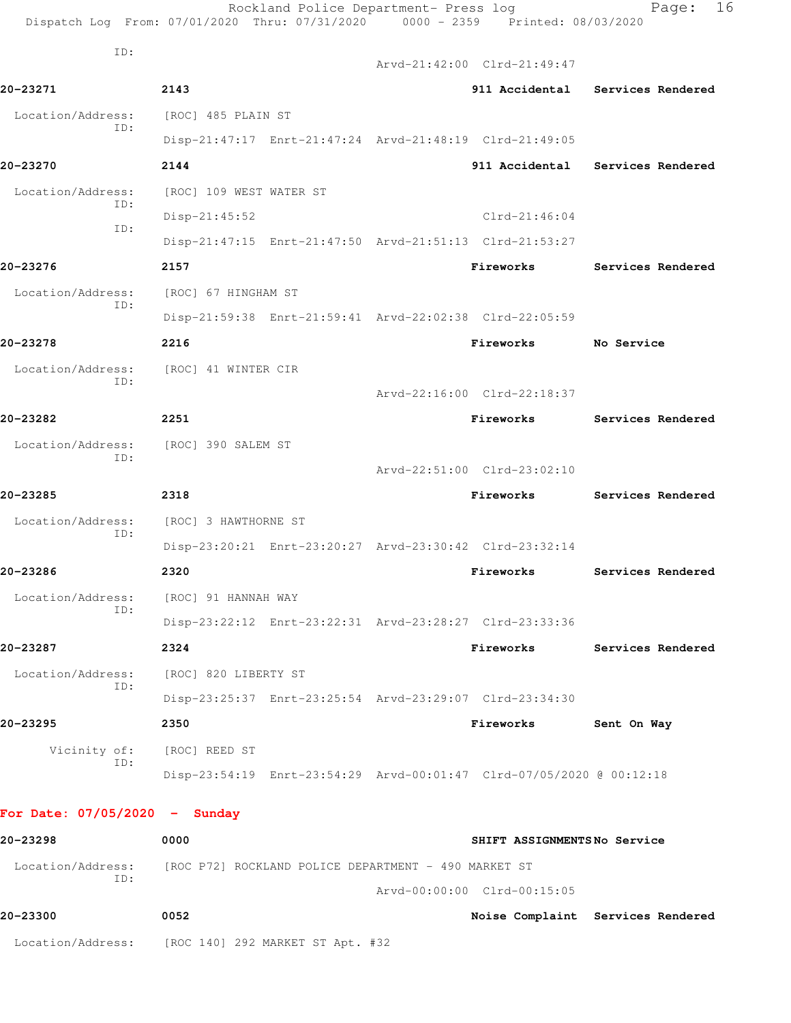| ID:<br>Arvd-21:42:00 Clrd-21:49:47<br>20-23271<br>2143<br>911 Accidental Services Rendered<br>Location/Address:<br>[ROC] 485 PLAIN ST<br>ID:<br>Disp-21:47:17 Enrt-21:47:24 Arvd-21:48:19 Clrd-21:49:05<br>20-23270<br>2144<br>911 Accidental Services Rendered<br>Location/Address:<br>[ROC] 109 WEST WATER ST<br>ID:<br>$Clrd-21:46:04$<br>$Disp-21:45:52$<br>ID:<br>Disp-21:47:15 Enrt-21:47:50 Arvd-21:51:13 Clrd-21:53:27<br>20-23276<br>2157<br>Fireworks<br>Services Rendered<br>Location/Address:<br>[ROC] 67 HINGHAM ST<br>ID:<br>Disp-21:59:38 Enrt-21:59:41 Arvd-22:02:38 Clrd-22:05:59 |  |
|----------------------------------------------------------------------------------------------------------------------------------------------------------------------------------------------------------------------------------------------------------------------------------------------------------------------------------------------------------------------------------------------------------------------------------------------------------------------------------------------------------------------------------------------------------------------------------------------------|--|
|                                                                                                                                                                                                                                                                                                                                                                                                                                                                                                                                                                                                    |  |
|                                                                                                                                                                                                                                                                                                                                                                                                                                                                                                                                                                                                    |  |
|                                                                                                                                                                                                                                                                                                                                                                                                                                                                                                                                                                                                    |  |
|                                                                                                                                                                                                                                                                                                                                                                                                                                                                                                                                                                                                    |  |
|                                                                                                                                                                                                                                                                                                                                                                                                                                                                                                                                                                                                    |  |
|                                                                                                                                                                                                                                                                                                                                                                                                                                                                                                                                                                                                    |  |
|                                                                                                                                                                                                                                                                                                                                                                                                                                                                                                                                                                                                    |  |
|                                                                                                                                                                                                                                                                                                                                                                                                                                                                                                                                                                                                    |  |
|                                                                                                                                                                                                                                                                                                                                                                                                                                                                                                                                                                                                    |  |
|                                                                                                                                                                                                                                                                                                                                                                                                                                                                                                                                                                                                    |  |
|                                                                                                                                                                                                                                                                                                                                                                                                                                                                                                                                                                                                    |  |
| 20-23278<br>2216<br>Fireworks<br>No Service                                                                                                                                                                                                                                                                                                                                                                                                                                                                                                                                                        |  |
| Location/Address:<br>[ROC] 41 WINTER CIR                                                                                                                                                                                                                                                                                                                                                                                                                                                                                                                                                           |  |
| ID:<br>Arvd-22:16:00 Clrd-22:18:37                                                                                                                                                                                                                                                                                                                                                                                                                                                                                                                                                                 |  |
| 20-23282<br>2251<br>Fireworks<br>Services Rendered                                                                                                                                                                                                                                                                                                                                                                                                                                                                                                                                                 |  |
| Location/Address:<br>[ROC] 390 SALEM ST                                                                                                                                                                                                                                                                                                                                                                                                                                                                                                                                                            |  |
| ID:<br>Arvd-22:51:00 Clrd-23:02:10                                                                                                                                                                                                                                                                                                                                                                                                                                                                                                                                                                 |  |
| 20-23285<br>2318<br>Fireworks<br>Services Rendered                                                                                                                                                                                                                                                                                                                                                                                                                                                                                                                                                 |  |
| Location/Address:<br>[ROC] 3 HAWTHORNE ST                                                                                                                                                                                                                                                                                                                                                                                                                                                                                                                                                          |  |
| ID:<br>Disp-23:20:21 Enrt-23:20:27 Arvd-23:30:42 Clrd-23:32:14                                                                                                                                                                                                                                                                                                                                                                                                                                                                                                                                     |  |
| 20-23286<br>2320<br>Fireworks<br>Services Rendered                                                                                                                                                                                                                                                                                                                                                                                                                                                                                                                                                 |  |
| Location/Address:<br>[ROC] 91 HANNAH WAY                                                                                                                                                                                                                                                                                                                                                                                                                                                                                                                                                           |  |
| ID:<br>Disp-23:22:12 Enrt-23:22:31 Arvd-23:28:27 Clrd-23:33:36                                                                                                                                                                                                                                                                                                                                                                                                                                                                                                                                     |  |
| 2324<br>20-23287<br>Fireworks<br><b>Services Rendered</b>                                                                                                                                                                                                                                                                                                                                                                                                                                                                                                                                          |  |
| [ROC] 820 LIBERTY ST<br>Location/Address:<br>ID:                                                                                                                                                                                                                                                                                                                                                                                                                                                                                                                                                   |  |
| Disp-23:25:37 Enrt-23:25:54 Arvd-23:29:07 Clrd-23:34:30                                                                                                                                                                                                                                                                                                                                                                                                                                                                                                                                            |  |
| 20-23295<br>2350<br>Fireworks<br>Sent On Way                                                                                                                                                                                                                                                                                                                                                                                                                                                                                                                                                       |  |
| Vicinity of:<br>[ROC] REED ST<br>ID:                                                                                                                                                                                                                                                                                                                                                                                                                                                                                                                                                               |  |
| Disp-23:54:19 Enrt-23:54:29 Arvd-00:01:47 Clrd-07/05/2020 @ 00:12:18                                                                                                                                                                                                                                                                                                                                                                                                                                                                                                                               |  |
| For Date: $07/05/2020 -$ Sunday                                                                                                                                                                                                                                                                                                                                                                                                                                                                                                                                                                    |  |
| 0000<br>20-23298<br>SHIFT ASSIGNMENTSNo Service                                                                                                                                                                                                                                                                                                                                                                                                                                                                                                                                                    |  |
| Location/Address: [ROC P72] ROCKLAND POLICE DEPARTMENT - 490 MARKET ST                                                                                                                                                                                                                                                                                                                                                                                                                                                                                                                             |  |
| ID:<br>Arvd-00:00:00 Clrd-00:15:05                                                                                                                                                                                                                                                                                                                                                                                                                                                                                                                                                                 |  |
| 20-23300<br>0052<br>Noise Complaint Services Rendered                                                                                                                                                                                                                                                                                                                                                                                                                                                                                                                                              |  |

Location/Address: [ROC 140] 292 MARKET ST Apt. #32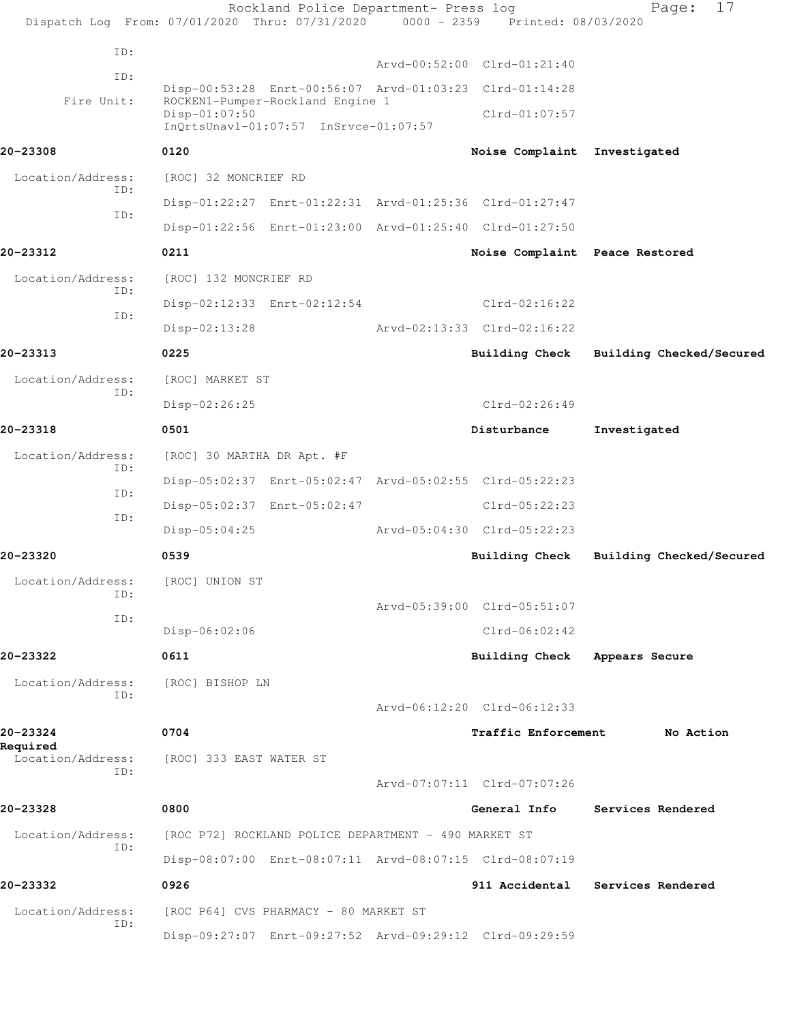|                                  | Dispatch Log From: 07/01/2020 Thru: 07/31/2020 0000 - 2359 Printed: 08/03/2020              | Rockland Police Department- Press log |                                | 17<br>Page:              |
|----------------------------------|---------------------------------------------------------------------------------------------|---------------------------------------|--------------------------------|--------------------------|
| ID:                              |                                                                                             |                                       |                                |                          |
| ID:                              |                                                                                             |                                       | Arvd-00:52:00 Clrd-01:21:40    |                          |
| Fire Unit:                       | Disp-00:53:28 Enrt-00:56:07 Arvd-01:03:23 Clrd-01:14:28<br>ROCKEN1-Pumper-Rockland Engine 1 |                                       |                                |                          |
|                                  | Disp-01:07:50<br>InQrtsUnavl-01:07:57 InSrvce-01:07:57                                      |                                       | $Clrd-01:07:57$                |                          |
| 20-23308                         | 0120                                                                                        |                                       | Noise Complaint Investigated   |                          |
| Location/Address:<br>ID:         | [ROC] 32 MONCRIEF RD                                                                        |                                       |                                |                          |
| ID:                              | Disp-01:22:27 Enrt-01:22:31 Arvd-01:25:36 Clrd-01:27:47                                     |                                       |                                |                          |
|                                  | Disp-01:22:56 Enrt-01:23:00 Arvd-01:25:40 Clrd-01:27:50                                     |                                       |                                |                          |
| 20-23312                         | 0211                                                                                        |                                       | Noise Complaint Peace Restored |                          |
| Location/Address:<br>ID:         | [ROC] 132 MONCRIEF RD                                                                       |                                       |                                |                          |
| ID:                              | Disp-02:12:33 Enrt-02:12:54                                                                 |                                       | Clrd-02:16:22                  |                          |
|                                  | $Disp-02:13:28$                                                                             |                                       | Arvd-02:13:33 Clrd-02:16:22    |                          |
| 20-23313                         | 0225                                                                                        |                                       | Building Check                 | Building Checked/Secured |
| Location/Address:                | [ROC] MARKET ST                                                                             |                                       |                                |                          |
| ID:                              | Disp-02:26:25                                                                               |                                       | $Clrd-02:26:49$                |                          |
| 20-23318                         | 0501                                                                                        |                                       | Disturbance                    | Investigated             |
| Location/Address:                | [ROC] 30 MARTHA DR Apt. #F                                                                  |                                       |                                |                          |
| ID:                              | Disp-05:02:37 Enrt-05:02:47 Arvd-05:02:55 Clrd-05:22:23                                     |                                       |                                |                          |
| ID:                              | Disp-05:02:37 Enrt-05:02:47                                                                 |                                       | $Clrd-05:22:23$                |                          |
| ID:                              | $Disp-05:04:25$                                                                             | Arvd-05:04:30 Clrd-05:22:23           |                                |                          |
| 20-23320                         | 0539                                                                                        |                                       | <b>Building Check</b>          | Building Checked/Secured |
| Location/Address: [ROC] UNION ST |                                                                                             |                                       |                                |                          |
| ID:                              |                                                                                             |                                       | Arvd-05:39:00 Clrd-05:51:07    |                          |
| ID:                              | Disp-06:02:06                                                                               |                                       | $Clrd-06:02:42$                |                          |
| 20-23322                         | 0611                                                                                        |                                       | Building Check                 | Appears Secure           |
| Location/Address:                | [ROC] BISHOP LN                                                                             |                                       |                                |                          |
| ID:                              |                                                                                             |                                       | Arvd-06:12:20 Clrd-06:12:33    |                          |
| 20-23324                         | 0704                                                                                        |                                       | Traffic Enforcement            | No Action                |
| Required<br>Location/Address:    | [ROC] 333 EAST WATER ST                                                                     |                                       |                                |                          |
| TD:                              |                                                                                             |                                       | Arvd-07:07:11 Clrd-07:07:26    |                          |
| 20-23328                         | 0800                                                                                        |                                       | General Info                   | Services Rendered        |
| Location/Address:                | [ROC P72] ROCKLAND POLICE DEPARTMENT - 490 MARKET ST                                        |                                       |                                |                          |
| ID:                              | Disp-08:07:00 Enrt-08:07:11 Arvd-08:07:15 Clrd-08:07:19                                     |                                       |                                |                          |
| 20-23332                         | 0926                                                                                        |                                       | 911 Accidental                 | Services Rendered        |
| Location/Address:                | [ROC P64] CVS PHARMACY - 80 MARKET ST                                                       |                                       |                                |                          |
| ID:                              | Disp-09:27:07 Enrt-09:27:52 Arvd-09:29:12 Clrd-09:29:59                                     |                                       |                                |                          |
|                                  |                                                                                             |                                       |                                |                          |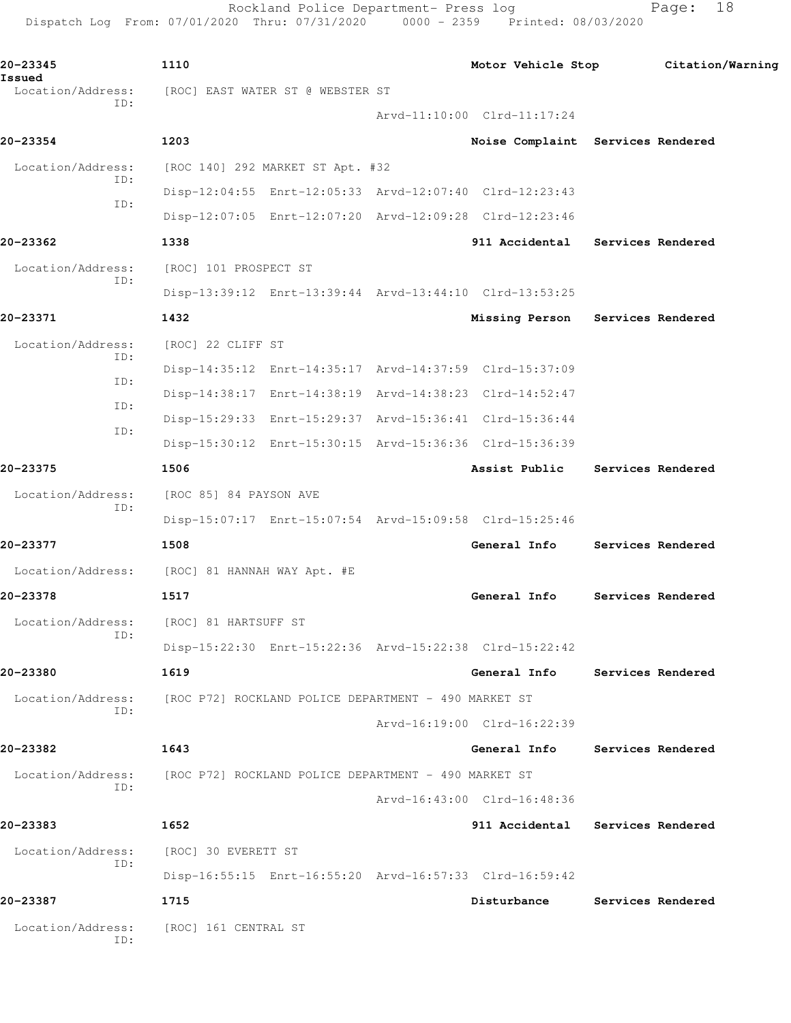Rockland Police Department- Press log entitled Page: 18 Dispatch Log From: 07/01/2020 Thru: 07/31/2020 0000 - 2359 Printed: 08/03/2020

| 20-23345<br>Issued       | 1110                                                    |                                   | Motor Vehicle Stop Citation/Warning |
|--------------------------|---------------------------------------------------------|-----------------------------------|-------------------------------------|
| Location/Address:<br>ID: | [ROC] EAST WATER ST @ WEBSTER ST                        |                                   |                                     |
|                          |                                                         | Arvd-11:10:00 Clrd-11:17:24       |                                     |
| 20-23354                 | 1203                                                    | Noise Complaint Services Rendered |                                     |
| Location/Address:<br>ID: | [ROC 140] 292 MARKET ST Apt. #32                        |                                   |                                     |
| ID:                      | Disp-12:04:55 Enrt-12:05:33 Arvd-12:07:40 Clrd-12:23:43 |                                   |                                     |
|                          | Disp-12:07:05 Enrt-12:07:20 Arvd-12:09:28 Clrd-12:23:46 |                                   |                                     |
| 20-23362                 | 1338                                                    | 911 Accidental Services Rendered  |                                     |
| Location/Address:<br>ID: | [ROC] 101 PROSPECT ST                                   |                                   |                                     |
|                          | Disp-13:39:12 Enrt-13:39:44 Arvd-13:44:10 Clrd-13:53:25 |                                   |                                     |
| 20-23371                 | 1432                                                    | Missing Person Services Rendered  |                                     |
| Location/Address:        | [ROC] 22 CLIFF ST                                       |                                   |                                     |
| ID:                      | Disp-14:35:12 Enrt-14:35:17 Arvd-14:37:59 Clrd-15:37:09 |                                   |                                     |
| ID:                      | Disp-14:38:17 Enrt-14:38:19 Arvd-14:38:23 Clrd-14:52:47 |                                   |                                     |
| ID:                      | Disp-15:29:33 Enrt-15:29:37 Arvd-15:36:41 Clrd-15:36:44 |                                   |                                     |
| ID:                      | Disp-15:30:12 Enrt-15:30:15 Arvd-15:36:36 Clrd-15:36:39 |                                   |                                     |
| 20-23375                 | 1506                                                    | Assist Public Services Rendered   |                                     |
| Location/Address:        | [ROC 85] 84 PAYSON AVE                                  |                                   |                                     |
| ID:                      | Disp-15:07:17 Enrt-15:07:54 Arvd-15:09:58 Clrd-15:25:46 |                                   |                                     |
| 20-23377                 | 1508                                                    | General Info                      | Services Rendered                   |
|                          | Location/Address: [ROC] 81 HANNAH WAY Apt. #E           |                                   |                                     |
| 20-23378                 | 1517                                                    | General Info                      | Services Rendered                   |
|                          |                                                         |                                   |                                     |
| ID:                      | Location/Address: [ROC] 81 HARTSUFF ST                  |                                   |                                     |
|                          | Disp-15:22:30 Enrt-15:22:36 Arvd-15:22:38 Clrd-15:22:42 |                                   |                                     |
| 20-23380                 | 1619                                                    | General Info                      | Services Rendered                   |
| Location/Address:<br>TD: | [ROC P72] ROCKLAND POLICE DEPARTMENT - 490 MARKET ST    |                                   |                                     |
|                          |                                                         | Arvd-16:19:00 Clrd-16:22:39       |                                     |
| 20-23382                 | 1643                                                    | General Info                      | Services Rendered                   |
| Location/Address:<br>ID: | [ROC P72] ROCKLAND POLICE DEPARTMENT - 490 MARKET ST    |                                   |                                     |
|                          |                                                         | Arvd-16:43:00 Clrd-16:48:36       |                                     |
| 20-23383                 | 1652                                                    | 911 Accidental Services Rendered  |                                     |
| Location/Address:        | [ROC] 30 EVERETT ST                                     |                                   |                                     |
| ID:                      | Disp-16:55:15 Enrt-16:55:20 Arvd-16:57:33 Clrd-16:59:42 |                                   |                                     |
| 20-23387                 | 1715                                                    | Disturbance                       | Services Rendered                   |
| Location/Address:<br>ID: | [ROC] 161 CENTRAL ST                                    |                                   |                                     |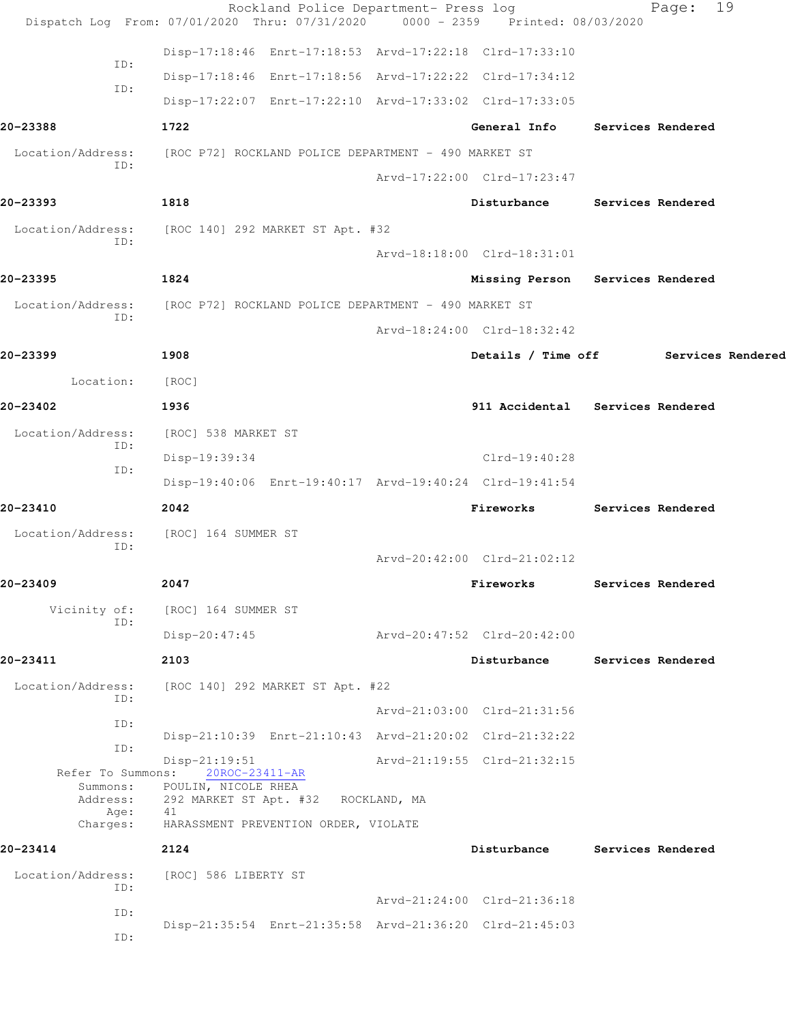|                          | Rockland Police Department- Press log<br>Dispatch Log From: 07/01/2020 Thru: 07/31/2020 0000 - 2359 Printed: 08/03/2020 |                                      | Page:                    | 19 |
|--------------------------|-------------------------------------------------------------------------------------------------------------------------|--------------------------------------|--------------------------|----|
|                          | Disp-17:18:46 Enrt-17:18:53 Arvd-17:22:18 Clrd-17:33:10                                                                 |                                      |                          |    |
| ID:                      | Disp-17:18:46 Enrt-17:18:56 Arvd-17:22:22 Clrd-17:34:12                                                                 |                                      |                          |    |
| ID:                      | Disp-17:22:07 Enrt-17:22:10 Arvd-17:33:02 Clrd-17:33:05                                                                 |                                      |                          |    |
| 20-23388                 | 1722                                                                                                                    | General Info                         | <b>Services Rendered</b> |    |
| Location/Address:        | [ROC P72] ROCKLAND POLICE DEPARTMENT - 490 MARKET ST                                                                    |                                      |                          |    |
| ID:                      |                                                                                                                         | Arvd-17:22:00 Clrd-17:23:47          |                          |    |
| 20-23393                 | 1818                                                                                                                    | Disturbance                          | Services Rendered        |    |
| Location/Address:<br>ID: | [ROC 140] 292 MARKET ST Apt. #32                                                                                        |                                      |                          |    |
|                          |                                                                                                                         | Arvd-18:18:00 Clrd-18:31:01          |                          |    |
| 20-23395                 | 1824                                                                                                                    | Missing Person Services Rendered     |                          |    |
| Location/Address:<br>ID: | [ROC P72] ROCKLAND POLICE DEPARTMENT - 490 MARKET ST                                                                    |                                      |                          |    |
|                          |                                                                                                                         | Arvd-18:24:00 Clrd-18:32:42          |                          |    |
| 20-23399                 | 1908                                                                                                                    | Details / Time off Services Rendered |                          |    |
| Location:                | [ROC]                                                                                                                   |                                      |                          |    |
| 20-23402                 | 1936                                                                                                                    | 911 Accidental Services Rendered     |                          |    |
| Location/Address:        | [ROC] 538 MARKET ST                                                                                                     |                                      |                          |    |
| ID:                      | Disp-19:39:34                                                                                                           | Clrd-19:40:28                        |                          |    |
| ID:                      | Disp-19:40:06 Enrt-19:40:17 Arvd-19:40:24 Clrd-19:41:54                                                                 |                                      |                          |    |
| 20-23410                 | 2042                                                                                                                    | Fireworks                            | Services Rendered        |    |
| Location/Address:<br>ID: | [ROC] 164 SUMMER ST                                                                                                     |                                      |                          |    |
|                          |                                                                                                                         | Arvd-20:42:00 Clrd-21:02:12          |                          |    |
| 20-23409                 | 2047                                                                                                                    | Fireworks                            | Services Rendered        |    |
| Vicinity of:<br>ID:      | [ROC] 164 SUMMER ST                                                                                                     |                                      |                          |    |
|                          | $Disp-20:47:45$                                                                                                         | Arvd-20:47:52 Clrd-20:42:00          |                          |    |
| 20-23411                 | 2103                                                                                                                    | Disturbance                          | Services Rendered        |    |
| Location/Address:<br>ID: | [ROC 140] 292 MARKET ST Apt. #22                                                                                        |                                      |                          |    |
| ID:                      |                                                                                                                         | Arvd-21:03:00 Clrd-21:31:56          |                          |    |
| ID:                      | Disp-21:10:39 Enrt-21:10:43 Arvd-21:20:02 Clrd-21:32:22                                                                 |                                      |                          |    |
| Refer To Summons:        | $Disp-21:19:51$<br>20ROC-23411-AR                                                                                       | Arvd-21:19:55 Clrd-21:32:15          |                          |    |
| Summons:<br>Address:     | POULIN, NICOLE RHEA<br>292 MARKET ST Apt. #32 ROCKLAND, MA                                                              |                                      |                          |    |
| Age:<br>Charges:         | 41<br>HARASSMENT PREVENTION ORDER, VIOLATE                                                                              |                                      |                          |    |
| 20-23414                 | 2124                                                                                                                    | Disturbance                          | Services Rendered        |    |
| Location/Address:        | [ROC] 586 LIBERTY ST                                                                                                    |                                      |                          |    |
| ID:                      |                                                                                                                         | Arvd-21:24:00 Clrd-21:36:18          |                          |    |
| ID:                      | Disp-21:35:54 Enrt-21:35:58 Arvd-21:36:20 Clrd-21:45:03                                                                 |                                      |                          |    |
| ID:                      |                                                                                                                         |                                      |                          |    |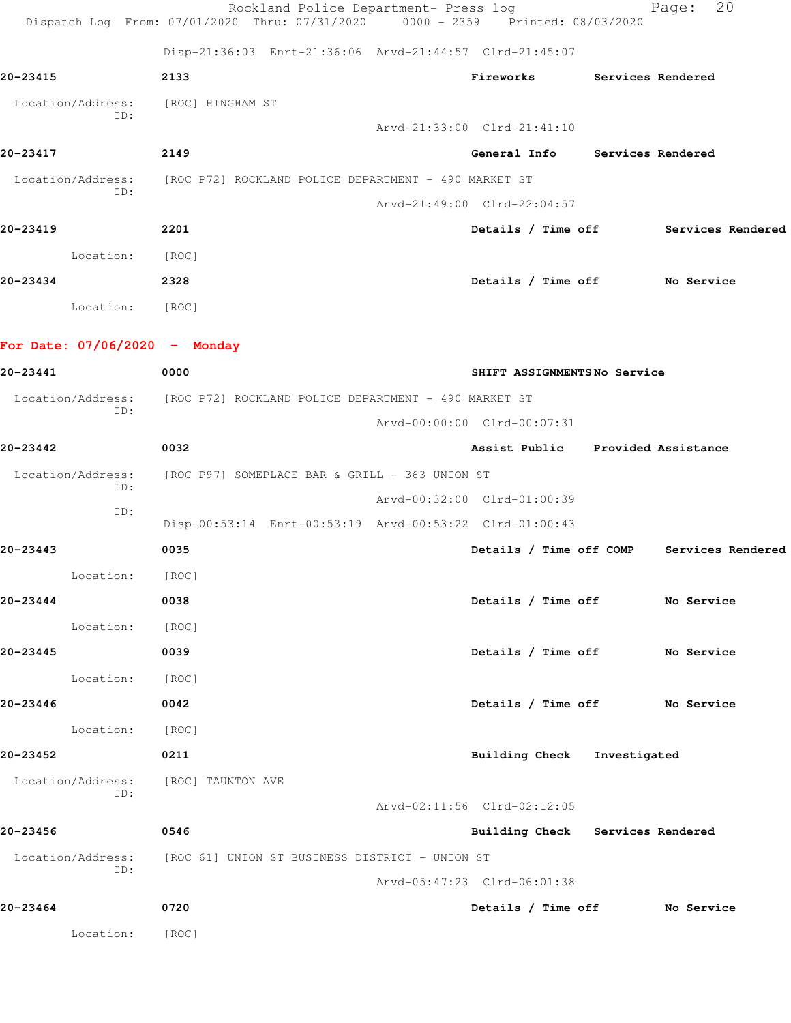|                                     | Rockland Police Department- Press log<br>Dispatch Log From: 07/01/2020 Thru: 07/31/2020 0000 - 2359 Printed: 08/03/2020 |                                   |                   | 20<br>Page:                               |
|-------------------------------------|-------------------------------------------------------------------------------------------------------------------------|-----------------------------------|-------------------|-------------------------------------------|
|                                     | Disp-21:36:03 Enrt-21:36:06 Arvd-21:44:57 Clrd-21:45:07                                                                 |                                   |                   |                                           |
| 20-23415                            | 2133                                                                                                                    | Fireworks                         | Services Rendered |                                           |
| Location/Address:                   | [ROC] HINGHAM ST                                                                                                        |                                   |                   |                                           |
| ID:                                 |                                                                                                                         | Arvd-21:33:00 Clrd-21:41:10       |                   |                                           |
| 20-23417                            | 2149                                                                                                                    | General Info Services Rendered    |                   |                                           |
| Location/Address:                   | [ROC P72] ROCKLAND POLICE DEPARTMENT - 490 MARKET ST                                                                    |                                   |                   |                                           |
| ID:                                 |                                                                                                                         | Arvd-21:49:00 Clrd-22:04:57       |                   |                                           |
| 20-23419                            | 2201                                                                                                                    |                                   |                   | Details / Time off Services Rendered      |
| Location:                           | [ROC]                                                                                                                   |                                   |                   |                                           |
| 20-23434                            | 2328                                                                                                                    | Details / Time off No Service     |                   |                                           |
| Location: [ROC]                     |                                                                                                                         |                                   |                   |                                           |
| For Date: $07/06/2020 -$ Monday     |                                                                                                                         |                                   |                   |                                           |
| 20-23441                            | 0000                                                                                                                    | SHIFT ASSIGNMENTSNo Service       |                   |                                           |
| Location/Address:                   | [ROC P72] ROCKLAND POLICE DEPARTMENT - 490 MARKET ST                                                                    |                                   |                   |                                           |
| ID:                                 |                                                                                                                         | Arvd-00:00:00 Clrd-00:07:31       |                   |                                           |
| 20-23442                            | 0032                                                                                                                    | Assist Public Provided Assistance |                   |                                           |
| Location/Address:                   | [ROC P97] SOMEPLACE BAR & GRILL - 363 UNION ST                                                                          |                                   |                   |                                           |
| ID:                                 |                                                                                                                         | Arvd-00:32:00 Clrd-01:00:39       |                   |                                           |
| ID:                                 | Disp-00:53:14 Enrt-00:53:19 Arvd-00:53:22 Clrd-01:00:43                                                                 |                                   |                   |                                           |
| 20-23443                            | 0035                                                                                                                    |                                   |                   | Details / Time off COMP Services Rendered |
| Location:                           | [ROC]                                                                                                                   |                                   |                   |                                           |
| 20-23444                            | 0038                                                                                                                    | Details / Time off No Service     |                   |                                           |
| Location:                           | [ROC]                                                                                                                   |                                   |                   |                                           |
| 20-23445                            | 0039                                                                                                                    | Details / Time off No Service     |                   |                                           |
| Location: [ROC]                     |                                                                                                                         |                                   |                   |                                           |
| 20-23446                            | 0042                                                                                                                    | Details / Time off No Service     |                   |                                           |
| Location:                           | [ROC]                                                                                                                   |                                   |                   |                                           |
| 20-23452                            | 0211                                                                                                                    | Building Check Investigated       |                   |                                           |
| Location/Address: [ROC] TAUNTON AVE |                                                                                                                         |                                   |                   |                                           |
| ID:                                 |                                                                                                                         | Arvd-02:11:56 Clrd-02:12:05       |                   |                                           |
| 20-23456                            | 0546                                                                                                                    | Building Check Services Rendered  |                   |                                           |
|                                     | Location/Address: [ROC 61] UNION ST BUSINESS DISTRICT - UNION ST                                                        |                                   |                   |                                           |
| ID:                                 |                                                                                                                         | Arvd-05:47:23 Clrd-06:01:38       |                   |                                           |
| 20-23464                            | 0720                                                                                                                    | Details / Time off No Service     |                   |                                           |
| Location:                           | [ROC]                                                                                                                   |                                   |                   |                                           |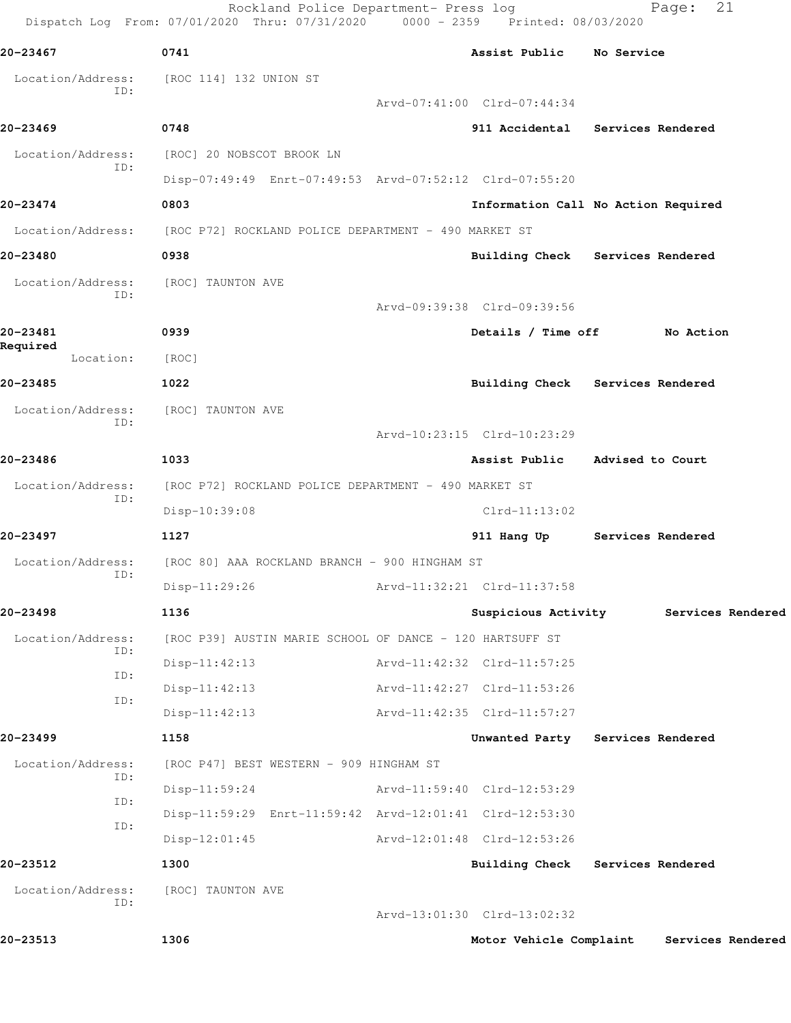| 20-23467                 | 0741                                                     | Assist Public No Service    |                                     |
|--------------------------|----------------------------------------------------------|-----------------------------|-------------------------------------|
| Location/Address:        | [ROC 114] 132 UNION ST                                   |                             |                                     |
| ID:                      |                                                          | Arvd-07:41:00 Clrd-07:44:34 |                                     |
| 20-23469                 | 0748                                                     |                             | 911 Accidental Services Rendered    |
| Location/Address:        | [ROC] 20 NOBSCOT BROOK LN                                |                             |                                     |
| ID:                      | Disp-07:49:49 Enrt-07:49:53 Arvd-07:52:12 Clrd-07:55:20  |                             |                                     |
| 20-23474                 | 0803                                                     |                             | Information Call No Action Required |
| Location/Address:        | [ROC P72] ROCKLAND POLICE DEPARTMENT - 490 MARKET ST     |                             |                                     |
| 20-23480                 | 0938                                                     |                             | Building Check Services Rendered    |
| Location/Address:        | [ROC] TAUNTON AVE                                        |                             |                                     |
| ID:                      |                                                          | Arvd-09:39:38 Clrd-09:39:56 |                                     |
| 20-23481                 | 0939                                                     | Details / Time off          | No Action                           |
| Required<br>Location:    | [ROC]                                                    |                             |                                     |
| 20-23485                 | 1022                                                     | Building Check              | Services Rendered                   |
| Location/Address:        | [ROC] TAUNTON AVE                                        |                             |                                     |
| ID:                      |                                                          | Arvd-10:23:15 Clrd-10:23:29 |                                     |
| 20-23486                 | 1033                                                     | Assist Public               | Advised to Court                    |
| Location/Address:        | [ROC P72] ROCKLAND POLICE DEPARTMENT - 490 MARKET ST     |                             |                                     |
| ID:                      | Disp-10:39:08                                            | $Clrd-11:13:02$             |                                     |
| 20-23497                 | 1127                                                     | 911 Hang Up                 | Services Rendered                   |
| Location/Address:        | [ROC 80] AAA ROCKLAND BRANCH - 900 HINGHAM ST            |                             |                                     |
| ID:                      | $Disp-11:29:26$                                          | Arvd-11:32:21 Clrd-11:37:58 |                                     |
| 20-23498                 | 1136                                                     | Suspicious Activity         | Services Rendered                   |
| Location/Address:        | [ROC P39] AUSTIN MARIE SCHOOL OF DANCE - 120 HARTSUFF ST |                             |                                     |
| ID:<br>ID:               | $Disp-11:42:13$                                          | Arvd-11:42:32 Clrd-11:57:25 |                                     |
| ID:                      | $Disp-11:42:13$                                          | Arvd-11:42:27 Clrd-11:53:26 |                                     |
|                          | $Disp-11:42:13$                                          | Arvd-11:42:35 Clrd-11:57:27 |                                     |
| 20-23499                 | 1158                                                     | Unwanted Party              | Services Rendered                   |
| Location/Address:<br>ID: | [ROC P47] BEST WESTERN - 909 HINGHAM ST                  |                             |                                     |
| ID:                      | $Disp-11:59:24$                                          | Arvd-11:59:40 Clrd-12:53:29 |                                     |
| ID:                      | Disp-11:59:29 Enrt-11:59:42 Arvd-12:01:41 Clrd-12:53:30  |                             |                                     |
|                          | $Disp-12:01:45$                                          | Arvd-12:01:48 Clrd-12:53:26 |                                     |
| 20-23512                 | 1300                                                     |                             | Building Check Services Rendered    |
| Location/Address:<br>ID: | [ROC] TAUNTON AVE                                        |                             |                                     |
|                          |                                                          | Arvd-13:01:30 Clrd-13:02:32 |                                     |
|                          | 1306                                                     | Motor Vehicle Complaint     | Services Rendered                   |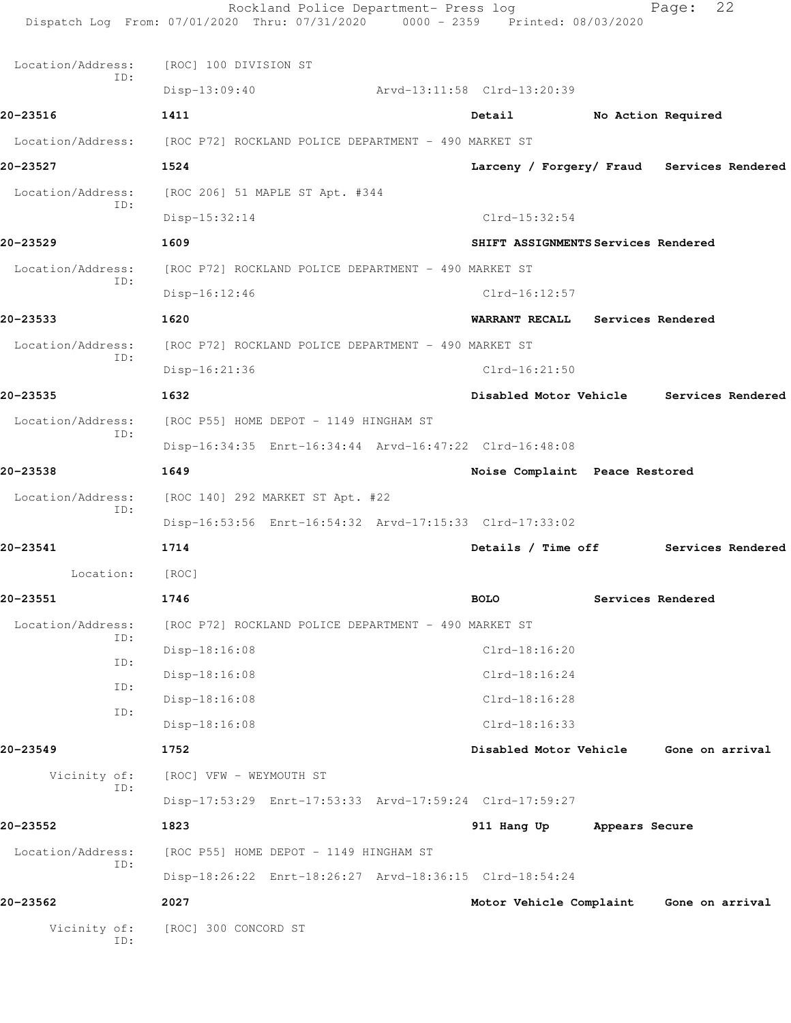| Vicinity of:<br>ID:           | [ROC] 300 CONCORD ST                                            |                                            |                |                    |  |
|-------------------------------|-----------------------------------------------------------------|--------------------------------------------|----------------|--------------------|--|
| 20-23562                      | Disp-18:26:22 Enrt-18:26:27 Arvd-18:36:15 Clrd-18:54:24<br>2027 | Motor Vehicle Complaint Gone on arrival    |                |                    |  |
| Location/Address:<br>ID:      | [ROC P55] HOME DEPOT - 1149 HINGHAM ST                          |                                            |                |                    |  |
| 20-23552                      | 1823                                                            | 911 Hang Up                                | Appears Secure |                    |  |
|                               | Disp-17:53:29 Enrt-17:53:33 Arvd-17:59:24 Clrd-17:59:27         |                                            |                |                    |  |
| Vicinity of:<br>ID:           | [ROC] VFW - WEYMOUTH ST                                         |                                            |                |                    |  |
| 20-23549                      | 1752                                                            | Disabled Motor Vehicle Gone on arrival     |                |                    |  |
|                               | $Disp-18:16:08$                                                 | $Clrd-18:16:33$                            |                |                    |  |
| ID:                           | $Disp-18:16:08$                                                 | Clrd-18:16:28                              |                |                    |  |
| ID:                           | Disp-18:16:08                                                   | $Clrd-18:16:24$                            |                |                    |  |
| ID:                           | Disp-18:16:08                                                   | $Clrd-18:16:20$                            |                |                    |  |
| Location/Address:<br>ID:      | [ROC P72] ROCKLAND POLICE DEPARTMENT - 490 MARKET ST            |                                            |                |                    |  |
| 20-23551                      | 1746                                                            | <b>BOLO</b>                                |                | Services Rendered  |  |
| Location:                     | [ROC]                                                           |                                            |                |                    |  |
| 20-23541                      | 1714                                                            | Details / Time off                         |                | Services Rendered  |  |
| ID:                           | Disp-16:53:56 Enrt-16:54:32 Arvd-17:15:33 Clrd-17:33:02         |                                            |                |                    |  |
| Location/Address:             | [ROC 140] 292 MARKET ST Apt. #22                                |                                            |                |                    |  |
| 20-23538                      | 1649                                                            | Noise Complaint Peace Restored             |                |                    |  |
| ID:                           | Disp-16:34:35 Enrt-16:34:44 Arvd-16:47:22 Clrd-16:48:08         |                                            |                |                    |  |
| Location/Address:             | [ROC P55] HOME DEPOT - 1149 HINGHAM ST                          |                                            |                |                    |  |
| 20-23535                      | 1632                                                            | Disabled Motor Vehicle                     |                | Services Rendered  |  |
| ID:                           | Disp-16:21:36                                                   | $Clrd-16:21:50$                            |                |                    |  |
| Location/Address:             | [ROC P72] ROCKLAND POLICE DEPARTMENT - 490 MARKET ST            |                                            |                |                    |  |
| 20-23533                      | 1620                                                            | <b>WARRANT RECALL</b>                      |                | Services Rendered  |  |
| ID:                           | Disp-16:12:46                                                   | $Clrd-16:12:57$                            |                |                    |  |
| 20-23529<br>Location/Address: | 1609<br>[ROC P72] ROCKLAND POLICE DEPARTMENT - 490 MARKET ST    | SHIFT ASSIGNMENTS Services Rendered        |                |                    |  |
|                               | Disp-15:32:14                                                   | $Clrd-15:32:54$                            |                |                    |  |
| Location/Address:<br>ID:      | [ROC 206] 51 MAPLE ST Apt. #344                                 |                                            |                |                    |  |
| 20-23527                      | 1524                                                            | Larceny / Forgery/ Fraud Services Rendered |                |                    |  |
| Location/Address:             | [ROC P72] ROCKLAND POLICE DEPARTMENT - 490 MARKET ST            |                                            |                |                    |  |
| 20-23516                      | 1411                                                            | Detail                                     |                | No Action Required |  |
|                               | Disp-13:09:40                                                   | Arvd-13:11:58 Clrd-13:20:39                |                |                    |  |
| ID:                           | [ROC] 100 DIVISION ST                                           |                                            |                |                    |  |
| Location/Address:             |                                                                 |                                            |                |                    |  |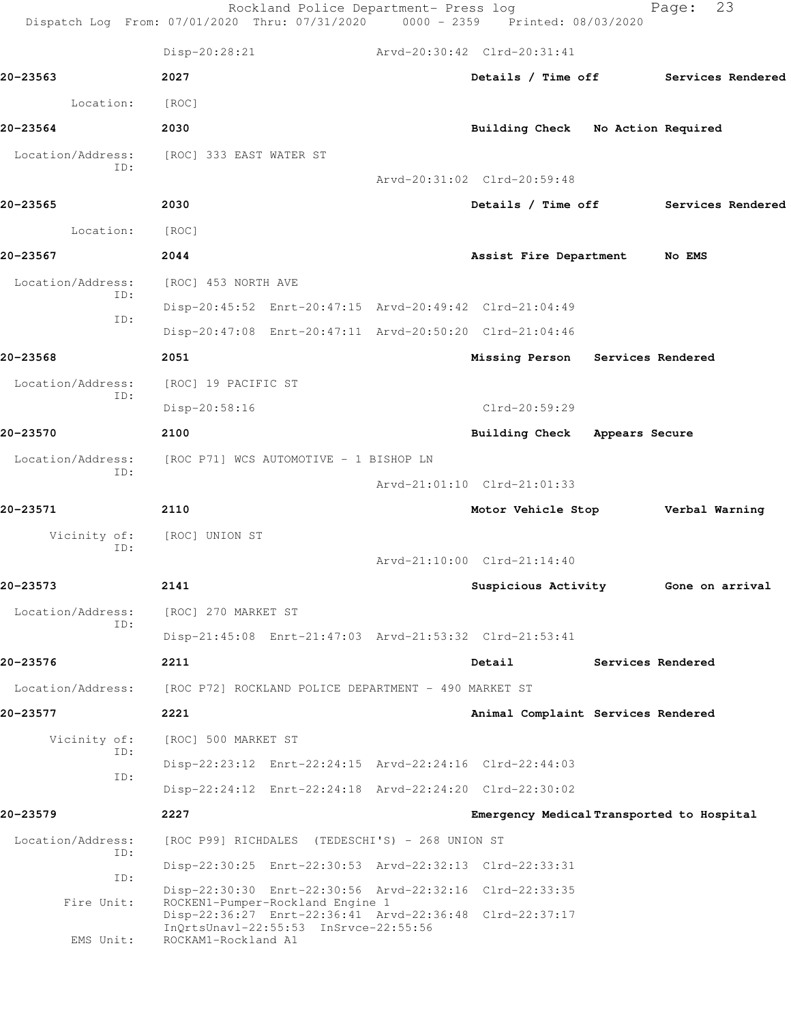|                          | Rockland Police Department- Press log<br>Dispatch Log From: 07/01/2020 Thru: 07/31/2020 0000 - 2359 Printed: 08/03/2020 |                                           | 23<br>Page:       |  |
|--------------------------|-------------------------------------------------------------------------------------------------------------------------|-------------------------------------------|-------------------|--|
|                          | Disp-20:28:21                                                                                                           | Arvd-20:30:42 Clrd-20:31:41               |                   |  |
| 20-23563                 | 2027                                                                                                                    | Details / Time off                        | Services Rendered |  |
| Location:                | [ROC]                                                                                                                   |                                           |                   |  |
| 20-23564                 | 2030                                                                                                                    | Building Check No Action Required         |                   |  |
| Location/Address:<br>ID: | [ROC] 333 EAST WATER ST                                                                                                 |                                           |                   |  |
|                          |                                                                                                                         | Arvd-20:31:02 Clrd-20:59:48               |                   |  |
| 20-23565                 | 2030                                                                                                                    | Details / Time off                        | Services Rendered |  |
| Location:                | [ROC]                                                                                                                   |                                           |                   |  |
| 20-23567                 | 2044                                                                                                                    | Assist Fire Department                    | <b>No EMS</b>     |  |
| Location/Address:<br>ID: | [ROC] 453 NORTH AVE                                                                                                     |                                           |                   |  |
| ID:                      | Disp-20:45:52 Enrt-20:47:15 Arvd-20:49:42 Clrd-21:04:49                                                                 |                                           |                   |  |
|                          | Disp-20:47:08 Enrt-20:47:11 Arvd-20:50:20 Clrd-21:04:46                                                                 |                                           |                   |  |
| 20-23568                 | 2051                                                                                                                    | Missing Person Services Rendered          |                   |  |
| Location/Address:<br>ID: | [ROC] 19 PACIFIC ST                                                                                                     |                                           |                   |  |
|                          | Disp-20:58:16                                                                                                           | Clrd-20:59:29                             |                   |  |
| 20-23570                 | 2100                                                                                                                    | Building Check Appears Secure             |                   |  |
| Location/Address:<br>ID: | [ROC P71] WCS AUTOMOTIVE - 1 BISHOP LN                                                                                  |                                           |                   |  |
|                          |                                                                                                                         | Arvd-21:01:10 Clrd-21:01:33               |                   |  |
| 20-23571                 | 2110                                                                                                                    | Motor Vehicle Stop Verbal Warning         |                   |  |
| Vicinity of:<br>ID:      | [ROC] UNION ST                                                                                                          |                                           |                   |  |
|                          |                                                                                                                         | Arvd-21:10:00 Clrd-21:14:40               |                   |  |
| 20-23573                 | 2141                                                                                                                    | Suspicious Activity                       | Gone on arrival   |  |
| Location/Address:<br>ID: | [ROC] 270 MARKET ST                                                                                                     |                                           |                   |  |
|                          | Disp-21:45:08 Enrt-21:47:03 Arvd-21:53:32 Clrd-21:53:41                                                                 |                                           |                   |  |
| 20-23576                 | 2211                                                                                                                    | Detail                                    | Services Rendered |  |
| Location/Address:        | [ROC P72] ROCKLAND POLICE DEPARTMENT - 490 MARKET ST                                                                    |                                           |                   |  |
| 20-23577                 | 2221                                                                                                                    | Animal Complaint Services Rendered        |                   |  |
| Vicinity of:<br>ID:      | [ROC] 500 MARKET ST                                                                                                     |                                           |                   |  |
| ID:                      | Disp-22:23:12 Enrt-22:24:15 Arvd-22:24:16 Clrd-22:44:03                                                                 |                                           |                   |  |
|                          | Disp-22:24:12 Enrt-22:24:18 Arvd-22:24:20 Clrd-22:30:02                                                                 |                                           |                   |  |
| 20-23579                 | 2227                                                                                                                    | Emergency Medical Transported to Hospital |                   |  |
| Location/Address:<br>ID: | [ROC P99] RICHDALES (TEDESCHI'S) - 268 UNION ST                                                                         |                                           |                   |  |
| ID:                      | Disp-22:30:25 Enrt-22:30:53 Arvd-22:32:13 Clrd-22:33:31                                                                 |                                           |                   |  |
| Fire Unit:               | Disp-22:30:30 Enrt-22:30:56 Arvd-22:32:16 Clrd-22:33:35<br>ROCKEN1-Pumper-Rockland Engine 1                             |                                           |                   |  |
|                          | Disp-22:36:27 Enrt-22:36:41 Arvd-22:36:48 Clrd-22:37:17<br>InQrtsUnavl-22:55:53 InSrvce-22:55:56                        |                                           |                   |  |
| EMS Unit:                | ROCKAM1-Rockland A1                                                                                                     |                                           |                   |  |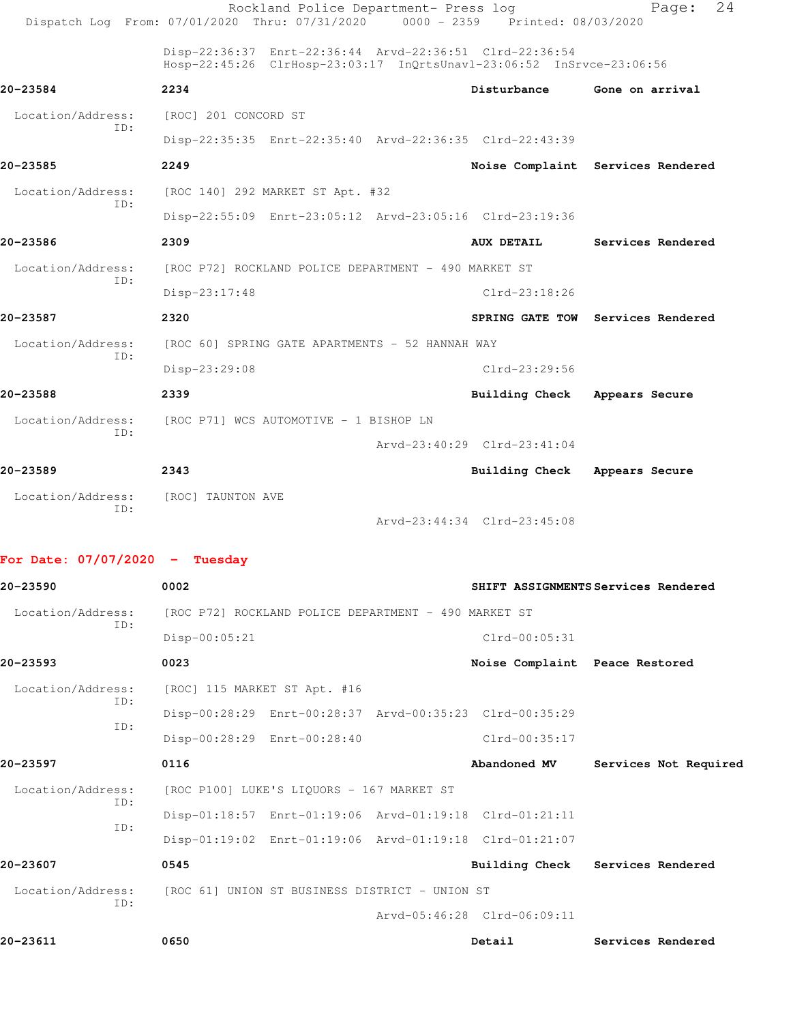|                   | Dispatch Log From: 07/01/2020 Thru: 07/31/2020 0000 - 2359 Printed: 08/03/2020                                                  | Rockland Police Department- Press log |                             | 24<br>Page:                       |  |
|-------------------|---------------------------------------------------------------------------------------------------------------------------------|---------------------------------------|-----------------------------|-----------------------------------|--|
|                   | Disp-22:36:37 Enrt-22:36:44 Arvd-22:36:51 Clrd-22:36:54<br>Hosp-22:45:26 ClrHosp-23:03:17 InQrtsUnavl-23:06:52 InSrvce-23:06:56 |                                       |                             |                                   |  |
| 20-23584          | 2234                                                                                                                            |                                       | Disturbance                 | Gone on arrival                   |  |
| Location/Address: | [ROC] 201 CONCORD ST                                                                                                            |                                       |                             |                                   |  |
| TD:               | Disp-22:35:35 Enrt-22:35:40 Arvd-22:36:35 Clrd-22:43:39                                                                         |                                       |                             |                                   |  |
| 20-23585          | 2249                                                                                                                            |                                       |                             | Noise Complaint Services Rendered |  |
| Location/Address: | [ROC 140] 292 MARKET ST Apt. #32                                                                                                |                                       |                             |                                   |  |
| ID:               | Disp-22:55:09 Enrt-23:05:12 Arvd-23:05:16 Clrd-23:19:36                                                                         |                                       |                             |                                   |  |
| 20-23586          | 2309                                                                                                                            |                                       | <b>AUX DETAIL</b>           | Services Rendered                 |  |
| Location/Address: | [ROC P72] ROCKLAND POLICE DEPARTMENT - 490 MARKET ST                                                                            |                                       |                             |                                   |  |
| TD:               | Disp-23:17:48                                                                                                                   |                                       | $Clrd-23:18:26$             |                                   |  |
| 20-23587          | 2320                                                                                                                            |                                       |                             | SPRING GATE TOW Services Rendered |  |
| Location/Address: | [ROC 60] SPRING GATE APARTMENTS - 52 HANNAH WAY                                                                                 |                                       |                             |                                   |  |
| TD:               | Disp-23:29:08                                                                                                                   |                                       | $Clrd-23:29:56$             |                                   |  |
| 20-23588          | 2339                                                                                                                            |                                       | Building Check              | Appears Secure                    |  |
|                   | Location/Address: [ROC P71] WCS AUTOMOTIVE - 1 BISHOP LN                                                                        |                                       |                             |                                   |  |
| ID:               |                                                                                                                                 |                                       | Arvd-23:40:29 Clrd-23:41:04 |                                   |  |
| 20-23589          | 2343                                                                                                                            |                                       | Building Check              | Appears Secure                    |  |
| Location/Address: | [ROC] TAUNTON AVE                                                                                                               |                                       |                             |                                   |  |
| TD:               |                                                                                                                                 |                                       | Arvd-23:44:34 Clrd-23:45:08 |                                   |  |

**For Date: 07/07/2020 - Tuesday**

| 20-23590          |     | 0002                                                 |                             |                                                         | SHIFT ASSIGNMENTS Services Rendered |
|-------------------|-----|------------------------------------------------------|-----------------------------|---------------------------------------------------------|-------------------------------------|
| Location/Address: |     | [ROC P72] ROCKLAND POLICE DEPARTMENT - 490 MARKET ST |                             |                                                         |                                     |
|                   | ID: | Disp-00:05:21                                        |                             | $Clrd-00:05:31$                                         |                                     |
| 20-23593          |     | 0023                                                 |                             | Noise Complaint Peace Restored                          |                                     |
| Location/Address: |     | [ROC] 115 MARKET ST Apt. #16                         |                             |                                                         |                                     |
|                   | ID: |                                                      |                             | Disp-00:28:29 Enrt-00:28:37 Arvd-00:35:23 Clrd-00:35:29 |                                     |
|                   | TD: |                                                      | Disp-00:28:29 Enrt-00:28:40 | Clrd-00:35:17                                           |                                     |
| 20-23597          |     | 0116                                                 |                             | Abandoned MV                                            | Services Not Required               |
| Location/Address: |     | [ROC P100] LUKE'S LIQUORS - 167 MARKET ST            |                             |                                                         |                                     |
|                   | ID: |                                                      |                             | Disp-01:18:57 Enrt-01:19:06 Arvd-01:19:18 Clrd-01:21:11 |                                     |
|                   | TD: |                                                      |                             | Disp-01:19:02 Enrt-01:19:06 Arvd-01:19:18 Clrd-01:21:07 |                                     |
| 20-23607          |     | 0545                                                 |                             |                                                         | Building Check Services Rendered    |
| Location/Address: |     | [ROC 61] UNION ST BUSINESS DISTRICT - UNION ST       |                             |                                                         |                                     |
|                   | ID: |                                                      |                             | Arvd-05:46:28 Clrd-06:09:11                             |                                     |
| 20-23611          |     | 0650                                                 |                             | Detail                                                  | Services Rendered                   |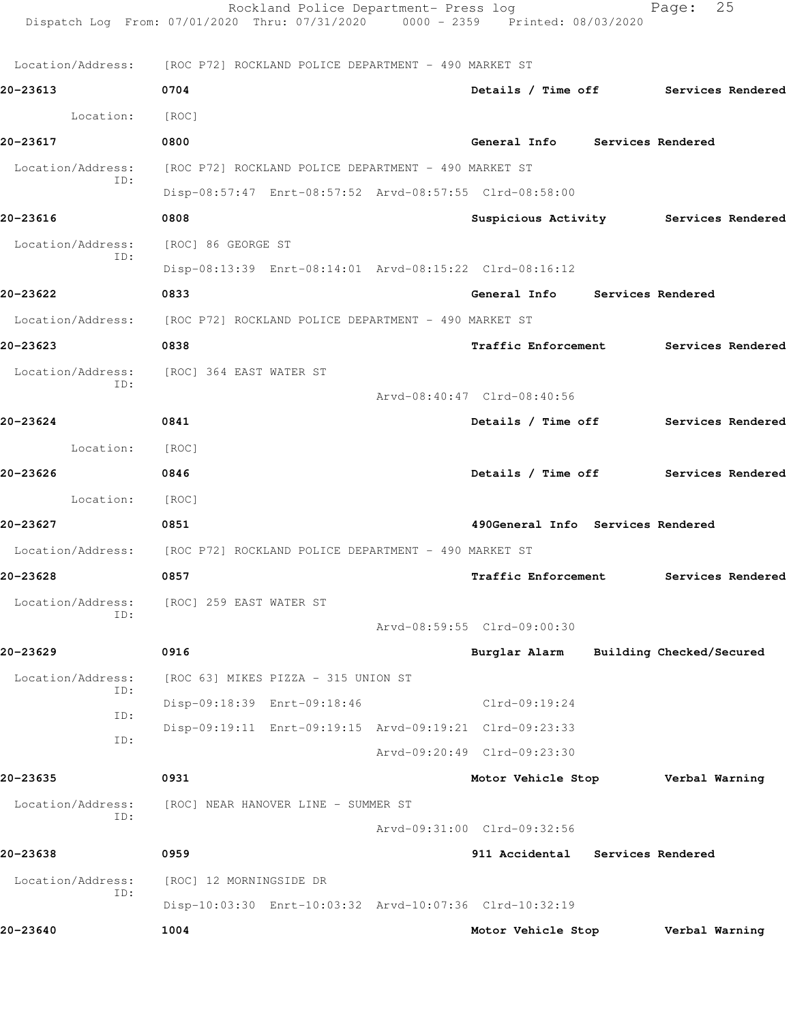|                   | Rockland Police Department- Press log<br>Dispatch Log From: 07/01/2020 Thru: 07/31/2020 0000 - 2359 Printed: 08/03/2020 |                                       | 25<br>Page:              |  |
|-------------------|-------------------------------------------------------------------------------------------------------------------------|---------------------------------------|--------------------------|--|
|                   | Location/Address: [ROC P72] ROCKLAND POLICE DEPARTMENT - 490 MARKET ST                                                  |                                       |                          |  |
| 20-23613          | 0704                                                                                                                    | Details / Time off Services Rendered  |                          |  |
| Location:         | [ROC]                                                                                                                   |                                       |                          |  |
| 20-23617          | 0800                                                                                                                    | General Info Services Rendered        |                          |  |
| Location/Address: | [ROC P72] ROCKLAND POLICE DEPARTMENT - 490 MARKET ST                                                                    |                                       |                          |  |
| ID:               | Disp-08:57:47 Enrt-08:57:52 Arvd-08:57:55 Clrd-08:58:00                                                                 |                                       |                          |  |
| 20-23616          | 0808                                                                                                                    | Suspicious Activity Services Rendered |                          |  |
| Location/Address: | [ROC] 86 GEORGE ST                                                                                                      |                                       |                          |  |
| ID:               | Disp-08:13:39 Enrt-08:14:01 Arvd-08:15:22 Clrd-08:16:12                                                                 |                                       |                          |  |
| 20-23622          | 0833                                                                                                                    | General Info Services Rendered        |                          |  |
|                   | Location/Address: [ROC P72] ROCKLAND POLICE DEPARTMENT - 490 MARKET ST                                                  |                                       |                          |  |
| 20-23623          | 0838                                                                                                                    | Traffic Enforcement Services Rendered |                          |  |
| Location/Address: | [ROC] 364 EAST WATER ST                                                                                                 |                                       |                          |  |
| ID:               |                                                                                                                         | Arvd-08:40:47 Clrd-08:40:56           |                          |  |
| 20-23624          | 0841                                                                                                                    | Details / Time off Services Rendered  |                          |  |
| Location: [ROC]   |                                                                                                                         |                                       |                          |  |
| 20-23626          | 0846                                                                                                                    | Details / Time off Services Rendered  |                          |  |
| Location:         | [ROC]                                                                                                                   |                                       |                          |  |
| 20-23627          | 0851                                                                                                                    | 490General Info Services Rendered     |                          |  |
|                   | Location/Address: [ROC P72] ROCKLAND POLICE DEPARTMENT - 490 MARKET ST                                                  |                                       |                          |  |
| 20-23628          | 0857                                                                                                                    | Traffic Enforcement                   | Services Rendered        |  |
| Location/Address: | [ROC] 259 EAST WATER ST                                                                                                 |                                       |                          |  |
| ID:               |                                                                                                                         | Arvd-08:59:55 Clrd-09:00:30           |                          |  |
| 20-23629          | 0916                                                                                                                    | Burglar Alarm                         | Building Checked/Secured |  |
| Location/Address: | [ROC 63] MIKES PIZZA - 315 UNION ST                                                                                     |                                       |                          |  |
| ID:               | Disp-09:18:39 Enrt-09:18:46                                                                                             | $Clrd-09:19:24$                       |                          |  |
| ID:               | Disp-09:19:11 Enrt-09:19:15 Arvd-09:19:21 Clrd-09:23:33                                                                 |                                       |                          |  |
| ID:               |                                                                                                                         | Arvd-09:20:49 Clrd-09:23:30           |                          |  |
| 20-23635          | 0931                                                                                                                    | Motor Vehicle Stop                    | Verbal Warning           |  |
| Location/Address: | [ROC] NEAR HANOVER LINE - SUMMER ST                                                                                     |                                       |                          |  |
| ID:               |                                                                                                                         | Arvd-09:31:00 Clrd-09:32:56           |                          |  |
| 20-23638          | 0959                                                                                                                    | 911 Accidental Services Rendered      |                          |  |
| Location/Address: | [ROC] 12 MORNINGSIDE DR                                                                                                 |                                       |                          |  |
| ID:               | Disp-10:03:30 Enrt-10:03:32 Arvd-10:07:36 Clrd-10:32:19                                                                 |                                       |                          |  |
| 20-23640          | 1004                                                                                                                    | Motor Vehicle Stop                    | Verbal Warning           |  |
|                   |                                                                                                                         |                                       |                          |  |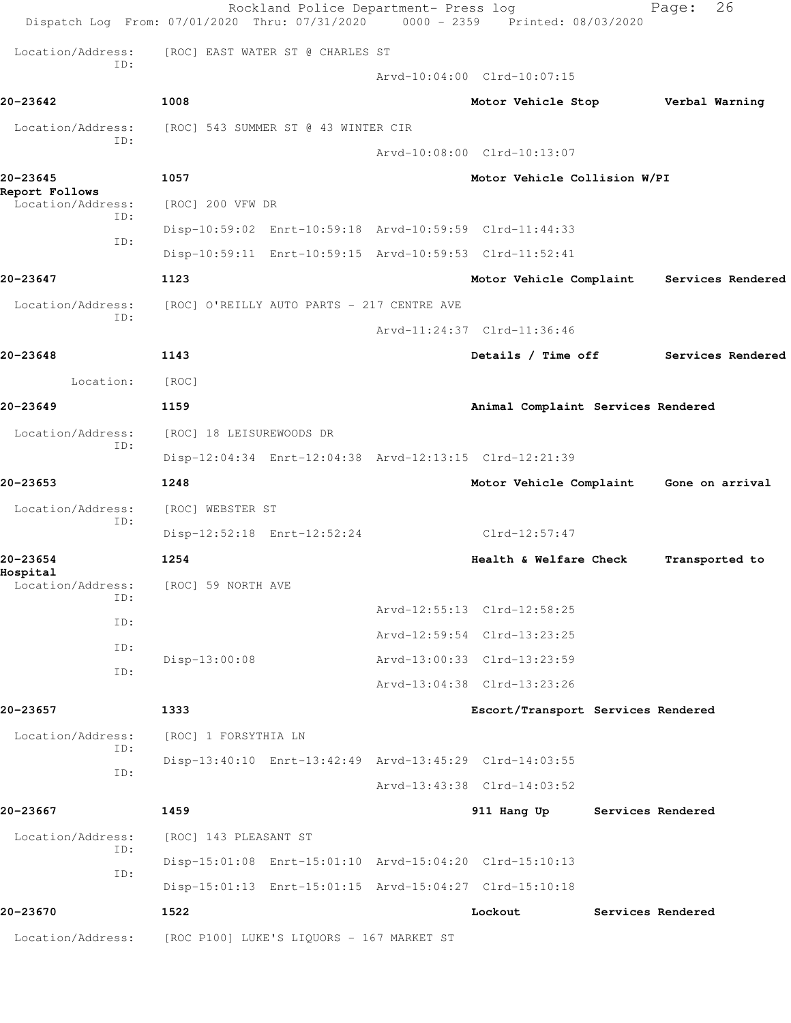|                            | Rockland Police Department- Press log<br>Dispatch Log From: 07/01/2020 Thru: 07/31/2020 | 0000 - 2359 Printed: 08/03/2020         | 26<br>Page:       |  |
|----------------------------|-----------------------------------------------------------------------------------------|-----------------------------------------|-------------------|--|
| Location/Address:          | [ROC] EAST WATER ST @ CHARLES ST                                                        |                                         |                   |  |
| ID:                        |                                                                                         | Arvd-10:04:00 Clrd-10:07:15             |                   |  |
| 20-23642                   | 1008                                                                                    | Motor Vehicle Stop                      | Verbal Warning    |  |
| Location/Address:          | [ROC] 543 SUMMER ST @ 43 WINTER CIR                                                     |                                         |                   |  |
| ID:                        |                                                                                         | Arvd-10:08:00 Clrd-10:13:07             |                   |  |
| 20-23645<br>Report Follows | 1057                                                                                    | Motor Vehicle Collision W/PI            |                   |  |
| Location/Address:<br>ID:   | [ROC] 200 VFW DR                                                                        |                                         |                   |  |
| ID:                        | Disp-10:59:02 Enrt-10:59:18 Arvd-10:59:59 Clrd-11:44:33                                 |                                         |                   |  |
|                            | Disp-10:59:11 Enrt-10:59:15 Arvd-10:59:53 Clrd-11:52:41                                 |                                         |                   |  |
| 20-23647                   | 1123                                                                                    | Motor Vehicle Complaint                 | Services Rendered |  |
| Location/Address:<br>ID:   | [ROC] O'REILLY AUTO PARTS - 217 CENTRE AVE                                              |                                         |                   |  |
|                            |                                                                                         | Arvd-11:24:37 Clrd-11:36:46             |                   |  |
| 20-23648                   | 1143                                                                                    | Details / Time off                      | Services Rendered |  |
| Location:                  | [ROC]                                                                                   |                                         |                   |  |
| 20-23649                   | 1159                                                                                    | Animal Complaint Services Rendered      |                   |  |
| Location/Address:<br>ID:   | [ROC] 18 LEISUREWOODS DR                                                                |                                         |                   |  |
|                            | Disp-12:04:34 Enrt-12:04:38 Arvd-12:13:15 Clrd-12:21:39                                 |                                         |                   |  |
| 20-23653                   | 1248                                                                                    | Motor Vehicle Complaint Gone on arrival |                   |  |
| Location/Address:<br>ID:   | [ROC] WEBSTER ST                                                                        |                                         |                   |  |
|                            | Disp-12:52:18 Enrt-12:52:24                                                             | Clrd-12:57:47                           |                   |  |
| 20–23654<br>Hospital       | 1254                                                                                    | Health & Welfare Check                  | Transported to    |  |
| Location/Address:<br>ID:   | [ROC] 59 NORTH AVE                                                                      |                                         |                   |  |
| ID:                        |                                                                                         | Arvd-12:55:13 Clrd-12:58:25             |                   |  |
| ID:                        |                                                                                         | Arvd-12:59:54 Clrd-13:23:25             |                   |  |
| ID:                        | Disp-13:00:08                                                                           | Arvd-13:00:33 Clrd-13:23:59             |                   |  |
|                            |                                                                                         | Arvd-13:04:38 Clrd-13:23:26             |                   |  |
| 20-23657                   | 1333                                                                                    | Escort/Transport Services Rendered      |                   |  |
| Location/Address:<br>ID:   | [ROC] 1 FORSYTHIA LN                                                                    |                                         |                   |  |
| ID:                        | Disp-13:40:10 Enrt-13:42:49 Arvd-13:45:29 Clrd-14:03:55                                 |                                         |                   |  |
|                            |                                                                                         | Arvd-13:43:38 Clrd-14:03:52             |                   |  |
| 20-23667                   | 1459                                                                                    | 911 Hang Up                             | Services Rendered |  |
| Location/Address:<br>ID:   | [ROC] 143 PLEASANT ST                                                                   |                                         |                   |  |
| ID:                        | Disp-15:01:08 Enrt-15:01:10 Arvd-15:04:20 Clrd-15:10:13                                 |                                         |                   |  |
|                            | Disp-15:01:13 Enrt-15:01:15 Arvd-15:04:27 Clrd-15:10:18                                 |                                         |                   |  |
| 20-23670                   | 1522                                                                                    | Lockout                                 | Services Rendered |  |
| Location/Address:          | [ROC P100] LUKE'S LIQUORS - 167 MARKET ST                                               |                                         |                   |  |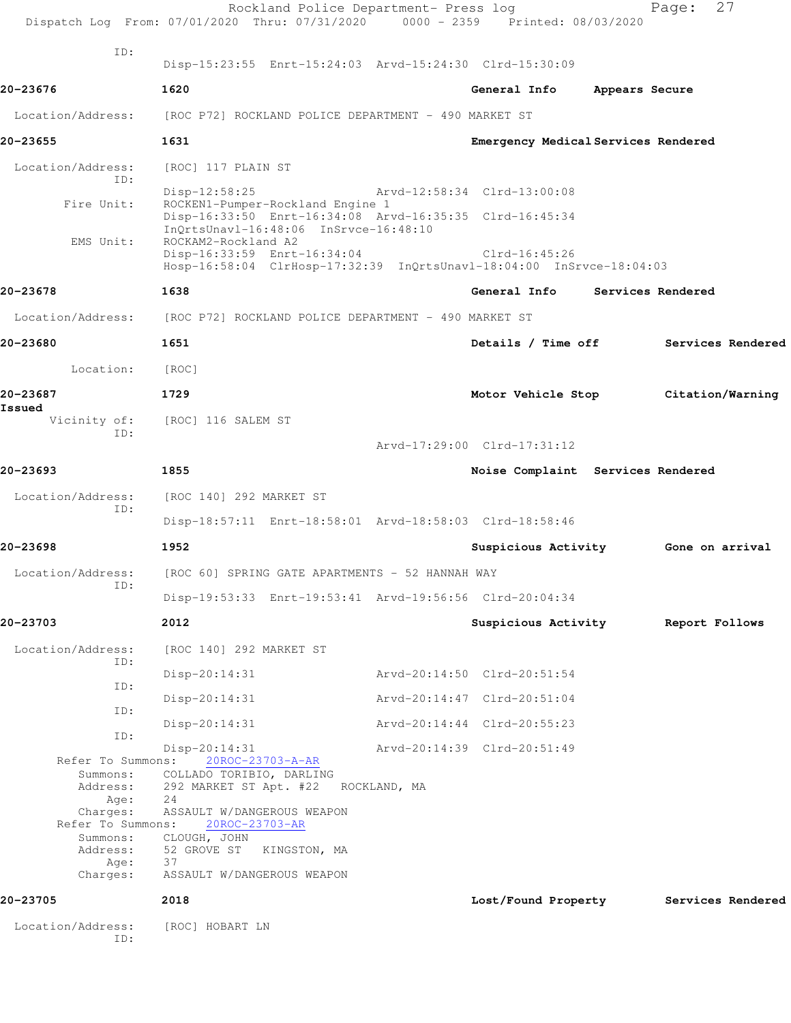|                                                                                    | Rockland Police Department- Press log<br>Dispatch Log From: 07/01/2020 Thru: 07/31/2020 0000 - 2359 Printed: 08/03/2020                         |              |                                     |                | 27<br>Page:                         |
|------------------------------------------------------------------------------------|-------------------------------------------------------------------------------------------------------------------------------------------------|--------------|-------------------------------------|----------------|-------------------------------------|
| TD:                                                                                | Disp-15:23:55 Enrt-15:24:03 Arvd-15:24:30 Clrd-15:30:09                                                                                         |              |                                     |                |                                     |
| 20-23676                                                                           | 1620                                                                                                                                            |              | General Info                        | Appears Secure |                                     |
| Location/Address:                                                                  | [ROC P72] ROCKLAND POLICE DEPARTMENT - 490 MARKET ST                                                                                            |              |                                     |                |                                     |
| 20-23655                                                                           | 1631                                                                                                                                            |              | Emergency Medical Services Rendered |                |                                     |
| Location/Address:                                                                  | [ROC] 117 PLAIN ST                                                                                                                              |              |                                     |                |                                     |
| ID:                                                                                | $Disp-12:58:25$                                                                                                                                 |              | Arvd-12:58:34 Clrd-13:00:08         |                |                                     |
| Fire Unit:                                                                         | ROCKEN1-Pumper-Rockland Engine 1<br>Disp-16:33:50 Enrt-16:34:08 Arvd-16:35:35 Clrd-16:45:34<br>InQrtsUnavl-16:48:06 InSrvce-16:48:10            |              |                                     |                |                                     |
| EMS Unit:                                                                          | ROCKAM2-Rockland A2<br>Disp-16:33:59 Enrt-16:34:04<br>Hosp-16:58:04 ClrHosp-17:32:39 InQrtsUnavl-18:04:00 InSrvce-18:04:03                      |              | Clrd-16:45:26                       |                |                                     |
| 20-23678                                                                           | 1638                                                                                                                                            |              | General Info                        |                | Services Rendered                   |
| Location/Address:                                                                  | [ROC P72] ROCKLAND POLICE DEPARTMENT - 490 MARKET ST                                                                                            |              |                                     |                |                                     |
| 20-23680                                                                           | 1651                                                                                                                                            |              | Details / Time off                  |                | Services Rendered                   |
| Location:                                                                          | [ROC]                                                                                                                                           |              |                                     |                |                                     |
| 20-23687                                                                           | 1729                                                                                                                                            |              | Motor Vehicle Stop                  |                | Citation/Warning                    |
| Issued<br>Vicinity of:                                                             | [ROC] 116 SALEM ST                                                                                                                              |              |                                     |                |                                     |
| ID:                                                                                |                                                                                                                                                 |              | Arvd-17:29:00 Clrd-17:31:12         |                |                                     |
| 20-23693                                                                           | 1855                                                                                                                                            |              | Noise Complaint Services Rendered   |                |                                     |
| Location/Address:<br>ID:                                                           | [ROC 140] 292 MARKET ST                                                                                                                         |              |                                     |                |                                     |
|                                                                                    | Disp-18:57:11 Enrt-18:58:01 Arvd-18:58:03 Clrd-18:58:46                                                                                         |              |                                     |                |                                     |
| 20-23698                                                                           | 1952                                                                                                                                            |              |                                     |                | Suspicious Activity 6one on arrival |
| Location/Address:<br>ID:                                                           | [ROC 60] SPRING GATE APARTMENTS - 52 HANNAH WAY                                                                                                 |              |                                     |                |                                     |
|                                                                                    | Disp-19:53:33 Enrt-19:53:41 Arvd-19:56:56 Clrd-20:04:34                                                                                         |              |                                     |                |                                     |
| 20-23703                                                                           | 2012                                                                                                                                            |              | Suspicious Activity                 |                | Report Follows                      |
| Location/Address:<br>ID:                                                           | [ROC 140] 292 MARKET ST                                                                                                                         |              |                                     |                |                                     |
| ID:                                                                                | $Disp-20:14:31$                                                                                                                                 |              | Arvd-20:14:50 Clrd-20:51:54         |                |                                     |
| ID:                                                                                | $Disp-20:14:31$                                                                                                                                 |              | Arvd-20:14:47 Clrd-20:51:04         |                |                                     |
| ID:                                                                                | $Disp-20:14:31$                                                                                                                                 |              | Arvd-20:14:44 Clrd-20:55:23         |                |                                     |
| Refer To Summons:<br>Summons:<br>Address:<br>Age:<br>Charges:<br>Refer To Summons: | $Disp-20:14:31$<br>20ROC-23703-A-AR<br>COLLADO TORIBIO, DARLING<br>292 MARKET ST Apt. #22<br>24<br>ASSAULT W/DANGEROUS WEAPON<br>20ROC-23703-AR | ROCKLAND, MA | Arvd-20:14:39 Clrd-20:51:49         |                |                                     |
| Summons:<br>Age:<br>Charges:                                                       | CLOUGH, JOHN<br>Address: 52 GROVE ST<br>KINGSTON, MA<br>37<br>ASSAULT W/DANGEROUS WEAPON                                                        |              |                                     |                |                                     |
| 20-23705                                                                           | 2018                                                                                                                                            |              | Lost/Found Property                 |                | Services Rendered                   |
| Location/Address:<br>ID:                                                           | [ROC] HOBART LN                                                                                                                                 |              |                                     |                |                                     |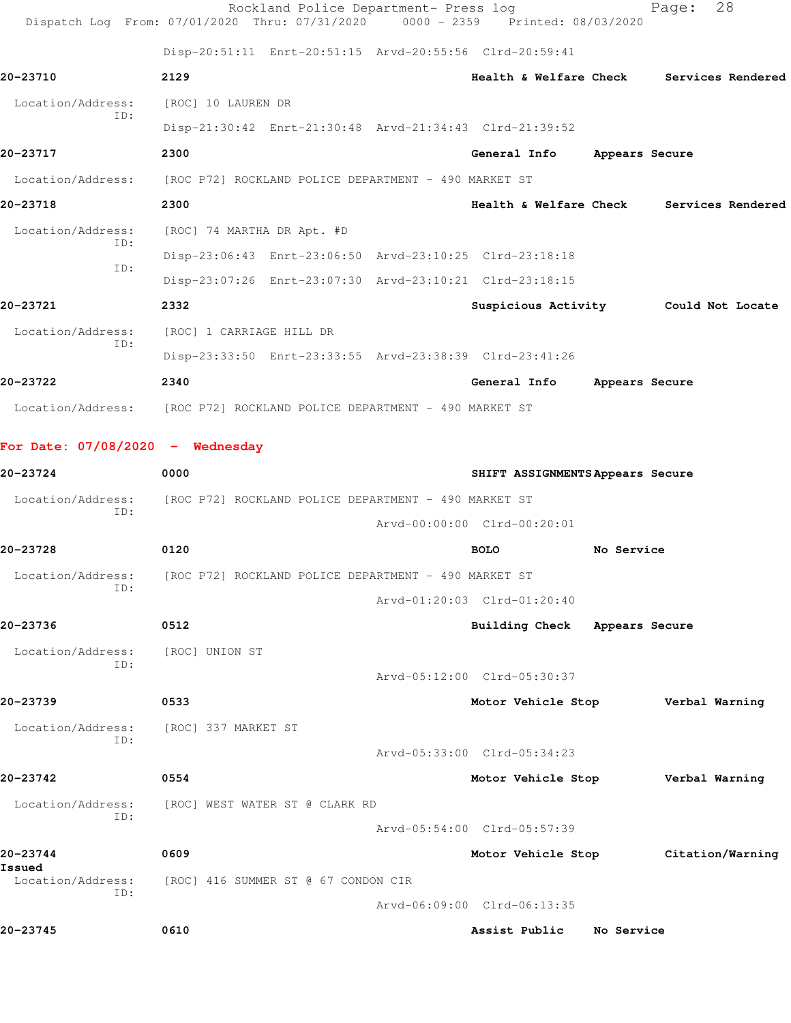|                                  | Rockland Police Department- Press log<br>Dispatch Log From: 07/01/2020 Thru: 07/31/2020 0000 - 2359 Printed: 08/03/2020 |                                  |                | 28<br>Page:                          |
|----------------------------------|-------------------------------------------------------------------------------------------------------------------------|----------------------------------|----------------|--------------------------------------|
|                                  | Disp-20:51:11 Enrt-20:51:15 Arvd-20:55:56 Clrd-20:59:41                                                                 |                                  |                |                                      |
| 20-23710                         | 2129                                                                                                                    | Health & Welfare Check           |                | Services Rendered                    |
| Location/Address:                | [ROC] 10 LAUREN DR                                                                                                      |                                  |                |                                      |
| ID:                              | Disp-21:30:42 Enrt-21:30:48 Arvd-21:34:43 Clrd-21:39:52                                                                 |                                  |                |                                      |
| 20-23717                         | 2300                                                                                                                    | General Info                     | Appears Secure |                                      |
| Location/Address:                | [ROC P72] ROCKLAND POLICE DEPARTMENT - 490 MARKET ST                                                                    |                                  |                |                                      |
| 20-23718                         | 2300                                                                                                                    | Health & Welfare Check           |                | Services Rendered                    |
| Location/Address:                | [ROC] 74 MARTHA DR Apt. #D                                                                                              |                                  |                |                                      |
| ID:                              | Disp-23:06:43 Enrt-23:06:50 Arvd-23:10:25 Clrd-23:18:18                                                                 |                                  |                |                                      |
| ID:                              | Disp-23:07:26 Enrt-23:07:30 Arvd-23:10:21 Clrd-23:18:15                                                                 |                                  |                |                                      |
| 20-23721                         | 2332                                                                                                                    |                                  |                | Suspicious Activity Could Not Locate |
| Location/Address:                | [ROC] 1 CARRIAGE HILL DR                                                                                                |                                  |                |                                      |
| ID:                              | Disp-23:33:50 Enrt-23:33:55 Arvd-23:38:39 Clrd-23:41:26                                                                 |                                  |                |                                      |
| 20-23722                         | 2340                                                                                                                    | General Info                     | Appears Secure |                                      |
|                                  | Location/Address: [ROC P72] ROCKLAND POLICE DEPARTMENT - 490 MARKET ST                                                  |                                  |                |                                      |
| For Date: 07/08/2020 - Wednesday |                                                                                                                         |                                  |                |                                      |
| 20-23724                         | 0000                                                                                                                    | SHIFT ASSIGNMENTS Appears Secure |                |                                      |
| Location/Address:                | [ROC P72] ROCKLAND POLICE DEPARTMENT - 490 MARKET ST                                                                    |                                  |                |                                      |
| ID:                              |                                                                                                                         | Arvd-00:00:00 Clrd-00:20:01      |                |                                      |
| 20-23728                         | 0120                                                                                                                    | <b>BOLO</b>                      | No Service     |                                      |
| Location/Address:                | [ROC P72] ROCKLAND POLICE DEPARTMENT - 490 MARKET ST                                                                    |                                  |                |                                      |
| ID:                              |                                                                                                                         | Arvd-01:20:03 Clrd-01:20:40      |                |                                      |
| 20-23736                         | 0512                                                                                                                    | Building Check Appears Secure    |                |                                      |
| Location/Address:                | [ROC] UNION ST                                                                                                          |                                  |                |                                      |
| ID:                              |                                                                                                                         | Arvd-05:12:00 Clrd-05:30:37      |                |                                      |
| 20-23739                         | 0533                                                                                                                    | Motor Vehicle Stop               |                | Verbal Warning                       |
| Location/Address:                | [ROC] 337 MARKET ST                                                                                                     |                                  |                |                                      |
| ID:                              |                                                                                                                         | Arvd-05:33:00 Clrd-05:34:23      |                |                                      |
| 20-23742                         | 0554                                                                                                                    | Motor Vehicle Stop               |                | Verbal Warning                       |
| Location/Address:                | [ROC] WEST WATER ST @ CLARK RD                                                                                          |                                  |                |                                      |
| ID:                              |                                                                                                                         | Arvd-05:54:00 Clrd-05:57:39      |                |                                      |
| 20-23744                         | 0609                                                                                                                    | Motor Vehicle Stop               |                | Citation/Warning                     |
| Issued<br>Location/Address:      | [ROC] 416 SUMMER ST @ 67 CONDON CIR                                                                                     |                                  |                |                                      |
| ID:                              |                                                                                                                         | Arvd-06:09:00 Clrd-06:13:35      |                |                                      |
| 20-23745                         | 0610                                                                                                                    | Assist Public                    | No Service     |                                      |
|                                  |                                                                                                                         |                                  |                |                                      |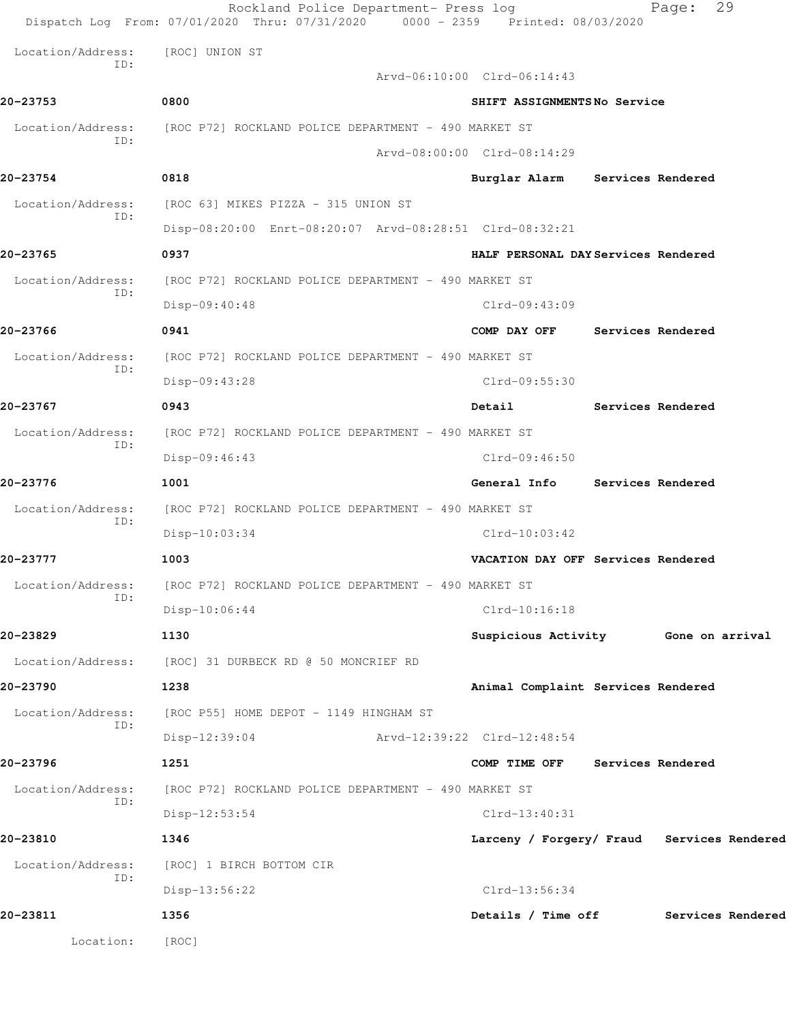|                          | Rockland Police Department- Press log<br>Dispatch Log From: 07/01/2020 Thru: 07/31/2020 0000 - 2359 Printed: 08/03/2020 | 29<br>Page:                                |
|--------------------------|-------------------------------------------------------------------------------------------------------------------------|--------------------------------------------|
| Location/Address:        | [ROC] UNION ST                                                                                                          |                                            |
| ID:                      |                                                                                                                         | Arvd-06:10:00 Clrd-06:14:43                |
| 20-23753                 | 0800                                                                                                                    | SHIFT ASSIGNMENTSNo Service                |
| Location/Address:<br>ID: | [ROC P72] ROCKLAND POLICE DEPARTMENT - 490 MARKET ST                                                                    |                                            |
|                          |                                                                                                                         | Arvd-08:00:00 Clrd-08:14:29                |
| 20-23754                 | 0818                                                                                                                    | Burglar Alarm Services Rendered            |
| Location/Address:<br>ID: | [ROC 63] MIKES PIZZA - 315 UNION ST                                                                                     |                                            |
|                          | Disp-08:20:00 Enrt-08:20:07 Arvd-08:28:51 Clrd-08:32:21                                                                 |                                            |
| 20-23765                 | 0937                                                                                                                    | HALF PERSONAL DAY Services Rendered        |
| Location/Address:<br>ID: | [ROC P72] ROCKLAND POLICE DEPARTMENT - 490 MARKET ST                                                                    |                                            |
|                          | Disp-09:40:48                                                                                                           | $Clrd-09:43:09$                            |
| 20-23766                 | 0941                                                                                                                    | COMP DAY OFF<br>Services Rendered          |
| Location/Address:<br>ID: | [ROC P72] ROCKLAND POLICE DEPARTMENT - 490 MARKET ST                                                                    |                                            |
|                          | Disp-09:43:28                                                                                                           | Clrd-09:55:30                              |
| 20-23767                 | 0943                                                                                                                    | Detail<br>Services Rendered                |
| Location/Address:<br>ID: | [ROC P72] ROCKLAND POLICE DEPARTMENT - 490 MARKET ST                                                                    |                                            |
|                          | Disp-09:46:43                                                                                                           | $Clrd-09:46:50$                            |
| 20-23776                 | 1001                                                                                                                    | General Info<br>Services Rendered          |
| Location/Address:<br>ID: | [ROC P72] ROCKLAND POLICE DEPARTMENT - 490 MARKET ST                                                                    |                                            |
|                          | $Disp-10:03:34$                                                                                                         | $Clrd-10:03:42$                            |
| 20-23777                 | 1003                                                                                                                    | VACATION DAY OFF Services Rendered         |
| Location/Address:<br>ID: | [ROC P72] ROCKLAND POLICE DEPARTMENT - 490 MARKET ST                                                                    |                                            |
|                          | Disp-10:06:44                                                                                                           | $Clrd-10:16:18$                            |
| 20-23829                 | 1130                                                                                                                    | Suspicious Activity Gone on arrival        |
| Location/Address:        | [ROC] 31 DURBECK RD @ 50 MONCRIEF RD                                                                                    |                                            |
| 20-23790                 | 1238                                                                                                                    | Animal Complaint Services Rendered         |
| Location/Address:<br>ID: | [ROC P55] HOME DEPOT - 1149 HINGHAM ST                                                                                  |                                            |
|                          | $Disp-12:39:04$                                                                                                         | Arvd-12:39:22 Clrd-12:48:54                |
| 20-23796                 | 1251                                                                                                                    | COMP TIME OFF Services Rendered            |
| Location/Address:<br>ID: | [ROC P72] ROCKLAND POLICE DEPARTMENT - 490 MARKET ST                                                                    |                                            |
|                          | $Disp-12:53:54$                                                                                                         | $Clrd-13:40:31$                            |
| 20-23810                 | 1346                                                                                                                    | Larceny / Forgery/ Fraud Services Rendered |
| Location/Address:<br>ID: | [ROC] 1 BIRCH BOTTOM CIR                                                                                                |                                            |
|                          | Disp-13:56:22                                                                                                           | $Clrd-13:56:34$                            |
| 20-23811                 | 1356                                                                                                                    | Details / Time off<br>Services Rendered    |
| Location:                | [ROC]                                                                                                                   |                                            |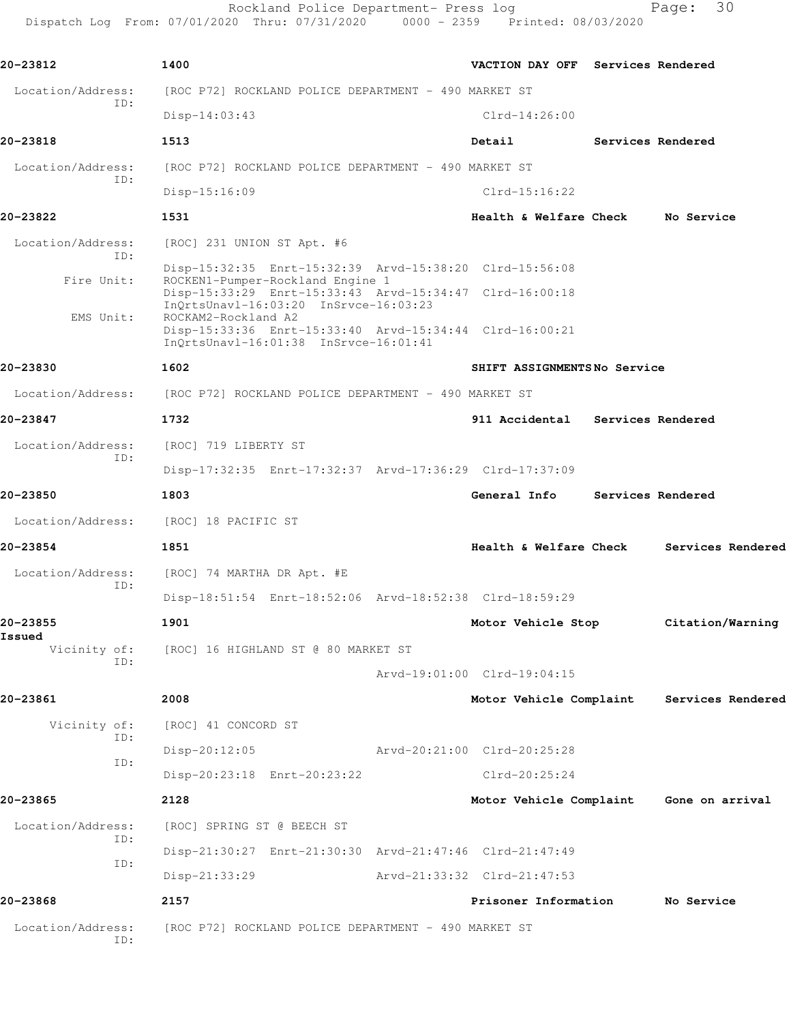Rockland Police Department- Press log entitled and Page: 30 Dispatch Log From: 07/01/2020 Thru: 07/31/2020 0000 - 2359 Printed: 08/03/2020

| 20-23812               | 1400                                                                                                                                                             | VACTION DAY OFF Services Rendered       |                   |                   |
|------------------------|------------------------------------------------------------------------------------------------------------------------------------------------------------------|-----------------------------------------|-------------------|-------------------|
| Location/Address:      | [ROC P72] ROCKLAND POLICE DEPARTMENT - 490 MARKET ST                                                                                                             |                                         |                   |                   |
| ID:                    | $Disp-14:03:43$                                                                                                                                                  | $Clrd-14:26:00$                         |                   |                   |
| 20-23818               | 1513                                                                                                                                                             | Detail                                  | Services Rendered |                   |
| Location/Address:      | [ROC P72] ROCKLAND POLICE DEPARTMENT - 490 MARKET ST                                                                                                             |                                         |                   |                   |
| ID:                    | $Disp-15:16:09$                                                                                                                                                  | Clrd-15:16:22                           |                   |                   |
| 20-23822               | 1531                                                                                                                                                             | Health & Welfare Check                  |                   | No Service        |
| Location/Address:      | [ROC] 231 UNION ST Apt. #6                                                                                                                                       |                                         |                   |                   |
| TD:<br>Fire Unit:      | Disp-15:32:35 Enrt-15:32:39 Arvd-15:38:20 Clrd-15:56:08<br>ROCKEN1-Pumper-Rockland Engine 1<br>Disp-15:33:29 Enrt-15:33:43 Arvd-15:34:47 Clrd-16:00:18           |                                         |                   |                   |
| EMS Unit:              | InOrtsUnav1-16:03:20 InSrvce-16:03:23<br>ROCKAM2-Rockland A2<br>Disp-15:33:36 Enrt-15:33:40 Arvd-15:34:44 Clrd-16:00:21<br>InQrtsUnavl-16:01:38 InSrvce-16:01:41 |                                         |                   |                   |
| 20-23830               | 1602                                                                                                                                                             | SHIFT ASSIGNMENTSNo Service             |                   |                   |
| Location/Address:      | [ROC P72] ROCKLAND POLICE DEPARTMENT - 490 MARKET ST                                                                                                             |                                         |                   |                   |
| 20-23847               | 1732                                                                                                                                                             | 911 Accidental                          | Services Rendered |                   |
| Location/Address:      | [ROC] 719 LIBERTY ST                                                                                                                                             |                                         |                   |                   |
| ID:                    | Disp-17:32:35 Enrt-17:32:37 Arvd-17:36:29 Clrd-17:37:09                                                                                                          |                                         |                   |                   |
| 20-23850               | 1803                                                                                                                                                             | General Info                            | Services Rendered |                   |
| Location/Address:      | [ROC] 18 PACIFIC ST                                                                                                                                              |                                         |                   |                   |
| 20-23854               | 1851                                                                                                                                                             | Health & Welfare Check                  |                   | Services Rendered |
| Location/Address:      | [ROC] 74 MARTHA DR Apt. #E                                                                                                                                       |                                         |                   |                   |
| ID:                    | Disp-18:51:54 Enrt-18:52:06 Arvd-18:52:38 Clrd-18:59:29                                                                                                          |                                         |                   |                   |
| 20-23855               | 1901                                                                                                                                                             | Motor Vehicle Stop                      |                   | Citation/Warning  |
| Issued<br>Vicinity of: | [ROC] 16 HIGHLAND ST @ 80 MARKET ST                                                                                                                              |                                         |                   |                   |
| ID:                    |                                                                                                                                                                  | Arvd-19:01:00 Clrd-19:04:15             |                   |                   |
| 20-23861               | 2008                                                                                                                                                             | Motor Vehicle Complaint                 |                   | Services Rendered |
| Vicinity of:           | [ROC] 41 CONCORD ST                                                                                                                                              |                                         |                   |                   |
| ID:                    | $Disp-20:12:05$                                                                                                                                                  | Arvd-20:21:00 Clrd-20:25:28             |                   |                   |
| ID:                    | Disp-20:23:18 Enrt-20:23:22                                                                                                                                      | $Clrd-20:25:24$                         |                   |                   |
| 20-23865               | 2128                                                                                                                                                             | Motor Vehicle Complaint Gone on arrival |                   |                   |
| Location/Address:      | [ROC] SPRING ST @ BEECH ST                                                                                                                                       |                                         |                   |                   |
| ID:                    | Disp-21:30:27 Enrt-21:30:30 Arvd-21:47:46 Clrd-21:47:49                                                                                                          |                                         |                   |                   |
| ID:                    | Disp-21:33:29                                                                                                                                                    | Arvd-21:33:32 Clrd-21:47:53             |                   |                   |
| 20-23868               | 2157                                                                                                                                                             | Prisoner Information                    |                   | No Service        |
| Location/Address:      | [ROC P72] ROCKLAND POLICE DEPARTMENT - 490 MARKET ST                                                                                                             |                                         |                   |                   |
| ID:                    |                                                                                                                                                                  |                                         |                   |                   |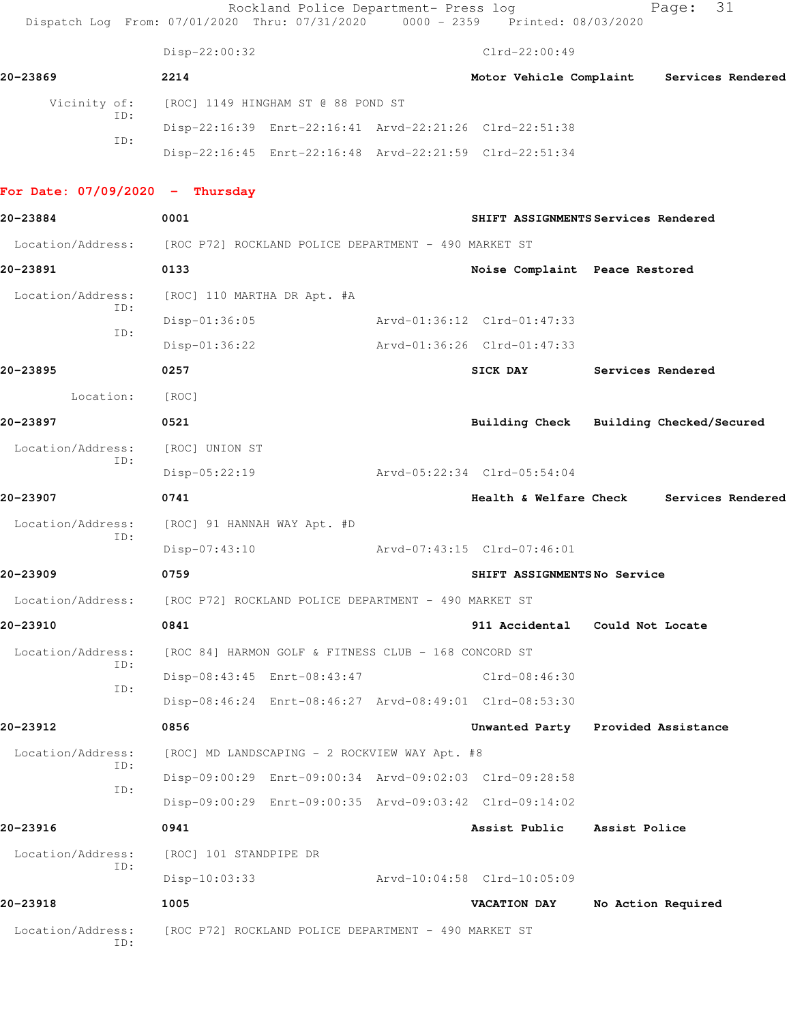|                                   | Rockland Police Department- Press log<br>Dispatch Log From: 07/01/2020 Thru: 07/31/2020 0000 - 2359 Printed: 08/03/2020 |                             |                                           |                    | 31<br>Page: |  |
|-----------------------------------|-------------------------------------------------------------------------------------------------------------------------|-----------------------------|-------------------------------------------|--------------------|-------------|--|
|                                   | Disp-22:00:32                                                                                                           |                             | $Clrd-22:00:49$                           |                    |             |  |
| 20-23869                          | 2214                                                                                                                    |                             | Motor Vehicle Complaint Services Rendered |                    |             |  |
| Vicinity of:                      | [ROC] 1149 HINGHAM ST @ 88 POND ST                                                                                      |                             |                                           |                    |             |  |
| ID:<br>ID:                        | Disp-22:16:39 Enrt-22:16:41 Arvd-22:21:26 Clrd-22:51:38                                                                 |                             |                                           |                    |             |  |
|                                   | Disp-22:16:45 Enrt-22:16:48 Arvd-22:21:59 Clrd-22:51:34                                                                 |                             |                                           |                    |             |  |
| For Date: $07/09/2020 -$ Thursday |                                                                                                                         |                             |                                           |                    |             |  |
| 20-23884                          | 0001                                                                                                                    |                             | SHIFT ASSIGNMENTS Services Rendered       |                    |             |  |
|                                   | Location/Address: [ROC P72] ROCKLAND POLICE DEPARTMENT - 490 MARKET ST                                                  |                             |                                           |                    |             |  |
| 20-23891                          | 0133                                                                                                                    |                             | Noise Complaint Peace Restored            |                    |             |  |
| Location/Address:                 | [ROC] 110 MARTHA DR Apt. #A                                                                                             |                             |                                           |                    |             |  |
| ID:                               | Disp-01:36:05                                                                                                           | Arvd-01:36:12 Clrd-01:47:33 |                                           |                    |             |  |
| ID:                               | $Disp-01:36:22$                                                                                                         | Arvd-01:36:26 Clrd-01:47:33 |                                           |                    |             |  |
| 20-23895                          | 0257                                                                                                                    |                             | SICK DAY                                  | Services Rendered  |             |  |
| Location:                         | [ROC]                                                                                                                   |                             |                                           |                    |             |  |
| 20-23897                          | 0521                                                                                                                    |                             | Building Check Building Checked/Secured   |                    |             |  |
| Location/Address:<br>ID:          | [ROC] UNION ST                                                                                                          |                             |                                           |                    |             |  |
|                                   | $Disp-05:22:19$                                                                                                         | Arvd-05:22:34 Clrd-05:54:04 |                                           |                    |             |  |
| 20-23907                          | 0741                                                                                                                    |                             | Health & Welfare Check Services Rendered  |                    |             |  |
| Location/Address:<br>ID:          | [ROC] 91 HANNAH WAY Apt. #D                                                                                             |                             |                                           |                    |             |  |
|                                   | $Disp-07:43:10$                                                                                                         | Arvd-07:43:15 Clrd-07:46:01 |                                           |                    |             |  |
| 20-23909                          | 0759                                                                                                                    |                             | SHIFT ASSIGNMENTSNo Service               |                    |             |  |
|                                   | Location/Address: [ROC P72] ROCKLAND POLICE DEPARTMENT - 490 MARKET ST                                                  |                             |                                           |                    |             |  |
| 20-23910                          | 0841                                                                                                                    |                             | 911 Accidental Could Not Locate           |                    |             |  |
| Location/Address:<br>ID:          | [ROC 84] HARMON GOLF & FITNESS CLUB - 168 CONCORD ST                                                                    |                             |                                           |                    |             |  |
| ID:                               | Disp-08:43:45 Enrt-08:43:47                                                                                             |                             | Clrd-08:46:30                             |                    |             |  |
|                                   | Disp-08:46:24 Enrt-08:46:27 Arvd-08:49:01 Clrd-08:53:30                                                                 |                             |                                           |                    |             |  |
| 20-23912                          | 0856                                                                                                                    |                             | Unwanted Party Provided Assistance        |                    |             |  |
| Location/Address:<br>ID:          | [ROC] MD LANDSCAPING - 2 ROCKVIEW WAY Apt. #8                                                                           |                             |                                           |                    |             |  |
| ID:                               | Disp-09:00:29 Enrt-09:00:34 Arvd-09:02:03 Clrd-09:28:58                                                                 |                             |                                           |                    |             |  |
|                                   | Disp-09:00:29 Enrt-09:00:35 Arvd-09:03:42 Clrd-09:14:02                                                                 |                             |                                           |                    |             |  |
| 20-23916                          | 0941                                                                                                                    |                             | Assist Public                             | Assist Police      |             |  |
| Location/Address:<br>ID:          | [ROC] 101 STANDPIPE DR                                                                                                  |                             |                                           |                    |             |  |
|                                   | Disp-10:03:33                                                                                                           | Arvd-10:04:58 Clrd-10:05:09 |                                           |                    |             |  |
| 20-23918                          | 1005                                                                                                                    |                             | <b>VACATION DAY</b>                       | No Action Required |             |  |
| Location/Address:<br>ID:          | [ROC P72] ROCKLAND POLICE DEPARTMENT - 490 MARKET ST                                                                    |                             |                                           |                    |             |  |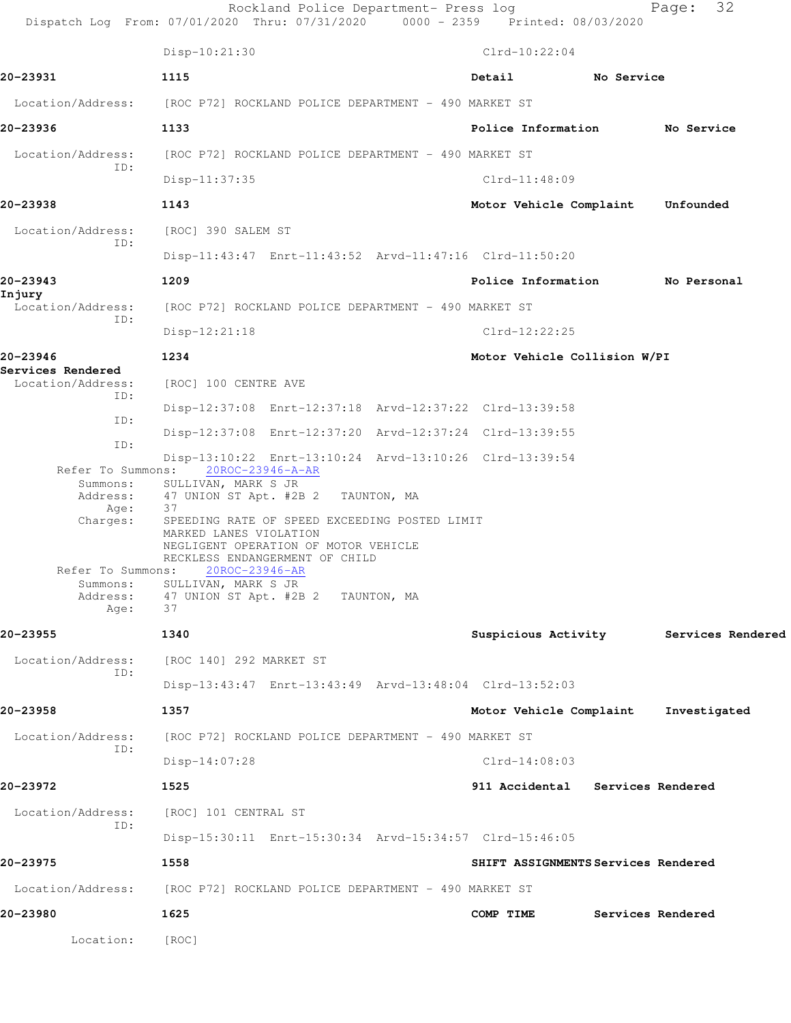|                                        | Rockland Police Department- Press log<br>Dispatch Log From: 07/01/2020 Thru: 07/31/2020 0000 - 2359 Printed: 08/03/2020 |                                       | 32<br>Page:       |
|----------------------------------------|-------------------------------------------------------------------------------------------------------------------------|---------------------------------------|-------------------|
|                                        | Disp-10:21:30                                                                                                           | $Clrd-10:22:04$                       |                   |
| 20-23931                               | 1115                                                                                                                    | Detail<br>No Service                  |                   |
| Location/Address:                      | [ROC P72] ROCKLAND POLICE DEPARTMENT - 490 MARKET ST                                                                    |                                       |                   |
| 20-23936                               | 1133                                                                                                                    | Police Information No Service         |                   |
| Location/Address:                      | [ROC P72] ROCKLAND POLICE DEPARTMENT - 490 MARKET ST                                                                    |                                       |                   |
| ID:                                    | $Disp-11:37:35$                                                                                                         | $Clrd-11:48:09$                       |                   |
| 20-23938                               | 1143                                                                                                                    | Motor Vehicle Complaint               | Unfounded         |
| Location/Address:                      | [ROC] 390 SALEM ST                                                                                                      |                                       |                   |
| ID:                                    | Disp-11:43:47 Enrt-11:43:52 Arvd-11:47:16 Clrd-11:50:20                                                                 |                                       |                   |
| 20-23943                               | 1209                                                                                                                    | Police Information No Personal        |                   |
| Injury<br>Location/Address:            | [ROC P72] ROCKLAND POLICE DEPARTMENT - 490 MARKET ST                                                                    |                                       |                   |
| ID:                                    | $Disp-12:21:18$                                                                                                         | $Clrd-12:22:25$                       |                   |
| 20-23946                               | 1234                                                                                                                    | Motor Vehicle Collision W/PI          |                   |
| Services Rendered<br>Location/Address: | [ROC] 100 CENTRE AVE                                                                                                    |                                       |                   |
| ID:                                    | Disp-12:37:08 Enrt-12:37:18 Arvd-12:37:22 Clrd-13:39:58                                                                 |                                       |                   |
| ID:                                    | Disp-12:37:08 Enrt-12:37:20 Arvd-12:37:24 Clrd-13:39:55                                                                 |                                       |                   |
| ID:                                    | Disp-13:10:22 Enrt-13:10:24 Arvd-13:10:26 Clrd-13:39:54                                                                 |                                       |                   |
| Summons:<br>Address:                   | Refer To Summons: 20ROC-23946-A-AR<br>SULLIVAN, MARK S JR<br>47 UNION ST Apt. #2B 2 TAUNTON, MA                         |                                       |                   |
| Age:<br>Charges:                       | 37<br>SPEEDING RATE OF SPEED EXCEEDING POSTED LIMIT<br>MARKED LANES VIOLATION                                           |                                       |                   |
|                                        | NEGLIGENT OPERATION OF MOTOR VEHICLE<br>RECKLESS ENDANGERMENT OF CHILD                                                  |                                       |                   |
| Refer To Summons:<br>Summons:          | 20ROC-23946-AR<br>SULLIVAN, MARK S JR                                                                                   |                                       |                   |
| Address:<br>Age:                       | 47 UNION ST Apt. #2B 2 TAUNTON, MA<br>37                                                                                |                                       |                   |
| 20-23955                               | 1340                                                                                                                    | Suspicious Activity Services Rendered |                   |
| Location/Address:                      | [ROC 140] 292 MARKET ST                                                                                                 |                                       |                   |
| ID:                                    | Disp-13:43:47 Enrt-13:43:49 Arvd-13:48:04 Clrd-13:52:03                                                                 |                                       |                   |
| 20-23958                               | 1357                                                                                                                    | Motor Vehicle Complaint               | Investigated      |
| Location/Address:                      | [ROC P72] ROCKLAND POLICE DEPARTMENT - 490 MARKET ST                                                                    |                                       |                   |
| ID:                                    | $Disp-14:07:28$                                                                                                         | $Clrd-14:08:03$                       |                   |
| 20-23972                               | 1525                                                                                                                    | 911 Accidental Services Rendered      |                   |
| Location/Address:                      | [ROC] 101 CENTRAL ST                                                                                                    |                                       |                   |
| ID:                                    | Disp-15:30:11 Enrt-15:30:34 Arvd-15:34:57 Clrd-15:46:05                                                                 |                                       |                   |
| 20-23975                               | 1558                                                                                                                    | SHIFT ASSIGNMENTS Services Rendered   |                   |
| Location/Address:                      | [ROC P72] ROCKLAND POLICE DEPARTMENT - 490 MARKET ST                                                                    |                                       |                   |
| 20-23980                               | 1625                                                                                                                    | COMP TIME                             | Services Rendered |
| Location:                              | [ROC]                                                                                                                   |                                       |                   |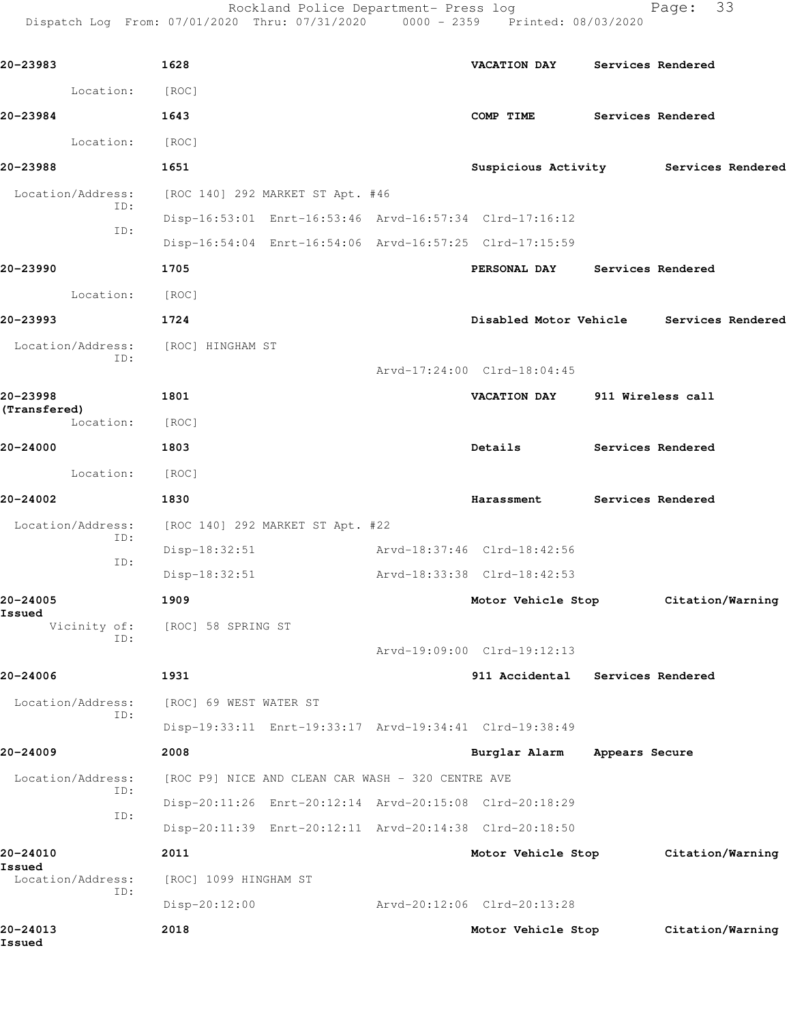Rockland Police Department- Press log Fage: 33 Dispatch Log From: 07/01/2020 Thru: 07/31/2020 0000 - 2359 Printed: 08/03/2020

**20-23983 1628 VACATION DAY Services Rendered** Location: [ROC] **20-23984 1643 COMP TIME Services Rendered** Location: [ROC] **20-23988 1651 Suspicious Activity Services Rendered** Location/Address: [ROC 140] 292 MARKET ST Apt. #46 ID: Disp-16:53:01 Enrt-16:53:46 Arvd-16:57:34 Clrd-17:16:12 ID: Disp-16:54:04 Enrt-16:54:06 Arvd-16:57:25 Clrd-17:15:59 **20-23990 1705 PERSONAL DAY Services Rendered** Location: [ROC] **20-23993 1724 Disabled Motor Vehicle Services Rendered** Location/Address: [ROC] HINGHAM ST ID: Arvd-17:24:00 Clrd-18:04:45 **20-23998 1801 VACATION DAY 911 Wireless call (Transfered)**  Location: [ROC] **20-24000 1803 Details Services Rendered** Location: [ROC] **20-24002 1830 Harassment Services Rendered** Location/Address: [ROC 140] 292 MARKET ST Apt. #22 ID: Disp-18:32:51 Arvd-18:37:46 Clrd-18:42:56 ID: Disp-18:32:51 Arvd-18:33:38 Clrd-18:42:53 **20-24005 1909 Motor Vehicle Stop Citation/Warning Issued**  Vicinity of: [ROC] 58 SPRING ST ID: Arvd-19:09:00 Clrd-19:12:13 **20-24006 1931 911 Accidental Services Rendered** Location/Address: [ROC] 69 WEST WATER ST ID: Disp-19:33:11 Enrt-19:33:17 Arvd-19:34:41 Clrd-19:38:49 **20-24009 2008 Burglar Alarm Appears Secure** Location/Address: [ROC P9] NICE AND CLEAN CAR WASH - 320 CENTRE AVE ID: Disp-20:11:26 Enrt-20:12:14 Arvd-20:15:08 Clrd-20:18:29 ID: Disp-20:11:39 Enrt-20:12:11 Arvd-20:14:38 Clrd-20:18:50 **20-24010 2011 Motor Vehicle Stop Citation/Warning Issued**  Location/Address: [ROC] 1099 HINGHAM ST ID: Disp-20:12:00 Arvd-20:12:06 Clrd-20:13:28 **20-24013 2018 Motor Vehicle Stop Citation/Warning Issued**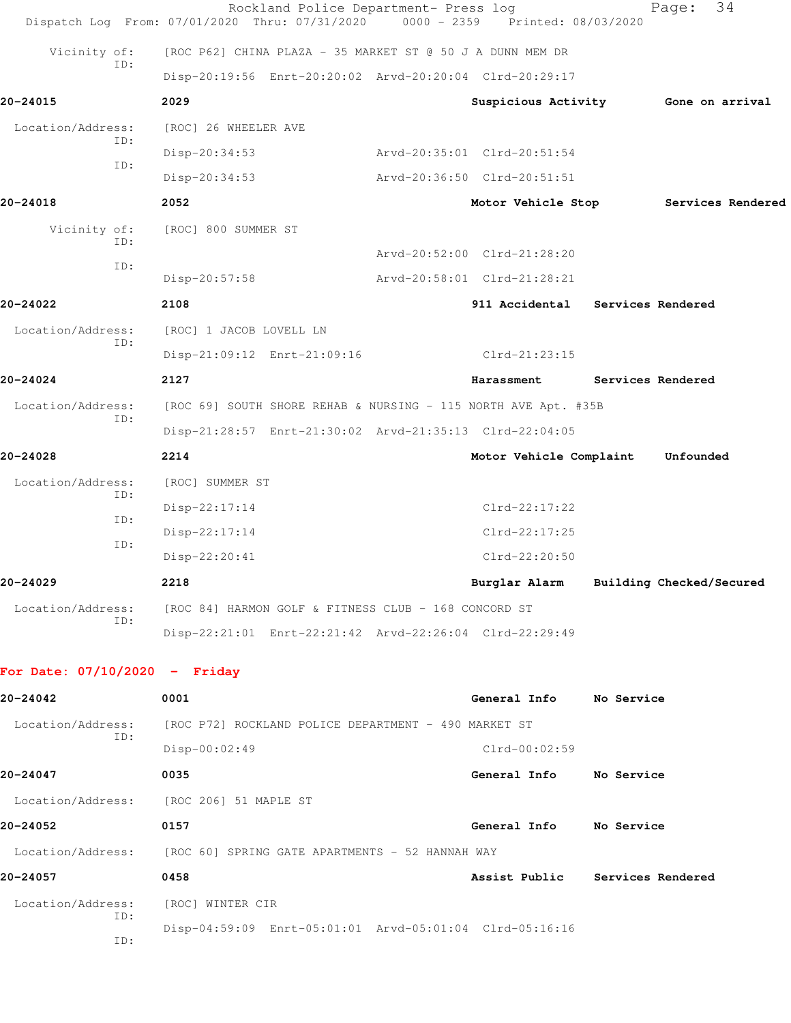|                                 | Rockland Police Department- Press log<br>Dispatch Log From: 07/01/2020 Thru: 07/31/2020 | $0000 - 2359$ | Printed: 08/03/2020                    |            | Page:             | 34                |
|---------------------------------|-----------------------------------------------------------------------------------------|---------------|----------------------------------------|------------|-------------------|-------------------|
| Vicinity of:                    | [ROC P62] CHINA PLAZA - 35 MARKET ST @ 50 J A DUNN MEM DR                               |               |                                        |            |                   |                   |
| ID:                             | Disp-20:19:56 Enrt-20:20:02 Arvd-20:20:04 Clrd-20:29:17                                 |               |                                        |            |                   |                   |
| 20-24015                        | 2029                                                                                    |               | Suspicious Activity Gone on arrival    |            |                   |                   |
| Location/Address:               | [ROC] 26 WHEELER AVE                                                                    |               |                                        |            |                   |                   |
| ID:                             | Disp-20:34:53                                                                           |               | Arvd-20:35:01 Clrd-20:51:54            |            |                   |                   |
| ID:                             | Disp-20:34:53                                                                           |               | Arvd-20:36:50 Clrd-20:51:51            |            |                   |                   |
| 20-24018                        | 2052                                                                                    |               | Motor Vehicle Stop                     |            |                   | Services Rendered |
| Vicinity of:                    | [ROC] 800 SUMMER ST                                                                     |               |                                        |            |                   |                   |
| ID:                             |                                                                                         |               | Arvd-20:52:00 Clrd-21:28:20            |            |                   |                   |
| ID:                             | $Disp-20:57:58$                                                                         |               | Arvd-20:58:01 Clrd-21:28:21            |            |                   |                   |
| 20-24022                        | 2108                                                                                    |               | 911 Accidental Services Rendered       |            |                   |                   |
| Location/Address:<br>ID:        | [ROC] 1 JACOB LOVELL LN                                                                 |               |                                        |            |                   |                   |
|                                 | Disp-21:09:12 Enrt-21:09:16                                                             |               | $Clrd-21:23:15$                        |            |                   |                   |
| 20-24024                        | 2127                                                                                    |               | Harassment                             |            | Services Rendered |                   |
| Location/Address:               | [ROC 69] SOUTH SHORE REHAB & NURSING - 115 NORTH AVE Apt. #35B                          |               |                                        |            |                   |                   |
| ID:                             | Disp-21:28:57 Enrt-21:30:02 Arvd-21:35:13 Clrd-22:04:05                                 |               |                                        |            |                   |                   |
| 20-24028                        | 2214                                                                                    |               | Motor Vehicle Complaint                |            | Unfounded         |                   |
| Location/Address:               | [ROC] SUMMER ST                                                                         |               |                                        |            |                   |                   |
| ID:<br>ID:                      | Disp-22:17:14                                                                           |               | $Clrd-22:17:22$                        |            |                   |                   |
| ID:                             | $Disp-22:17:14$                                                                         |               | $Clrd-22:17:25$                        |            |                   |                   |
|                                 | Disp-22:20:41                                                                           |               | $Clrd-22:20:50$                        |            |                   |                   |
| 20-24029                        | 2218                                                                                    |               | Burglar Alarm Building Checked/Secured |            |                   |                   |
| Location/Address:<br>ID:        | [ROC 84] HARMON GOLF & FITNESS CLUB - 168 CONCORD ST                                    |               |                                        |            |                   |                   |
|                                 | Disp-22:21:01 Enrt-22:21:42 Arvd-22:26:04 Clrd-22:29:49                                 |               |                                        |            |                   |                   |
| For Date: $07/10/2020 -$ Friday |                                                                                         |               |                                        |            |                   |                   |
| 20-24042                        | 0001                                                                                    |               | General Info                           | No Service |                   |                   |
| Location/Address:               | [ROC P72] ROCKLAND POLICE DEPARTMENT - 490 MARKET ST                                    |               |                                        |            |                   |                   |
| ID:                             | Disp-00:02:49                                                                           |               | $Clrd-00:02:59$                        |            |                   |                   |
| 20-24047                        | 0035                                                                                    |               | General Info                           | No Service |                   |                   |
| Location/Address:               | [ROC 206] 51 MAPLE ST                                                                   |               |                                        |            |                   |                   |
| 20-24052                        | 0157                                                                                    |               | General Info                           | No Service |                   |                   |
|                                 | Location/Address: [ROC 60] SPRING GATE APARTMENTS - 52 HANNAH WAY                       |               |                                        |            |                   |                   |
| 20-24057                        | 0458                                                                                    |               | Assist Public Services Rendered        |            |                   |                   |
| Location/Address:               | [ROC] WINTER CIR                                                                        |               |                                        |            |                   |                   |
| ID:<br>ID:                      | Disp-04:59:09 Enrt-05:01:01 Arvd-05:01:04 Clrd-05:16:16                                 |               |                                        |            |                   |                   |
|                                 |                                                                                         |               |                                        |            |                   |                   |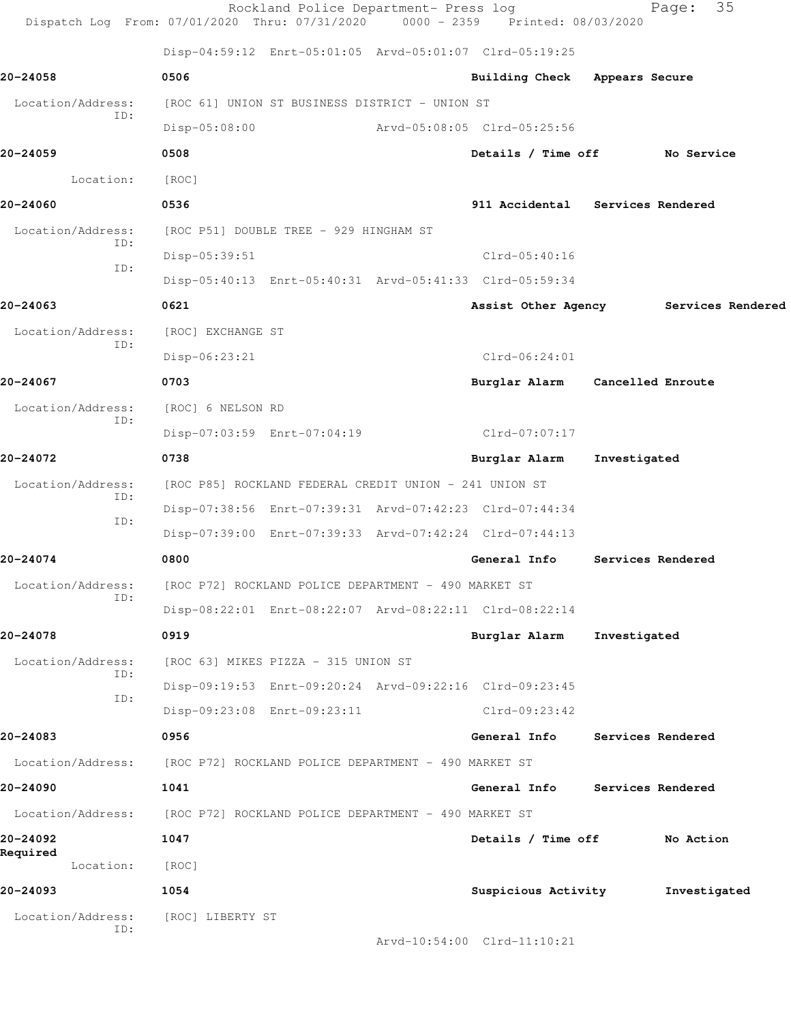|                          | Rockland Police Department- Press log<br>Dispatch Log From: 07/01/2020 Thru: 07/31/2020 0000 - 2359 Printed: 08/03/2020 |                                  |                   | 35<br>Page:       |  |
|--------------------------|-------------------------------------------------------------------------------------------------------------------------|----------------------------------|-------------------|-------------------|--|
|                          | Disp-04:59:12 Enrt-05:01:05 Arvd-05:01:07 Clrd-05:19:25                                                                 |                                  |                   |                   |  |
| 20-24058                 | 0506                                                                                                                    | <b>Building Check</b>            | Appears Secure    |                   |  |
| Location/Address:        | [ROC 61] UNION ST BUSINESS DISTRICT - UNION ST                                                                          |                                  |                   |                   |  |
| ID:                      | $Disp-05:08:00$                                                                                                         | Arvd-05:08:05 Clrd-05:25:56      |                   |                   |  |
| 20-24059                 | 0508                                                                                                                    | Details / Time off               |                   | No Service        |  |
| Location:                | [ROC]                                                                                                                   |                                  |                   |                   |  |
| 20-24060                 | 0536                                                                                                                    | 911 Accidental Services Rendered |                   |                   |  |
| Location/Address:<br>ID: | [ROC P51] DOUBLE TREE - 929 HINGHAM ST                                                                                  |                                  |                   |                   |  |
| ID:                      | Disp-05:39:51                                                                                                           | $Clrd-05:40:16$                  |                   |                   |  |
|                          | Disp-05:40:13 Enrt-05:40:31 Arvd-05:41:33 Clrd-05:59:34                                                                 |                                  |                   |                   |  |
| 20-24063                 | 0621                                                                                                                    | Assist Other Agency              |                   | Services Rendered |  |
| Location/Address:<br>ID: | [ROC] EXCHANGE ST                                                                                                       |                                  |                   |                   |  |
|                          | Disp-06:23:21                                                                                                           | $Clrd-06:24:01$                  |                   |                   |  |
| 20-24067                 | 0703                                                                                                                    | Burglar Alarm                    | Cancelled Enroute |                   |  |
| Location/Address:<br>ID: | [ROC] 6 NELSON RD                                                                                                       |                                  |                   |                   |  |
|                          | Disp-07:03:59 Enrt-07:04:19                                                                                             | Clrd-07:07:17                    |                   |                   |  |
| 20-24072                 | 0738                                                                                                                    | Burglar Alarm                    | Investigated      |                   |  |
| Location/Address:<br>ID: | [ROC P85] ROCKLAND FEDERAL CREDIT UNION - 241 UNION ST                                                                  |                                  |                   |                   |  |
| ID:                      | Disp-07:38:56 Enrt-07:39:31 Arvd-07:42:23 Clrd-07:44:34                                                                 |                                  |                   |                   |  |
|                          | Disp-07:39:00 Enrt-07:39:33 Arvd-07:42:24 Clrd-07:44:13                                                                 |                                  |                   |                   |  |
| 20-24074                 | 0800                                                                                                                    | General Info                     | Services Rendered |                   |  |
| Location/Address:<br>ID: | [ROC P72] ROCKLAND POLICE DEPARTMENT - 490 MARKET ST                                                                    |                                  |                   |                   |  |
|                          | Disp-08:22:01 Enrt-08:22:07 Arvd-08:22:11 Clrd-08:22:14                                                                 |                                  |                   |                   |  |
| 20-24078                 | 0919                                                                                                                    | Burglar Alarm                    | Investigated      |                   |  |
| Location/Address:<br>ID: | [ROC 63] MIKES PIZZA - 315 UNION ST                                                                                     |                                  |                   |                   |  |
| ID:                      | Disp-09:19:53 Enrt-09:20:24 Arvd-09:22:16 Clrd-09:23:45                                                                 |                                  |                   |                   |  |
|                          | Disp-09:23:08 Enrt-09:23:11                                                                                             | Clrd-09:23:42                    |                   |                   |  |
| 20-24083                 | 0956                                                                                                                    | General Info                     | Services Rendered |                   |  |
| Location/Address:        | [ROC P72] ROCKLAND POLICE DEPARTMENT - 490 MARKET ST                                                                    |                                  |                   |                   |  |
| 20-24090                 | 1041                                                                                                                    | General Info Services Rendered   |                   |                   |  |
|                          | Location/Address: [ROC P72] ROCKLAND POLICE DEPARTMENT - 490 MARKET ST                                                  |                                  |                   |                   |  |
| 20-24092<br>Required     | 1047                                                                                                                    | Details / Time off               |                   | No Action         |  |
| Location:                | [ROC]                                                                                                                   |                                  |                   |                   |  |
| 20-24093                 | 1054                                                                                                                    | Suspicious Activity              |                   | Investigated      |  |
| Location/Address:<br>ID: | [ROC] LIBERTY ST                                                                                                        |                                  |                   |                   |  |
|                          |                                                                                                                         | Arvd-10:54:00 Clrd-11:10:21      |                   |                   |  |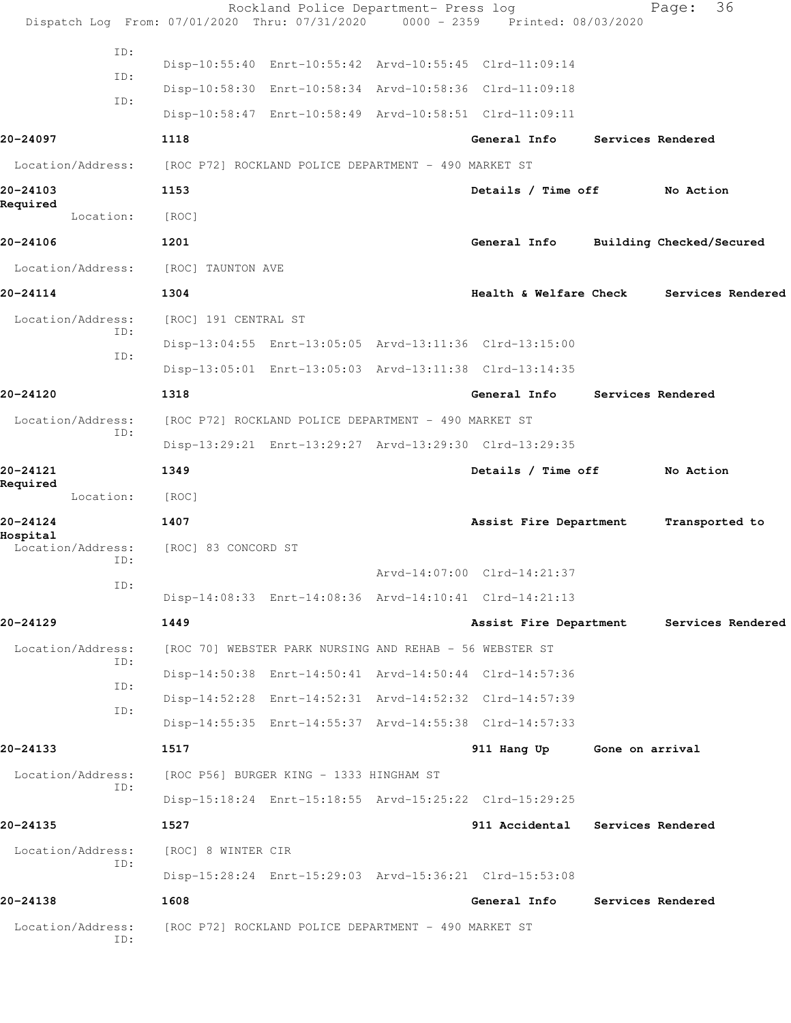|                                      | Rockland Police Department- Press log<br>Dispatch Log From: 07/01/2020 Thru: 07/31/2020 0000 - 2359 Printed: 08/03/2020 |                                   |                          | 36<br>Page:              |
|--------------------------------------|-------------------------------------------------------------------------------------------------------------------------|-----------------------------------|--------------------------|--------------------------|
| ID:                                  | Disp-10:55:40 Enrt-10:55:42 Arvd-10:55:45 Clrd-11:09:14                                                                 |                                   |                          |                          |
| ID:                                  | Disp-10:58:30 Enrt-10:58:34 Arvd-10:58:36 Clrd-11:09:18                                                                 |                                   |                          |                          |
| ID:                                  | Disp-10:58:47 Enrt-10:58:49 Arvd-10:58:51 Clrd-11:09:11                                                                 |                                   |                          |                          |
| 20-24097                             | 1118                                                                                                                    | General Info                      |                          | Services Rendered        |
| Location/Address:                    | [ROC P72] ROCKLAND POLICE DEPARTMENT - 490 MARKET ST                                                                    |                                   |                          |                          |
| 20-24103                             | 1153                                                                                                                    | Details / Time off                |                          | No Action                |
| Required<br>Location:                | [ROC]                                                                                                                   |                                   |                          |                          |
| 20-24106                             | 1201                                                                                                                    | General Info                      |                          | Building Checked/Secured |
| Location/Address:                    | [ROC] TAUNTON AVE                                                                                                       |                                   |                          |                          |
| 20-24114                             | 1304                                                                                                                    | <b>Health &amp; Welfare Check</b> |                          | Services Rendered        |
| Location/Address:                    | [ROC] 191 CENTRAL ST                                                                                                    |                                   |                          |                          |
| ID:                                  | Disp-13:04:55 Enrt-13:05:05 Arvd-13:11:36 Clrd-13:15:00                                                                 |                                   |                          |                          |
| ID:                                  | Disp-13:05:01 Enrt-13:05:03 Arvd-13:11:38 Clrd-13:14:35                                                                 |                                   |                          |                          |
| 20-24120                             | 1318                                                                                                                    | General Info                      |                          | Services Rendered        |
| Location/Address:                    | [ROC P72] ROCKLAND POLICE DEPARTMENT - 490 MARKET ST                                                                    |                                   |                          |                          |
| ID:                                  | Disp-13:29:21 Enrt-13:29:27 Arvd-13:29:30 Clrd-13:29:35                                                                 |                                   |                          |                          |
| 20-24121                             | 1349                                                                                                                    | Details / Time off                |                          | No Action                |
| Required<br>Location:                | [ROC]                                                                                                                   |                                   |                          |                          |
| 20-24124                             | 1407                                                                                                                    | Assist Fire Department            |                          | Transported to           |
| Hospital<br>Location/Address:<br>ID: | [ROC] 83 CONCORD ST                                                                                                     |                                   |                          |                          |
| ID:                                  |                                                                                                                         | Arvd-14:07:00 Clrd-14:21:37       |                          |                          |
|                                      | Disp-14:08:33 Enrt-14:08:36 Arvd-14:10:41 Clrd-14:21:13                                                                 |                                   |                          |                          |
| 20-24129                             | 1449                                                                                                                    | Assist Fire Department            |                          | Services Rendered        |
| Location/Address:<br>ID:             | [ROC 70] WEBSTER PARK NURSING AND REHAB - 56 WEBSTER ST                                                                 |                                   |                          |                          |
| ID:                                  | Disp-14:50:38 Enrt-14:50:41 Arvd-14:50:44 Clrd-14:57:36                                                                 |                                   |                          |                          |
| ID:                                  | Disp-14:52:28 Enrt-14:52:31 Arvd-14:52:32 Clrd-14:57:39                                                                 |                                   |                          |                          |
|                                      | Disp-14:55:35 Enrt-14:55:37 Arvd-14:55:38 Clrd-14:57:33                                                                 |                                   |                          |                          |
| 20-24133                             | 1517                                                                                                                    | 911 Hang Up Gone on arrival       |                          |                          |
| Location/Address:<br>ID:             | [ROC P56] BURGER KING - 1333 HINGHAM ST                                                                                 |                                   |                          |                          |
|                                      | Disp-15:18:24 Enrt-15:18:55 Arvd-15:25:22 Clrd-15:29:25                                                                 |                                   |                          |                          |
| 20-24135                             | 1527                                                                                                                    | 911 Accidental                    | Services Rendered        |                          |
| Location/Address:<br>ID:             | [ROC] 8 WINTER CIR                                                                                                      |                                   |                          |                          |
|                                      | Disp-15:28:24 Enrt-15:29:03 Arvd-15:36:21 Clrd-15:53:08                                                                 |                                   |                          |                          |
| 20-24138                             | 1608                                                                                                                    | General Info                      | <b>Services Rendered</b> |                          |
| Location/Address:<br>ID:             | [ROC P72] ROCKLAND POLICE DEPARTMENT - 490 MARKET ST                                                                    |                                   |                          |                          |
|                                      |                                                                                                                         |                                   |                          |                          |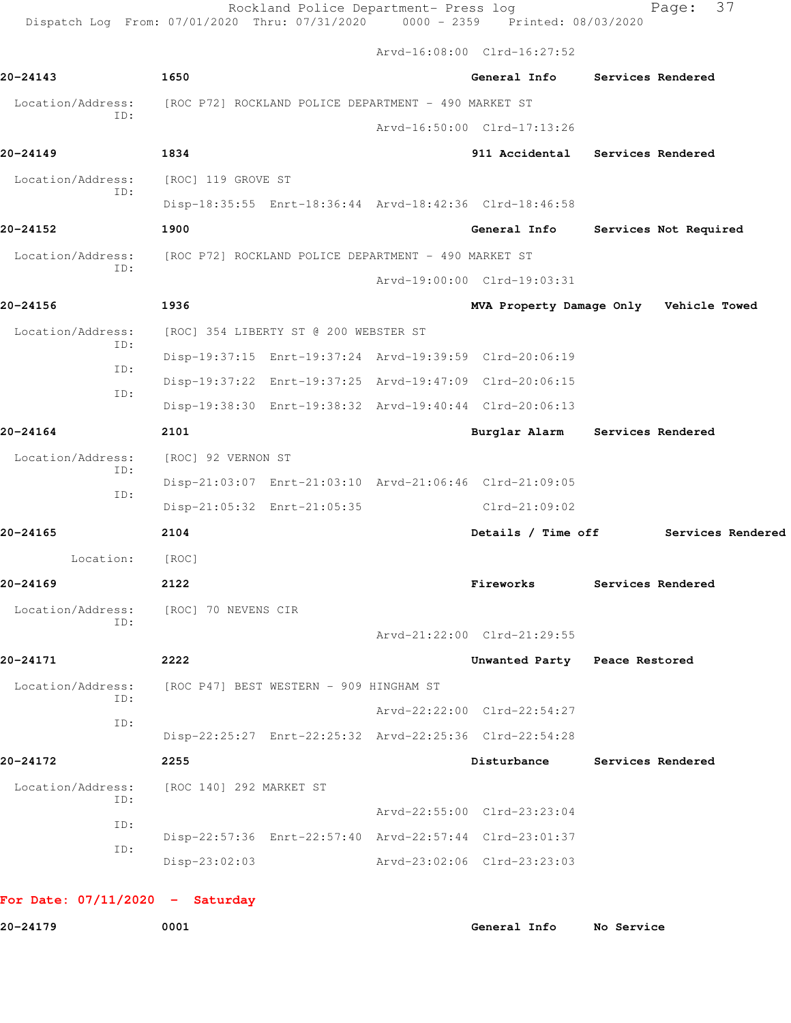Rockland Police Department- Press log entitled Page: 37 Dispatch Log From: 07/01/2020 Thru: 07/31/2020 0000 - 2359 Printed: 08/03/2020

Arvd-16:08:00 Clrd-16:27:52

| 20-24143                 | 1650                                                 |                             | General Info Services Rendered                                                         |                   |                       |
|--------------------------|------------------------------------------------------|-----------------------------|----------------------------------------------------------------------------------------|-------------------|-----------------------|
| Location/Address:        | [ROC P72] ROCKLAND POLICE DEPARTMENT - 490 MARKET ST |                             |                                                                                        |                   |                       |
| ID:                      |                                                      |                             | Arvd-16:50:00 Clrd-17:13:26                                                            |                   |                       |
| 20-24149                 | 1834                                                 |                             | 911 Accidental Services Rendered                                                       |                   |                       |
| Location/Address:        | [ROC] 119 GROVE ST                                   |                             |                                                                                        |                   |                       |
| ID:                      |                                                      |                             | Disp-18:35:55 Enrt-18:36:44 Arvd-18:42:36 Clrd-18:46:58                                |                   |                       |
| 20-24152                 | 1900                                                 |                             | General Info                                                                           |                   | Services Not Required |
| Location/Address:<br>ID: | [ROC P72] ROCKLAND POLICE DEPARTMENT - 490 MARKET ST |                             |                                                                                        |                   |                       |
|                          |                                                      |                             | Arvd-19:00:00 Clrd-19:03:31                                                            |                   |                       |
| 20-24156                 | 1936                                                 |                             | MVA Property Damage Only Vehicle Towed                                                 |                   |                       |
| Location/Address:<br>ID: | [ROC] 354 LIBERTY ST @ 200 WEBSTER ST                |                             |                                                                                        |                   |                       |
| ID:                      |                                                      |                             | Disp-19:37:15 Enrt-19:37:24 Arvd-19:39:59 Clrd-20:06:19                                |                   |                       |
| ID:                      |                                                      |                             | Disp-19:37:22 Enrt-19:37:25 Arvd-19:47:09 Clrd-20:06:15                                |                   |                       |
|                          |                                                      |                             | Disp-19:38:30 Enrt-19:38:32 Arvd-19:40:44 Clrd-20:06:13                                |                   |                       |
| 20-24164                 | 2101                                                 |                             | Burglar Alarm Services Rendered                                                        |                   |                       |
| Location/Address:<br>ID: | [ROC] 92 VERNON ST                                   |                             |                                                                                        |                   |                       |
| ID:                      |                                                      |                             | Disp-21:03:07 Enrt-21:03:10 Arvd-21:06:46 Clrd-21:09:05                                |                   |                       |
|                          |                                                      | Disp-21:05:32 Enrt-21:05:35 | $Clrd-21:09:02$                                                                        |                   |                       |
| 20-24165                 | 2104                                                 |                             | Details / Time off                                                                     |                   | Services Rendered     |
| Location:                | [ROC]                                                |                             |                                                                                        |                   |                       |
| 20-24169                 | 2122                                                 |                             | Fireworks                                                                              | Services Rendered |                       |
| Location/Address:<br>ID: | [ROC] 70 NEVENS CIR                                  |                             |                                                                                        |                   |                       |
|                          |                                                      |                             | Arvd-21:22:00 Clrd-21:29:55                                                            |                   |                       |
| 20-24171                 | 2222                                                 |                             | Unwanted Party Peace Restored                                                          |                   |                       |
| Location/Address:<br>ID: | [ROC P47] BEST WESTERN - 909 HINGHAM ST              |                             |                                                                                        |                   |                       |
| ID:                      |                                                      |                             | Arvd-22:22:00 Clrd-22:54:27                                                            |                   |                       |
|                          |                                                      |                             | Disp-22:25:27 Enrt-22:25:32 Arvd-22:25:36 Clrd-22:54:28                                |                   |                       |
| 20-24172                 | 2255                                                 |                             | Disturbance                                                                            |                   | Services Rendered     |
| Location/Address:<br>ID: | [ROC 140] 292 MARKET ST                              |                             |                                                                                        |                   |                       |
|                          |                                                      |                             | Arvd-22:55:00 Clrd-23:23:04                                                            |                   |                       |
| ID:                      |                                                      |                             |                                                                                        |                   |                       |
| ID:                      | $Disp-23:02:03$                                      |                             | Disp-22:57:36 Enrt-22:57:40 Arvd-22:57:44 Clrd-23:01:37<br>Arvd-23:02:06 Clrd-23:23:03 |                   |                       |

**20-24179 0001 General Info No Service**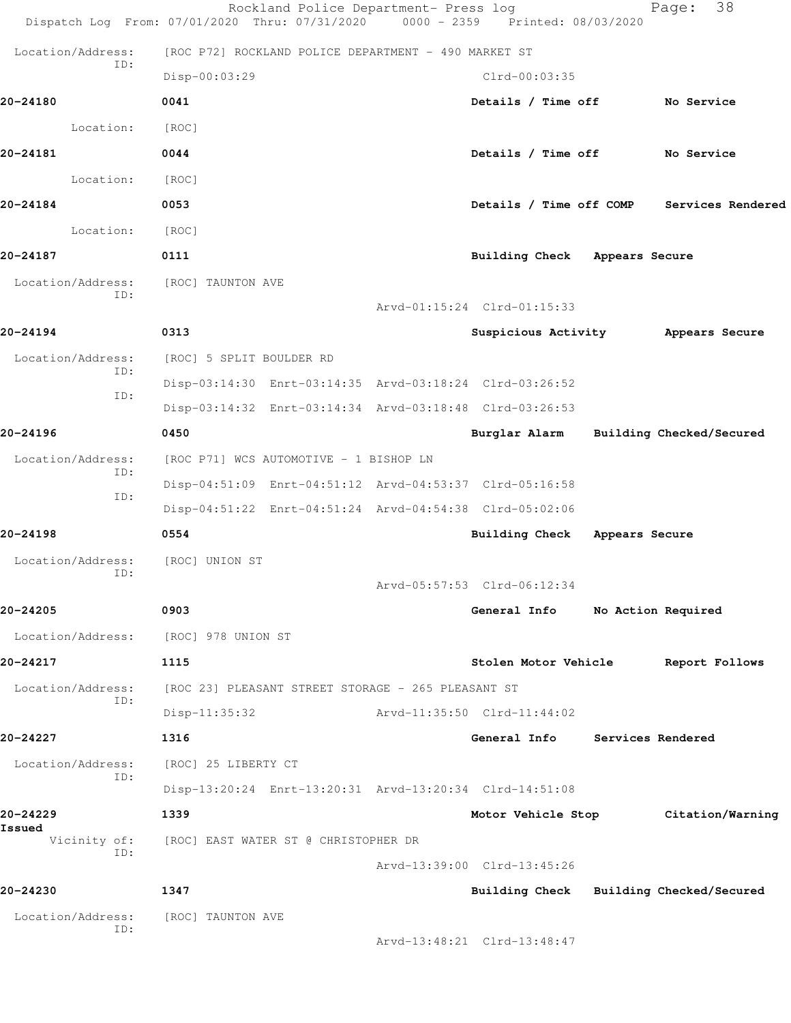|                          | Rockland Police Department- Press log<br>Dispatch Log From: 07/01/2020 Thru: 07/31/2020 0000 - 2359 Printed: 08/03/2020 |                                         |                    | 38<br>Page:              |  |
|--------------------------|-------------------------------------------------------------------------------------------------------------------------|-----------------------------------------|--------------------|--------------------------|--|
| Location/Address:        | [ROC P72] ROCKLAND POLICE DEPARTMENT - 490 MARKET ST                                                                    |                                         |                    |                          |  |
| ID:                      | Disp-00:03:29                                                                                                           | $Clrd-00:03:35$                         |                    |                          |  |
| 20-24180                 | 0041                                                                                                                    | Details / Time off                      |                    | <b>No Service</b>        |  |
| Location:                | [ROC]                                                                                                                   |                                         |                    |                          |  |
| 20-24181                 | 0044                                                                                                                    | Details / Time off                      |                    | No Service               |  |
| Location:                | [ROC]                                                                                                                   |                                         |                    |                          |  |
| 20-24184                 | 0053                                                                                                                    | Details / Time off COMP                 |                    | Services Rendered        |  |
| Location:                | [ROC]                                                                                                                   |                                         |                    |                          |  |
| 20-24187                 | 0111                                                                                                                    | Building Check Appears Secure           |                    |                          |  |
| Location/Address:        | [ROC] TAUNTON AVE                                                                                                       |                                         |                    |                          |  |
| ID:                      |                                                                                                                         | Arvd-01:15:24 Clrd-01:15:33             |                    |                          |  |
| 20-24194                 | 0313                                                                                                                    | Suspicious Activity                     |                    | Appears Secure           |  |
| Location/Address:        | [ROC] 5 SPLIT BOULDER RD                                                                                                |                                         |                    |                          |  |
| ID:                      | Disp-03:14:30 Enrt-03:14:35 Arvd-03:18:24 Clrd-03:26:52                                                                 |                                         |                    |                          |  |
| ID:                      | Disp-03:14:32 Enrt-03:14:34 Arvd-03:18:48 Clrd-03:26:53                                                                 |                                         |                    |                          |  |
| 20-24196                 | 0450                                                                                                                    | Burglar Alarm                           |                    | Building Checked/Secured |  |
| Location/Address:<br>ID: | [ROC P71] WCS AUTOMOTIVE - 1 BISHOP LN                                                                                  |                                         |                    |                          |  |
| ID:                      | Disp-04:51:09 Enrt-04:51:12 Arvd-04:53:37 Clrd-05:16:58                                                                 |                                         |                    |                          |  |
|                          | Disp-04:51:22 Enrt-04:51:24 Arvd-04:54:38 Clrd-05:02:06                                                                 |                                         |                    |                          |  |
| 20-24198                 | 0554                                                                                                                    | Building Check                          | Appears Secure     |                          |  |
| Location/Address:<br>ID: | [ROC] UNION ST                                                                                                          |                                         |                    |                          |  |
|                          |                                                                                                                         | Arvd-05:57:53 Clrd-06:12:34             |                    |                          |  |
| 20-24205                 | 0903                                                                                                                    | General Info                            | No Action Required |                          |  |
| Location/Address:        | [ROC] 978 UNION ST                                                                                                      |                                         |                    |                          |  |
| 20-24217                 | 1115                                                                                                                    | Stolen Motor Vehicle                    |                    | Report Follows           |  |
| Location/Address:<br>ID: | [ROC 23] PLEASANT STREET STORAGE - 265 PLEASANT ST                                                                      |                                         |                    |                          |  |
|                          | $Disp-11:35:32$                                                                                                         | Arvd-11:35:50 Clrd-11:44:02             |                    |                          |  |
| 20-24227                 | 1316                                                                                                                    | General Info                            | Services Rendered  |                          |  |
| Location/Address:<br>ID: | [ROC] 25 LIBERTY CT                                                                                                     |                                         |                    |                          |  |
|                          | Disp-13:20:24 Enrt-13:20:31 Arvd-13:20:34 Clrd-14:51:08                                                                 |                                         |                    |                          |  |
| 20-24229<br>Issued       | 1339                                                                                                                    | Motor Vehicle Stop                      |                    | Citation/Warning         |  |
| Vicinity of:<br>ID:      | [ROC] EAST WATER ST @ CHRISTOPHER DR                                                                                    |                                         |                    |                          |  |
|                          |                                                                                                                         | Arvd-13:39:00 Clrd-13:45:26             |                    |                          |  |
| 20-24230                 | 1347                                                                                                                    | Building Check Building Checked/Secured |                    |                          |  |
| Location/Address:<br>ID: | [ROC] TAUNTON AVE                                                                                                       | Arvd-13:48:21 Clrd-13:48:47             |                    |                          |  |
|                          |                                                                                                                         |                                         |                    |                          |  |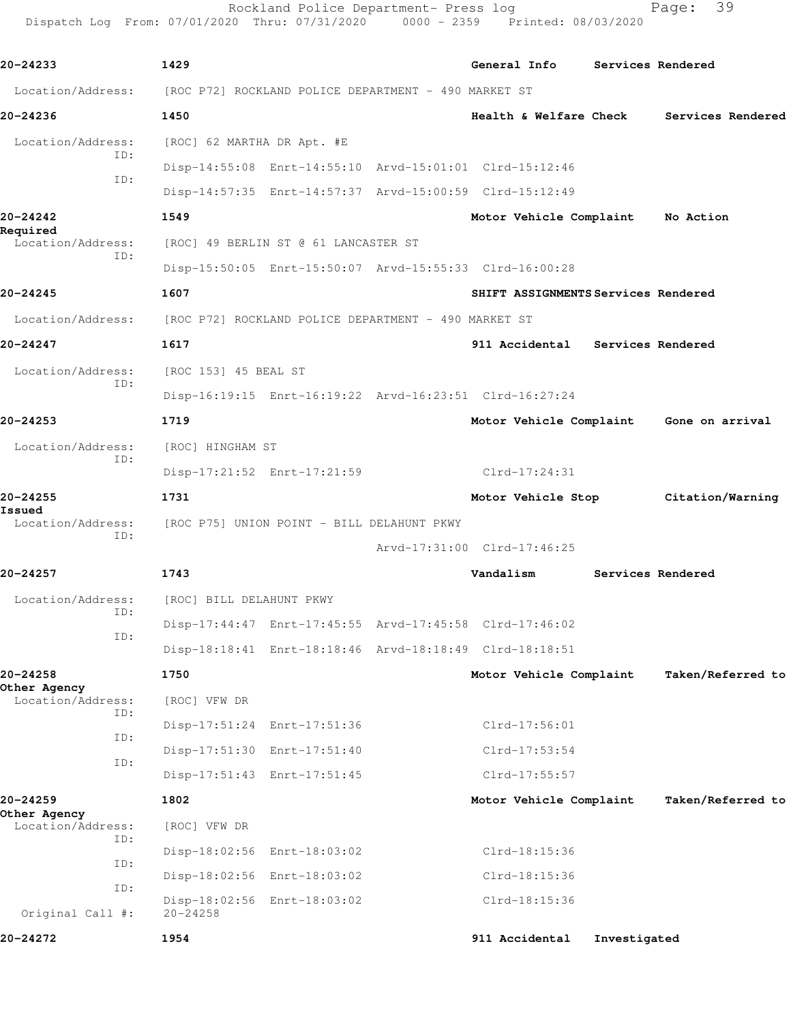Rockland Police Department- Press log Fage: 39 Dispatch Log From: 07/01/2020 Thru: 07/31/2020 0000 - 2359 Printed: 08/03/2020

**20-24233 1429 General Info Services Rendered** Location/Address: [ROC P72] ROCKLAND POLICE DEPARTMENT - 490 MARKET ST **20-24236 1450 Health & Welfare Check Services Rendered** Location/Address: [ROC] 62 MARTHA DR Apt. #E ID: Disp-14:55:08 Enrt-14:55:10 Arvd-15:01:01 Clrd-15:12:46 ID: Disp-14:57:35 Enrt-14:57:37 Arvd-15:00:59 Clrd-15:12:49 **20-24242 1549 Motor Vehicle Complaint No Action Required**  Location/Address: [ROC] 49 BERLIN ST @ 61 LANCASTER ST ID: Disp-15:50:05 Enrt-15:50:07 Arvd-15:55:33 Clrd-16:00:28 **20-24245 1607 SHIFT ASSIGNMENTS Services Rendered** Location/Address: [ROC P72] ROCKLAND POLICE DEPARTMENT - 490 MARKET ST **20-24247 1617 911 Accidental Services Rendered** Location/Address: [ROC 153] 45 BEAL ST ID: Disp-16:19:15 Enrt-16:19:22 Arvd-16:23:51 Clrd-16:27:24 **20-24253 1719 Motor Vehicle Complaint Gone on arrival** Location/Address: [ROC] HINGHAM ST ID: Disp-17:21:52 Enrt-17:21:59 Clrd-17:24:31 **20-24255 1731 Motor Vehicle Stop Citation/Warning Issued**  Location/Address: [ROC P75] UNION POINT - BILL DELAHUNT PKWY ID: Arvd-17:31:00 Clrd-17:46:25 **20-24257 1743 Vandalism Services Rendered** Location/Address: [ROC] BILL DELAHUNT PKWY ID: Disp-17:44:47 Enrt-17:45:55 Arvd-17:45:58 Clrd-17:46:02 ID: Disp-18:18:41 Enrt-18:18:46 Arvd-18:18:49 Clrd-18:18:51 **20-24258 1750 Motor Vehicle Complaint Taken/Referred to Other Agency**  Location/Address: [ROC] VFW DR ID: Disp-17:51:24 Enrt-17:51:36 Clrd-17:56:01 ID: Disp-17:51:30 Enrt-17:51:40 Clrd-17:53:54 ID: Disp-17:51:43 Enrt-17:51:45 Clrd-17:55:57 **20-24259 1802 Motor Vehicle Complaint Taken/Referred to Other Agency**  Location/Address: [ROC] VFW DR ID: Disp-18:02:56 Enrt-18:03:02 Clrd-18:15:36 ID: Disp-18:02:56 Enrt-18:03:02 Clrd-18:15:36 ID: Disp-18:02:56 Enrt-18:03:02 Clrd-18:15:36 Original Call #: 20-24258 **20-24272 1954 911 Accidental Investigated**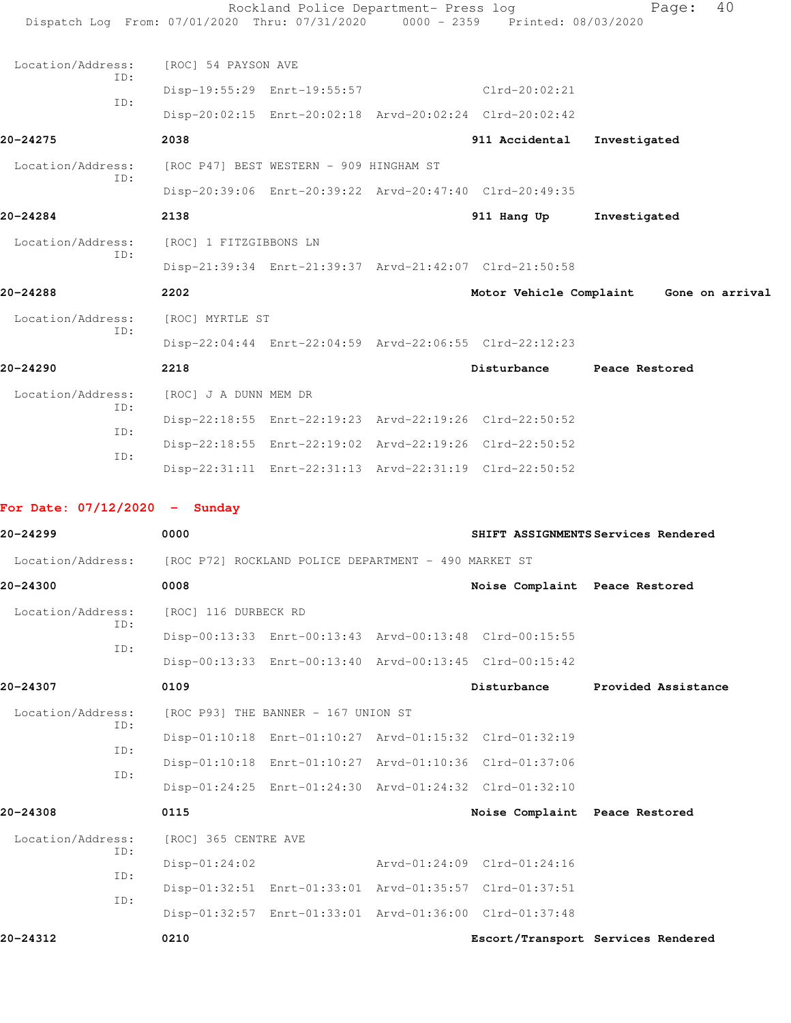|                                                                        | Dispatch Log From: 07/01/2020 Thru: 07/31/2020 0000 - 2359 Printed: 08/03/2020 | Rockland Police Department- Press log                   |                                                         | 40<br>Page:                             |
|------------------------------------------------------------------------|--------------------------------------------------------------------------------|---------------------------------------------------------|---------------------------------------------------------|-----------------------------------------|
| Location/Address:                                                      | [ROC] 54 PAYSON AVE                                                            |                                                         |                                                         |                                         |
| TD:                                                                    |                                                                                | Disp-19:55:29 Enrt-19:55:57 Clrd-20:02:21               |                                                         |                                         |
| ID:                                                                    |                                                                                | Disp-20:02:15 Enrt-20:02:18 Arvd-20:02:24 Clrd-20:02:42 |                                                         |                                         |
| 20-24275                                                               | 2038                                                                           |                                                         | 911 Accidental                                          | Investigated                            |
| Location/Address:                                                      | [ROC P47] BEST WESTERN - 909 HINGHAM ST                                        |                                                         |                                                         |                                         |
| ID:                                                                    |                                                                                |                                                         | Disp-20:39:06 Enrt-20:39:22 Arvd-20:47:40 Clrd-20:49:35 |                                         |
| 20-24284                                                               | 2138                                                                           |                                                         | 911 Hang Up                                             | Investigated                            |
| Location/Address:                                                      | [ROC] 1 FITZGIBBONS LN                                                         |                                                         |                                                         |                                         |
| ID:                                                                    |                                                                                |                                                         | Disp-21:39:34 Enrt-21:39:37 Arvd-21:42:07 Clrd-21:50:58 |                                         |
| 20-24288                                                               | 2202                                                                           |                                                         |                                                         | Motor Vehicle Complaint Gone on arrival |
| Location/Address:                                                      | [ROC] MYRTLE ST                                                                |                                                         |                                                         |                                         |
| TD:                                                                    |                                                                                |                                                         | Disp-22:04:44 Enrt-22:04:59 Arvd-22:06:55 Clrd-22:12:23 |                                         |
| 20-24290                                                               | 2218                                                                           |                                                         | Disturbance Peace Restored                              |                                         |
| Location/Address:                                                      | [ROC] J A DUNN MEM DR                                                          |                                                         |                                                         |                                         |
| ID:                                                                    |                                                                                | Disp-22:18:55 Enrt-22:19:23 Arvd-22:19:26 Clrd-22:50:52 |                                                         |                                         |
| ID:                                                                    |                                                                                | Disp-22:18:55 Enrt-22:19:02 Arvd-22:19:26 Clrd-22:50:52 |                                                         |                                         |
| ID:                                                                    |                                                                                | Disp-22:31:11 Enrt-22:31:13 Arvd-22:31:19 Clrd-22:50:52 |                                                         |                                         |
|                                                                        |                                                                                |                                                         |                                                         |                                         |
| For Date: $07/12/2020 -$ Sunday<br>20-24299                            | 0000                                                                           |                                                         |                                                         | SHIFT ASSIGNMENTS Services Rendered     |
|                                                                        |                                                                                |                                                         |                                                         |                                         |
| Location/Address: [ROC P72] ROCKLAND POLICE DEPARTMENT - 490 MARKET ST |                                                                                |                                                         |                                                         |                                         |
| 20-24300                                                               | 0008                                                                           |                                                         | Noise Complaint Peace Restored                          |                                         |
| Location/Address:<br>ID:                                               | [ROC] 116 DURBECK RD                                                           |                                                         |                                                         |                                         |
| ID:                                                                    |                                                                                |                                                         | Disp-00:13:33 Enrt-00:13:43 Arvd-00:13:48 Clrd-00:15:55 |                                         |
|                                                                        |                                                                                |                                                         | Disp-00:13:33 Enrt-00:13:40 Arvd-00:13:45 Clrd-00:15:42 |                                         |
| 20-24307                                                               | 0109                                                                           |                                                         | Disturbance                                             | Provided Assistance                     |
| Location/Address:<br>ID:                                               |                                                                                | [ROC P93] THE BANNER - 167 UNION ST                     |                                                         |                                         |
| ID:                                                                    |                                                                                |                                                         | Disp-01:10:18 Enrt-01:10:27 Arvd-01:15:32 Clrd-01:32:19 |                                         |
| ID:                                                                    |                                                                                |                                                         | Disp-01:10:18 Enrt-01:10:27 Arvd-01:10:36 Clrd-01:37:06 |                                         |
|                                                                        |                                                                                |                                                         | Disp-01:24:25 Enrt-01:24:30 Arvd-01:24:32 Clrd-01:32:10 |                                         |
| 20-24308                                                               | 0115                                                                           |                                                         | Noise Complaint Peace Restored                          |                                         |
| Location/Address:<br>ID:                                               | [ROC] 365 CENTRE AVE                                                           |                                                         |                                                         |                                         |
| ID:                                                                    | $Disp-01:24:02$                                                                |                                                         | Arvd-01:24:09 Clrd-01:24:16                             |                                         |
| ID:                                                                    |                                                                                |                                                         | Disp-01:32:51 Enrt-01:33:01 Arvd-01:35:57 Clrd-01:37:51 |                                         |
|                                                                        |                                                                                |                                                         | Disp-01:32:57 Enrt-01:33:01 Arvd-01:36:00 Clrd-01:37:48 |                                         |
| 20-24312                                                               | 0210                                                                           |                                                         |                                                         | Escort/Transport Services Rendered      |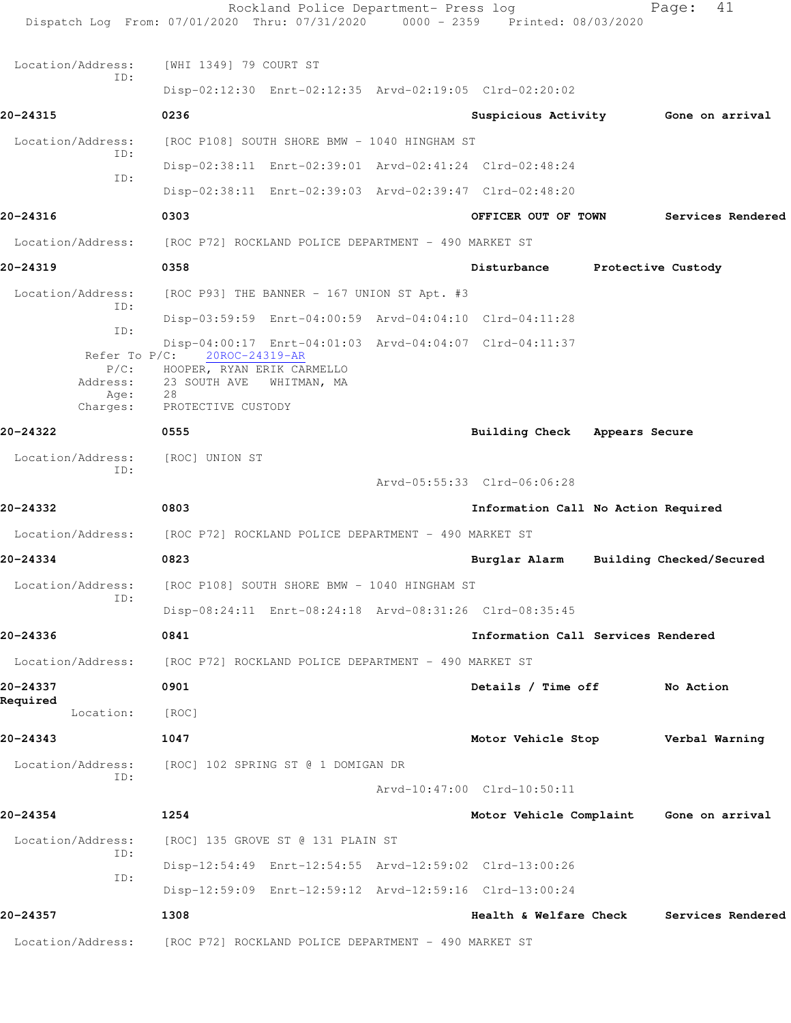|                                      | Rockland Police Department- Press log<br>Dispatch Log From: 07/01/2020 Thru: 07/31/2020 0000 - 2359 Printed: 08/03/2020 |                                    | 41<br>Page:                             |
|--------------------------------------|-------------------------------------------------------------------------------------------------------------------------|------------------------------------|-----------------------------------------|
| Location/Address:                    | [WHI 1349] 79 COURT ST                                                                                                  |                                    |                                         |
| ID:                                  | Disp-02:12:30 Enrt-02:12:35 Arvd-02:19:05 Clrd-02:20:02                                                                 |                                    |                                         |
| 20-24315                             | 0236                                                                                                                    |                                    | Suspicious Activity 6one on arrival     |
| Location/Address:                    | [ROC P108] SOUTH SHORE BMW - 1040 HINGHAM ST                                                                            |                                    |                                         |
| ID:                                  | Disp-02:38:11 Enrt-02:39:01 Arvd-02:41:24 Clrd-02:48:24                                                                 |                                    |                                         |
| ID:                                  | Disp-02:38:11 Enrt-02:39:03 Arvd-02:39:47 Clrd-02:48:20                                                                 |                                    |                                         |
| 20-24316                             | 0303                                                                                                                    | OFFICER OUT OF TOWN                | Services Rendered                       |
| Location/Address:                    | [ROC P72] ROCKLAND POLICE DEPARTMENT - 490 MARKET ST                                                                    |                                    |                                         |
| 20-24319                             | 0358                                                                                                                    | Disturbance                        | Protective Custody                      |
| Location/Address:                    | [ROC P93] THE BANNER - 167 UNION ST Apt. #3                                                                             |                                    |                                         |
| ID:                                  | Disp-03:59:59 Enrt-04:00:59 Arvd-04:04:10 Clrd-04:11:28                                                                 |                                    |                                         |
| ID:                                  | Disp-04:00:17 Enrt-04:01:03 Arvd-04:04:07 Clrd-04:11:37                                                                 |                                    |                                         |
| Refer To $P/C$ :<br>Address:<br>Age: | 20ROC-24319-AR<br>P/C: HOOPER, RYAN ERIK CARMELLO<br>23 SOUTH AVE<br>WHITMAN, MA<br>28                                  |                                    |                                         |
| Charges:                             | PROTECTIVE CUSTODY                                                                                                      |                                    |                                         |
| 20-24322                             | 0555                                                                                                                    | Building Check Appears Secure      |                                         |
| Location/Address:<br>TD:             | [ROC] UNION ST                                                                                                          |                                    |                                         |
|                                      |                                                                                                                         | Arvd-05:55:33 Clrd-06:06:28        |                                         |
| 20-24332                             | 0803                                                                                                                    |                                    | Information Call No Action Required     |
| Location/Address:                    | [ROC P72] ROCKLAND POLICE DEPARTMENT - 490 MARKET ST                                                                    |                                    |                                         |
| 20-24334                             | 0823                                                                                                                    | Burglar Alarm                      | Building Checked/Secured                |
| Location/Address:<br>ID:             | [ROC P108] SOUTH SHORE BMW - 1040 HINGHAM ST                                                                            |                                    |                                         |
|                                      | Disp-08:24:11 Enrt-08:24:18 Arvd-08:31:26 Clrd-08:35:45                                                                 |                                    |                                         |
| 20-24336                             | 0841                                                                                                                    | Information Call Services Rendered |                                         |
| Location/Address:                    | [ROC P72] ROCKLAND POLICE DEPARTMENT - 490 MARKET ST                                                                    |                                    |                                         |
| 20-24337<br>Required                 | 0901                                                                                                                    | Details / Time off                 | No Action                               |
| Location:                            | [ROC]                                                                                                                   |                                    |                                         |
| 20-24343                             | 1047                                                                                                                    |                                    | Motor Vehicle Stop Verbal Warning       |
| Location/Address:<br>ID:             | [ROC] 102 SPRING ST @ 1 DOMIGAN DR                                                                                      |                                    |                                         |
|                                      |                                                                                                                         | Arvd-10:47:00 Clrd-10:50:11        |                                         |
| 20-24354                             | 1254                                                                                                                    |                                    | Motor Vehicle Complaint Gone on arrival |
| Location/Address:                    | [ROC] 135 GROVE ST @ 131 PLAIN ST                                                                                       |                                    |                                         |
| ID:<br>ID:                           | Disp-12:54:49 Enrt-12:54:55 Arvd-12:59:02 Clrd-13:00:26                                                                 |                                    |                                         |
|                                      | Disp-12:59:09 Enrt-12:59:12 Arvd-12:59:16 Clrd-13:00:24                                                                 |                                    |                                         |
| 20-24357                             | 1308                                                                                                                    | Health & Welfare Check             | Services Rendered                       |
| Location/Address:                    | [ROC P72] ROCKLAND POLICE DEPARTMENT - 490 MARKET ST                                                                    |                                    |                                         |
|                                      |                                                                                                                         |                                    |                                         |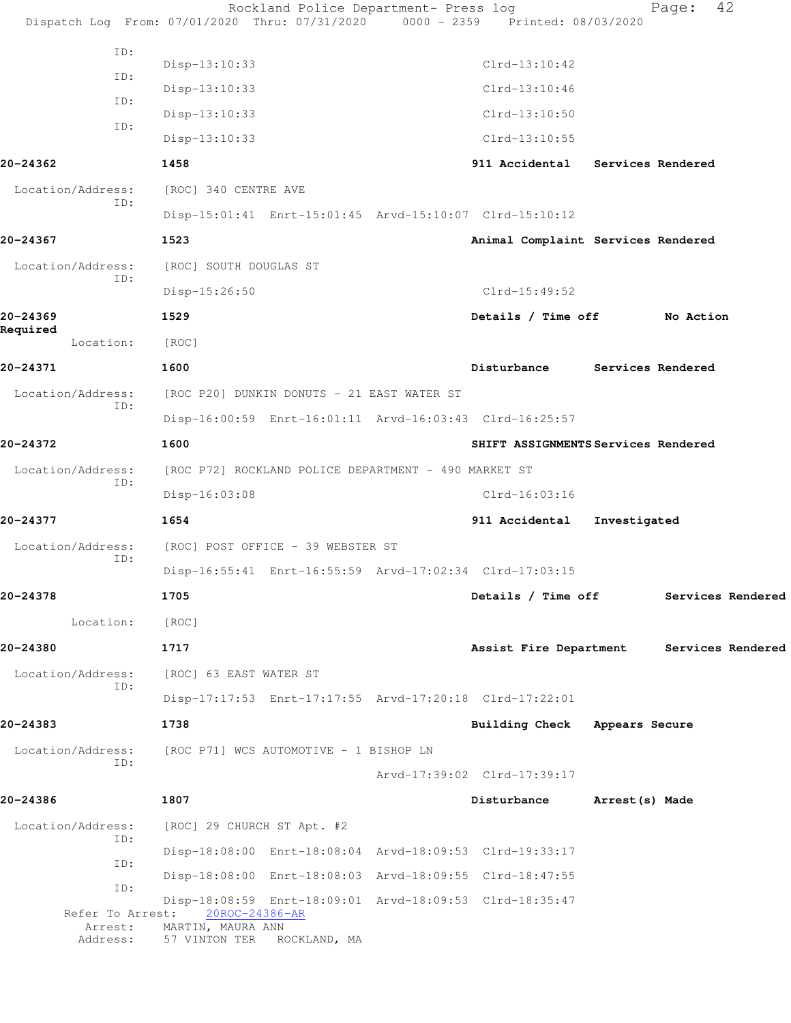|                       |     |                                                      | Rockland Police Department- Press log                                                 | Dispatch Log From: 07/01/2020 Thru: 07/31/2020 0000 - 2359 Printed: 08/03/2020 |                 | Page:             | 42                |
|-----------------------|-----|------------------------------------------------------|---------------------------------------------------------------------------------------|--------------------------------------------------------------------------------|-----------------|-------------------|-------------------|
|                       | ID: |                                                      |                                                                                       |                                                                                |                 |                   |                   |
|                       | ID: | Disp-13:10:33                                        |                                                                                       | $Clrd-13:10:42$                                                                |                 |                   |                   |
|                       | ID: | $Disp-13:10:33$                                      |                                                                                       | $Clrd-13:10:46$                                                                |                 |                   |                   |
|                       | ID: | Disp-13:10:33                                        |                                                                                       | $Clrd-13:10:50$                                                                |                 |                   |                   |
|                       |     | Disp-13:10:33                                        |                                                                                       | $Clrd-13:10:55$                                                                |                 |                   |                   |
| 20-24362              |     | 1458                                                 |                                                                                       | 911 Accidental Services Rendered                                               |                 |                   |                   |
| Location/Address:     | ID: | [ROC] 340 CENTRE AVE                                 |                                                                                       |                                                                                |                 |                   |                   |
|                       |     |                                                      | Disp-15:01:41 Enrt-15:01:45 Arvd-15:10:07 Clrd-15:10:12                               |                                                                                |                 |                   |                   |
| 20-24367              |     | 1523                                                 |                                                                                       | Animal Complaint Services Rendered                                             |                 |                   |                   |
| Location/Address:     |     | [ROC] SOUTH DOUGLAS ST                               |                                                                                       |                                                                                |                 |                   |                   |
|                       | ID: | $Disp-15:26:50$                                      |                                                                                       | $Clrd-15:49:52$                                                                |                 |                   |                   |
| 20-24369              |     | 1529                                                 |                                                                                       | Details / Time off                                                             |                 | No Action         |                   |
| Required<br>Location: |     | [ROC]                                                |                                                                                       |                                                                                |                 |                   |                   |
| 20-24371              |     | 1600                                                 |                                                                                       | Disturbance                                                                    |                 | Services Rendered |                   |
| Location/Address:     |     |                                                      | [ROC P20] DUNKIN DONUTS - 21 EAST WATER ST                                            |                                                                                |                 |                   |                   |
|                       | ID: |                                                      | Disp-16:00:59 Enrt-16:01:11 Arvd-16:03:43 Clrd-16:25:57                               |                                                                                |                 |                   |                   |
| 20-24372              |     | 1600                                                 |                                                                                       | SHIFT ASSIGNMENTS Services Rendered                                            |                 |                   |                   |
| Location/Address:     |     |                                                      | [ROC P72] ROCKLAND POLICE DEPARTMENT - 490 MARKET ST                                  |                                                                                |                 |                   |                   |
|                       | ID: | Disp-16:03:08                                        |                                                                                       | $Clrd-16:03:16$                                                                |                 |                   |                   |
| 20-24377              |     | 1654                                                 |                                                                                       | 911 Accidental                                                                 | Investigated    |                   |                   |
| Location/Address:     |     |                                                      | [ROC] POST OFFICE - 39 WEBSTER ST                                                     |                                                                                |                 |                   |                   |
|                       | ID: |                                                      | Disp-16:55:41 Enrt-16:55:59 Arvd-17:02:34 Clrd-17:03:15                               |                                                                                |                 |                   |                   |
| 20-24378              |     | 1705                                                 |                                                                                       | Details / Time off                                                             |                 |                   | Services Rendered |
| Location:             |     | [ROC]                                                |                                                                                       |                                                                                |                 |                   |                   |
| 20-24380              |     | 1717                                                 |                                                                                       | Assist Fire Department                                                         |                 |                   | Services Rendered |
| Location/Address:     |     | [ROC] 63 EAST WATER ST                               |                                                                                       |                                                                                |                 |                   |                   |
|                       | ID: |                                                      | Disp-17:17:53 Enrt-17:17:55 Arvd-17:20:18 Clrd-17:22:01                               |                                                                                |                 |                   |                   |
| 20-24383              |     | 1738                                                 |                                                                                       | Building Check Appears Secure                                                  |                 |                   |                   |
|                       |     |                                                      |                                                                                       |                                                                                |                 |                   |                   |
| Location/Address:     | ID: |                                                      | [ROC P71] WCS AUTOMOTIVE - 1 BISHOP LN                                                |                                                                                |                 |                   |                   |
|                       |     |                                                      |                                                                                       | Arvd-17:39:02 Clrd-17:39:17                                                    |                 |                   |                   |
| 20-24386              |     | 1807                                                 |                                                                                       | Disturbance                                                                    | Arrest (s) Made |                   |                   |
| Location/Address:     | ID: |                                                      | [ROC] 29 CHURCH ST Apt. #2                                                            |                                                                                |                 |                   |                   |
|                       | ID: |                                                      | Disp-18:08:00 Enrt-18:08:04 Arvd-18:09:53 Clrd-19:33:17                               |                                                                                |                 |                   |                   |
|                       | ID: |                                                      | Disp-18:08:00 Enrt-18:08:03 Arvd-18:09:55 Clrd-18:47:55                               |                                                                                |                 |                   |                   |
| Arrest:<br>Address:   |     | Refer To Arrest: 20ROC-24386-AR<br>MARTIN, MAURA ANN | Disp-18:08:59 Enrt-18:09:01 Arvd-18:09:53 Clrd-18:35:47<br>57 VINTON TER ROCKLAND, MA |                                                                                |                 |                   |                   |
|                       |     |                                                      |                                                                                       |                                                                                |                 |                   |                   |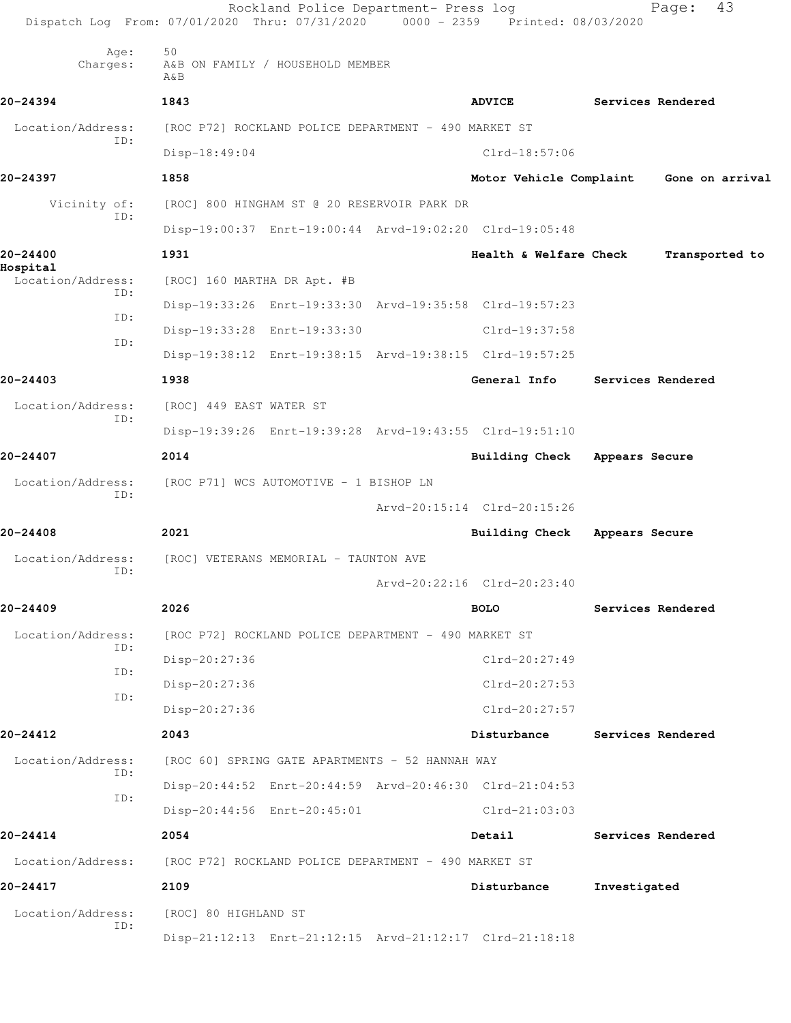|                               | Rockland Police Department- Press log<br>Dispatch Log From: 07/01/2020 Thru: 07/31/2020 0000 - 2359 Printed: 08/03/2020 |                             | 43<br>Page:       |
|-------------------------------|-------------------------------------------------------------------------------------------------------------------------|-----------------------------|-------------------|
| Age:<br>Charges:              | 50<br>A&B ON FAMILY / HOUSEHOLD MEMBER<br>$A\&B$                                                                        |                             |                   |
| 20-24394                      | 1843                                                                                                                    | <b>ADVICE</b>               | Services Rendered |
| Location/Address:             | [ROC P72] ROCKLAND POLICE DEPARTMENT - 490 MARKET ST                                                                    |                             |                   |
| ID:                           | Disp-18:49:04                                                                                                           | $Clrd-18:57:06$             |                   |
| 20-24397                      | 1858                                                                                                                    | Motor Vehicle Complaint     | Gone on arrival   |
| Vicinity of:                  | [ROC] 800 HINGHAM ST @ 20 RESERVOIR PARK DR                                                                             |                             |                   |
| ID:                           | Disp-19:00:37 Enrt-19:00:44 Arvd-19:02:20 Clrd-19:05:48                                                                 |                             |                   |
| 20-24400                      | 1931                                                                                                                    | Health & Welfare Check      | Transported to    |
| Hospital<br>Location/Address: | [ROC] 160 MARTHA DR Apt. #B                                                                                             |                             |                   |
| ID:                           | Disp-19:33:26 Enrt-19:33:30 Arvd-19:35:58 Clrd-19:57:23                                                                 |                             |                   |
| ID:                           | Disp-19:33:28 Enrt-19:33:30                                                                                             | Clrd-19:37:58               |                   |
| ID:                           | Disp-19:38:12 Enrt-19:38:15 Arvd-19:38:15 Clrd-19:57:25                                                                 |                             |                   |
| 20-24403                      | 1938                                                                                                                    | General Info                | Services Rendered |
| Location/Address:             | [ROC] 449 EAST WATER ST                                                                                                 |                             |                   |
| ID:                           | Disp-19:39:26 Enrt-19:39:28 Arvd-19:43:55 Clrd-19:51:10                                                                 |                             |                   |
| 20-24407                      | 2014                                                                                                                    | Building Check              | Appears Secure    |
| Location/Address:             | [ROC P71] WCS AUTOMOTIVE - 1 BISHOP LN                                                                                  |                             |                   |
| ID:                           |                                                                                                                         | Arvd-20:15:14 Clrd-20:15:26 |                   |
| 20-24408                      | 2021                                                                                                                    | Building Check              | Appears Secure    |
| Location/Address:             | [ROC] VETERANS MEMORIAL - TAUNTON AVE                                                                                   |                             |                   |
| ID:                           |                                                                                                                         | Arvd-20:22:16 Clrd-20:23:40 |                   |
| 20-24409                      | 2026                                                                                                                    | <b>BOLO</b>                 | Services Rendered |
| Location/Address:             | [ROC P72] ROCKLAND POLICE DEPARTMENT - 490 MARKET ST                                                                    |                             |                   |
| ID:                           | Disp-20:27:36                                                                                                           | Clrd-20:27:49               |                   |
| ID:                           | Disp-20:27:36                                                                                                           | Clrd-20:27:53               |                   |
| ID:                           | Disp-20:27:36                                                                                                           | Clrd-20:27:57               |                   |
| 20-24412                      | 2043                                                                                                                    | Disturbance                 | Services Rendered |
| Location/Address:             | [ROC 60] SPRING GATE APARTMENTS - 52 HANNAH WAY                                                                         |                             |                   |
| ID:                           | Disp-20:44:52 Enrt-20:44:59 Arvd-20:46:30 Clrd-21:04:53                                                                 |                             |                   |
| ID:                           | Disp-20:44:56 Enrt-20:45:01                                                                                             | Clrd-21:03:03               |                   |
| 20-24414                      | 2054                                                                                                                    | Detail                      | Services Rendered |
| Location/Address:             | [ROC P72] ROCKLAND POLICE DEPARTMENT - 490 MARKET ST                                                                    |                             |                   |
| 20-24417                      | 2109                                                                                                                    | Disturbance                 | Investigated      |
| Location/Address:             | [ROC] 80 HIGHLAND ST                                                                                                    |                             |                   |
| ID:                           | Disp-21:12:13 Enrt-21:12:15 Arvd-21:12:17 Clrd-21:18:18                                                                 |                             |                   |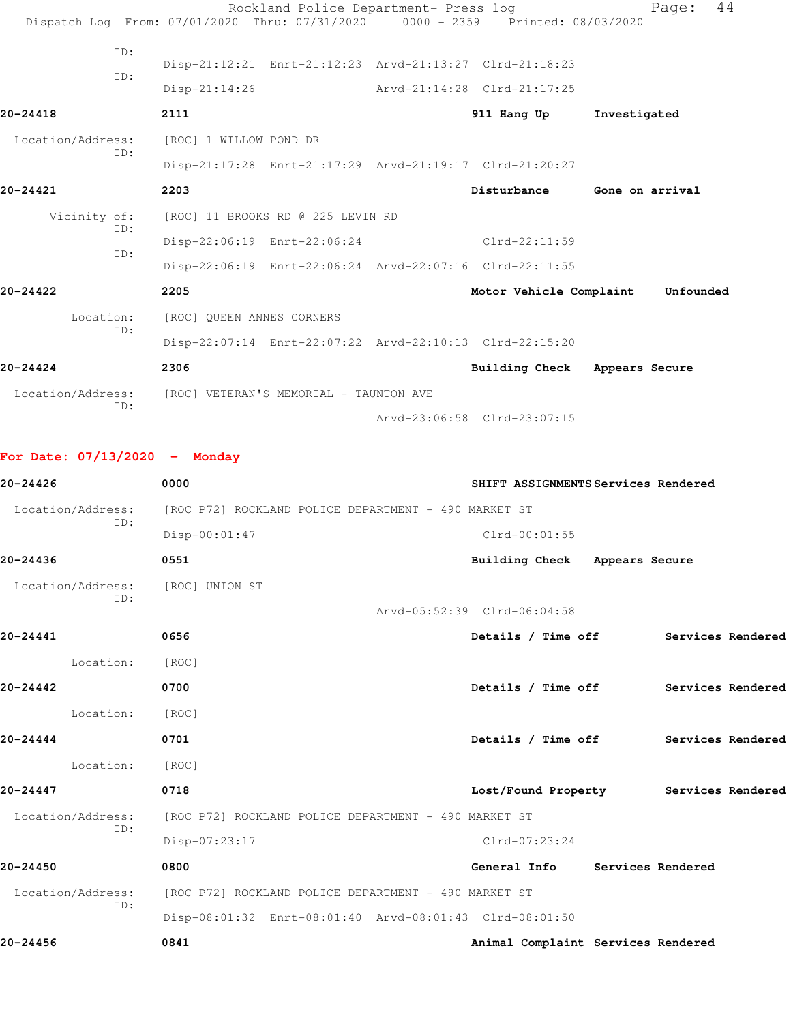|                   |     |                                                          | Rockland Police Department- Press log |                                                                                | 44<br>Page:     |
|-------------------|-----|----------------------------------------------------------|---------------------------------------|--------------------------------------------------------------------------------|-----------------|
|                   |     |                                                          |                                       | Dispatch Log From: 07/01/2020 Thru: 07/31/2020 0000 - 2359 Printed: 08/03/2020 |                 |
|                   | TD: |                                                          |                                       |                                                                                |                 |
|                   | ID: |                                                          |                                       | Disp-21:12:21 Enrt-21:12:23 Arvd-21:13:27 Clrd-21:18:23                        |                 |
|                   |     | $Disp-21:14:26$                                          |                                       | Arvd-21:14:28 Clrd-21:17:25                                                    |                 |
| 20-24418          |     | 2111                                                     |                                       | 911 Hang Up                                                                    | Investigated    |
| Location/Address: |     | [ROC] 1 WILLOW POND DR                                   |                                       |                                                                                |                 |
|                   | ID: |                                                          |                                       | Disp-21:17:28 Enrt-21:17:29 Arvd-21:19:17 Clrd-21:20:27                        |                 |
| 20-24421          |     | 2203                                                     |                                       | Disturbance                                                                    | Gone on arrival |
| Vicinity of:      |     | [ROC] 11 BROOKS RD @ 225 LEVIN RD                        |                                       |                                                                                |                 |
|                   | ID: | Disp-22:06:19 Enrt-22:06:24                              |                                       | $Clrd-22:11:59$                                                                |                 |
|                   | ID: |                                                          |                                       | Disp-22:06:19 Enrt-22:06:24 Arvd-22:07:16 Clrd-22:11:55                        |                 |
| $20 - 24422$      |     | 2205                                                     |                                       | Motor Vehicle Complaint                                                        | Unfounded       |
| Location:         |     | [ROC] QUEEN ANNES CORNERS                                |                                       |                                                                                |                 |
|                   | ID: |                                                          |                                       | Disp-22:07:14 Enrt-22:07:22 Arvd-22:10:13 Clrd-22:15:20                        |                 |
| $20 - 24424$      |     | 2306                                                     |                                       | Building Check Appears Secure                                                  |                 |
|                   |     | Location/Address: [ROC] VETERAN'S MEMORIAL - TAUNTON AVE |                                       |                                                                                |                 |
|                   | ID: |                                                          |                                       | Arvd-23:06:58 Clrd-23:07:15                                                    |                 |

**For Date: 07/13/2020 - Monday**

| 20-24426          | 0000                                                    | SHIFT ASSIGNMENTS Services Rendered   |
|-------------------|---------------------------------------------------------|---------------------------------------|
| Location/Address: | [ROC P72] ROCKLAND POLICE DEPARTMENT - 490 MARKET ST    |                                       |
| TD:               | Disp-00:01:47                                           | $Clrd-00:01:55$                       |
| 20-24436          | 0551                                                    | Building Check Appears Secure         |
| Location/Address: | [ROC] UNION ST                                          |                                       |
| TD:               |                                                         | Arvd-05:52:39 Clrd-06:04:58           |
| 20-24441          | 0656                                                    | Details / Time off Services Rendered  |
| Location:         | [ROC]                                                   |                                       |
| $20 - 24442$      | 0700                                                    | Details / Time off Services Rendered  |
| Location:         | [ROC]                                                   |                                       |
| $20 - 24444$      | 0701                                                    | Details / Time off Services Rendered  |
| Location:         | [ROC]                                                   |                                       |
| 20-24447          | 0718                                                    | Lost/Found Property Services Rendered |
| Location/Address: | [ROC P72] ROCKLAND POLICE DEPARTMENT - 490 MARKET ST    |                                       |
| ID:               | Disp-07:23:17                                           | $Clrd-07:23:24$                       |
| 20-24450          | 0800                                                    | General Info Services Rendered        |
| Location/Address: | [ROC P72] ROCKLAND POLICE DEPARTMENT - 490 MARKET ST    |                                       |
| TD:               | Disp-08:01:32 Enrt-08:01:40 Arvd-08:01:43 Clrd-08:01:50 |                                       |
| 20-24456          | 0841                                                    | Animal Complaint Services Rendered    |
|                   |                                                         |                                       |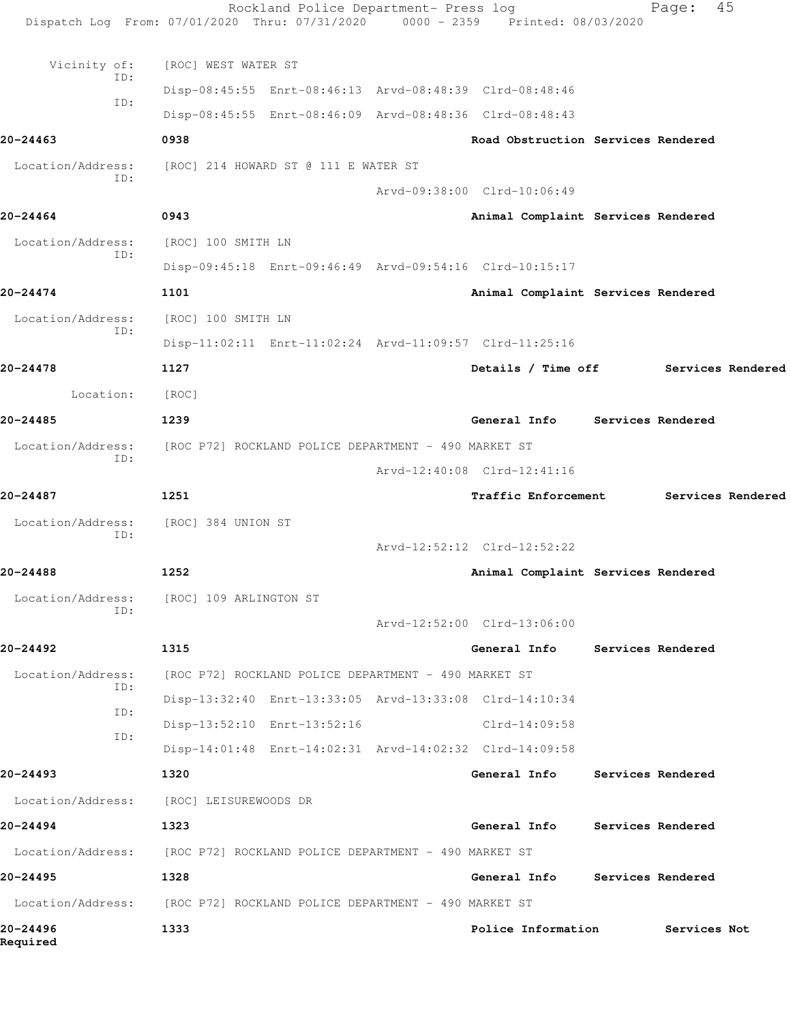|                      | Rockland Police Department- Press log<br>Dispatch Log From: 07/01/2020 Thru: 07/31/2020 0000 - 2359 Printed: 08/03/2020 |                                      | Page:                    | 45                |
|----------------------|-------------------------------------------------------------------------------------------------------------------------|--------------------------------------|--------------------------|-------------------|
| Vicinity of:         | [ROC] WEST WATER ST                                                                                                     |                                      |                          |                   |
| ID:                  | Disp-08:45:55 Enrt-08:46:13 Arvd-08:48:39 Clrd-08:48:46                                                                 |                                      |                          |                   |
| ID:                  | Disp-08:45:55 Enrt-08:46:09 Arvd-08:48:36 Clrd-08:48:43                                                                 |                                      |                          |                   |
| $20 - 24463$         | 0938                                                                                                                    | Road Obstruction Services Rendered   |                          |                   |
| Location/Address:    | [ROC] 214 HOWARD ST @ 111 E WATER ST                                                                                    |                                      |                          |                   |
| ID:                  |                                                                                                                         | Arvd-09:38:00 Clrd-10:06:49          |                          |                   |
| 20-24464             | 0943                                                                                                                    | Animal Complaint Services Rendered   |                          |                   |
| Location/Address:    | [ROC] 100 SMITH LN                                                                                                      |                                      |                          |                   |
| ID:                  | Disp-09:45:18 Enrt-09:46:49 Arvd-09:54:16 Clrd-10:15:17                                                                 |                                      |                          |                   |
| 20-24474             | 1101                                                                                                                    | Animal Complaint Services Rendered   |                          |                   |
| Location/Address:    | [ROC] 100 SMITH LN                                                                                                      |                                      |                          |                   |
| ID:                  | Disp-11:02:11 Enrt-11:02:24 Arvd-11:09:57 Clrd-11:25:16                                                                 |                                      |                          |                   |
| 20-24478             | 1127                                                                                                                    | Details / Time off Services Rendered |                          |                   |
| Location:            | [ROC]                                                                                                                   |                                      |                          |                   |
| 20-24485             | 1239                                                                                                                    | General Info Services Rendered       |                          |                   |
| Location/Address:    | [ROC P72] ROCKLAND POLICE DEPARTMENT - 490 MARKET ST                                                                    |                                      |                          |                   |
| ID:                  |                                                                                                                         | Arvd-12:40:08 Clrd-12:41:16          |                          |                   |
| 20-24487             | 1251                                                                                                                    | <b>Traffic Enforcement</b>           |                          | Services Rendered |
| Location/Address:    | [ROC] 384 UNION ST                                                                                                      |                                      |                          |                   |
| ID:                  |                                                                                                                         | Arvd-12:52:12 Clrd-12:52:22          |                          |                   |
| 20-24488             | 1252                                                                                                                    | Animal Complaint Services Rendered   |                          |                   |
| Location/Address:    | [ROC] 109 ARLINGTON ST                                                                                                  |                                      |                          |                   |
| ID:                  |                                                                                                                         | Arvd-12:52:00 Clrd-13:06:00          |                          |                   |
| 20-24492             | 1315                                                                                                                    | General Info                         | <b>Services Rendered</b> |                   |
| Location/Address:    | [ROC P72] ROCKLAND POLICE DEPARTMENT - 490 MARKET ST                                                                    |                                      |                          |                   |
| ID:                  | Disp-13:32:40 Enrt-13:33:05 Arvd-13:33:08 Clrd-14:10:34                                                                 |                                      |                          |                   |
| ID:<br>ID:           | Disp-13:52:10 Enrt-13:52:16                                                                                             | $Clrd-14:09:58$                      |                          |                   |
|                      | Disp-14:01:48 Enrt-14:02:31 Arvd-14:02:32 Clrd-14:09:58                                                                 |                                      |                          |                   |
| 20-24493             | 1320                                                                                                                    | General Info                         | <b>Services Rendered</b> |                   |
| Location/Address:    | [ROC] LEISUREWOODS DR                                                                                                   |                                      |                          |                   |
| 20-24494             | 1323                                                                                                                    | General Info                         | Services Rendered        |                   |
|                      | Location/Address: [ROC P72] ROCKLAND POLICE DEPARTMENT - 490 MARKET ST                                                  |                                      |                          |                   |
| 20-24495             | 1328                                                                                                                    | General Info                         | Services Rendered        |                   |
| Location/Address:    | [ROC P72] ROCKLAND POLICE DEPARTMENT - 490 MARKET ST                                                                    |                                      |                          |                   |
| 20-24496<br>Required | 1333                                                                                                                    | Police Information                   | Services Not             |                   |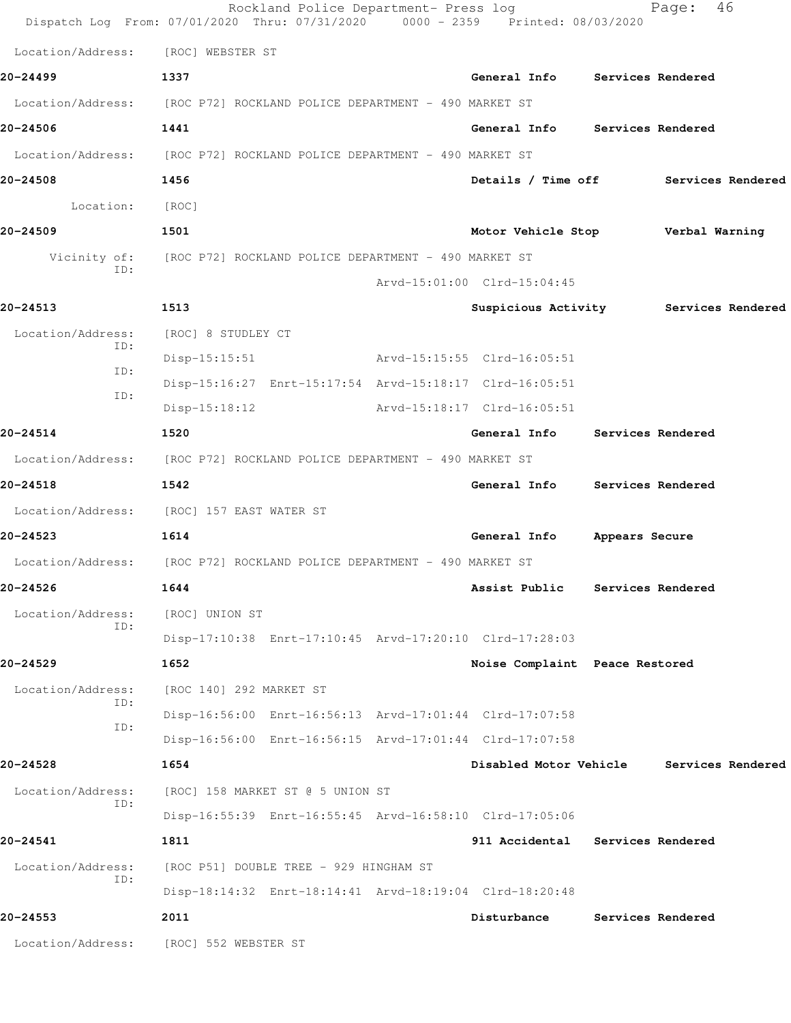|                          | Rockland Police Department- Press log<br>Dispatch Log From: 07/01/2020 Thru: 07/31/2020 0000 - 2359 Printed: 08/03/2020 |                                  | 46<br>Page:                           |
|--------------------------|-------------------------------------------------------------------------------------------------------------------------|----------------------------------|---------------------------------------|
| Location/Address:        | [ROC] WEBSTER ST                                                                                                        |                                  |                                       |
| 20-24499                 | 1337                                                                                                                    | General Info Services Rendered   |                                       |
|                          | Location/Address: [ROC P72] ROCKLAND POLICE DEPARTMENT - 490 MARKET ST                                                  |                                  |                                       |
| 20-24506                 | 1441                                                                                                                    | General Info Services Rendered   |                                       |
|                          | Location/Address: [ROC P72] ROCKLAND POLICE DEPARTMENT - 490 MARKET ST                                                  |                                  |                                       |
| 20-24508                 | 1456                                                                                                                    |                                  | Details / Time off Services Rendered  |
| Location:                | [ROC]                                                                                                                   |                                  |                                       |
| 20-24509                 | 1501                                                                                                                    | Motor Vehicle Stop               | Verbal Warning                        |
| Vicinity of:             | [ROC P72] ROCKLAND POLICE DEPARTMENT - 490 MARKET ST                                                                    |                                  |                                       |
| TD:                      |                                                                                                                         | Arvd-15:01:00 Clrd-15:04:45      |                                       |
| 20-24513                 | 1513                                                                                                                    |                                  | Suspicious Activity Services Rendered |
| Location/Address:        | [ROC] 8 STUDLEY CT                                                                                                      |                                  |                                       |
| ID:<br>ID:               | Arvd-15:15:55 Clrd-16:05:51<br>$Disp-15:15:51$                                                                          |                                  |                                       |
| ID:                      | Disp-15:16:27 Enrt-15:17:54 Arvd-15:18:17 Clrd-16:05:51                                                                 |                                  |                                       |
|                          | $Disp-15:18:12$                                                                                                         | Arvd-15:18:17 Clrd-16:05:51      |                                       |
| 20-24514                 | 1520                                                                                                                    | General Info                     | Services Rendered                     |
| Location/Address:        | [ROC P72] ROCKLAND POLICE DEPARTMENT - 490 MARKET ST                                                                    |                                  |                                       |
| 20-24518                 | 1542                                                                                                                    | General Info Services Rendered   |                                       |
|                          | Location/Address: [ROC] 157 EAST WATER ST                                                                               |                                  |                                       |
| 20-24523                 | 1614                                                                                                                    | General Info                     | Appears Secure                        |
|                          | Location/Address: [ROC P72] ROCKLAND POLICE DEPARTMENT - 490 MARKET ST                                                  |                                  |                                       |
| 20-24526                 | 1644                                                                                                                    | Assist Public                    | Services Rendered                     |
| Location/Address:<br>ID: | [ROC] UNION ST                                                                                                          |                                  |                                       |
|                          | Disp-17:10:38 Enrt-17:10:45 Arvd-17:20:10 Clrd-17:28:03                                                                 |                                  |                                       |
| 20-24529                 | 1652                                                                                                                    | Noise Complaint Peace Restored   |                                       |
| Location/Address:<br>ID: | [ROC 140] 292 MARKET ST                                                                                                 |                                  |                                       |
| ID:                      | Disp-16:56:00 Enrt-16:56:13 Arvd-17:01:44 Clrd-17:07:58                                                                 |                                  |                                       |
|                          | Disp-16:56:00 Enrt-16:56:15 Arvd-17:01:44 Clrd-17:07:58                                                                 |                                  |                                       |
| 20-24528                 | 1654                                                                                                                    | Disabled Motor Vehicle           | Services Rendered                     |
| Location/Address:<br>ID: | [ROC] 158 MARKET ST @ 5 UNION ST                                                                                        |                                  |                                       |
|                          | Disp-16:55:39 Enrt-16:55:45 Arvd-16:58:10 Clrd-17:05:06                                                                 |                                  |                                       |
| 20-24541                 | 1811                                                                                                                    | 911 Accidental Services Rendered |                                       |
| Location/Address:<br>ID: | [ROC P51] DOUBLE TREE - 929 HINGHAM ST                                                                                  |                                  |                                       |
|                          | Disp-18:14:32 Enrt-18:14:41 Arvd-18:19:04 Clrd-18:20:48                                                                 |                                  |                                       |
| 20-24553                 | 2011                                                                                                                    | Disturbance                      | Services Rendered                     |
|                          | Location/Address: [ROC] 552 WEBSTER ST                                                                                  |                                  |                                       |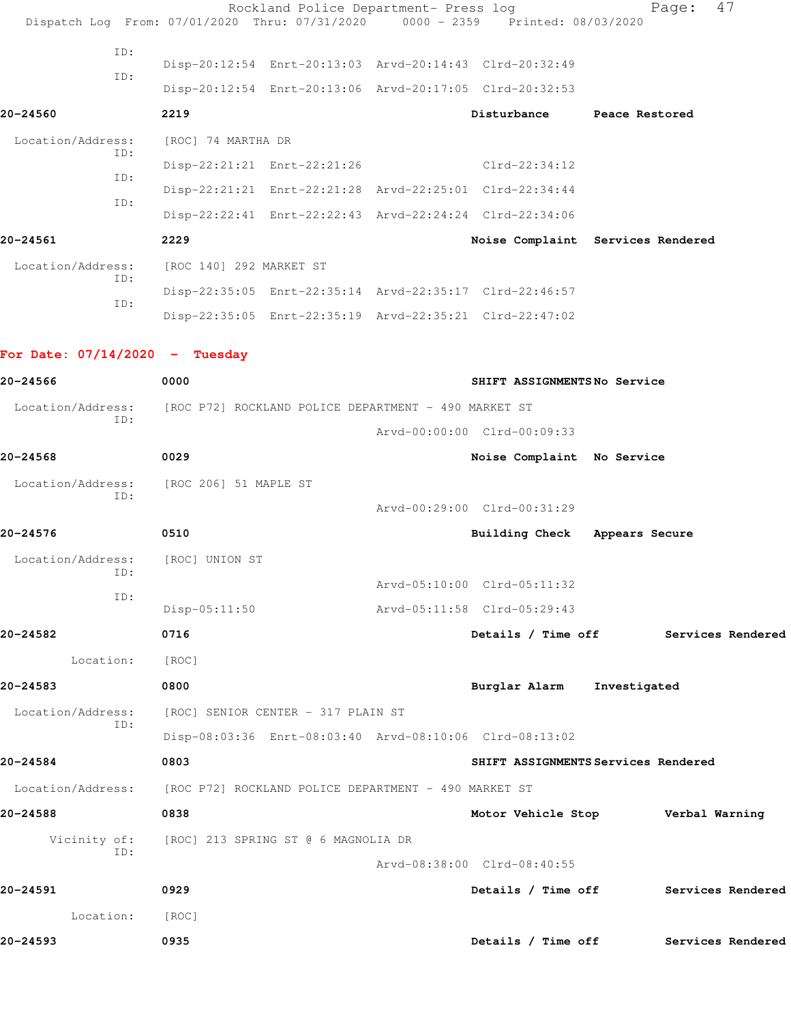|                                  | Rockland Police Department- Press log<br>Dispatch Log From: 07/01/2020 Thru: 07/31/2020 | $0000 - 2359$ | Printed: 08/03/2020           | 47<br>Page:                          |
|----------------------------------|-----------------------------------------------------------------------------------------|---------------|-------------------------------|--------------------------------------|
| ID:                              |                                                                                         |               |                               |                                      |
| ID:                              | Disp-20:12:54 Enrt-20:13:03 Arvd-20:14:43 Clrd-20:32:49                                 |               |                               |                                      |
|                                  | Disp-20:12:54 Enrt-20:13:06 Arvd-20:17:05 Clrd-20:32:53                                 |               |                               |                                      |
| 20-24560                         | 2219                                                                                    |               | Disturbance                   | Peace Restored                       |
| Location/Address:<br>ID:         | [ROC] 74 MARTHA DR                                                                      |               |                               |                                      |
| ID:                              | Disp-22:21:21 Enrt-22:21:26                                                             |               | Clrd-22:34:12                 |                                      |
| ID:                              | Disp-22:21:21 Enrt-22:21:28 Arvd-22:25:01 Clrd-22:34:44                                 |               |                               |                                      |
|                                  | Disp-22:22:41 Enrt-22:22:43 Arvd-22:24:24 Clrd-22:34:06                                 |               |                               |                                      |
| 20-24561                         | 2229                                                                                    |               |                               | Noise Complaint Services Rendered    |
| Location/Address:<br>ID:         | [ROC 140] 292 MARKET ST                                                                 |               |                               |                                      |
| ID:                              | Disp-22:35:05 Enrt-22:35:14 Arvd-22:35:17 Clrd-22:46:57                                 |               |                               |                                      |
|                                  | Disp-22:35:05 Enrt-22:35:19 Arvd-22:35:21 Clrd-22:47:02                                 |               |                               |                                      |
| For Date: $07/14/2020 -$ Tuesday |                                                                                         |               |                               |                                      |
| 20-24566                         | 0000                                                                                    |               | SHIFT ASSIGNMENTSNo Service   |                                      |
| Location/Address:                | [ROC P72] ROCKLAND POLICE DEPARTMENT - 490 MARKET ST                                    |               |                               |                                      |
| ID:                              |                                                                                         |               | Arvd-00:00:00 Clrd-00:09:33   |                                      |
| 20-24568                         | 0029                                                                                    |               | Noise Complaint No Service    |                                      |
|                                  | Location/Address: [ROC 206] 51 MAPLE ST                                                 |               |                               |                                      |
| ID:                              |                                                                                         |               | Arvd-00:29:00 Clrd-00:31:29   |                                      |
| 20-24576                         | 0510                                                                                    |               | Building Check Appears Secure |                                      |
| Location/Address: [ROC] UNION ST |                                                                                         |               |                               |                                      |
| ID:                              |                                                                                         |               | Arvd-05:10:00 Clrd-05:11:32   |                                      |
| ID:                              | $Disp-05:11:50$                                                                         |               | Arvd-05:11:58 Clrd-05:29:43   |                                      |
| 20-24582                         | 0716                                                                                    |               | Details / Time off            | Services Rendered                    |
| Location:                        | [ROC]                                                                                   |               |                               |                                      |
| 20-24583                         | 0800                                                                                    |               | Burglar Alarm Investigated    |                                      |
| Location/Address:                | [ROC] SENIOR CENTER - 317 PLAIN ST                                                      |               |                               |                                      |
| ID:                              | Disp-08:03:36 Enrt-08:03:40 Arvd-08:10:06 Clrd-08:13:02                                 |               |                               |                                      |
| 20-24584                         | 0803                                                                                    |               |                               | SHIFT ASSIGNMENTS Services Rendered  |
| Location/Address:                | [ROC P72] ROCKLAND POLICE DEPARTMENT - 490 MARKET ST                                    |               |                               |                                      |
| 20-24588                         | 0838                                                                                    |               |                               | Motor Vehicle Stop Verbal Warning    |
|                                  | Vicinity of: [ROC] 213 SPRING ST @ 6 MAGNOLIA DR                                        |               |                               |                                      |
| ID:                              |                                                                                         |               | Arvd-08:38:00 Clrd-08:40:55   |                                      |
| 20-24591                         | 0929                                                                                    |               | Details / Time off            | Services Rendered                    |
| Location:                        | [ROC]                                                                                   |               |                               |                                      |
| 20-24593                         | 0935                                                                                    |               |                               | Details / Time off Services Rendered |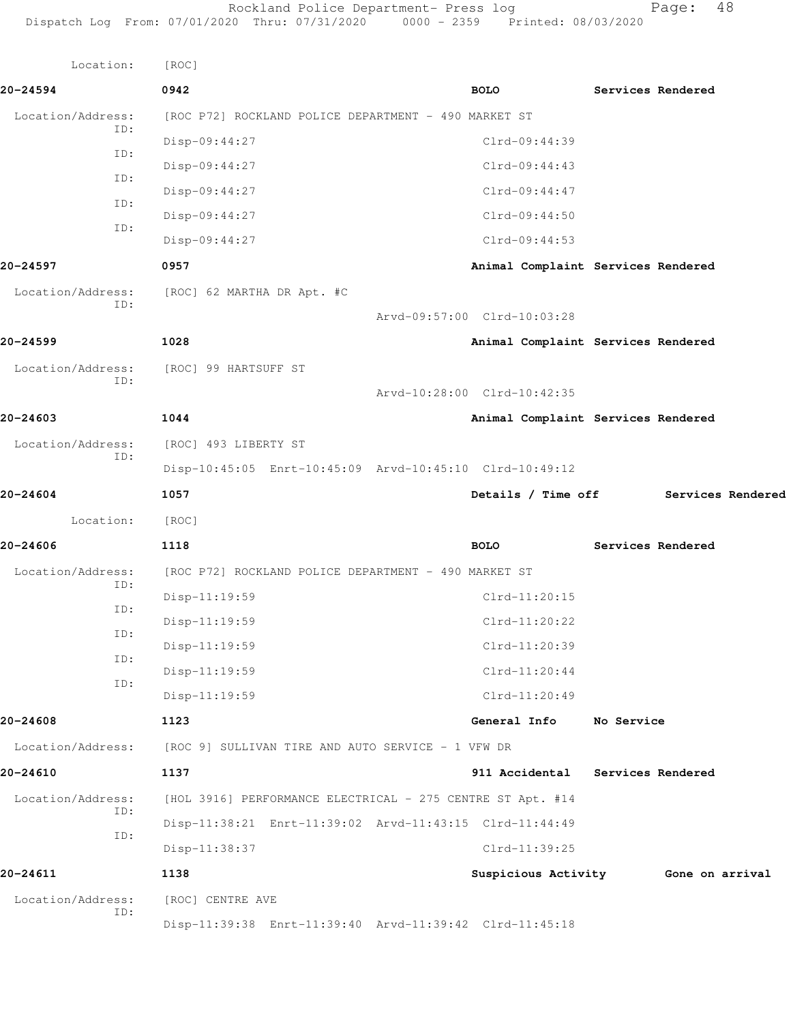| Location:         | [ROC]                                                      |                             |             |                                    |            |                   |
|-------------------|------------------------------------------------------------|-----------------------------|-------------|------------------------------------|------------|-------------------|
| 20-24594          | 0942                                                       |                             | <b>BOLO</b> |                                    |            | Services Rendered |
| Location/Address: | [ROC P72] ROCKLAND POLICE DEPARTMENT - 490 MARKET ST       |                             |             |                                    |            |                   |
| ID:               | Disp-09:44:27                                              |                             |             | Clrd-09:44:39                      |            |                   |
| ID:               | Disp-09:44:27                                              |                             |             | Clrd-09:44:43                      |            |                   |
| ID:               | Disp-09:44:27                                              |                             |             | $Clrd-09:44:47$                    |            |                   |
| ID:               | Disp-09:44:27                                              |                             |             | $Clrd-09:44:50$                    |            |                   |
| ID:               | Disp-09:44:27                                              |                             |             | $Clrd-09:44:53$                    |            |                   |
| 20-24597          | 0957                                                       |                             |             | Animal Complaint Services Rendered |            |                   |
| Location/Address: | [ROC] 62 MARTHA DR Apt. #C                                 |                             |             |                                    |            |                   |
| ID:               |                                                            | Arvd-09:57:00 Clrd-10:03:28 |             |                                    |            |                   |
| 20-24599          | 1028                                                       |                             |             | Animal Complaint Services Rendered |            |                   |
| Location/Address: | [ROC] 99 HARTSUFF ST                                       |                             |             |                                    |            |                   |
| ID:               |                                                            | Arvd-10:28:00 Clrd-10:42:35 |             |                                    |            |                   |
| 20-24603          | 1044                                                       |                             |             | Animal Complaint Services Rendered |            |                   |
| Location/Address: | [ROC] 493 LIBERTY ST                                       |                             |             |                                    |            |                   |
| ID:               | Disp-10:45:05 Enrt-10:45:09 Arvd-10:45:10 Clrd-10:49:12    |                             |             |                                    |            |                   |
| 20-24604          | 1057                                                       |                             |             | Details / Time off                 |            | Services Rendered |
| Location:         | [ROC]                                                      |                             |             |                                    |            |                   |
| 20-24606          | 1118                                                       |                             | <b>BOLO</b> |                                    |            | Services Rendered |
| Location/Address: | [ROC P72] ROCKLAND POLICE DEPARTMENT - 490 MARKET ST       |                             |             |                                    |            |                   |
| ID:               | Disp-11:19:59                                              |                             |             | Clrd-11:20:15                      |            |                   |
| ID:               | Disp-11:19:59                                              |                             |             | $Clrd-11:20:22$                    |            |                   |
| ID:               | Disp-11:19:59                                              |                             |             | Clrd-11:20:39                      |            |                   |
| ID:               | $Disp-11:19:59$                                            |                             |             | $Clrd-11:20:44$                    |            |                   |
| ID:               | Disp-11:19:59                                              |                             |             | $Clrd-11:20:49$                    |            |                   |
| 20-24608          | 1123                                                       |                             |             | General Info                       | No Service |                   |
| Location/Address: | [ROC 9] SULLIVAN TIRE AND AUTO SERVICE - 1 VFW DR          |                             |             |                                    |            |                   |
| 20-24610          | 1137                                                       |                             |             | 911 Accidental                     |            | Services Rendered |
| Location/Address: | [HOL 3916] PERFORMANCE ELECTRICAL - 275 CENTRE ST Apt. #14 |                             |             |                                    |            |                   |
| ID:               | Disp-11:38:21 Enrt-11:39:02 Arvd-11:43:15 Clrd-11:44:49    |                             |             |                                    |            |                   |
| ID:               | Disp-11:38:37                                              |                             |             | Clrd-11:39:25                      |            |                   |
| 20-24611          | 1138                                                       |                             |             | Suspicious Activity                |            | Gone on arrival   |
| Location/Address: | [ROC] CENTRE AVE                                           |                             |             |                                    |            |                   |
| ID:               | Disp-11:39:38 Enrt-11:39:40 Arvd-11:39:42 Clrd-11:45:18    |                             |             |                                    |            |                   |
|                   |                                                            |                             |             |                                    |            |                   |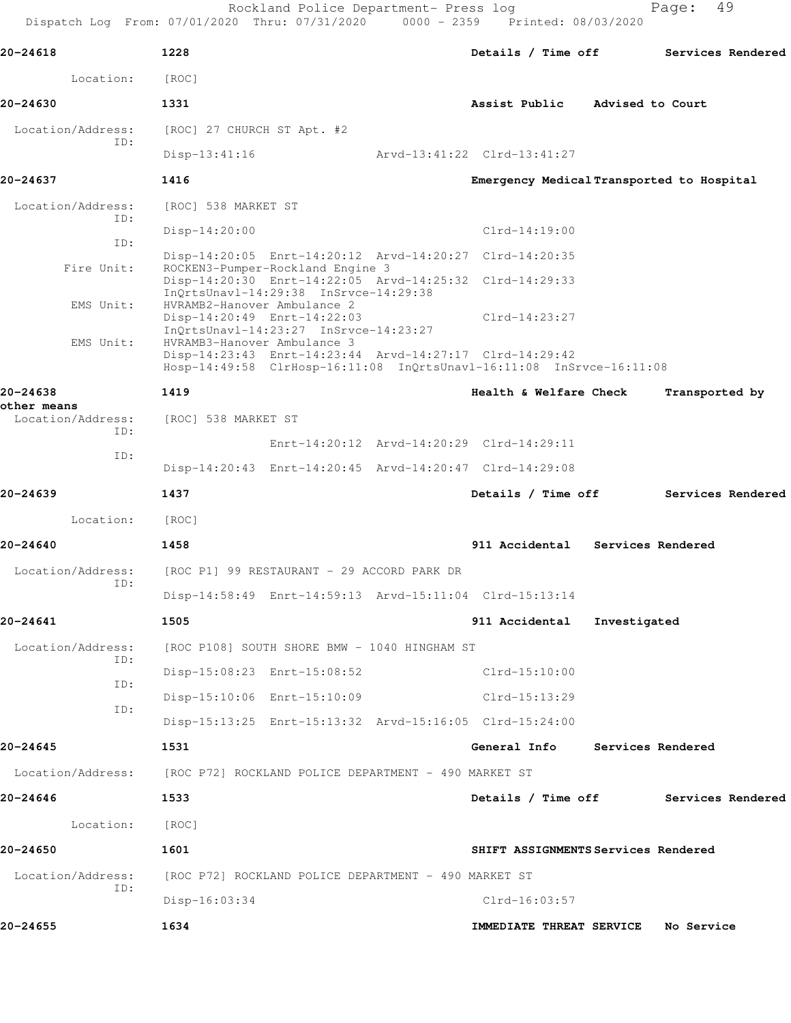Rockland Police Department- Press log Fage: 49

 Dispatch Log From: 07/01/2020 Thru: 07/31/2020 0000 - 2359 Printed: 08/03/2020 **20-24618 1228 Details / Time off Services Rendered** Location: [ROC] **20-24630 1331 Assist Public Advised to Court** Location/Address: [ROC] 27 CHURCH ST Apt. #2 ID: Disp-13:41:16 Arvd-13:41:22 Clrd-13:41:27 **20-24637 1416 Emergency Medical Transported to Hospital** Location/Address: [ROC] 538 MARKET ST ID: Disp-14:20:00 Clrd-14:19:00 ID: Disp-14:20:05 Enrt-14:20:12 Arvd-14:20:27 Clrd-14:20:35<br>Fire Unit: ROCKEN3-Pumper-Rockland Engine 3 ROCKEN3-Pumper-Rockland Engine 3 Disp-14:20:30 Enrt-14:22:05 Arvd-14:25:32 Clrd-14:29:33 InQrtsUnavl-14:29:38 InSrvce-14:29:38 EMS Unit: HVRAMB2-Hanover Ambulance 2 Disp-14:20:49 Enrt-14:22:03 Clrd-14:23:27 InQrtsUnavl-14:23:27 InSrvce-14:23:27 EMS Unit: HVRAMB3-Hanover Ambulance 3 Disp-14:23:43 Enrt-14:23:44 Arvd-14:27:17 Clrd-14:29:42 Hosp-14:49:58 ClrHosp-16:11:08 InQrtsUnavl-16:11:08 InSrvce-16:11:08 **20-24638 1419 Health & Welfare Check Transported by other means**  Location/Address: [ROC] 538 MARKET ST ID: Enrt-14:20:12 Arvd-14:20:29 Clrd-14:29:11 ID: Disp-14:20:43 Enrt-14:20:45 Arvd-14:20:47 Clrd-14:29:08 **20-24639 1437 Details / Time off Services Rendered** Location: [ROC] **20-24640 1458 911 Accidental Services Rendered** Location/Address: [ROC P1] 99 RESTAURANT - 29 ACCORD PARK DR ID: Disp-14:58:49 Enrt-14:59:13 Arvd-15:11:04 Clrd-15:13:14 **20-24641 1505 911 Accidental Investigated** Location/Address: [ROC P108] SOUTH SHORE BMW - 1040 HINGHAM ST ID: Disp-15:08:23 Enrt-15:08:52 Clrd-15:10:00 ID: Disp-15:10:06 Enrt-15:10:09 Clrd-15:13:29 ID: Disp-15:13:25 Enrt-15:13:32 Arvd-15:16:05 Clrd-15:24:00 **20-24645 1531 General Info Services Rendered**

Location/Address: [ROC P72] ROCKLAND POLICE DEPARTMENT - 490 MARKET ST

**20-24646 1533 Details / Time off Services Rendered** Location: [ROC] **20-24650 1601 SHIFT ASSIGNMENTS Services Rendered** Location/Address: [ROC P72] ROCKLAND POLICE DEPARTMENT - 490 MARKET ST ID: Disp-16:03:34 Clrd-16:03:57 **20-24655 1634 IMMEDIATE THREAT SERVICE No Service**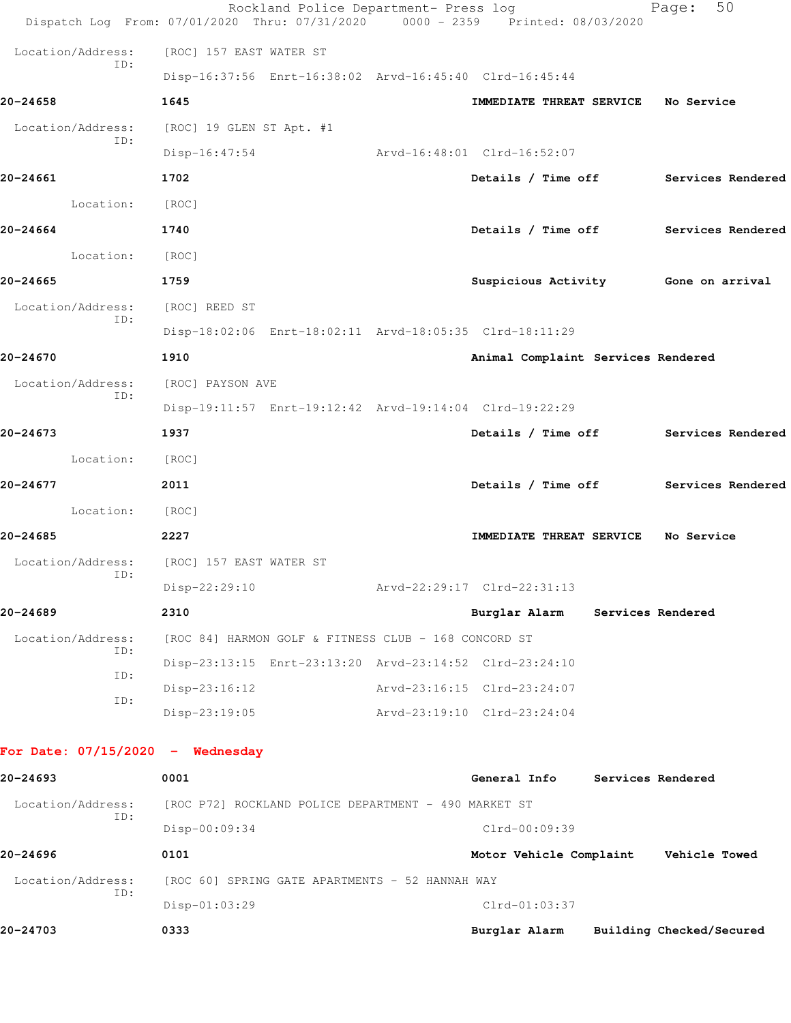|                                    | Rockland Police Department- Press log<br>Dispatch Log From: 07/01/2020 Thru: 07/31/2020 0000 - 2359 Printed: 08/03/2020 |                                     | 50<br>Page:                          |
|------------------------------------|-------------------------------------------------------------------------------------------------------------------------|-------------------------------------|--------------------------------------|
| Location/Address:                  | [ROC] 157 EAST WATER ST                                                                                                 |                                     |                                      |
| ID:                                | Disp-16:37:56 Enrt-16:38:02 Arvd-16:45:40 Clrd-16:45:44                                                                 |                                     |                                      |
| 20-24658                           | 1645                                                                                                                    | IMMEDIATE THREAT SERVICE No Service |                                      |
| Location/Address:                  | [ROC] 19 GLEN ST Apt. #1                                                                                                |                                     |                                      |
| ID:                                | $Disp-16:47:54$                                                                                                         | Arvd-16:48:01 Clrd-16:52:07         |                                      |
| 20-24661                           | 1702                                                                                                                    |                                     | Details / Time off Services Rendered |
| Location:                          | [ROC]                                                                                                                   |                                     |                                      |
| 20-24664                           | 1740                                                                                                                    |                                     | Details / Time off Services Rendered |
| Location:                          | [ROC]                                                                                                                   |                                     |                                      |
| 20-24665                           | 1759                                                                                                                    |                                     | Suspicious Activity 6one on arrival  |
| Location/Address:                  | [ROC] REED ST                                                                                                           |                                     |                                      |
| ID:                                | Disp-18:02:06 Enrt-18:02:11 Arvd-18:05:35 Clrd-18:11:29                                                                 |                                     |                                      |
| 20-24670                           | 1910                                                                                                                    | Animal Complaint Services Rendered  |                                      |
| Location/Address:                  | [ROC] PAYSON AVE                                                                                                        |                                     |                                      |
| ID:                                | Disp-19:11:57 Enrt-19:12:42 Arvd-19:14:04 Clrd-19:22:29                                                                 |                                     |                                      |
| 20-24673                           | 1937                                                                                                                    |                                     | Details / Time off Services Rendered |
| Location:                          | [ROC]                                                                                                                   |                                     |                                      |
| 20-24677                           | 2011                                                                                                                    | Details / Time off                  | Services Rendered                    |
| Location:                          | [ROC]                                                                                                                   |                                     |                                      |
| 20-24685                           | 2227                                                                                                                    | IMMEDIATE THREAT SERVICE No Service |                                      |
| Location/Address:                  | [ROC] 157 EAST WATER ST                                                                                                 |                                     |                                      |
| ID:                                | Disp-22:29:10                                                                                                           | Arvd-22:29:17 Clrd-22:31:13         |                                      |
| 20-24689                           | 2310                                                                                                                    | Burglar Alarm                       | Services Rendered                    |
| Location/Address:<br>ID:           | [ROC 84] HARMON GOLF & FITNESS CLUB - 168 CONCORD ST                                                                    |                                     |                                      |
| ID:                                | Disp-23:13:15 Enrt-23:13:20 Arvd-23:14:52 Clrd-23:24:10                                                                 |                                     |                                      |
| ID:                                | $Disp-23:16:12$                                                                                                         | Arvd-23:16:15 Clrd-23:24:07         |                                      |
|                                    | $Disp-23:19:05$                                                                                                         | Arvd-23:19:10 Clrd-23:24:04         |                                      |
| For Date: $07/15/2020 -$ Wednesday |                                                                                                                         |                                     |                                      |
| 20-24693                           | 0001                                                                                                                    | General Info                        | Services Rendered                    |
| Location/Address:                  | [ROC P72] ROCKLAND POLICE DEPARTMENT - 490 MARKET ST                                                                    |                                     |                                      |
| ID:                                | Disp-00:09:34                                                                                                           | Clrd-00:09:39                       |                                      |
| 20-24696                           | 0101                                                                                                                    | Motor Vehicle Complaint             | <b>Vehicle Towed</b>                 |
| Location/Address:                  | [ROC 60] SPRING GATE APARTMENTS - 52 HANNAH WAY                                                                         |                                     |                                      |
| ID:                                | Disp-01:03:29                                                                                                           | $Clrd-01:03:37$                     |                                      |
| 20-24703                           | 0333                                                                                                                    | Burglar Alarm                       | Building Checked/Secured             |
|                                    |                                                                                                                         |                                     |                                      |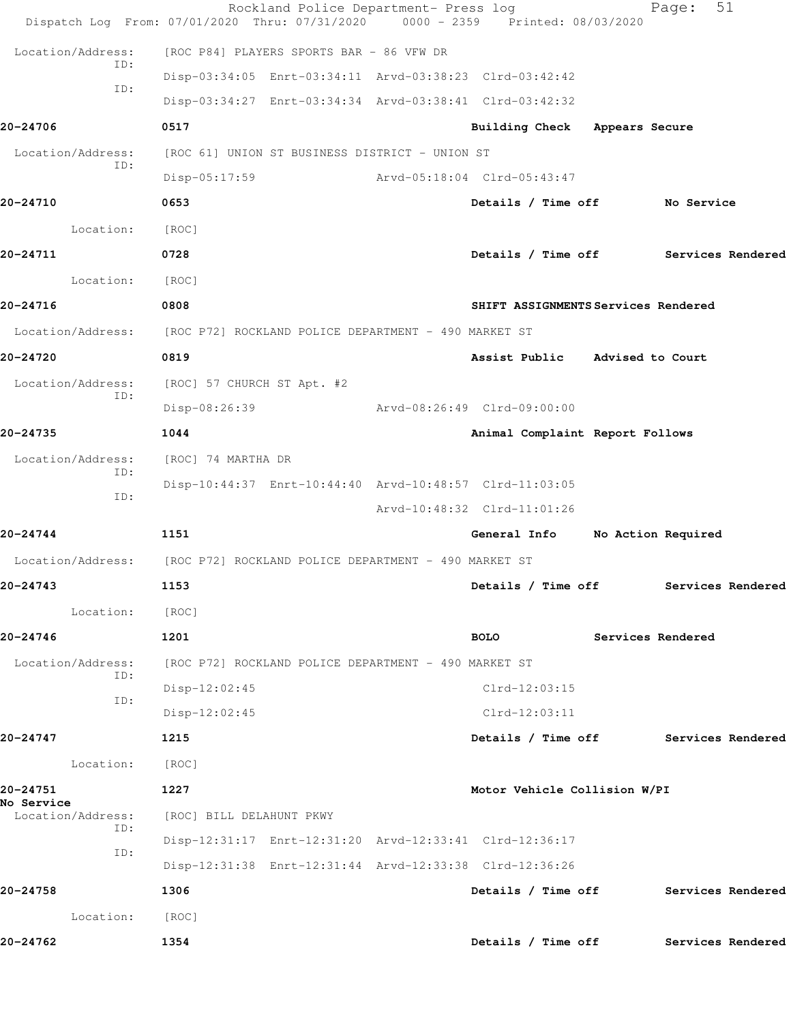|                          | Rockland Police Department- Press log<br>Dispatch Log From: 07/01/2020 Thru: 07/31/2020 | 0000 - 2359 Printed: 08/03/2020      |                    | 51<br>Page:       |  |
|--------------------------|-----------------------------------------------------------------------------------------|--------------------------------------|--------------------|-------------------|--|
| Location/Address:        | [ROC P84] PLAYERS SPORTS BAR - 86 VFW DR                                                |                                      |                    |                   |  |
| ID:                      | Disp-03:34:05 Enrt-03:34:11 Arvd-03:38:23 Clrd-03:42:42                                 |                                      |                    |                   |  |
| ID:                      | Disp-03:34:27 Enrt-03:34:34 Arvd-03:38:41 Clrd-03:42:32                                 |                                      |                    |                   |  |
| 20-24706                 | 0517                                                                                    | Building Check Appears Secure        |                    |                   |  |
| Location/Address:        | [ROC 61] UNION ST BUSINESS DISTRICT - UNION ST                                          |                                      |                    |                   |  |
| ID:                      | Disp-05:17:59                                                                           | Arvd-05:18:04 Clrd-05:43:47          |                    |                   |  |
| 20-24710                 | 0653                                                                                    | Details / Time off No Service        |                    |                   |  |
| Location:                | [ROC]                                                                                   |                                      |                    |                   |  |
| 20-24711                 | 0728                                                                                    | Details / Time off Services Rendered |                    |                   |  |
| Location:                | [ROC]                                                                                   |                                      |                    |                   |  |
| 20-24716                 | 0808                                                                                    | SHIFT ASSIGNMENTS Services Rendered  |                    |                   |  |
| Location/Address:        | [ROC P72] ROCKLAND POLICE DEPARTMENT - 490 MARKET ST                                    |                                      |                    |                   |  |
| 20-24720                 | 0819                                                                                    | Assist Public Advised to Court       |                    |                   |  |
| Location/Address:        | [ROC] 57 CHURCH ST Apt. #2                                                              |                                      |                    |                   |  |
| ID:                      | Disp-08:26:39                                                                           | Arvd-08:26:49 Clrd-09:00:00          |                    |                   |  |
| 20-24735                 | 1044                                                                                    | Animal Complaint Report Follows      |                    |                   |  |
| Location/Address:<br>ID: | [ROC] 74 MARTHA DR                                                                      |                                      |                    |                   |  |
| ID:                      | Disp-10:44:37 Enrt-10:44:40 Arvd-10:48:57 Clrd-11:03:05                                 |                                      |                    |                   |  |
|                          |                                                                                         | Arvd-10:48:32 Clrd-11:01:26          |                    |                   |  |
| 20-24744                 | 1151                                                                                    | General Info                         | No Action Required |                   |  |
| Location/Address:        | [ROC P72] ROCKLAND POLICE DEPARTMENT - 490 MARKET ST                                    |                                      |                    |                   |  |
| 20-24743                 | 1153                                                                                    | Details / Time off Services Rendered |                    |                   |  |
| Location:                | [ROC]                                                                                   |                                      |                    |                   |  |
| 20-24746                 | 1201                                                                                    | <b>BOLO</b>                          | Services Rendered  |                   |  |
| Location/Address:<br>ID: | [ROC P72] ROCKLAND POLICE DEPARTMENT - 490 MARKET ST                                    |                                      |                    |                   |  |
| ID:                      | $Disp-12:02:45$                                                                         | $Clrd-12:03:15$                      |                    |                   |  |
|                          | $Disp-12:02:45$                                                                         | $Clrd-12:03:11$                      |                    |                   |  |
| 20-24747                 | 1215                                                                                    | Details / Time off                   |                    | Services Rendered |  |
| Location:                | [ROC]                                                                                   |                                      |                    |                   |  |
| 20-24751<br>No Service   | 1227                                                                                    | Motor Vehicle Collision W/PI         |                    |                   |  |
| Location/Address:<br>ID: | [ROC] BILL DELAHUNT PKWY                                                                |                                      |                    |                   |  |
| ID:                      | Disp-12:31:17 Enrt-12:31:20 Arvd-12:33:41 Clrd-12:36:17                                 |                                      |                    |                   |  |
|                          | Disp-12:31:38 Enrt-12:31:44 Arvd-12:33:38 Clrd-12:36:26                                 |                                      |                    |                   |  |
| 20-24758                 | 1306                                                                                    | Details / Time off                   |                    | Services Rendered |  |
| Location:                | [ROC]                                                                                   |                                      |                    |                   |  |
| 20-24762                 | 1354                                                                                    | Details / Time off                   |                    | Services Rendered |  |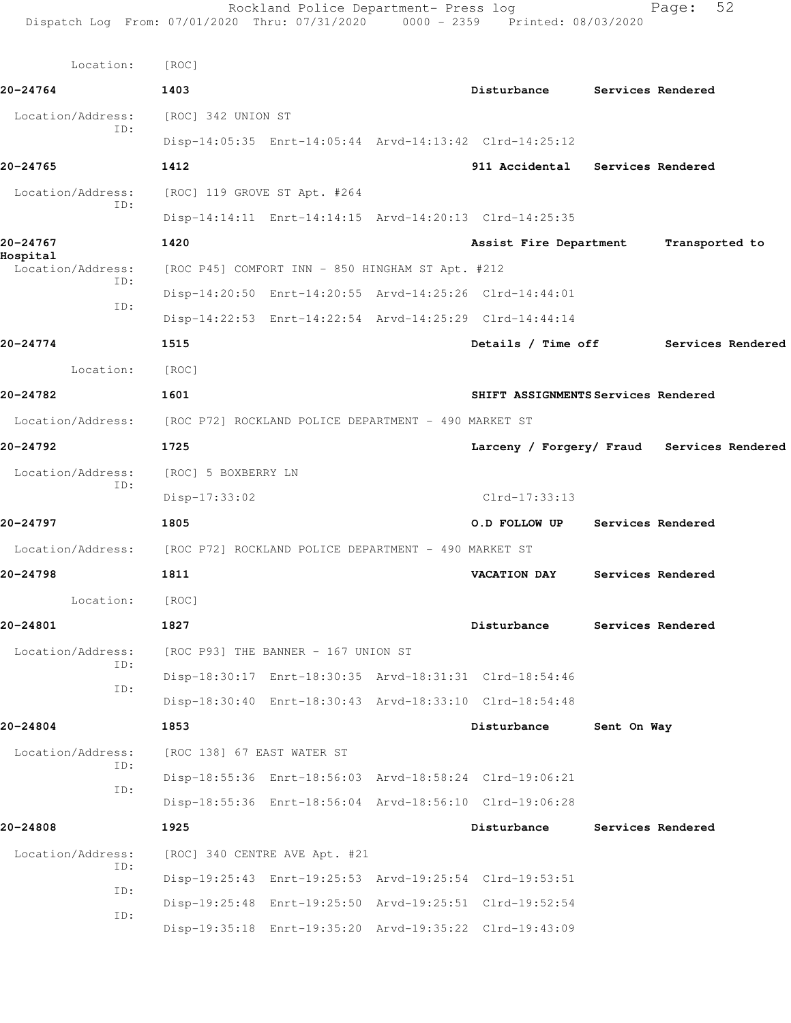| Dispatch Log From: 07/01/2020 Thru: 07/31/2020 0000 - 2359 Printed: 08/03/2020 |                                                      | Rockland Police Department- Press log |                                                         |             | 52<br>Page:                                |
|--------------------------------------------------------------------------------|------------------------------------------------------|---------------------------------------|---------------------------------------------------------|-------------|--------------------------------------------|
| Location:                                                                      | [ROC]                                                |                                       |                                                         |             |                                            |
| 20-24764                                                                       | 1403                                                 |                                       | Disturbance                                             |             | Services Rendered                          |
| Location/Address:                                                              | [ROC] 342 UNION ST                                   |                                       |                                                         |             |                                            |
| ID:                                                                            |                                                      |                                       | Disp-14:05:35 Enrt-14:05:44 Arvd-14:13:42 Clrd-14:25:12 |             |                                            |
| 20-24765                                                                       | 1412                                                 |                                       | 911 Accidental Services Rendered                        |             |                                            |
| Location/Address:                                                              | [ROC] 119 GROVE ST Apt. #264                         |                                       |                                                         |             |                                            |
| ID:                                                                            |                                                      |                                       | Disp-14:14:11 Enrt-14:14:15 Arvd-14:20:13 Clrd-14:25:35 |             |                                            |
| 20-24767                                                                       | 1420                                                 |                                       | Assist Fire Department                                  |             | Transported to                             |
| Hospital<br>Location/Address:                                                  | [ROC P45] COMFORT INN - 850 HINGHAM ST Apt. #212     |                                       |                                                         |             |                                            |
| ID:                                                                            |                                                      |                                       | Disp-14:20:50 Enrt-14:20:55 Arvd-14:25:26 Clrd-14:44:01 |             |                                            |
| ID:                                                                            |                                                      |                                       | Disp-14:22:53 Enrt-14:22:54 Arvd-14:25:29 Clrd-14:44:14 |             |                                            |
| 20-24774                                                                       | 1515                                                 |                                       | Details / Time off                                      |             | Services Rendered                          |
| Location:                                                                      | [ROC]                                                |                                       |                                                         |             |                                            |
| 20-24782                                                                       | 1601                                                 |                                       | SHIFT ASSIGNMENTS Services Rendered                     |             |                                            |
| Location/Address:                                                              | [ROC P72] ROCKLAND POLICE DEPARTMENT - 490 MARKET ST |                                       |                                                         |             |                                            |
| 20-24792                                                                       | 1725                                                 |                                       |                                                         |             | Larceny / Forgery/ Fraud Services Rendered |
| Location/Address:                                                              | [ROC] 5 BOXBERRY LN                                  |                                       |                                                         |             |                                            |
| ID:                                                                            | $Disp-17:33:02$                                      |                                       | $Clrd-17:33:13$                                         |             |                                            |
| 20-24797                                                                       | 1805                                                 |                                       | O.D FOLLOW UP                                           |             | Services Rendered                          |
| Location/Address:                                                              | [ROC P72] ROCKLAND POLICE DEPARTMENT - 490 MARKET ST |                                       |                                                         |             |                                            |
| 20-24798                                                                       | 1811                                                 |                                       | VACATION DAY                                            |             | Services Rendered                          |
| Location:                                                                      | [ROC]                                                |                                       |                                                         |             |                                            |
| 20-24801                                                                       | 1827                                                 |                                       | Disturbance                                             |             | Services Rendered                          |
| Location/Address:<br>ID:                                                       | [ROC P93] THE BANNER - 167 UNION ST                  |                                       |                                                         |             |                                            |
| ID:                                                                            |                                                      |                                       | Disp-18:30:17 Enrt-18:30:35 Arvd-18:31:31 Clrd-18:54:46 |             |                                            |
|                                                                                |                                                      |                                       | Disp-18:30:40 Enrt-18:30:43 Arvd-18:33:10 Clrd-18:54:48 |             |                                            |
| 20-24804                                                                       | 1853                                                 |                                       | Disturbance                                             | Sent On Way |                                            |
| Location/Address:<br>ID:                                                       | [ROC 138] 67 EAST WATER ST                           |                                       |                                                         |             |                                            |
| ID:                                                                            |                                                      |                                       | Disp-18:55:36 Enrt-18:56:03 Arvd-18:58:24 Clrd-19:06:21 |             |                                            |
|                                                                                |                                                      |                                       | Disp-18:55:36 Enrt-18:56:04 Arvd-18:56:10 Clrd-19:06:28 |             |                                            |
| 20-24808                                                                       | 1925                                                 |                                       | Disturbance                                             |             | Services Rendered                          |
| Location/Address:<br>ID:                                                       | [ROC] 340 CENTRE AVE Apt. #21                        |                                       |                                                         |             |                                            |
| ID:                                                                            |                                                      |                                       | Disp-19:25:43 Enrt-19:25:53 Arvd-19:25:54 Clrd-19:53:51 |             |                                            |
| ID:                                                                            |                                                      |                                       | Disp-19:25:48 Enrt-19:25:50 Arvd-19:25:51 Clrd-19:52:54 |             |                                            |
|                                                                                |                                                      |                                       | Disp-19:35:18 Enrt-19:35:20 Arvd-19:35:22 Clrd-19:43:09 |             |                                            |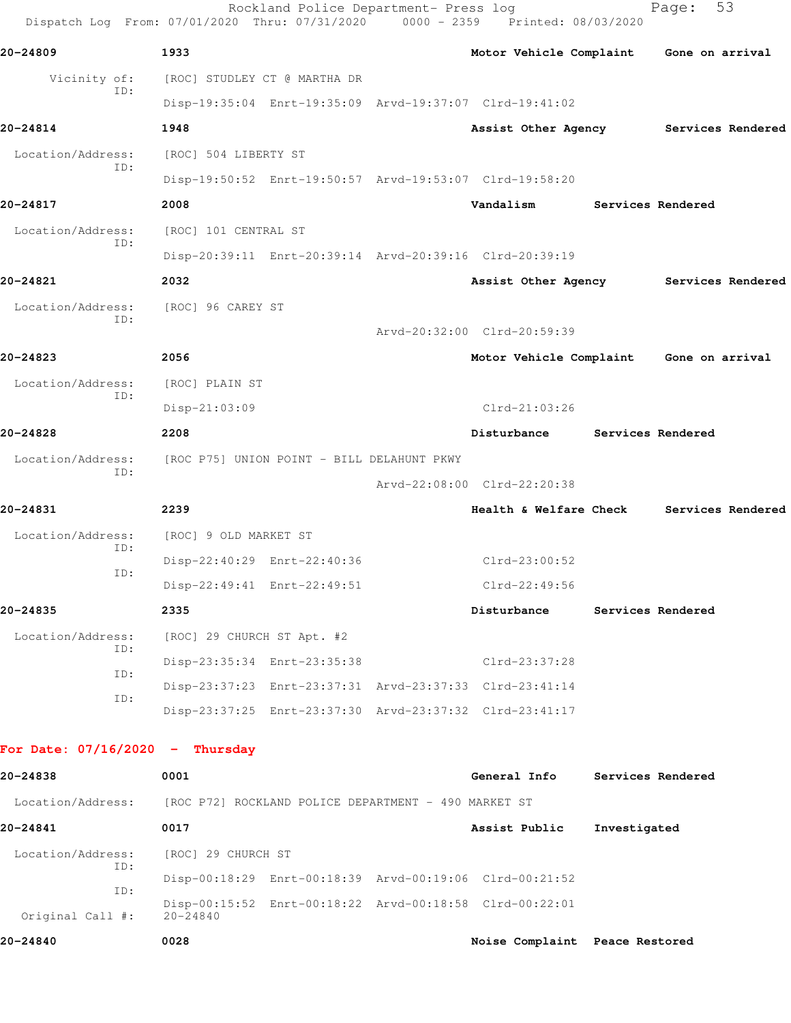|                                   | Dispatch Log From: 07/01/2020 Thru: 07/31/2020 0000 - 2359 Printed: 08/03/2020 | Rockland Police Department- Press log |                                         |                   | 53<br>Page:       |
|-----------------------------------|--------------------------------------------------------------------------------|---------------------------------------|-----------------------------------------|-------------------|-------------------|
| 20-24809                          | 1933                                                                           |                                       | Motor Vehicle Complaint                 |                   | Gone on arrival   |
| Vicinity of:                      | [ROC] STUDLEY CT @ MARTHA DR                                                   |                                       |                                         |                   |                   |
| ID:                               | Disp-19:35:04 Enrt-19:35:09 Arvd-19:37:07 Clrd-19:41:02                        |                                       |                                         |                   |                   |
| 20-24814                          | 1948                                                                           |                                       | Assist Other Agency                     |                   | Services Rendered |
| Location/Address:<br>ID:          | [ROC] 504 LIBERTY ST                                                           |                                       |                                         |                   |                   |
|                                   | Disp-19:50:52 Enrt-19:50:57 Arvd-19:53:07 Clrd-19:58:20                        |                                       |                                         |                   |                   |
| 20-24817                          | 2008                                                                           |                                       | Vandalism                               | Services Rendered |                   |
| Location/Address:<br>ID:          | [ROC] 101 CENTRAL ST                                                           |                                       |                                         |                   |                   |
|                                   | Disp-20:39:11 Enrt-20:39:14 Arvd-20:39:16 Clrd-20:39:19                        |                                       |                                         |                   |                   |
| 20-24821                          | 2032                                                                           |                                       | Assist Other Agency                     |                   | Services Rendered |
| Location/Address:<br>ID:          | [ROC] 96 CAREY ST                                                              |                                       |                                         |                   |                   |
|                                   |                                                                                |                                       | Arvd-20:32:00 Clrd-20:59:39             |                   |                   |
| 20-24823                          | 2056                                                                           |                                       | Motor Vehicle Complaint Gone on arrival |                   |                   |
| Location/Address:<br>ID:          | [ROC] PLAIN ST                                                                 |                                       |                                         |                   |                   |
|                                   | $Disp-21:03:09$                                                                |                                       | $Clrd-21:03:26$                         |                   |                   |
| 20-24828                          | 2208                                                                           |                                       | Disturbance                             | Services Rendered |                   |
| Location/Address:<br>ID:          | [ROC P75] UNION POINT - BILL DELAHUNT PKWY                                     |                                       |                                         |                   |                   |
|                                   |                                                                                |                                       | Arvd-22:08:00 Clrd-22:20:38             |                   |                   |
| 20-24831                          | 2239                                                                           |                                       | Health & Welfare Check                  |                   | Services Rendered |
| Location/Address:<br>TD:          | [ROC] 9 OLD MARKET ST                                                          |                                       |                                         |                   |                   |
| ID:                               | Disp-22:40:29 Enrt-22:40:36                                                    |                                       | $Clrd-23:00:52$                         |                   |                   |
|                                   | Disp-22:49:41 Enrt-22:49:51                                                    |                                       | Clrd-22:49:56                           |                   |                   |
| 20-24835                          | 2335                                                                           |                                       | Disturbance                             | Services Rendered |                   |
| Location/Address:<br>ID:          | [ROC] 29 CHURCH ST Apt. #2                                                     |                                       |                                         |                   |                   |
| ID:                               | Disp-23:35:34 Enrt-23:35:38                                                    |                                       | Clrd-23:37:28                           |                   |                   |
| ID:                               | Disp-23:37:23 Enrt-23:37:31 Arvd-23:37:33 Clrd-23:41:14                        |                                       |                                         |                   |                   |
|                                   | Disp-23:37:25 Enrt-23:37:30 Arvd-23:37:32 Clrd-23:41:17                        |                                       |                                         |                   |                   |
| For Date: $07/16/2020 -$ Thursday |                                                                                |                                       |                                         |                   |                   |
| 20-24838                          | 0001                                                                           |                                       | General Info                            | Services Rendered |                   |
| Location/Address:                 | [ROC P72] ROCKLAND POLICE DEPARTMENT - 490 MARKET ST                           |                                       |                                         |                   |                   |
| 20-24841                          | 0017                                                                           |                                       | Assist Public                           | Investigated      |                   |
| Location/Address:                 | [ROC] 29 CHURCH ST                                                             |                                       |                                         |                   |                   |
| ID:                               | Disp-00:18:29 Enrt-00:18:39 Arvd-00:19:06 Clrd-00:21:52                        |                                       |                                         |                   |                   |
| ID:<br>Original Call #:           | Disp-00:15:52 Enrt-00:18:22 Arvd-00:18:58 Clrd-00:22:01<br>$20 - 24840$        |                                       |                                         |                   |                   |
| 20-24840                          | 0028                                                                           |                                       | Noise Complaint Peace Restored          |                   |                   |
|                                   |                                                                                |                                       |                                         |                   |                   |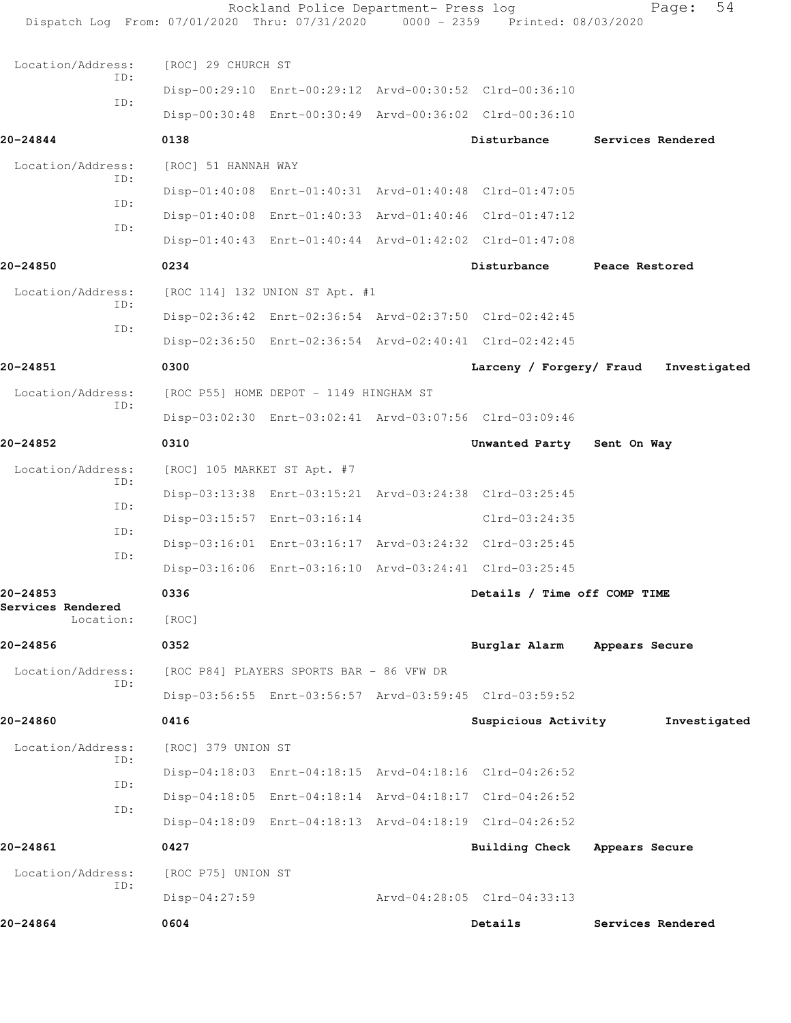| Dispatch Log From: 07/01/2020 Thru: 07/31/2020 0000 - 2359 Printed: 08/03/2020 |                     | Rockland Police Department- Press log    |                                                         | 54<br>Page:       |
|--------------------------------------------------------------------------------|---------------------|------------------------------------------|---------------------------------------------------------|-------------------|
| Location/Address:                                                              | [ROC] 29 CHURCH ST  |                                          |                                                         |                   |
| ID:                                                                            |                     |                                          | Disp-00:29:10 Enrt-00:29:12 Arvd-00:30:52 Clrd-00:36:10 |                   |
| ID:                                                                            |                     |                                          | Disp-00:30:48 Enrt-00:30:49 Arvd-00:36:02 Clrd-00:36:10 |                   |
| 20-24844                                                                       | 0138                |                                          | Disturbance                                             | Services Rendered |
| Location/Address:                                                              | [ROC] 51 HANNAH WAY |                                          |                                                         |                   |
| ID:                                                                            |                     |                                          | Disp-01:40:08 Enrt-01:40:31 Arvd-01:40:48 Clrd-01:47:05 |                   |
| ID:                                                                            |                     |                                          | Disp-01:40:08 Enrt-01:40:33 Arvd-01:40:46 Clrd-01:47:12 |                   |
| ID:                                                                            |                     |                                          | Disp-01:40:43 Enrt-01:40:44 Arvd-01:42:02 Clrd-01:47:08 |                   |
| 20-24850                                                                       | 0234                |                                          | Disturbance                                             | Peace Restored    |
| Location/Address:                                                              |                     | [ROC 114] 132 UNION ST Apt. #1           |                                                         |                   |
| ID:                                                                            |                     |                                          | Disp-02:36:42 Enrt-02:36:54 Arvd-02:37:50 Clrd-02:42:45 |                   |
| ID:                                                                            |                     |                                          | Disp-02:36:50 Enrt-02:36:54 Arvd-02:40:41 Clrd-02:42:45 |                   |
| 20-24851                                                                       | 0300                |                                          | Larceny / Forgery/ Fraud                                | Investigated      |
| Location/Address:                                                              |                     | [ROC P55] HOME DEPOT - 1149 HINGHAM ST   |                                                         |                   |
| ID:                                                                            |                     |                                          | Disp-03:02:30 Enrt-03:02:41 Arvd-03:07:56 Clrd-03:09:46 |                   |
| 20-24852                                                                       | 0310                |                                          | Unwanted Party                                          | Sent On Way       |
| Location/Address:                                                              |                     | [ROC] 105 MARKET ST Apt. #7              |                                                         |                   |
| ID:                                                                            |                     |                                          | Disp-03:13:38 Enrt-03:15:21 Arvd-03:24:38 Clrd-03:25:45 |                   |
| ID:                                                                            |                     | Disp-03:15:57 Enrt-03:16:14              | Clrd-03:24:35                                           |                   |
| ID:<br>ID:                                                                     |                     |                                          | Disp-03:16:01 Enrt-03:16:17 Arvd-03:24:32 Clrd-03:25:45 |                   |
|                                                                                |                     |                                          | Disp-03:16:06 Enrt-03:16:10 Arvd-03:24:41 Clrd-03:25:45 |                   |
| 20-24853                                                                       | 0336                |                                          | Details / Time off COMP TIME                            |                   |
| Services Rendered<br>Location:                                                 | [ROC]               |                                          |                                                         |                   |
| 20-24856                                                                       | 0352                |                                          | Burglar Alarm                                           | Appears Secure    |
| Location/Address:                                                              |                     | [ROC P84] PLAYERS SPORTS BAR - 86 VFW DR |                                                         |                   |
| ID:                                                                            |                     |                                          | Disp-03:56:55 Enrt-03:56:57 Arvd-03:59:45 Clrd-03:59:52 |                   |
| 20-24860                                                                       | 0416                |                                          | Suspicious Activity                                     | Investigated      |
| Location/Address:                                                              | [ROC] 379 UNION ST  |                                          |                                                         |                   |
| ID:<br>ID:                                                                     |                     |                                          | Disp-04:18:03 Enrt-04:18:15 Arvd-04:18:16 Clrd-04:26:52 |                   |
| ID:                                                                            |                     |                                          | Disp-04:18:05 Enrt-04:18:14 Arvd-04:18:17 Clrd-04:26:52 |                   |
|                                                                                |                     |                                          | Disp-04:18:09 Enrt-04:18:13 Arvd-04:18:19 Clrd-04:26:52 |                   |
| 20-24861                                                                       | 0427                |                                          | <b>Building Check</b>                                   | Appears Secure    |
| Location/Address:                                                              | [ROC P75] UNION ST  |                                          |                                                         |                   |
| ID:                                                                            | $Disp-04:27:59$     |                                          | Arvd-04:28:05 Clrd-04:33:13                             |                   |
| 20-24864                                                                       | 0604                |                                          | Details                                                 | Services Rendered |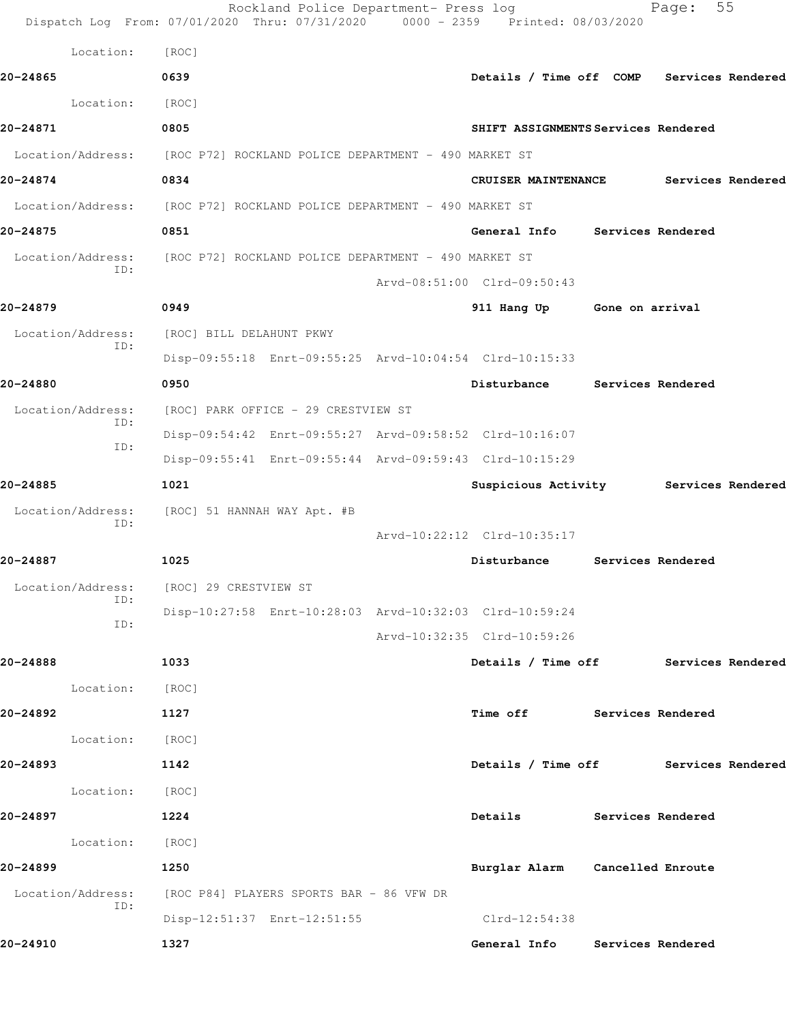|                          | Rockland Police Department- Press log<br>Dispatch Log From: 07/01/2020 Thru: 07/31/2020 0000 - 2359 Printed: 08/03/2020 |                                       |                   | Page:             | 55                |
|--------------------------|-------------------------------------------------------------------------------------------------------------------------|---------------------------------------|-------------------|-------------------|-------------------|
| Location:                | [ROC]                                                                                                                   |                                       |                   |                   |                   |
| 20-24865                 | 0639                                                                                                                    | Details / Time off COMP               |                   |                   | Services Rendered |
| Location:                | [ROC]                                                                                                                   |                                       |                   |                   |                   |
| 20-24871                 | 0805                                                                                                                    | SHIFT ASSIGNMENTS Services Rendered   |                   |                   |                   |
|                          | Location/Address: [ROC P72] ROCKLAND POLICE DEPARTMENT - 490 MARKET ST                                                  |                                       |                   |                   |                   |
| 20-24874                 | 0834                                                                                                                    | <b>CRUISER MAINTENANCE</b>            |                   |                   | Services Rendered |
|                          | Location/Address: [ROC P72] ROCKLAND POLICE DEPARTMENT - 490 MARKET ST                                                  |                                       |                   |                   |                   |
| 20-24875                 | 0851                                                                                                                    | General Info Services Rendered        |                   |                   |                   |
| Location/Address:<br>ID: | [ROC P72] ROCKLAND POLICE DEPARTMENT - 490 MARKET ST                                                                    |                                       |                   |                   |                   |
|                          |                                                                                                                         | Arvd-08:51:00 Clrd-09:50:43           |                   |                   |                   |
| 20-24879                 | 0949                                                                                                                    | 911 Hang Up                           | Gone on arrival   |                   |                   |
| Location/Address:<br>ID: | [ROC] BILL DELAHUNT PKWY                                                                                                |                                       |                   |                   |                   |
|                          | Disp-09:55:18 Enrt-09:55:25 Arvd-10:04:54 Clrd-10:15:33                                                                 |                                       |                   |                   |                   |
| 20-24880                 | 0950                                                                                                                    | Disturbance                           |                   | Services Rendered |                   |
| Location/Address:<br>ID: | [ROC] PARK OFFICE - 29 CRESTVIEW ST                                                                                     |                                       |                   |                   |                   |
| ID:                      | Disp-09:54:42 Enrt-09:55:27 Arvd-09:58:52 Clrd-10:16:07                                                                 |                                       |                   |                   |                   |
|                          | Disp-09:55:41 Enrt-09:55:44 Arvd-09:59:43 Clrd-10:15:29                                                                 |                                       |                   |                   |                   |
| 20-24885                 | 1021                                                                                                                    | Suspicious Activity Services Rendered |                   |                   |                   |
| Location/Address:<br>ID: | [ROC] 51 HANNAH WAY Apt. #B                                                                                             |                                       |                   |                   |                   |
|                          |                                                                                                                         | Arvd-10:22:12 Clrd-10:35:17           |                   |                   |                   |
| 20-24887                 | 1025                                                                                                                    | Disturbance                           |                   | Services Rendered |                   |
| Location/Address:<br>ID: | [ROC] 29 CRESTVIEW ST                                                                                                   |                                       |                   |                   |                   |
| ID:                      | Disp-10:27:58 Enrt-10:28:03 Arvd-10:32:03 Clrd-10:59:24                                                                 |                                       |                   |                   |                   |
|                          |                                                                                                                         | Arvd-10:32:35 Clrd-10:59:26           |                   |                   |                   |
| 20-24888                 | 1033                                                                                                                    | Details / Time off Services Rendered  |                   |                   |                   |
| Location:                | [ROC]                                                                                                                   |                                       |                   |                   |                   |
| 20-24892                 | 1127                                                                                                                    | Time off                              | Services Rendered |                   |                   |
| Location:                | [ROC]                                                                                                                   |                                       |                   |                   |                   |
| 20-24893                 | 1142                                                                                                                    | Details / Time off Services Rendered  |                   |                   |                   |
| Location:                | [ROC]                                                                                                                   |                                       |                   |                   |                   |
| 20-24897                 | 1224                                                                                                                    | Details                               |                   | Services Rendered |                   |
| Location:                | [ROC]                                                                                                                   |                                       |                   |                   |                   |
| 20-24899                 | 1250                                                                                                                    | Burglar Alarm Cancelled Enroute       |                   |                   |                   |
| Location/Address:<br>ID: | [ROC P84] PLAYERS SPORTS BAR - 86 VFW DR                                                                                |                                       |                   |                   |                   |
|                          | Disp-12:51:37 Enrt-12:51:55                                                                                             | $Clrd-12:54:38$                       |                   |                   |                   |
| 20-24910                 | 1327                                                                                                                    | General Info                          |                   | Services Rendered |                   |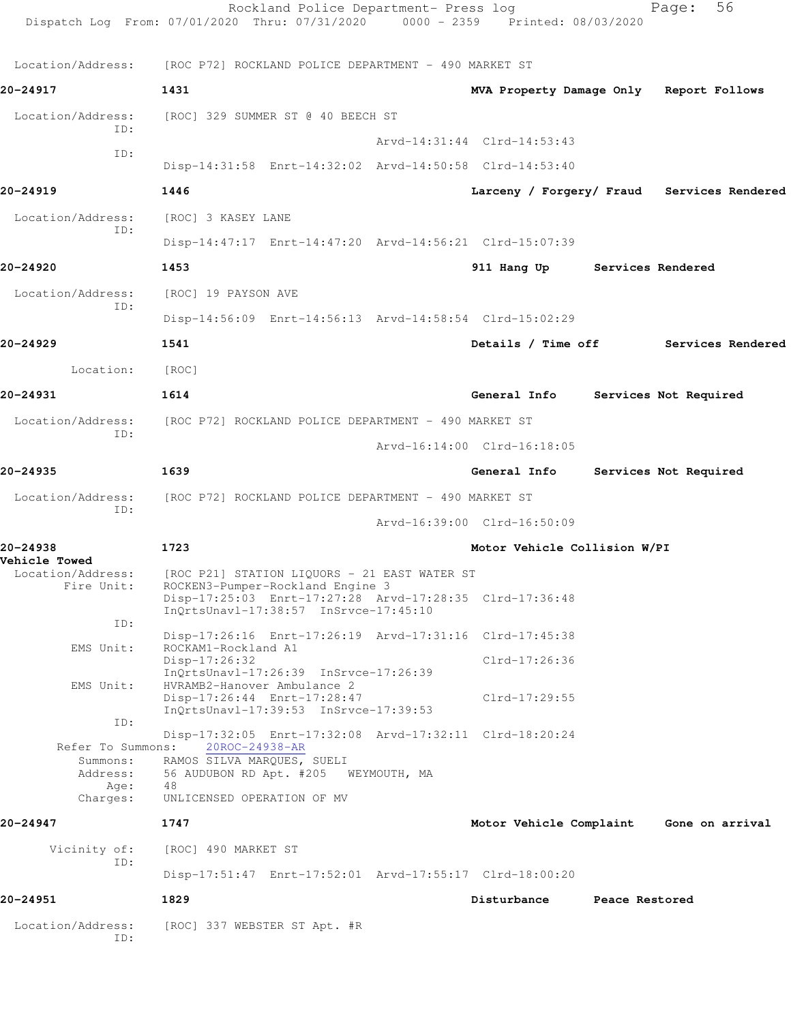|                                           | Rockland Police Department- Press log<br>Dispatch Log From: 07/01/2020 Thru: 07/31/2020 0000 - 2359 Printed: 08/03/2020              |                                            |                | Page:                 | 56 |
|-------------------------------------------|--------------------------------------------------------------------------------------------------------------------------------------|--------------------------------------------|----------------|-----------------------|----|
|                                           |                                                                                                                                      |                                            |                |                       |    |
|                                           | Location/Address: [ROC P72] ROCKLAND POLICE DEPARTMENT - 490 MARKET ST                                                               |                                            |                |                       |    |
| 20-24917                                  | 1431                                                                                                                                 | MVA Property Damage Only Report Follows    |                |                       |    |
| Location/Address:<br>ID:                  | [ROC] 329 SUMMER ST @ 40 BEECH ST                                                                                                    |                                            |                |                       |    |
| ID:                                       |                                                                                                                                      | Arvd-14:31:44 Clrd-14:53:43                |                |                       |    |
|                                           | Disp-14:31:58 Enrt-14:32:02 Arvd-14:50:58 Clrd-14:53:40                                                                              |                                            |                |                       |    |
| 20-24919                                  | 1446                                                                                                                                 | Larceny / Forgery/ Fraud Services Rendered |                |                       |    |
| Location/Address:                         | [ROC] 3 KASEY LANE                                                                                                                   |                                            |                |                       |    |
| ID:                                       | Disp-14:47:17 Enrt-14:47:20 Arvd-14:56:21 Clrd-15:07:39                                                                              |                                            |                |                       |    |
| 20-24920                                  | 1453                                                                                                                                 | 911 Hang Up Services Rendered              |                |                       |    |
| Location/Address:                         | [ROC] 19 PAYSON AVE                                                                                                                  |                                            |                |                       |    |
| ID:                                       | Disp-14:56:09 Enrt-14:56:13 Arvd-14:58:54 Clrd-15:02:29                                                                              |                                            |                |                       |    |
| 20-24929                                  | 1541                                                                                                                                 | Details / Time off Services Rendered       |                |                       |    |
| Location:                                 | [ROC]                                                                                                                                |                                            |                |                       |    |
| 20-24931                                  | 1614                                                                                                                                 | General Info                               |                | Services Not Required |    |
| Location/Address:                         | [ROC P72] ROCKLAND POLICE DEPARTMENT - 490 MARKET ST                                                                                 |                                            |                |                       |    |
| ID:                                       |                                                                                                                                      | Arvd-16:14:00 Clrd-16:18:05                |                |                       |    |
| 20-24935                                  | 1639                                                                                                                                 | General Info                               |                | Services Not Required |    |
| Location/Address:                         | [ROC P72] ROCKLAND POLICE DEPARTMENT - 490 MARKET ST                                                                                 |                                            |                |                       |    |
| ID:                                       |                                                                                                                                      | Arvd-16:39:00 Clrd-16:50:09                |                |                       |    |
| 20-24938                                  | 1723                                                                                                                                 | Motor Vehicle Collision W/PI               |                |                       |    |
| <b>Vehicle Towed</b><br>Location/Address: | [ROC P21] STATION LIQUORS - 21 EAST WATER ST                                                                                         |                                            |                |                       |    |
| Fire Unit:                                | ROCKEN3-Pumper-Rockland Engine 3<br>Disp-17:25:03 Enrt-17:27:28 Arvd-17:28:35 Clrd-17:36:48<br>InQrtsUnavl-17:38:57 InSrvce-17:45:10 |                                            |                |                       |    |
| ID:                                       | Disp-17:26:16 Enrt-17:26:19 Arvd-17:31:16 Clrd-17:45:38                                                                              |                                            |                |                       |    |
| EMS Unit:                                 | ROCKAM1-Rockland A1<br>$Disp-17:26:32$                                                                                               | Clrd-17:26:36                              |                |                       |    |
| EMS Unit:                                 | $InQrtsUnav1-17:26:39$ $InSrvce-17:26:39$<br>HVRAMB2-Hanover Ambulance 2                                                             |                                            |                |                       |    |
|                                           | Disp-17:26:44 Enrt-17:28:47<br>InQrtsUnavl-17:39:53 InSrvce-17:39:53                                                                 | $Clrd-17:29:55$                            |                |                       |    |
| ID:                                       | Disp-17:32:05 Enrt-17:32:08 Arvd-17:32:11 Clrd-18:20:24                                                                              |                                            |                |                       |    |
| Refer To Summons:<br>Summons:             | 20ROC-24938-AR<br>RAMOS SILVA MARQUES, SUELI                                                                                         |                                            |                |                       |    |
| Address:<br>Age:                          | 56 AUDUBON RD Apt. #205 WEYMOUTH, MA<br>48                                                                                           |                                            |                |                       |    |
| Charges:                                  | UNLICENSED OPERATION OF MV                                                                                                           |                                            |                |                       |    |
| 20-24947                                  | 1747                                                                                                                                 | Motor Vehicle Complaint                    |                | Gone on arrival       |    |
| Vicinity of:<br>ID:                       | [ROC] 490 MARKET ST<br>Disp-17:51:47 Enrt-17:52:01 Arvd-17:55:17 Clrd-18:00:20                                                       |                                            |                |                       |    |
| 20-24951                                  | 1829                                                                                                                                 | Disturbance                                | Peace Restored |                       |    |
|                                           |                                                                                                                                      |                                            |                |                       |    |
| Location/Address:<br>ID:                  | [ROC] 337 WEBSTER ST Apt. #R                                                                                                         |                                            |                |                       |    |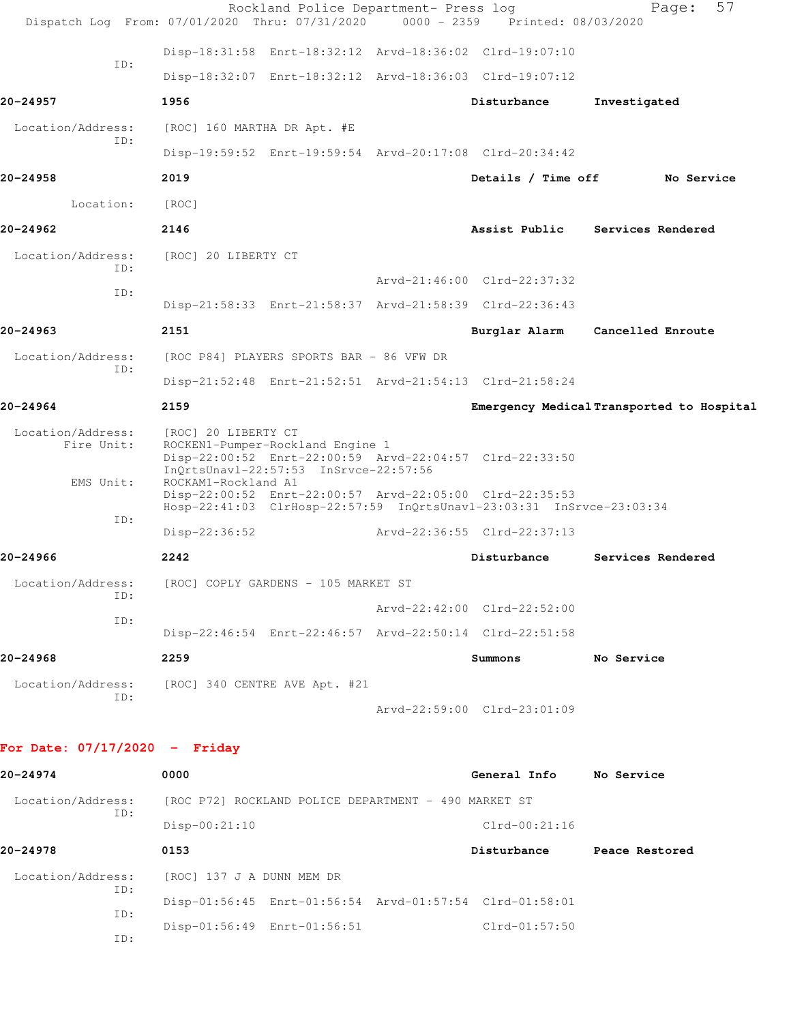| Dispatch Log From: 07/01/2020 Thru: 07/31/2020 0000 - 2359 Printed: 08/03/2020 |                                                                                                  |                                     | Rockland Police Department- Press log |                                                                                                                                 | 57<br>Page:                               |
|--------------------------------------------------------------------------------|--------------------------------------------------------------------------------------------------|-------------------------------------|---------------------------------------|---------------------------------------------------------------------------------------------------------------------------------|-------------------------------------------|
|                                                                                |                                                                                                  |                                     |                                       | Disp-18:31:58 Enrt-18:32:12 Arvd-18:36:02 Clrd-19:07:10                                                                         |                                           |
| ID:                                                                            |                                                                                                  |                                     |                                       | Disp-18:32:07 Enrt-18:32:12 Arvd-18:36:03 Clrd-19:07:12                                                                         |                                           |
| 20-24957                                                                       | 1956                                                                                             |                                     |                                       | Disturbance                                                                                                                     | Investigated                              |
| Location/Address:                                                              | [ROC] 160 MARTHA DR Apt. #E                                                                      |                                     |                                       |                                                                                                                                 |                                           |
| ID:                                                                            |                                                                                                  |                                     |                                       | Disp-19:59:52 Enrt-19:59:54 Arvd-20:17:08 Clrd-20:34:42                                                                         |                                           |
| 20-24958                                                                       | 2019                                                                                             |                                     |                                       | Details / Time off                                                                                                              | No Service                                |
| Location:                                                                      | [ROC]                                                                                            |                                     |                                       |                                                                                                                                 |                                           |
| 20-24962                                                                       | 2146                                                                                             |                                     |                                       | Assist Public                                                                                                                   | <b>Services Rendered</b>                  |
| Location/Address:<br>ID:                                                       | [ROC] 20 LIBERTY CT                                                                              |                                     |                                       |                                                                                                                                 |                                           |
| ID:                                                                            |                                                                                                  |                                     |                                       | $Arvd - 21:46:00$ $Clrd - 22:37:32$                                                                                             |                                           |
|                                                                                |                                                                                                  |                                     |                                       | Disp-21:58:33 Enrt-21:58:37 Arvd-21:58:39 Clrd-22:36:43                                                                         |                                           |
| 20-24963                                                                       | 2151                                                                                             |                                     |                                       | Burglar Alarm                                                                                                                   | Cancelled Enroute                         |
| Location/Address:<br>ID:                                                       | [ROC P84] PLAYERS SPORTS BAR - 86 VFW DR                                                         |                                     |                                       |                                                                                                                                 |                                           |
|                                                                                |                                                                                                  |                                     |                                       | Disp-21:52:48 Enrt-21:52:51 Arvd-21:54:13 Clrd-21:58:24                                                                         |                                           |
| $20 - 24964$                                                                   | 2159                                                                                             |                                     |                                       |                                                                                                                                 | Emergency Medical Transported to Hospital |
| Location/Address:<br>Fire Unit:                                                | [ROC] 20 LIBERTY CT<br>ROCKEN1-Pumper-Rockland Engine 1<br>InQrtsUnavl-22:57:53 InSrvce-22:57:56 |                                     |                                       | Disp-22:00:52 Enrt-22:00:59 Arvd-22:04:57 Clrd-22:33:50                                                                         |                                           |
| EMS Unit:                                                                      | ROCKAM1-Rockland A1                                                                              |                                     |                                       | Disp-22:00:52 Enrt-22:00:57 Arvd-22:05:00 Clrd-22:35:53<br>Hosp-22:41:03 ClrHosp-22:57:59 InQrtsUnavl-23:03:31 InSrvce-23:03:34 |                                           |
| ID:                                                                            | Disp-22:36:52                                                                                    |                                     |                                       | Arvd-22:36:55 Clrd-22:37:13                                                                                                     |                                           |
| 20-24966                                                                       | 2242                                                                                             |                                     |                                       | Disturbance                                                                                                                     | Services Rendered                         |
| Location/Address:                                                              |                                                                                                  | [ROC] COPLY GARDENS - 105 MARKET ST |                                       |                                                                                                                                 |                                           |
| ID:                                                                            |                                                                                                  |                                     |                                       | Arvd-22:42:00 Clrd-22:52:00                                                                                                     |                                           |
| ID:                                                                            |                                                                                                  |                                     |                                       | Disp-22:46:54 Enrt-22:46:57 Arvd-22:50:14 Clrd-22:51:58                                                                         |                                           |
| 20-24968                                                                       | 2259                                                                                             |                                     |                                       | Summons                                                                                                                         | No Service                                |
| Location/Address:                                                              | [ROC] 340 CENTRE AVE Apt. #21                                                                    |                                     |                                       |                                                                                                                                 |                                           |
| ID:                                                                            |                                                                                                  |                                     |                                       | Arvd-22:59:00 Clrd-23:01:09                                                                                                     |                                           |
| For Date: $07/17/2020 -$ Friday                                                |                                                                                                  |                                     |                                       |                                                                                                                                 |                                           |
| 20-24974                                                                       | 0000                                                                                             |                                     |                                       | General Info No Service                                                                                                         |                                           |
| Location/Address:                                                              | [ROC P72] ROCKLAND POLICE DEPARTMENT - 490 MARKET ST                                             |                                     |                                       |                                                                                                                                 |                                           |
| ID:                                                                            | $Disp-00:21:10$                                                                                  |                                     |                                       | $Clrd-00:21:16$                                                                                                                 |                                           |
| 20-24978                                                                       | 0153                                                                                             |                                     |                                       | Disturbance                                                                                                                     | Peace Restored                            |
| Location/Address:                                                              | [ROC] 137 J A DUNN MEM DR                                                                        |                                     |                                       |                                                                                                                                 |                                           |
| ID:                                                                            |                                                                                                  |                                     |                                       | Disp-01:56:45 Enrt-01:56:54 Arvd-01:57:54 Clrd-01:58:01                                                                         |                                           |
| ID:<br>ID:                                                                     | Disp-01:56:49 Enrt-01:56:51                                                                      |                                     |                                       | $Clrd-01:57:50$                                                                                                                 |                                           |
|                                                                                |                                                                                                  |                                     |                                       |                                                                                                                                 |                                           |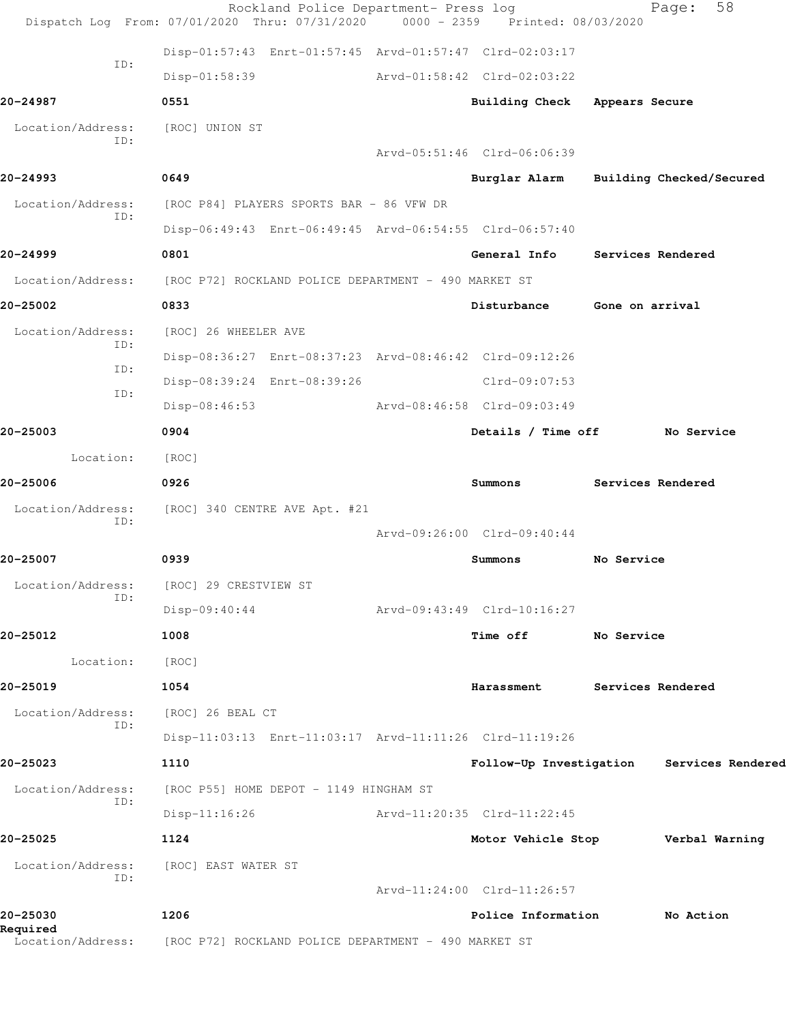|                          | Rockland Police Department- Press log<br>Dispatch Log From: 07/01/2020 Thru: 07/31/2020 0000 - 2359 Printed: 08/03/2020 |                    |                               |                   | 58<br>Page:                               |
|--------------------------|-------------------------------------------------------------------------------------------------------------------------|--------------------|-------------------------------|-------------------|-------------------------------------------|
|                          | Disp-01:57:43 Enrt-01:57:45 Arvd-01:57:47 Clrd-02:03:17                                                                 |                    |                               |                   |                                           |
| ID:                      | Disp-01:58:39                                                                                                           |                    | Arvd-01:58:42 Clrd-02:03:22   |                   |                                           |
| 20-24987                 | 0551                                                                                                                    |                    | Building Check Appears Secure |                   |                                           |
| Location/Address:        | [ROC] UNION ST                                                                                                          |                    |                               |                   |                                           |
| ID:                      |                                                                                                                         |                    | Arvd-05:51:46 Clrd-06:06:39   |                   |                                           |
| 20-24993                 | 0649                                                                                                                    |                    | Burglar Alarm                 |                   | Building Checked/Secured                  |
| Location/Address:<br>ID: | [ROC P84] PLAYERS SPORTS BAR - 86 VFW DR                                                                                |                    |                               |                   |                                           |
|                          | Disp-06:49:43 Enrt-06:49:45 Arvd-06:54:55 Clrd-06:57:40                                                                 |                    |                               |                   |                                           |
| 20-24999                 | 0801                                                                                                                    |                    | General Info                  | Services Rendered |                                           |
| Location/Address:        | [ROC P72] ROCKLAND POLICE DEPARTMENT - 490 MARKET ST                                                                    |                    |                               |                   |                                           |
| 20-25002                 | 0833                                                                                                                    |                    | Disturbance                   | Gone on arrival   |                                           |
| Location/Address:<br>ID: | [ROC] 26 WHEELER AVE                                                                                                    |                    |                               |                   |                                           |
| ID:                      | Disp-08:36:27 Enrt-08:37:23 Arvd-08:46:42 Clrd-09:12:26                                                                 |                    |                               |                   |                                           |
| ID:                      | Disp-08:39:24 Enrt-08:39:26                                                                                             |                    | Clrd-09:07:53                 |                   |                                           |
|                          | $Disp-08:46:53$                                                                                                         |                    | Arvd-08:46:58 Clrd-09:03:49   |                   |                                           |
| 20-25003                 | 0904                                                                                                                    | Details / Time off |                               | No Service        |                                           |
| Location:                | [ROC]                                                                                                                   |                    |                               |                   |                                           |
| 20-25006                 | 0926                                                                                                                    |                    | Summons                       |                   | Services Rendered                         |
| Location/Address:<br>ID: | [ROC] 340 CENTRE AVE Apt. #21                                                                                           |                    |                               |                   |                                           |
|                          |                                                                                                                         |                    | Arvd-09:26:00 Clrd-09:40:44   |                   |                                           |
| 20-25007                 | 0939                                                                                                                    |                    | Summons                       | No Service        |                                           |
| Location/Address:<br>ID: | [ROC] 29 CRESTVIEW ST                                                                                                   |                    |                               |                   |                                           |
|                          | $Disp-09:40:44$                                                                                                         |                    | Arvd-09:43:49 Clrd-10:16:27   |                   |                                           |
| 20-25012                 | 1008                                                                                                                    |                    | <b>Time off</b>               | No Service        |                                           |
| Location:                | [ROC]                                                                                                                   |                    |                               |                   |                                           |
| 20-25019                 | 1054                                                                                                                    |                    | Harassment                    |                   | Services Rendered                         |
| Location/Address:<br>ID: | [ROC] 26 BEAL CT                                                                                                        |                    |                               |                   |                                           |
|                          | Disp-11:03:13 Enrt-11:03:17 Arvd-11:11:26 Clrd-11:19:26                                                                 |                    |                               |                   |                                           |
| 20-25023                 | 1110                                                                                                                    |                    |                               |                   | Follow-Up Investigation Services Rendered |
| Location/Address:<br>ID: | [ROC P55] HOME DEPOT - 1149 HINGHAM ST                                                                                  |                    |                               |                   |                                           |
|                          | $Disp-11:16:26$                                                                                                         |                    | Arvd-11:20:35 Clrd-11:22:45   |                   |                                           |
| 20-25025                 | 1124                                                                                                                    |                    | Motor Vehicle Stop            |                   | Verbal Warning                            |
| Location/Address:<br>ID: | [ROC] EAST WATER ST                                                                                                     |                    |                               |                   |                                           |
|                          |                                                                                                                         |                    | Arvd-11:24:00 Clrd-11:26:57   |                   |                                           |
| 20-25030<br>Required     | 1206                                                                                                                    |                    | Police Information            |                   | No Action                                 |
| Location/Address:        | [ROC P72] ROCKLAND POLICE DEPARTMENT - 490 MARKET ST                                                                    |                    |                               |                   |                                           |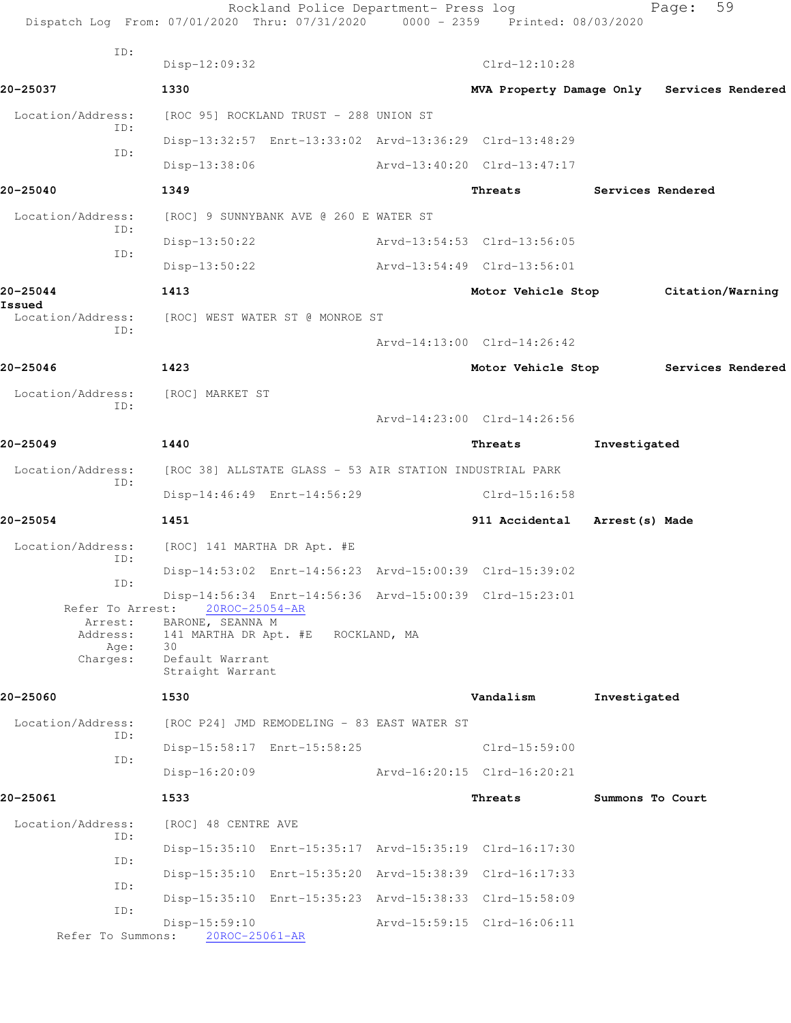|                                    | Rockland Police Department- Press log<br>Dispatch Log From: 07/01/2020 Thru: 07/31/2020 0000 - 2359 Printed: 08/03/2020 |                               |                          | 59<br>Page:                                |  |
|------------------------------------|-------------------------------------------------------------------------------------------------------------------------|-------------------------------|--------------------------|--------------------------------------------|--|
| ID:                                | Disp-12:09:32                                                                                                           | $Clrd-12:10:28$               |                          |                                            |  |
| 20-25037                           | 1330                                                                                                                    |                               |                          | MVA Property Damage Only Services Rendered |  |
| Location/Address:                  | [ROC 95] ROCKLAND TRUST - 288 UNION ST                                                                                  |                               |                          |                                            |  |
| ID:                                | Disp-13:32:57 Enrt-13:33:02 Arvd-13:36:29 Clrd-13:48:29                                                                 |                               |                          |                                            |  |
| ID:                                | Disp-13:38:06                                                                                                           | Arvd-13:40:20 Clrd-13:47:17   |                          |                                            |  |
| 20-25040                           | 1349                                                                                                                    | Threats                       | <b>Services Rendered</b> |                                            |  |
| Location/Address:                  | [ROC] 9 SUNNYBANK AVE @ 260 E WATER ST                                                                                  |                               |                          |                                            |  |
| ID:                                | Disp-13:50:22                                                                                                           | Arvd-13:54:53 Clrd-13:56:05   |                          |                                            |  |
| ID:                                | Disp-13:50:22                                                                                                           | Arvd-13:54:49 Clrd-13:56:01   |                          |                                            |  |
| 20-25044                           | 1413                                                                                                                    | Motor Vehicle Stop            |                          | Citation/Warning                           |  |
| Issued<br>Location/Address:        | [ROC] WEST WATER ST @ MONROE ST                                                                                         |                               |                          |                                            |  |
| ID:                                |                                                                                                                         | Arvd-14:13:00 Clrd-14:26:42   |                          |                                            |  |
| 20-25046                           | 1423                                                                                                                    | Motor Vehicle Stop            |                          | Services Rendered                          |  |
| Location/Address:                  | [ROC] MARKET ST                                                                                                         |                               |                          |                                            |  |
| ID:                                |                                                                                                                         | Arvd-14:23:00 Clrd-14:26:56   |                          |                                            |  |
| 20-25049                           | 1440                                                                                                                    | Threats                       | Investigated             |                                            |  |
| Location/Address:                  | [ROC 38] ALLSTATE GLASS - 53 AIR STATION INDUSTRIAL PARK                                                                |                               |                          |                                            |  |
| ID:                                | Disp-14:46:49 Enrt-14:56:29                                                                                             | Clrd-15:16:58                 |                          |                                            |  |
| 20-25054                           | 1451                                                                                                                    | 911 Accidental Arrest(s) Made |                          |                                            |  |
| Location/Address:                  | [ROC] 141 MARTHA DR Apt. #E                                                                                             |                               |                          |                                            |  |
| ID:                                | Disp-14:53:02 Enrt-14:56:23 Arvd-15:00:39 Clrd-15:39:02                                                                 |                               |                          |                                            |  |
| ID:<br>Refer To Arrest:<br>Arrest: | Disp-14:56:34 Enrt-14:56:36 Arvd-15:00:39 Clrd-15:23:01<br>20ROC-25054-AR<br>BARONE, SEANNA M                           |                               |                          |                                            |  |
| Age:<br>Charges:                   | Address: 141 MARTHA DR Apt. #E ROCKLAND, MA<br>30<br>Default Warrant<br>Straight Warrant                                |                               |                          |                                            |  |
| 20-25060                           | 1530                                                                                                                    | Vandalism                     | Investigated             |                                            |  |
| Location/Address:                  | [ROC P24] JMD REMODELING - 83 EAST WATER ST                                                                             |                               |                          |                                            |  |
| ID:                                | Disp-15:58:17 Enrt-15:58:25                                                                                             | $Clrd-15:59:00$               |                          |                                            |  |
| ID:                                | $Disp-16:20:09$                                                                                                         | Arvd-16:20:15 Clrd-16:20:21   |                          |                                            |  |
| 20-25061                           | 1533                                                                                                                    | Threats                       | Summons To Court         |                                            |  |
| Location/Address:<br>ID:           | [ROC] 48 CENTRE AVE                                                                                                     |                               |                          |                                            |  |
| ID:                                | Disp-15:35:10 Enrt-15:35:17 Arvd-15:35:19 Clrd-16:17:30                                                                 |                               |                          |                                            |  |
| ID:                                | Disp-15:35:10 Enrt-15:35:20 Arvd-15:38:39 Clrd-16:17:33                                                                 |                               |                          |                                            |  |
| ID:                                | Disp-15:35:10 Enrt-15:35:23 Arvd-15:38:33 Clrd-15:58:09                                                                 |                               |                          |                                            |  |
| Refer To Summons:                  | Disp-15:59:10<br>20ROC-25061-AR                                                                                         | Arvd-15:59:15 Clrd-16:06:11   |                          |                                            |  |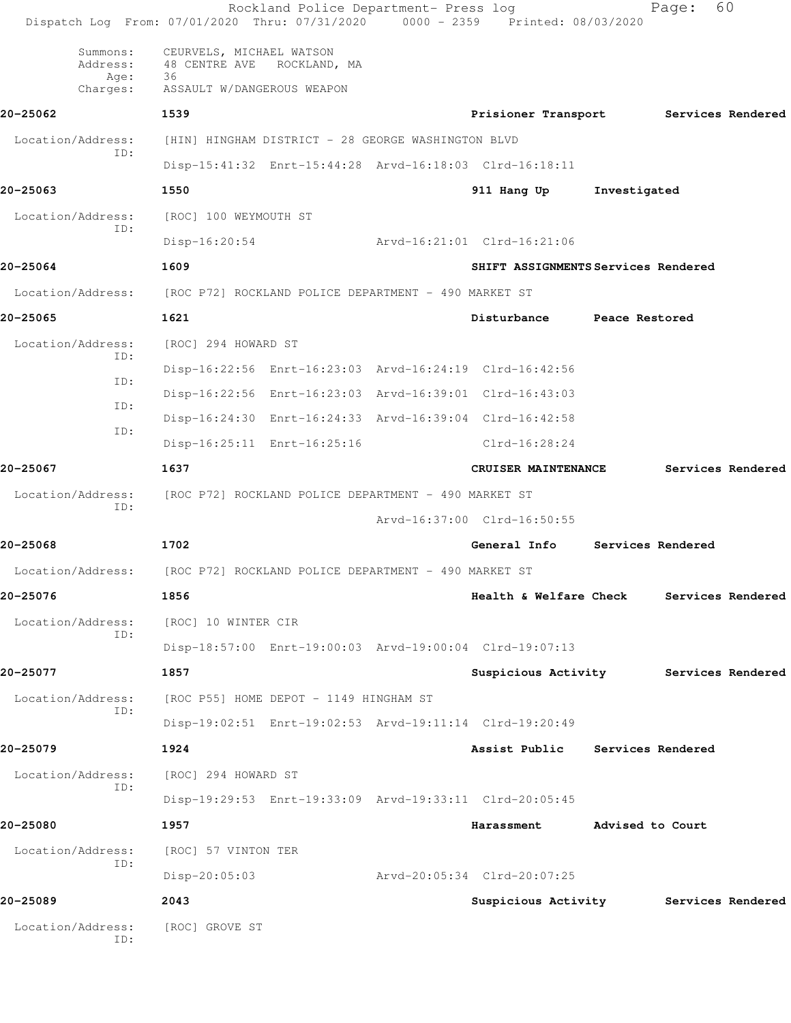| Dispatch Log From: 07/01/2020 Thru: 07/31/2020 0000 - 2359 Printed: 08/03/2020 |                                                                                            | Rockland Police Department- Press log |                                                         |                   | Page:             | 60                |
|--------------------------------------------------------------------------------|--------------------------------------------------------------------------------------------|---------------------------------------|---------------------------------------------------------|-------------------|-------------------|-------------------|
| Summons:<br>Address:<br>Age:<br>Charges:                                       | CEURVELS, MICHAEL WATSON<br>48 CENTRE AVE ROCKLAND, MA<br>36<br>ASSAULT W/DANGEROUS WEAPON |                                       |                                                         |                   |                   |                   |
| 20-25062                                                                       | 1539                                                                                       |                                       | Prisioner Transport Services Rendered                   |                   |                   |                   |
| Location/Address:                                                              | [HIN] HINGHAM DISTRICT - 28 GEORGE WASHINGTON BLVD                                         |                                       |                                                         |                   |                   |                   |
| ID:                                                                            |                                                                                            |                                       | Disp-15:41:32 Enrt-15:44:28 Arvd-16:18:03 Clrd-16:18:11 |                   |                   |                   |
| 20-25063                                                                       | 1550                                                                                       |                                       | 911 Hang Up                                             | Investigated      |                   |                   |
| Location/Address:                                                              | [ROC] 100 WEYMOUTH ST                                                                      |                                       |                                                         |                   |                   |                   |
| ID:                                                                            | $Disp-16:20:54$                                                                            |                                       | Arvd-16:21:01 Clrd-16:21:06                             |                   |                   |                   |
| 20-25064                                                                       | 1609                                                                                       |                                       | SHIFT ASSIGNMENTS Services Rendered                     |                   |                   |                   |
| Location/Address: [ROC P72] ROCKLAND POLICE DEPARTMENT - 490 MARKET ST         |                                                                                            |                                       |                                                         |                   |                   |                   |
| 20-25065                                                                       | 1621                                                                                       |                                       | Disturbance                                             | Peace Restored    |                   |                   |
| Location/Address:<br>ID:                                                       | [ROC] 294 HOWARD ST                                                                        |                                       |                                                         |                   |                   |                   |
| ID:                                                                            |                                                                                            |                                       | Disp-16:22:56 Enrt-16:23:03 Arvd-16:24:19 Clrd-16:42:56 |                   |                   |                   |
| ID:                                                                            |                                                                                            |                                       | Disp-16:22:56 Enrt-16:23:03 Arvd-16:39:01 Clrd-16:43:03 |                   |                   |                   |
| ID:                                                                            |                                                                                            |                                       | Disp-16:24:30 Enrt-16:24:33 Arvd-16:39:04 Clrd-16:42:58 |                   |                   |                   |
|                                                                                |                                                                                            | Disp-16:25:11 Enrt-16:25:16           | $Clrd-16:28:24$                                         |                   |                   |                   |
| 20-25067                                                                       | 1637                                                                                       |                                       | CRUISER MAINTENANCE                                     |                   |                   | Services Rendered |
| Location/Address:<br>ID:                                                       | [ROC P72] ROCKLAND POLICE DEPARTMENT - 490 MARKET ST                                       |                                       |                                                         |                   |                   |                   |
|                                                                                |                                                                                            |                                       | Arvd-16:37:00 Clrd-16:50:55                             |                   |                   |                   |
| 20-25068                                                                       | 1702                                                                                       |                                       | General Info                                            |                   | Services Rendered |                   |
| Location/Address:                                                              | [ROC P72] ROCKLAND POLICE DEPARTMENT - 490 MARKET ST                                       |                                       |                                                         |                   |                   |                   |
| 20-25076                                                                       | 1856                                                                                       |                                       | Health & Welfare Check                                  |                   |                   | Services Rendered |
| Location/Address:<br>ID:                                                       | [ROC] 10 WINTER CIR                                                                        |                                       |                                                         |                   |                   |                   |
|                                                                                |                                                                                            |                                       | Disp-18:57:00 Enrt-19:00:03 Arvd-19:00:04 Clrd-19:07:13 |                   |                   |                   |
| 20-25077                                                                       | 1857                                                                                       |                                       | Suspicious Activity Services Rendered                   |                   |                   |                   |
| Location/Address:<br>ID:                                                       | [ROC P55] HOME DEPOT - 1149 HINGHAM ST                                                     |                                       |                                                         |                   |                   |                   |
|                                                                                |                                                                                            |                                       | Disp-19:02:51 Enrt-19:02:53 Arvd-19:11:14 Clrd-19:20:49 |                   |                   |                   |
| 20-25079                                                                       | 1924                                                                                       |                                       | Assist Public                                           | Services Rendered |                   |                   |
| Location/Address:<br>ID:                                                       | [ROC] 294 HOWARD ST                                                                        |                                       |                                                         |                   |                   |                   |
|                                                                                |                                                                                            |                                       | Disp-19:29:53 Enrt-19:33:09 Arvd-19:33:11 Clrd-20:05:45 |                   |                   |                   |
| 20-25080                                                                       | 1957                                                                                       |                                       | Harassment                                              | Advised to Court  |                   |                   |
| Location/Address:<br>ID:                                                       | [ROC] 57 VINTON TER                                                                        |                                       |                                                         |                   |                   |                   |
|                                                                                | Disp-20:05:03                                                                              |                                       | Arvd-20:05:34 Clrd-20:07:25                             |                   |                   |                   |
| 20-25089                                                                       | 2043                                                                                       |                                       | Suspicious Activity                                     |                   |                   | Services Rendered |
| Location/Address:<br>ID:                                                       | [ROC] GROVE ST                                                                             |                                       |                                                         |                   |                   |                   |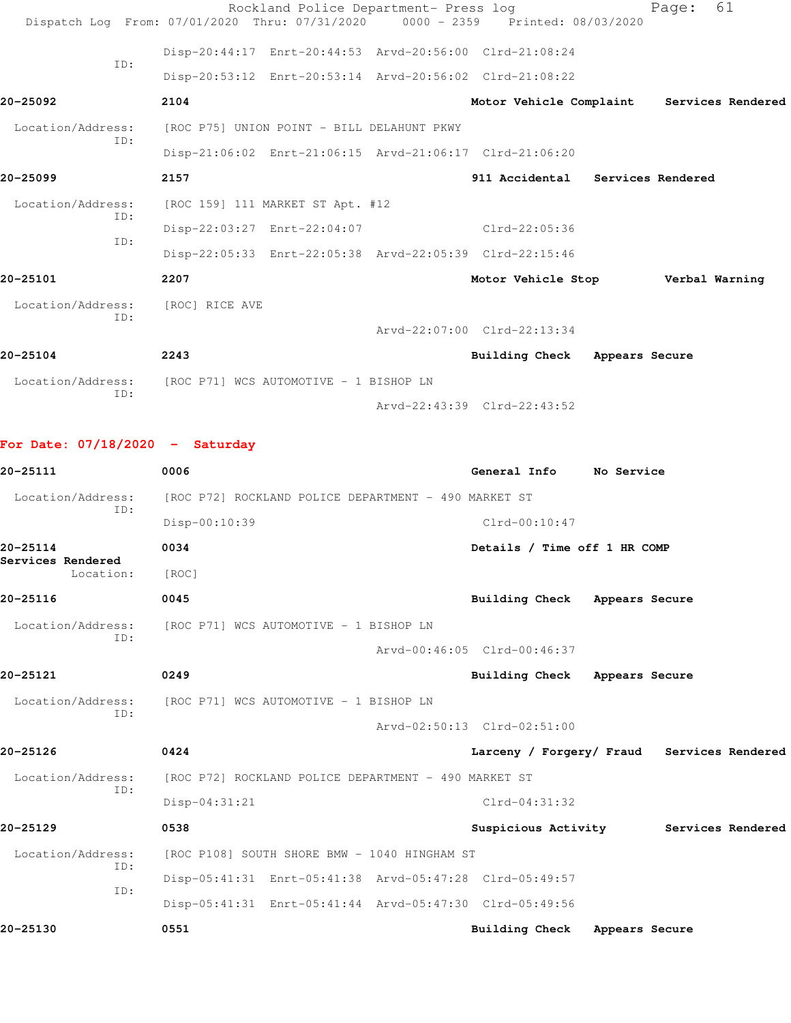|                                                                 |                | Rockland Police Department- Press log                                          |                                           | 61<br>Page: |  |
|-----------------------------------------------------------------|----------------|--------------------------------------------------------------------------------|-------------------------------------------|-------------|--|
|                                                                 |                | Dispatch Log From: 07/01/2020 Thru: 07/31/2020 0000 - 2359 Printed: 08/03/2020 |                                           |             |  |
| TD:                                                             |                | Disp-20:44:17 Enrt-20:44:53 Arvd-20:56:00 Clrd-21:08:24                        |                                           |             |  |
|                                                                 |                | Disp-20:53:12 Enrt-20:53:14 Arvd-20:56:02 Clrd-21:08:22                        |                                           |             |  |
| 20-25092                                                        | 2104           |                                                                                | Motor Vehicle Complaint Services Rendered |             |  |
| Location/Address:<br>ID:                                        |                | [ROC P75] UNION POINT - BILL DELAHUNT PKWY                                     |                                           |             |  |
|                                                                 |                | Disp-21:06:02 Enrt-21:06:15 Arvd-21:06:17 Clrd-21:06:20                        |                                           |             |  |
| 20-25099                                                        | 2157           |                                                                                | 911 Accidental Services Rendered          |             |  |
| Location/Address:<br>TD:                                        |                | [ROC 159] 111 MARKET ST Apt. #12                                               |                                           |             |  |
| TD:                                                             |                | Disp-22:03:27 Enrt-22:04:07                                                    | Clrd-22:05:36                             |             |  |
|                                                                 |                | Disp-22:05:33 Enrt-22:05:38 Arvd-22:05:39 Clrd-22:15:46                        |                                           |             |  |
| 20-25101                                                        | 2207           |                                                                                | Motor Vehicle Stop Verbal Warning         |             |  |
| Location/Address:<br>TD:                                        | [ROC] RICE AVE |                                                                                |                                           |             |  |
|                                                                 |                |                                                                                | Arvd-22:07:00 Clrd-22:13:34               |             |  |
| 20-25104                                                        | 2243           |                                                                                | Building Check Appears Secure             |             |  |
| Location/Address: [ROC P71] WCS AUTOMOTIVE - 1 BISHOP LN<br>ID: |                |                                                                                |                                           |             |  |
|                                                                 |                |                                                                                | Arvd-22:43:39 Clrd-22:43:52               |             |  |

**For Date: 07/18/2020 - Saturday**

| 20-25111                       | 0006                                                    | General Info                  | No Service                                 |
|--------------------------------|---------------------------------------------------------|-------------------------------|--------------------------------------------|
| Location/Address:              | [ROC P72] ROCKLAND POLICE DEPARTMENT - 490 MARKET ST    |                               |                                            |
| TD:                            | Disp-00:10:39                                           | $Clrd-00:10:47$               |                                            |
| 20-25114                       | 0034                                                    | Details / Time off 1 HR COMP  |                                            |
| Services Rendered<br>Location: | [ROC]                                                   |                               |                                            |
| 20-25116                       | 0045                                                    | Building Check Appears Secure |                                            |
| Location/Address:              | [ROC P71] WCS AUTOMOTIVE - 1 BISHOP LN                  |                               |                                            |
| TD:                            |                                                         | Arvd-00:46:05 Clrd-00:46:37   |                                            |
| 20-25121                       | 0249                                                    | Building Check Appears Secure |                                            |
| Location/Address:              | [ROC P71] WCS AUTOMOTIVE - 1 BISHOP LN                  |                               |                                            |
| TD:                            |                                                         | Arvd-02:50:13 Clrd-02:51:00   |                                            |
| 20-25126                       | 0424                                                    |                               | Larceny / Forgery/ Fraud Services Rendered |
| Location/Address:<br>TD:       | [ROC P72] ROCKLAND POLICE DEPARTMENT - 490 MARKET ST    |                               |                                            |
|                                | Disp-04:31:21                                           | $Clrd-04:31:32$               |                                            |
| 20-25129                       | 0538                                                    |                               | Suspicious Activity Services Rendered      |
| Location/Address:              | [ROC P108] SOUTH SHORE BMW - 1040 HINGHAM ST            |                               |                                            |
| ID:<br>ID:                     | Disp-05:41:31 Enrt-05:41:38 Arvd-05:47:28 Clrd-05:49:57 |                               |                                            |
|                                | Disp-05:41:31 Enrt-05:41:44 Arvd-05:47:30 Clrd-05:49:56 |                               |                                            |
| 20-25130                       | 0551                                                    | Building Check Appears Secure |                                            |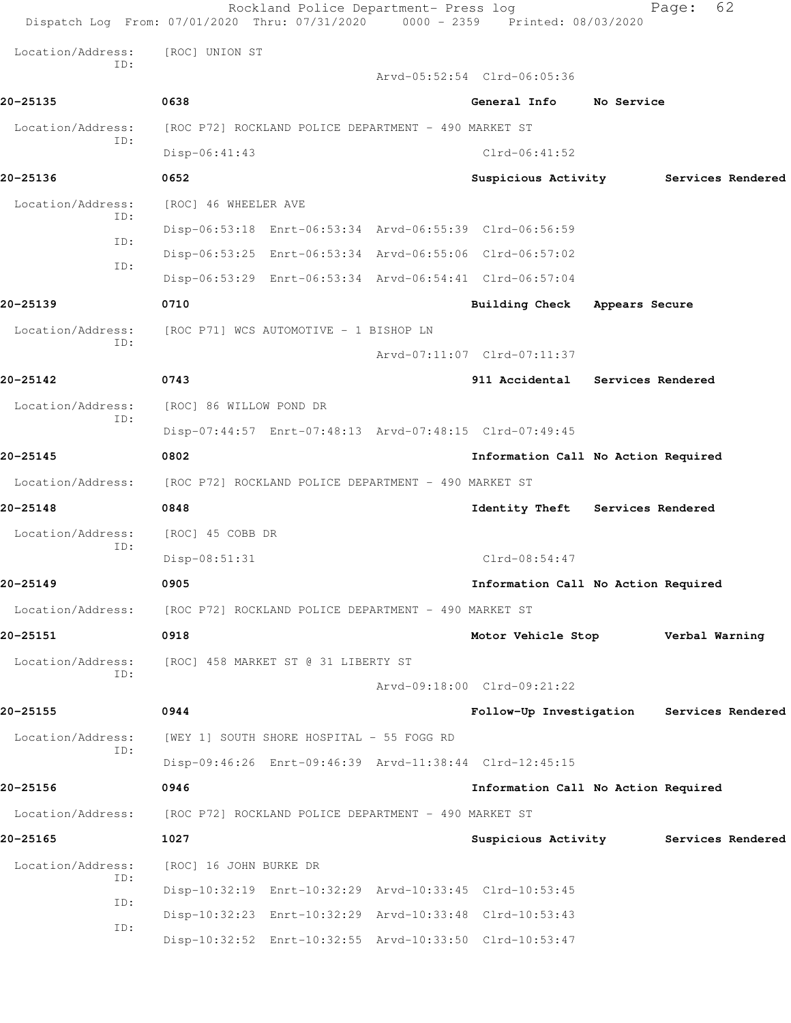|                          | Rockland Police Department- Press log<br>Dispatch Log From: 07/01/2020 Thru: 07/31/2020 0000 - 2359 Printed: 08/03/2020 |                                           |                | 62<br>Page:       |  |
|--------------------------|-------------------------------------------------------------------------------------------------------------------------|-------------------------------------------|----------------|-------------------|--|
| Location/Address:        | [ROC] UNION ST                                                                                                          |                                           |                |                   |  |
| ID:                      |                                                                                                                         | Arvd-05:52:54 Clrd-06:05:36               |                |                   |  |
| 20-25135                 | 0638                                                                                                                    | General Info                              | No Service     |                   |  |
| Location/Address:        | [ROC P72] ROCKLAND POLICE DEPARTMENT - 490 MARKET ST                                                                    |                                           |                |                   |  |
| ID:                      | Disp-06:41:43                                                                                                           | $Clrd-06:41:52$                           |                |                   |  |
| 20-25136                 | 0652                                                                                                                    | Suspicious Activity                       |                | Services Rendered |  |
| Location/Address:<br>TD: | [ROC] 46 WHEELER AVE                                                                                                    |                                           |                |                   |  |
| ID:                      | Disp-06:53:18 Enrt-06:53:34 Arvd-06:55:39 Clrd-06:56:59                                                                 |                                           |                |                   |  |
| ID:                      | Disp-06:53:25 Enrt-06:53:34 Arvd-06:55:06 Clrd-06:57:02                                                                 |                                           |                |                   |  |
|                          | Disp-06:53:29 Enrt-06:53:34 Arvd-06:54:41 Clrd-06:57:04                                                                 |                                           |                |                   |  |
| 20-25139                 | 0710                                                                                                                    | <b>Building Check</b>                     | Appears Secure |                   |  |
| Location/Address:<br>ID: | [ROC P71] WCS AUTOMOTIVE - 1 BISHOP LN                                                                                  |                                           |                |                   |  |
|                          |                                                                                                                         | Arvd-07:11:07 Clrd-07:11:37               |                |                   |  |
| 20-25142                 | 0743                                                                                                                    | 911 Accidental Services Rendered          |                |                   |  |
| Location/Address:<br>ID: | [ROC] 86 WILLOW POND DR                                                                                                 |                                           |                |                   |  |
|                          | Disp-07:44:57 Enrt-07:48:13 Arvd-07:48:15 Clrd-07:49:45                                                                 |                                           |                |                   |  |
| 20-25145                 | 0802                                                                                                                    | Information Call No Action Required       |                |                   |  |
| Location/Address:        | [ROC P72] ROCKLAND POLICE DEPARTMENT - 490 MARKET ST                                                                    |                                           |                |                   |  |
| 20-25148                 | 0848                                                                                                                    | Identity Theft Services Rendered          |                |                   |  |
| Location/Address:<br>ID: | [ROC] 45 COBB DR                                                                                                        |                                           |                |                   |  |
|                          | Disp-08:51:31                                                                                                           | Clrd-08:54:47                             |                |                   |  |
| 20-25149                 | 0905                                                                                                                    | Information Call No Action Required       |                |                   |  |
| Location/Address:        | [ROC P72] ROCKLAND POLICE DEPARTMENT - 490 MARKET ST                                                                    |                                           |                |                   |  |
| 20-25151                 | 0918                                                                                                                    | Motor Vehicle Stop                        |                | Verbal Warning    |  |
| Location/Address:        | [ROC] 458 MARKET ST @ 31 LIBERTY ST                                                                                     |                                           |                |                   |  |
| ID:                      |                                                                                                                         | Arvd-09:18:00 Clrd-09:21:22               |                |                   |  |
| 20-25155                 | 0944                                                                                                                    | Follow-Up Investigation Services Rendered |                |                   |  |
| Location/Address:<br>ID: | [WEY 1] SOUTH SHORE HOSPITAL - 55 FOGG RD                                                                               |                                           |                |                   |  |
|                          | Disp-09:46:26 Enrt-09:46:39 Arvd-11:38:44 Clrd-12:45:15                                                                 |                                           |                |                   |  |
| 20-25156                 | 0946                                                                                                                    | Information Call No Action Required       |                |                   |  |
| Location/Address:        | [ROC P72] ROCKLAND POLICE DEPARTMENT - 490 MARKET ST                                                                    |                                           |                |                   |  |
| 20-25165                 | 1027                                                                                                                    | Suspicious Activity                       |                | Services Rendered |  |
| Location/Address:        | [ROC] 16 JOHN BURKE DR                                                                                                  |                                           |                |                   |  |
| ID:<br>ID:               | Disp-10:32:19 Enrt-10:32:29 Arvd-10:33:45 Clrd-10:53:45                                                                 |                                           |                |                   |  |
| ID:                      | Disp-10:32:23 Enrt-10:32:29 Arvd-10:33:48 Clrd-10:53:43                                                                 |                                           |                |                   |  |
|                          | Disp-10:32:52 Enrt-10:32:55 Arvd-10:33:50 Clrd-10:53:47                                                                 |                                           |                |                   |  |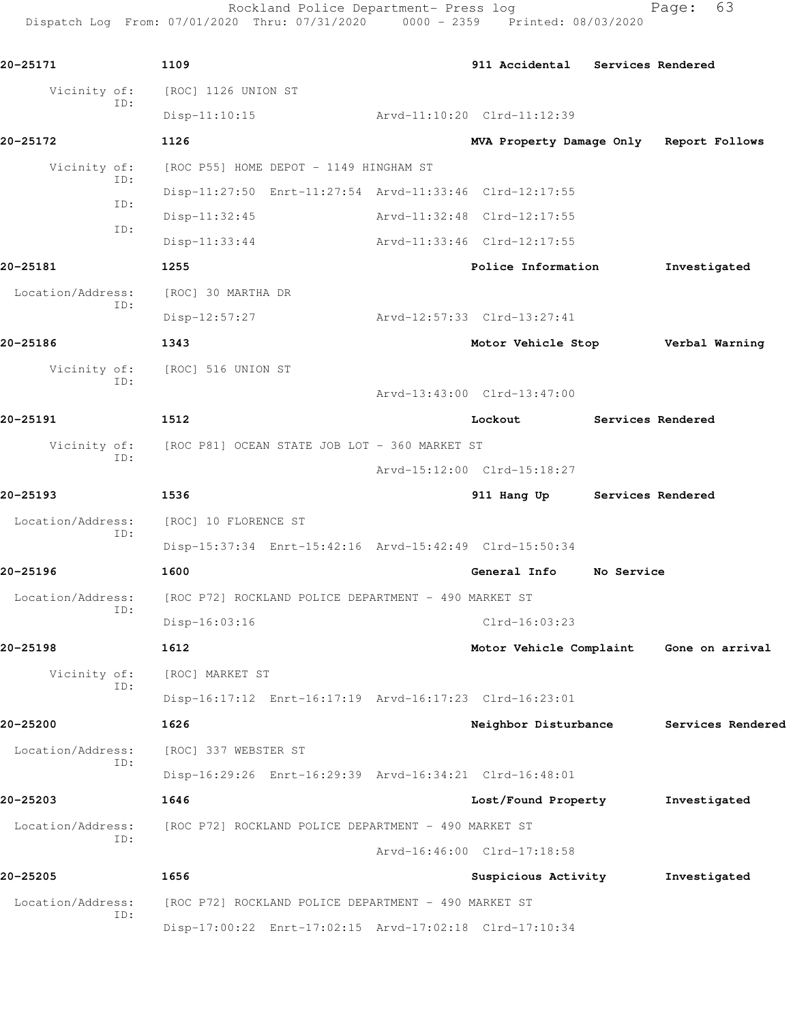|                   |     | Rockland Police Department- Press log<br>Dispatch Log From: 07/01/2020 Thru: 07/31/2020 0000 - 2359 Printed: 08/03/2020 |                                         |                   | 63<br>Page:     |
|-------------------|-----|-------------------------------------------------------------------------------------------------------------------------|-----------------------------------------|-------------------|-----------------|
| 20-25171          |     | 1109                                                                                                                    | 911 Accidental Services Rendered        |                   |                 |
| Vicinity of:      |     | [ROC] 1126 UNION ST                                                                                                     |                                         |                   |                 |
|                   | ID: | $Disp-11:10:15$                                                                                                         | Arvd-11:10:20 Clrd-11:12:39             |                   |                 |
| 20-25172          |     | 1126                                                                                                                    | MVA Property Damage Only Report Follows |                   |                 |
| Vicinity of:      | ID: | [ROC P55] HOME DEPOT - 1149 HINGHAM ST                                                                                  |                                         |                   |                 |
|                   | ID: | Disp-11:27:50 Enrt-11:27:54 Arvd-11:33:46 Clrd-12:17:55                                                                 |                                         |                   |                 |
|                   | ID: | $Disp-11:32:45$                                                                                                         | Arvd-11:32:48 Clrd-12:17:55             |                   |                 |
|                   |     | $Disp-11:33:44$                                                                                                         | Arvd-11:33:46 Clrd-12:17:55             |                   |                 |
| 20-25181          |     | 1255                                                                                                                    | Police Information                      |                   | Investigated    |
| Location/Address: | ID: | [ROC] 30 MARTHA DR                                                                                                      |                                         |                   |                 |
|                   |     | $Disp-12:57:27$                                                                                                         | Arvd-12:57:33 Clrd-13:27:41             |                   |                 |
| 20-25186          |     | 1343                                                                                                                    | Motor Vehicle Stop Verbal Warning       |                   |                 |
| Vicinity of:      | ID: | [ROC] 516 UNION ST                                                                                                      |                                         |                   |                 |
|                   |     |                                                                                                                         | Arvd-13:43:00 Clrd-13:47:00             |                   |                 |
| 20-25191          |     | 1512                                                                                                                    | Lockout                                 | Services Rendered |                 |
| Vicinity of:      | ID: | [ROC P81] OCEAN STATE JOB LOT - 360 MARKET ST                                                                           |                                         |                   |                 |
|                   |     |                                                                                                                         | Arvd-15:12:00 Clrd-15:18:27             |                   |                 |
| 20-25193          |     | 1536                                                                                                                    | 911 Hang Up                             | Services Rendered |                 |
| Location/Address: | ID: | [ROC] 10 FLORENCE ST                                                                                                    |                                         |                   |                 |
|                   |     | Disp-15:37:34 Enrt-15:42:16 Arvd-15:42:49 Clrd-15:50:34                                                                 |                                         |                   |                 |
| 20-25196          |     | 1600                                                                                                                    | General Info                            | No Service        |                 |
| Location/Address: | ID: | [ROC P72] ROCKLAND POLICE DEPARTMENT - 490 MARKET ST                                                                    |                                         |                   |                 |
|                   |     | Disp-16:03:16                                                                                                           | Clrd-16:03:23                           |                   |                 |
| 20-25198          |     | 1612                                                                                                                    | Motor Vehicle Complaint                 |                   | Gone on arrival |
| Vicinity of:      | ID: | [ROC] MARKET ST                                                                                                         |                                         |                   |                 |
|                   |     | Disp-16:17:12 Enrt-16:17:19 Arvd-16:17:23 Clrd-16:23:01                                                                 |                                         |                   |                 |

**20-25200 1626 Neighbor Disturbance Services Rendered**

 Location/Address: [ROC] 337 WEBSTER ST ID:

**20-25203 1646 Lost/Found Property Investigated**

 Location/Address: [ROC P72] ROCKLAND POLICE DEPARTMENT - 490 MARKET ST ID:

**20-25205 1656 Suspicious Activity Investigated**

 ID: Disp-17:00:22 Enrt-17:02:15 Arvd-17:02:18 Clrd-17:10:34

Location/Address: [ROC P72] ROCKLAND POLICE DEPARTMENT - 490 MARKET ST

Arvd-16:46:00 Clrd-17:18:58

Disp-16:29:26 Enrt-16:29:39 Arvd-16:34:21 Clrd-16:48:01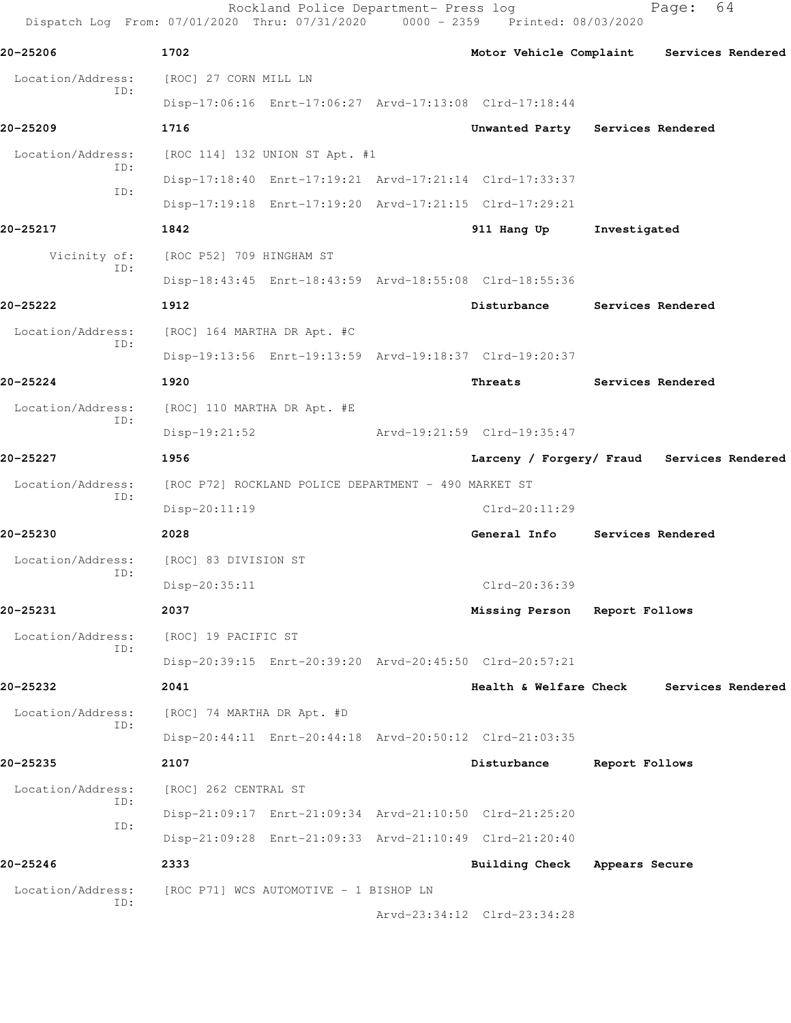Rockland Police Department- Press log Fage: 64 Dispatch Log From: 07/01/2020 Thru: 07/31/2020 0000 - 2359 Printed: 08/03/2020 **20-25206 1702 Motor Vehicle Complaint Services Rendered** Location/Address: [ROC] 27 CORN MILL LN ID: Disp-17:06:16 Enrt-17:06:27 Arvd-17:13:08 Clrd-17:18:44 **20-25209 1716 Unwanted Party Services Rendered** Location/Address: [ROC 114] 132 UNION ST Apt. #1 ID: Disp-17:18:40 Enrt-17:19:21 Arvd-17:21:14 Clrd-17:33:37 ID: Disp-17:19:18 Enrt-17:19:20 Arvd-17:21:15 Clrd-17:29:21 **20-25217 1842 911 Hang Up Investigated** Vicinity of: [ROC P52] 709 HINGHAM ST ID: Disp-18:43:45 Enrt-18:43:59 Arvd-18:55:08 Clrd-18:55:36 **20-25222 1912 Disturbance Services Rendered** Location/Address: [ROC] 164 MARTHA DR Apt. #C ID: Disp-19:13:56 Enrt-19:13:59 Arvd-19:18:37 Clrd-19:20:37 **20-25224 1920 Threats Services Rendered** Location/Address: [ROC] 110 MARTHA DR Apt. #E ID: Disp-19:21:52 Arvd-19:21:59 Clrd-19:35:47 **20-25227 1956 Larceny / Forgery/ Fraud Services Rendered** Location/Address: [ROC P72] ROCKLAND POLICE DEPARTMENT - 490 MARKET ST ID: Disp-20:11:19 Clrd-20:11:29 **20-25230 2028 General Info Services Rendered** Location/Address: [ROC] 83 DIVISION ST ID: Disp-20:35:11 Clrd-20:36:39 **20-25231 2037 Missing Person Report Follows** Location/Address: [ROC] 19 PACIFIC ST ID: Disp-20:39:15 Enrt-20:39:20 Arvd-20:45:50 Clrd-20:57:21 **20-25232 2041 Health & Welfare Check Services Rendered** Location/Address: [ROC] 74 MARTHA DR Apt. #D ID: Disp-20:44:11 Enrt-20:44:18 Arvd-20:50:12 Clrd-21:03:35 **20-25235 2107 Disturbance Report Follows** Location/Address: [ROC] 262 CENTRAL ST ID: Disp-21:09:17 Enrt-21:09:34 Arvd-21:10:50 Clrd-21:25:20 ID: Disp-21:09:28 Enrt-21:09:33 Arvd-21:10:49 Clrd-21:20:40 **20-25246 2333 Building Check Appears Secure** Location/Address: [ROC P71] WCS AUTOMOTIVE - 1 BISHOP LN ID: Arvd-23:34:12 Clrd-23:34:28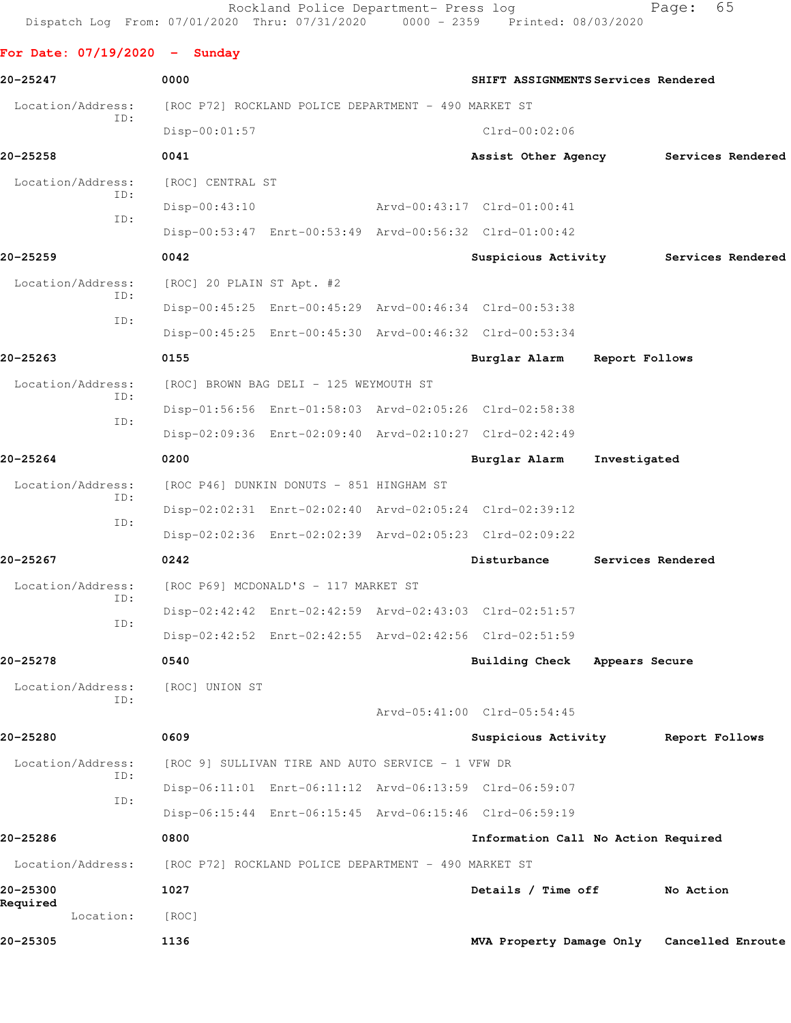Rockland Police Department- Press log entitled Page: 65 Dispatch Log From: 07/01/2020 Thru: 07/31/2020 0000 - 2359 Printed: 08/03/2020

**For Date: 07/19/2020 - Sunday**

| 20-25247                 | 0000                      |                                                      | SHIFT ASSIGNMENTS Services Rendered                     |                   |                |  |
|--------------------------|---------------------------|------------------------------------------------------|---------------------------------------------------------|-------------------|----------------|--|
| Location/Address:        |                           | [ROC P72] ROCKLAND POLICE DEPARTMENT - 490 MARKET ST |                                                         |                   |                |  |
| ID:                      | $Disp-00:01:57$           |                                                      | $Clrd-00:02:06$                                         |                   |                |  |
| 20-25258                 | 0041                      |                                                      | Assist Other Agency Services Rendered                   |                   |                |  |
| Location/Address:        | [ROC] CENTRAL ST          |                                                      |                                                         |                   |                |  |
| ID:                      | $Disp-00:43:10$           |                                                      | Arvd-00:43:17 Clrd-01:00:41                             |                   |                |  |
| ID:                      |                           |                                                      | Disp-00:53:47 Enrt-00:53:49 Arvd-00:56:32 Clrd-01:00:42 |                   |                |  |
| 20-25259                 | 0042                      |                                                      | Suspicious Activity Services Rendered                   |                   |                |  |
| Location/Address:        | [ROC] 20 PLAIN ST Apt. #2 |                                                      |                                                         |                   |                |  |
| ID:                      |                           |                                                      | Disp-00:45:25 Enrt-00:45:29 Arvd-00:46:34 Clrd-00:53:38 |                   |                |  |
| ID:                      |                           |                                                      | Disp-00:45:25 Enrt-00:45:30 Arvd-00:46:32 Clrd-00:53:34 |                   |                |  |
| 20-25263                 | 0155                      |                                                      | Burglar Alarm                                           | Report Follows    |                |  |
| Location/Address:        |                           | [ROC] BROWN BAG DELI - 125 WEYMOUTH ST               |                                                         |                   |                |  |
| ID:                      |                           |                                                      | Disp-01:56:56 Enrt-01:58:03 Arvd-02:05:26 Clrd-02:58:38 |                   |                |  |
| ID:                      |                           |                                                      | Disp-02:09:36 Enrt-02:09:40 Arvd-02:10:27 Clrd-02:42:49 |                   |                |  |
| 20-25264                 | 0200                      |                                                      | Burglar Alarm                                           | Investigated      |                |  |
| Location/Address:        |                           | [ROC P46] DUNKIN DONUTS - 851 HINGHAM ST             |                                                         |                   |                |  |
| ID:                      |                           |                                                      | Disp-02:02:31 Enrt-02:02:40 Arvd-02:05:24 Clrd-02:39:12 |                   |                |  |
| ID:                      |                           |                                                      | Disp-02:02:36 Enrt-02:02:39 Arvd-02:05:23 Clrd-02:09:22 |                   |                |  |
| 20-25267                 | 0242                      |                                                      | Disturbance                                             | Services Rendered |                |  |
| Location/Address:        |                           | [ROC P69] MCDONALD'S - 117 MARKET ST                 |                                                         |                   |                |  |
| ID:<br>ID:               |                           |                                                      | Disp-02:42:42 Enrt-02:42:59 Arvd-02:43:03 Clrd-02:51:57 |                   |                |  |
|                          |                           |                                                      | Disp-02:42:52 Enrt-02:42:55 Arvd-02:42:56 Clrd-02:51:59 |                   |                |  |
| 20-25278                 | 0540                      |                                                      | Building Check Appears Secure                           |                   |                |  |
| Location/Address:        | [ROC] UNION ST            |                                                      |                                                         |                   |                |  |
| ID:                      |                           |                                                      | Arvd-05:41:00 Clrd-05:54:45                             |                   |                |  |
| 20-25280                 | 0609                      |                                                      | Suspicious Activity                                     |                   | Report Follows |  |
| Location/Address:<br>ID: |                           | [ROC 9] SULLIVAN TIRE AND AUTO SERVICE - 1 VFW DR    |                                                         |                   |                |  |
| ID:                      |                           |                                                      | Disp-06:11:01 Enrt-06:11:12 Arvd-06:13:59 Clrd-06:59:07 |                   |                |  |
|                          |                           |                                                      | Disp-06:15:44 Enrt-06:15:45 Arvd-06:15:46 Clrd-06:59:19 |                   |                |  |
| 20-25286                 | 0800                      |                                                      | Information Call No Action Required                     |                   |                |  |
| Location/Address:        |                           | [ROC P72] ROCKLAND POLICE DEPARTMENT - 490 MARKET ST |                                                         |                   |                |  |
| 20-25300                 | 1027                      |                                                      | Details / Time off                                      |                   | No Action      |  |
| Required<br>Location:    | [ROC]                     |                                                      |                                                         |                   |                |  |
| 20-25305                 | 1136                      |                                                      | MVA Property Damage Only Cancelled Enroute              |                   |                |  |
|                          |                           |                                                      |                                                         |                   |                |  |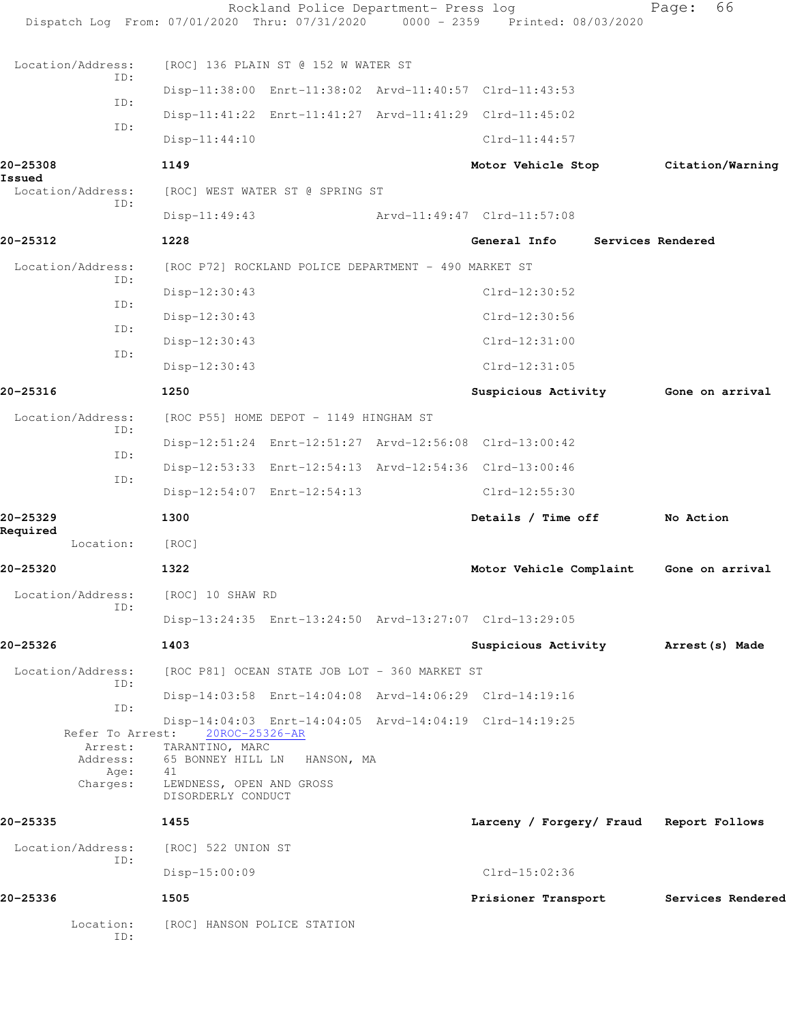|                             | Rockland Police Department- Press log<br>Dispatch Log From: 07/01/2020 Thru: 07/31/2020 0000 - 2359 Printed: 08/03/2020 |                                         | 66<br>Page:       |
|-----------------------------|-------------------------------------------------------------------------------------------------------------------------|-----------------------------------------|-------------------|
| Location/Address:           | [ROC] 136 PLAIN ST @ 152 W WATER ST                                                                                     |                                         |                   |
| ID:                         | Disp-11:38:00 Enrt-11:38:02 Arvd-11:40:57 Clrd-11:43:53                                                                 |                                         |                   |
| ID:                         | Disp-11:41:22 Enrt-11:41:27 Arvd-11:41:29 Clrd-11:45:02                                                                 |                                         |                   |
| ID:                         | Disp-11:44:10                                                                                                           | $Clrd-11:44:57$                         |                   |
| 20-25308                    | 1149                                                                                                                    | Motor Vehicle Stop                      | Citation/Warning  |
| Issued<br>Location/Address: | [ROC] WEST WATER ST @ SPRING ST                                                                                         |                                         |                   |
| ID:                         | $Disp-11:49:43$                                                                                                         | Arvd-11:49:47 Clrd-11:57:08             |                   |
| 20-25312                    | 1228                                                                                                                    | General Info                            | Services Rendered |
| Location/Address:           | [ROC P72] ROCKLAND POLICE DEPARTMENT - 490 MARKET ST                                                                    |                                         |                   |
| ID:                         | Disp-12:30:43                                                                                                           | $Clrd-12:30:52$                         |                   |
| ID:                         | $Disp-12:30:43$                                                                                                         | Clrd-12:30:56                           |                   |
| ID:                         | Disp-12:30:43                                                                                                           | $Clrd-12:31:00$                         |                   |
| ID:                         | Disp-12:30:43                                                                                                           | $Clrd-12:31:05$                         |                   |
| 20-25316                    | 1250                                                                                                                    | Suspicious Activity 6one on arrival     |                   |
| Location/Address:           | [ROC P55] HOME DEPOT - 1149 HINGHAM ST                                                                                  |                                         |                   |
| ID:                         | Disp-12:51:24 Enrt-12:51:27 Arvd-12:56:08 Clrd-13:00:42                                                                 |                                         |                   |
| ID:                         | Disp-12:53:33 Enrt-12:54:13 Arvd-12:54:36 Clrd-13:00:46                                                                 |                                         |                   |
| ID:                         | Disp-12:54:07 Enrt-12:54:13                                                                                             | $Clrd-12:55:30$                         |                   |
| 20-25329                    | 1300                                                                                                                    | Details / Time off                      | No Action         |
| Required<br>Location:       | [ROC]                                                                                                                   |                                         |                   |
| 20-25320                    | 1322                                                                                                                    | Motor Vehicle Complaint                 | Gone on arrival   |
| Location/Address:           | [ROC] 10 SHAW RD                                                                                                        |                                         |                   |
| ID:                         | Disp-13:24:35 Enrt-13:24:50 Arvd-13:27:07 Clrd-13:29:05                                                                 |                                         |                   |
| 20-25326                    | 1403                                                                                                                    | Suspicious Activity Marrest (s) Made    |                   |
| Location/Address:           | [ROC P81] OCEAN STATE JOB LOT - 360 MARKET ST                                                                           |                                         |                   |
| ID:                         | Disp-14:03:58 Enrt-14:04:08 Arvd-14:06:29 Clrd-14:19:16                                                                 |                                         |                   |
| ID:                         | Disp-14:04:03 Enrt-14:04:05 Arvd-14:04:19 Clrd-14:19:25                                                                 |                                         |                   |
| Refer To Arrest:<br>Arrest: | 20ROC-25326-AR<br>TARANTINO, MARC                                                                                       |                                         |                   |
| Age:                        | Address: 65 BONNEY HILL LN HANSON, MA<br>41                                                                             |                                         |                   |
| Charges:                    | LEWDNESS, OPEN AND GROSS<br>DISORDERLY CONDUCT                                                                          |                                         |                   |
| 20-25335                    | 1455                                                                                                                    | Larceny / Forgery/ Fraud Report Follows |                   |
| Location/Address:           | [ROC] 522 UNION ST                                                                                                      |                                         |                   |
| ID:                         | $Disp-15:00:09$                                                                                                         | $Clrd-15:02:36$                         |                   |
| 20-25336                    | 1505                                                                                                                    | Prisioner Transport                     | Services Rendered |
| Location:<br>ID:            | [ROC] HANSON POLICE STATION                                                                                             |                                         |                   |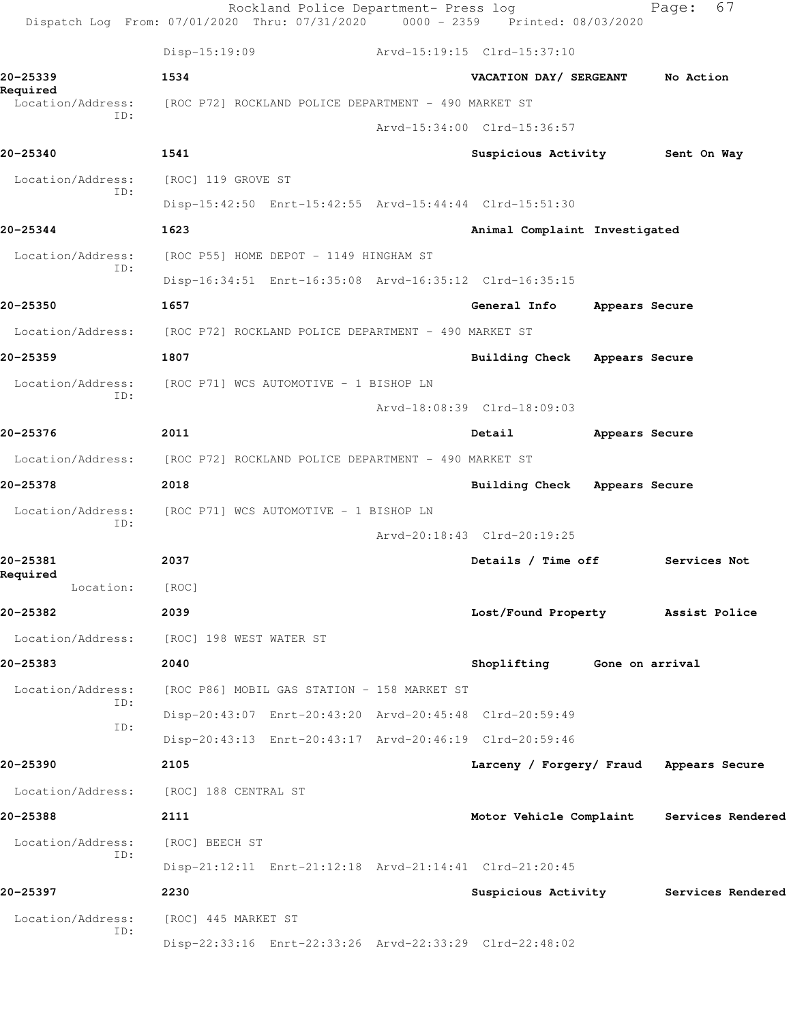|                               | Rockland Police Department- Press log<br>Dispatch Log From: 07/01/2020 Thru: 07/31/2020 0000 - 2359 Printed: 08/03/2020 |                                         |                | 67<br>Page:                               |
|-------------------------------|-------------------------------------------------------------------------------------------------------------------------|-----------------------------------------|----------------|-------------------------------------------|
|                               | Disp-15:19:09                                                                                                           | Arvd-15:19:15 Clrd-15:37:10             |                |                                           |
| 20-25339                      | 1534                                                                                                                    | VACATION DAY/ SERGEANT                  |                | No Action                                 |
| Required<br>Location/Address: | [ROC P72] ROCKLAND POLICE DEPARTMENT - 490 MARKET ST                                                                    |                                         |                |                                           |
| ID:                           |                                                                                                                         | Arvd-15:34:00 Clrd-15:36:57             |                |                                           |
| 20-25340                      | 1541                                                                                                                    | Suspicious Activity                     |                | Sent On Way                               |
| Location/Address:             | [ROC] 119 GROVE ST                                                                                                      |                                         |                |                                           |
| ID:                           | Disp-15:42:50 Enrt-15:42:55 Arvd-15:44:44 Clrd-15:51:30                                                                 |                                         |                |                                           |
| 20-25344                      | 1623                                                                                                                    | Animal Complaint Investigated           |                |                                           |
| Location/Address:<br>ID:      | [ROC P55] HOME DEPOT - 1149 HINGHAM ST                                                                                  |                                         |                |                                           |
|                               | Disp-16:34:51 Enrt-16:35:08 Arvd-16:35:12 Clrd-16:35:15                                                                 |                                         |                |                                           |
| 20-25350                      | 1657                                                                                                                    | General Info                            | Appears Secure |                                           |
| Location/Address:             | [ROC P72] ROCKLAND POLICE DEPARTMENT - 490 MARKET ST                                                                    |                                         |                |                                           |
| 20-25359                      | 1807                                                                                                                    | Building Check Appears Secure           |                |                                           |
| Location/Address:             | [ROC P71] WCS AUTOMOTIVE - 1 BISHOP LN                                                                                  |                                         |                |                                           |
| ID:                           |                                                                                                                         | Arvd-18:08:39 Clrd-18:09:03             |                |                                           |
| 20-25376                      | 2011                                                                                                                    | Detail                                  | Appears Secure |                                           |
| Location/Address:             | [ROC P72] ROCKLAND POLICE DEPARTMENT - 490 MARKET ST                                                                    |                                         |                |                                           |
| 20-25378                      | 2018                                                                                                                    | Building Check Appears Secure           |                |                                           |
| Location/Address:             | [ROC P71] WCS AUTOMOTIVE - 1 BISHOP LN                                                                                  |                                         |                |                                           |
| ID:                           |                                                                                                                         | Arvd-20:18:43 Clrd-20:19:25             |                |                                           |
| 20-25381                      | 2037                                                                                                                    | Details / Time off                      |                | Services Not                              |
| Required<br>Location:         | [ROC]                                                                                                                   |                                         |                |                                           |
| 20-25382                      | 2039                                                                                                                    | Lost/Found Property Assist Police       |                |                                           |
| Location/Address:             | [ROC] 198 WEST WATER ST                                                                                                 |                                         |                |                                           |
| 20-25383                      | 2040                                                                                                                    | Shoplifting Gone on arrival             |                |                                           |
| Location/Address:             | [ROC P86] MOBIL GAS STATION - 158 MARKET ST                                                                             |                                         |                |                                           |
| ID:                           | Disp-20:43:07 Enrt-20:43:20 Arvd-20:45:48 Clrd-20:59:49                                                                 |                                         |                |                                           |
| ID:                           | Disp-20:43:13 Enrt-20:43:17 Arvd-20:46:19 Clrd-20:59:46                                                                 |                                         |                |                                           |
| 20-25390                      | 2105                                                                                                                    | Larceny / Forgery/ Fraud Appears Secure |                |                                           |
| Location/Address:             | [ROC] 188 CENTRAL ST                                                                                                    |                                         |                |                                           |
| 20-25388                      | 2111                                                                                                                    |                                         |                | Motor Vehicle Complaint Services Rendered |
| Location/Address:             | [ROC] BEECH ST                                                                                                          |                                         |                |                                           |
| ID:                           | Disp-21:12:11 Enrt-21:12:18 Arvd-21:14:41 Clrd-21:20:45                                                                 |                                         |                |                                           |
| 20-25397                      | 2230                                                                                                                    |                                         |                | Suspicious Activity Services Rendered     |
| Location/Address:             | [ROC] 445 MARKET ST                                                                                                     |                                         |                |                                           |
| ID:                           | Disp-22:33:16 Enrt-22:33:26 Arvd-22:33:29 Clrd-22:48:02                                                                 |                                         |                |                                           |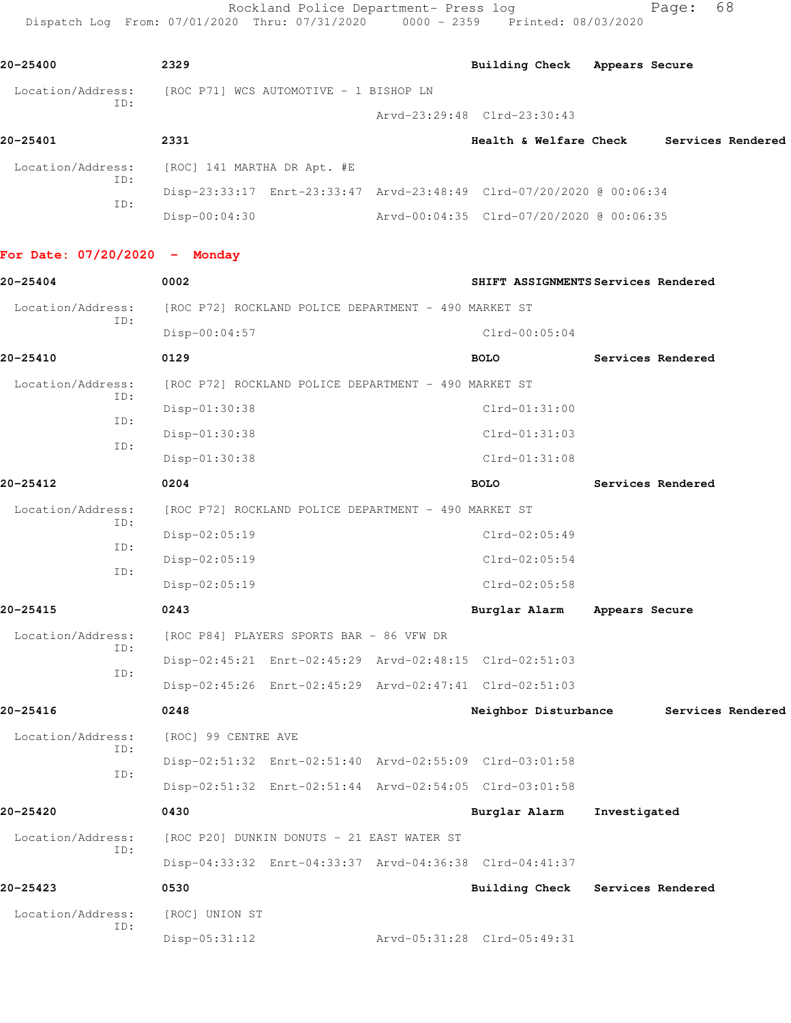Rockland Police Department- Press log extending Page: 68 Dispatch Log From: 07/01/2020 Thru: 07/31/2020 0000 - 2359 Printed: 08/03/2020

**20-25400 2329 Building Check Appears Secure** Location/Address: [ROC P71] WCS AUTOMOTIVE - 1 BISHOP LN ID: Arvd-23:29:48 Clrd-23:30:43 **20-25401 2331 Health & Welfare Check Services Rendered** Location/Address: [ROC] 141 MARTHA DR Apt. #E ID: Disp-23:33:17 Enrt-23:33:47 Arvd-23:48:49 Clrd-07/20/2020 @ 00:06:34 ID: Disp-00:04:30 Arvd-00:04:35 Clrd-07/20/2020 @ 00:06:35 **For Date: 07/20/2020 - Monday 20-25404 0002 SHIFT ASSIGNMENTS Services Rendered** Location/Address: [ROC P72] ROCKLAND POLICE DEPARTMENT - 490 MARKET ST ID: Disp-00:04:57 Clrd-00:05:04 **20-25410 0129 BOLO Services Rendered** Location/Address: [ROC P72] ROCKLAND POLICE DEPARTMENT - 490 MARKET ST ID: Disp-01:30:38 Clrd-01:31:00 ID: Disp-01:30:38 Clrd-01:31:03 ID: Disp-01:30:38 Clrd-01:31:08 **20-25412 0204 BOLO Services Rendered** Location/Address: [ROC P72] ROCKLAND POLICE DEPARTMENT - 490 MARKET ST ID: Disp-02:05:19 Clrd-02:05:49 ID: Disp-02:05:19 Clrd-02:05:54 ID: Disp-02:05:19 Clrd-02:05:58 **20-25415 0243 Burglar Alarm Appears Secure** Location/Address: [ROC P84] PLAYERS SPORTS BAR - 86 VFW DR ID: Disp-02:45:21 Enrt-02:45:29 Arvd-02:48:15 Clrd-02:51:03 ID: Disp-02:45:26 Enrt-02:45:29 Arvd-02:47:41 Clrd-02:51:03 **20-25416 0248 Neighbor Disturbance Services Rendered** Location/Address: [ROC] 99 CENTRE AVE ID: Disp-02:51:32 Enrt-02:51:40 Arvd-02:55:09 Clrd-03:01:58 ID: Disp-02:51:32 Enrt-02:51:44 Arvd-02:54:05 Clrd-03:01:58 **20-25420 0430 Burglar Alarm Investigated** Location/Address: [ROC P20] DUNKIN DONUTS - 21 EAST WATER ST ID: Disp-04:33:32 Enrt-04:33:37 Arvd-04:36:38 Clrd-04:41:37 **20-25423 0530 Building Check Services Rendered** Location/Address: [ROC] UNION ST ID: Disp-05:31:12 Arvd-05:31:28 Clrd-05:49:31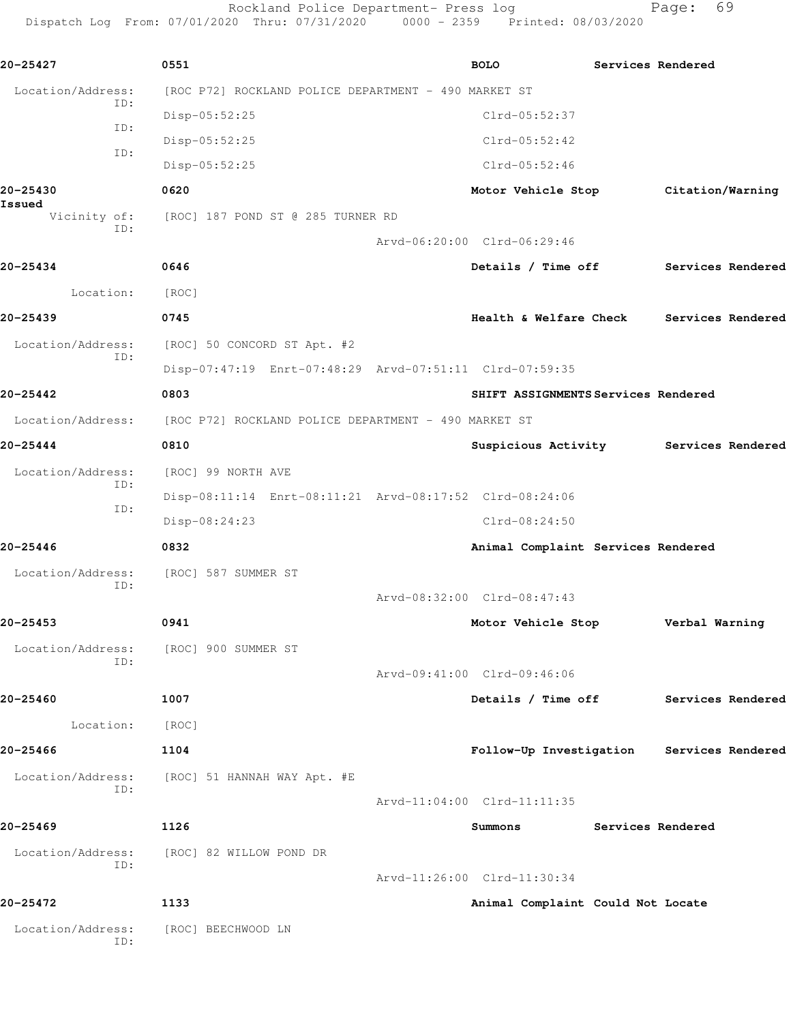Rockland Police Department- Press log entitled and Page: 69 Dispatch Log From: 07/01/2020 Thru: 07/31/2020 0000 - 2359 Printed: 08/03/2020

| 20-25427                      | 0551                                                    | <b>BOLO</b>                         | Services Rendered |                                           |
|-------------------------------|---------------------------------------------------------|-------------------------------------|-------------------|-------------------------------------------|
| Location/Address:<br>ID:      | [ROC P72] ROCKLAND POLICE DEPARTMENT - 490 MARKET ST    |                                     |                   |                                           |
| ID:                           | Disp-05:52:25                                           | $Clrd-05:52:37$                     |                   |                                           |
| ID:                           | Disp-05:52:25                                           | $Clrd-05:52:42$                     |                   |                                           |
|                               | $Disp-05:52:25$                                         | $Clrd-05:52:46$                     |                   |                                           |
| 20-25430                      | 0620                                                    | Motor Vehicle Stop                  |                   | Citation/Warning                          |
| Issued<br>Vicinity of:<br>ID: | [ROC] 187 POND ST @ 285 TURNER RD                       |                                     |                   |                                           |
|                               |                                                         | Arvd-06:20:00 Clrd-06:29:46         |                   |                                           |
| 20-25434                      | 0646                                                    | Details / Time off                  |                   | Services Rendered                         |
| Location:                     | [ROC]                                                   |                                     |                   |                                           |
| 20-25439                      | 0745                                                    | Health & Welfare Check              |                   | Services Rendered                         |
| Location/Address:             | [ROC] 50 CONCORD ST Apt. #2                             |                                     |                   |                                           |
| ID:                           | Disp-07:47:19 Enrt-07:48:29 Arvd-07:51:11 Clrd-07:59:35 |                                     |                   |                                           |
| 20-25442                      | 0803                                                    | SHIFT ASSIGNMENTS Services Rendered |                   |                                           |
| Location/Address:             | [ROC P72] ROCKLAND POLICE DEPARTMENT - 490 MARKET ST    |                                     |                   |                                           |
| 20-25444                      | 0810                                                    |                                     |                   | Suspicious Activity Services Rendered     |
| Location/Address:             | [ROC] 99 NORTH AVE                                      |                                     |                   |                                           |
| ID:                           | Disp-08:11:14 Enrt-08:11:21 Arvd-08:17:52 Clrd-08:24:06 |                                     |                   |                                           |
| ID:                           | Disp-08:24:23                                           | $Clrd-08:24:50$                     |                   |                                           |
| 20-25446                      | 0832                                                    | Animal Complaint Services Rendered  |                   |                                           |
| Location/Address:             | [ROC] 587 SUMMER ST                                     |                                     |                   |                                           |
| ID:                           |                                                         | Arvd-08:32:00 Clrd-08:47:43         |                   |                                           |
| 20–25453                      | 0941                                                    | Motor Vehicle Stop                  |                   | Verbal Warning                            |
| Location/Address:             | [ROC] 900 SUMMER ST                                     |                                     |                   |                                           |
| ID:                           |                                                         | Arvd-09:41:00 Clrd-09:46:06         |                   |                                           |
| 20-25460                      | 1007                                                    |                                     |                   | Details / Time off Services Rendered      |
| Location:                     | [ROC]                                                   |                                     |                   |                                           |
| 20-25466                      | 1104                                                    |                                     |                   | Follow-Up Investigation Services Rendered |
| Location/Address:             | [ROC] 51 HANNAH WAY Apt. #E                             |                                     |                   |                                           |
| ID:                           |                                                         | Arvd-11:04:00 Clrd-11:11:35         |                   |                                           |
| 20-25469                      | 1126                                                    | Summons                             | Services Rendered |                                           |
| Location/Address:             | [ROC] 82 WILLOW POND DR                                 |                                     |                   |                                           |
| ID:                           |                                                         | Arvd-11:26:00 Clrd-11:30:34         |                   |                                           |
| 20-25472                      | 1133                                                    | Animal Complaint Could Not Locate   |                   |                                           |
| Location/Address:<br>ID:      | [ROC] BEECHWOOD LN                                      |                                     |                   |                                           |
|                               |                                                         |                                     |                   |                                           |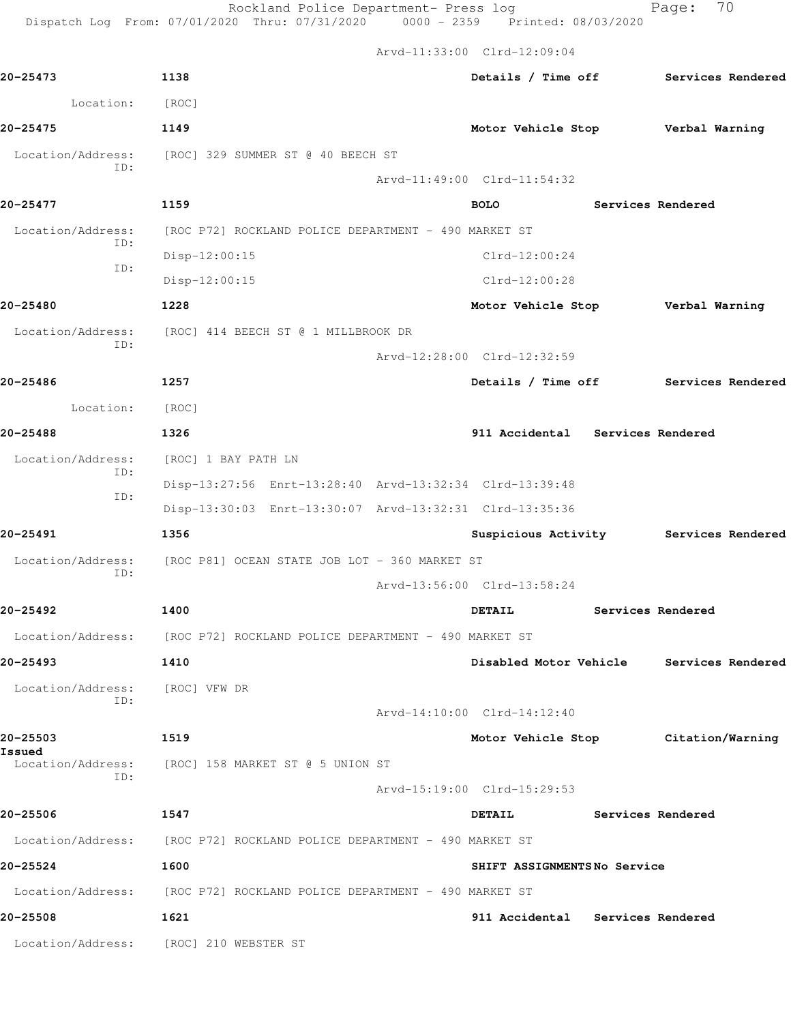|                             |                                                                        | Arvd-11:33:00 Clrd-12:09:04       |                   |                                          |
|-----------------------------|------------------------------------------------------------------------|-----------------------------------|-------------------|------------------------------------------|
| 20-25473                    | 1138                                                                   |                                   |                   | Details / Time off Services Rendered     |
| Location:                   | [ROC]                                                                  |                                   |                   |                                          |
| 20-25475                    | 1149                                                                   | Motor Vehicle Stop Verbal Warning |                   |                                          |
| Location/Address:<br>ID:    | [ROC] 329 SUMMER ST @ 40 BEECH ST                                      |                                   |                   |                                          |
|                             |                                                                        | Arvd-11:49:00 Clrd-11:54:32       |                   |                                          |
| 20-25477                    | 1159                                                                   | <b>BOLO</b>                       |                   | Services Rendered                        |
| Location/Address:           | [ROC P72] ROCKLAND POLICE DEPARTMENT - 490 MARKET ST                   |                                   |                   |                                          |
| ID:                         | Disp-12:00:15                                                          | $Clrd-12:00:24$                   |                   |                                          |
| ID:                         | Disp-12:00:15                                                          | $Clrd-12:00:28$                   |                   |                                          |
| 20-25480                    | 1228                                                                   | Motor Vehicle Stop Verbal Warning |                   |                                          |
|                             | Location/Address: [ROC] 414 BEECH ST @ 1 MILLBROOK DR                  |                                   |                   |                                          |
| ID:                         |                                                                        | Arvd-12:28:00 Clrd-12:32:59       |                   |                                          |
| 20-25486                    | 1257                                                                   |                                   |                   | Details / Time off Services Rendered     |
| Location:                   | [ROC]                                                                  |                                   |                   |                                          |
| 20-25488                    | 1326                                                                   | 911 Accidental Services Rendered  |                   |                                          |
| Location/Address:           | [ROC] 1 BAY PATH LN                                                    |                                   |                   |                                          |
| ID:                         | Disp-13:27:56 Enrt-13:28:40 Arvd-13:32:34 Clrd-13:39:48                |                                   |                   |                                          |
| ID:                         | Disp-13:30:03 Enrt-13:30:07 Arvd-13:32:31 Clrd-13:35:36                |                                   |                   |                                          |
| 20-25491                    | 1356                                                                   |                                   |                   | Suspicious Activity Services Rendered    |
| Location/Address:<br>ID:    | [ROC P81] OCEAN STATE JOB LOT - 360 MARKET ST                          |                                   |                   |                                          |
|                             |                                                                        | Arvd-13:56:00 Clrd-13:58:24       |                   |                                          |
| 20-25492                    | 1400                                                                   | <b>DETAIL</b>                     | Services Rendered |                                          |
|                             | Location/Address: [ROC P72] ROCKLAND POLICE DEPARTMENT - 490 MARKET ST |                                   |                   |                                          |
| 20-25493                    | 1410                                                                   |                                   |                   | Disabled Motor Vehicle Services Rendered |
| Location/Address:           | [ROC] VFW DR                                                           |                                   |                   |                                          |
| ID:                         |                                                                        | Arvd-14:10:00 Clrd-14:12:40       |                   |                                          |
| 20-25503                    | 1519                                                                   |                                   |                   | Motor Vehicle Stop Citation/Warning      |
| Issued<br>Location/Address: | [ROC] 158 MARKET ST @ 5 UNION ST                                       |                                   |                   |                                          |
| ID:                         |                                                                        | Arvd-15:19:00 Clrd-15:29:53       |                   |                                          |
| 20-25506                    | 1547                                                                   | <b>DETAIL</b>                     |                   | Services Rendered                        |
| Location/Address:           | [ROC P72] ROCKLAND POLICE DEPARTMENT - 490 MARKET ST                   |                                   |                   |                                          |
| 20-25524                    | 1600                                                                   | SHIFT ASSIGNMENTSNo Service       |                   |                                          |
|                             | Location/Address: [ROC P72] ROCKLAND POLICE DEPARTMENT - 490 MARKET ST |                                   |                   |                                          |
| 20-25508                    | 1621                                                                   | 911 Accidental Services Rendered  |                   |                                          |
| Location/Address:           | [ROC] 210 WEBSTER ST                                                   |                                   |                   |                                          |
|                             |                                                                        |                                   |                   |                                          |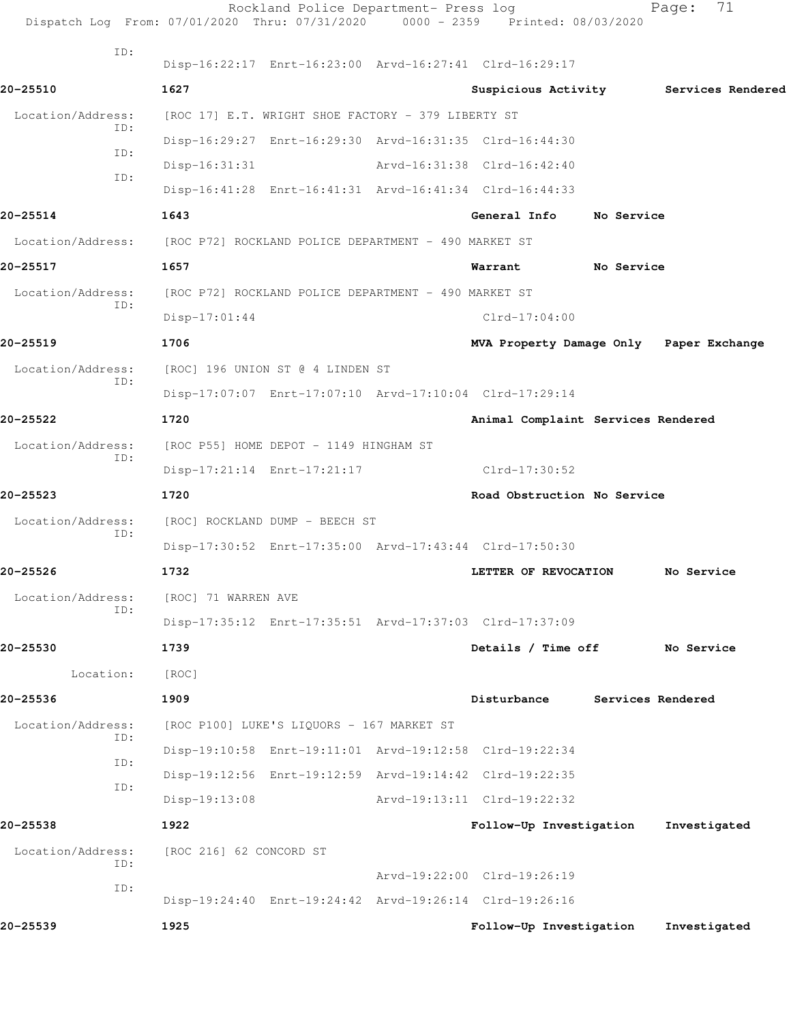|                   | Rockland Police Department- Press log<br>Dispatch Log From: 07/01/2020 Thru: 07/31/2020 0000 - 2359 Printed: 08/03/2020 |                                         |                   | 71<br>Page:  |  |
|-------------------|-------------------------------------------------------------------------------------------------------------------------|-----------------------------------------|-------------------|--------------|--|
| ID:               | Disp-16:22:17 Enrt-16:23:00 Arvd-16:27:41 Clrd-16:29:17                                                                 |                                         |                   |              |  |
| 20-25510          | 1627                                                                                                                    | Suspicious Activity 5ervices Rendered   |                   |              |  |
| Location/Address: | [ROC 17] E.T. WRIGHT SHOE FACTORY - 379 LIBERTY ST                                                                      |                                         |                   |              |  |
| ID:               | Disp-16:29:27 Enrt-16:29:30 Arvd-16:31:35 Clrd-16:44:30                                                                 |                                         |                   |              |  |
| ID:               | $Disp-16:31:31$                                                                                                         | Arvd-16:31:38 Clrd-16:42:40             |                   |              |  |
| ID:               | Disp-16:41:28 Enrt-16:41:31 Arvd-16:41:34 Clrd-16:44:33                                                                 |                                         |                   |              |  |
| 20-25514          | 1643                                                                                                                    | General Info                            | <b>No Service</b> |              |  |
| Location/Address: | [ROC P72] ROCKLAND POLICE DEPARTMENT - 490 MARKET ST                                                                    |                                         |                   |              |  |
| 20-25517          | 1657                                                                                                                    | Warrant                                 | No Service        |              |  |
| Location/Address: | [ROC P72] ROCKLAND POLICE DEPARTMENT - 490 MARKET ST                                                                    |                                         |                   |              |  |
| ID:               | $Disp-17:01:44$                                                                                                         | $Clrd-17:04:00$                         |                   |              |  |
| 20-25519          | 1706                                                                                                                    | MVA Property Damage Only Paper Exchange |                   |              |  |
| Location/Address: | [ROC] 196 UNION ST @ 4 LINDEN ST                                                                                        |                                         |                   |              |  |
| ID:               | Disp-17:07:07 Enrt-17:07:10 Arvd-17:10:04 Clrd-17:29:14                                                                 |                                         |                   |              |  |
| 20-25522          | 1720                                                                                                                    | Animal Complaint Services Rendered      |                   |              |  |
| Location/Address: | [ROC P55] HOME DEPOT - 1149 HINGHAM ST                                                                                  |                                         |                   |              |  |
| ID:               | Disp-17:21:14 Enrt-17:21:17                                                                                             | Clrd-17:30:52                           |                   |              |  |
| 20-25523          | 1720                                                                                                                    | Road Obstruction No Service             |                   |              |  |
| Location/Address: | [ROC] ROCKLAND DUMP - BEECH ST                                                                                          |                                         |                   |              |  |
| ID:               | Disp-17:30:52 Enrt-17:35:00 Arvd-17:43:44 Clrd-17:50:30                                                                 |                                         |                   |              |  |
| 20-25526          | 1732                                                                                                                    | LETTER OF REVOCATION                    |                   | No Service   |  |
| Location/Address: | [ROC] 71 WARREN AVE                                                                                                     |                                         |                   |              |  |
| ID:               | Disp-17:35:12 Enrt-17:35:51 Arvd-17:37:03 Clrd-17:37:09                                                                 |                                         |                   |              |  |
| 20-25530          | 1739                                                                                                                    | Details / Time off                      |                   | No Service   |  |
| Location:         | [ROC]                                                                                                                   |                                         |                   |              |  |
| 20-25536          | 1909                                                                                                                    | Disturbance                             | Services Rendered |              |  |
| Location/Address: | [ROC P100] LUKE'S LIQUORS - 167 MARKET ST                                                                               |                                         |                   |              |  |
| ID:               | Disp-19:10:58 Enrt-19:11:01 Arvd-19:12:58 Clrd-19:22:34                                                                 |                                         |                   |              |  |
| ID:               | Disp-19:12:56 Enrt-19:12:59 Arvd-19:14:42 Clrd-19:22:35                                                                 |                                         |                   |              |  |
| ID:               | $Disp-19:13:08$                                                                                                         | Arvd-19:13:11 Clrd-19:22:32             |                   |              |  |
| 20-25538          | 1922                                                                                                                    | Follow-Up Investigation                 |                   | Investigated |  |
| Location/Address: | [ROC 216] 62 CONCORD ST                                                                                                 |                                         |                   |              |  |
| ID:               |                                                                                                                         | Arvd-19:22:00 Clrd-19:26:19             |                   |              |  |
| ID:               | Disp-19:24:40 Enrt-19:24:42 Arvd-19:26:14 Clrd-19:26:16                                                                 |                                         |                   |              |  |
| 20-25539          | 1925                                                                                                                    | Follow-Up Investigation                 |                   | Investigated |  |
|                   |                                                                                                                         |                                         |                   |              |  |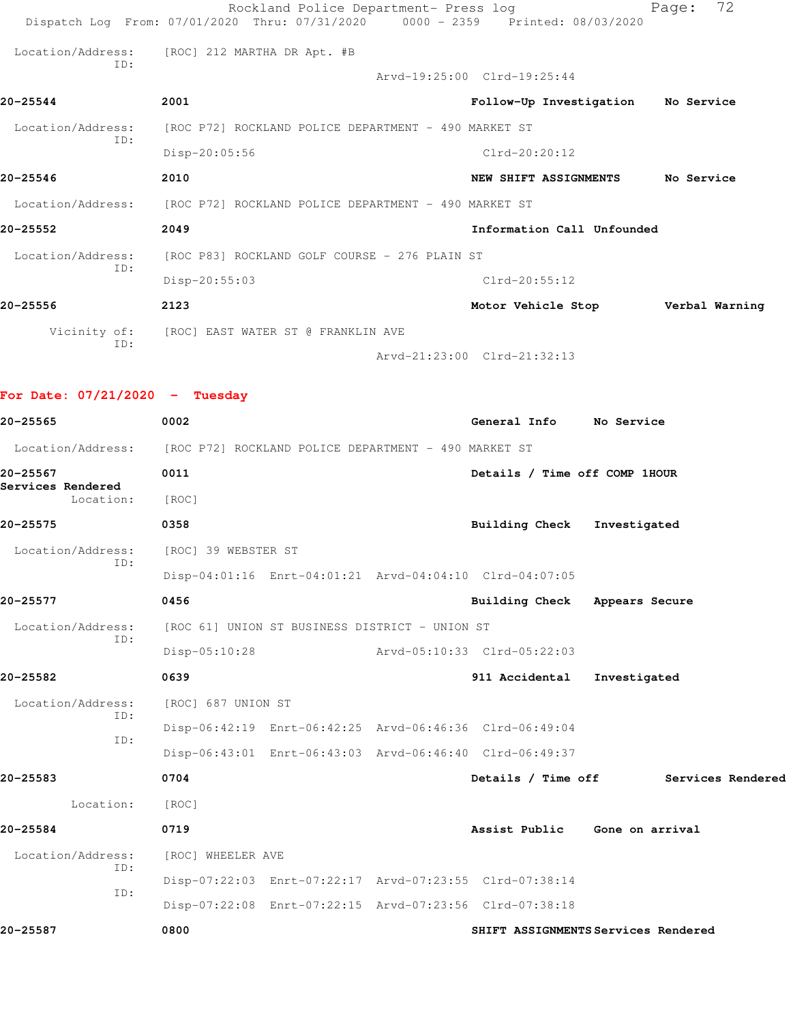|                   | Rockland Police Department- Press log                                  | Dispatch Log From: 07/01/2020 Thru: 07/31/2020 0000 - 2359 Printed: 08/03/2020 | 72<br>Page:    |
|-------------------|------------------------------------------------------------------------|--------------------------------------------------------------------------------|----------------|
| ID:               | Location/Address: [ROC] 212 MARTHA DR Apt. #B                          |                                                                                |                |
|                   |                                                                        | Arvd-19:25:00 Clrd-19:25:44                                                    |                |
| 20-25544          | 2001                                                                   | Follow-Up Investigation No Service                                             |                |
|                   | Location/Address: [ROC P72] ROCKLAND POLICE DEPARTMENT - 490 MARKET ST |                                                                                |                |
| ID:               | $Disp-20:05:56$                                                        | $Clrd-20:20:12$                                                                |                |
| $20 - 25546$      | 2010                                                                   | NEW SHIFT ASSIGNMENTS                                                          | No Service     |
|                   | Location/Address: [ROC P72] ROCKLAND POLICE DEPARTMENT - 490 MARKET ST |                                                                                |                |
| $20 - 25552$      | 2049                                                                   | Information Call Unfounded                                                     |                |
| Location/Address: | [ROC P83] ROCKLAND GOLF COURSE - 276 PLAIN ST                          |                                                                                |                |
| ID:               | Disp-20:55:03                                                          | $Clrd-20:55:12$                                                                |                |
| 20-25556          | 2123                                                                   | Motor Vehicle Stop                                                             | Verbal Warning |
|                   | Vicinity of: [ROC] EAST WATER ST @ FRANKLIN AVE                        |                                                                                |                |
| TD:               |                                                                        | Arvd-21:23:00 Clrd-21:32:13                                                    |                |

**For Date: 07/21/2020 - Tuesday**

| 20-25565                                                               | 0002                |  | General Info                                            | No Service                           |  |
|------------------------------------------------------------------------|---------------------|--|---------------------------------------------------------|--------------------------------------|--|
| Location/Address: [ROC P72] ROCKLAND POLICE DEPARTMENT - 490 MARKET ST |                     |  |                                                         |                                      |  |
| 20-25567                                                               | 0011                |  | Details / Time off COMP 1HOUR                           |                                      |  |
| Services Rendered<br>Location:                                         | [ROC]               |  |                                                         |                                      |  |
| 20-25575                                                               | 0358                |  | Building Check Investigated                             |                                      |  |
| Location/Address:                                                      | [ROC] 39 WEBSTER ST |  |                                                         |                                      |  |
| ID:                                                                    |                     |  | Disp-04:01:16 Enrt-04:01:21 Arvd-04:04:10 Clrd-04:07:05 |                                      |  |
| 20-25577                                                               | 0456                |  | Building Check Appears Secure                           |                                      |  |
| Location/Address: [ROC 61] UNION ST BUSINESS DISTRICT - UNION ST       |                     |  |                                                         |                                      |  |
| ID:                                                                    | $Disp-05:10:28$     |  | Arvd-05:10:33 Clrd-05:22:03                             |                                      |  |
| 20-25582                                                               | 0639                |  | 911 Accidental                                          | Investigated                         |  |
| Location/Address:                                                      | [ROC] 687 UNION ST  |  |                                                         |                                      |  |
| ID:                                                                    |                     |  | Disp-06:42:19 Enrt-06:42:25 Arvd-06:46:36 Clrd-06:49:04 |                                      |  |
| TD:                                                                    |                     |  | Disp-06:43:01 Enrt-06:43:03 Arvd-06:46:40 Clrd-06:49:37 |                                      |  |
| 20-25583                                                               | 0704                |  |                                                         | Details / Time off Services Rendered |  |
| Location:                                                              | [ROC]               |  |                                                         |                                      |  |
| 20-25584                                                               | 0719                |  |                                                         | Assist Public Gone on arrival        |  |
| Location/Address:<br>ID:                                               | [ROC] WHEELER AVE   |  |                                                         |                                      |  |
| ID:                                                                    |                     |  | Disp-07:22:03 Enrt-07:22:17 Arvd-07:23:55 Clrd-07:38:14 |                                      |  |
|                                                                        |                     |  | Disp-07:22:08 Enrt-07:22:15 Arvd-07:23:56 Clrd-07:38:18 |                                      |  |
| 20-25587                                                               | 0800                |  |                                                         | SHIFT ASSIGNMENTS Services Rendered  |  |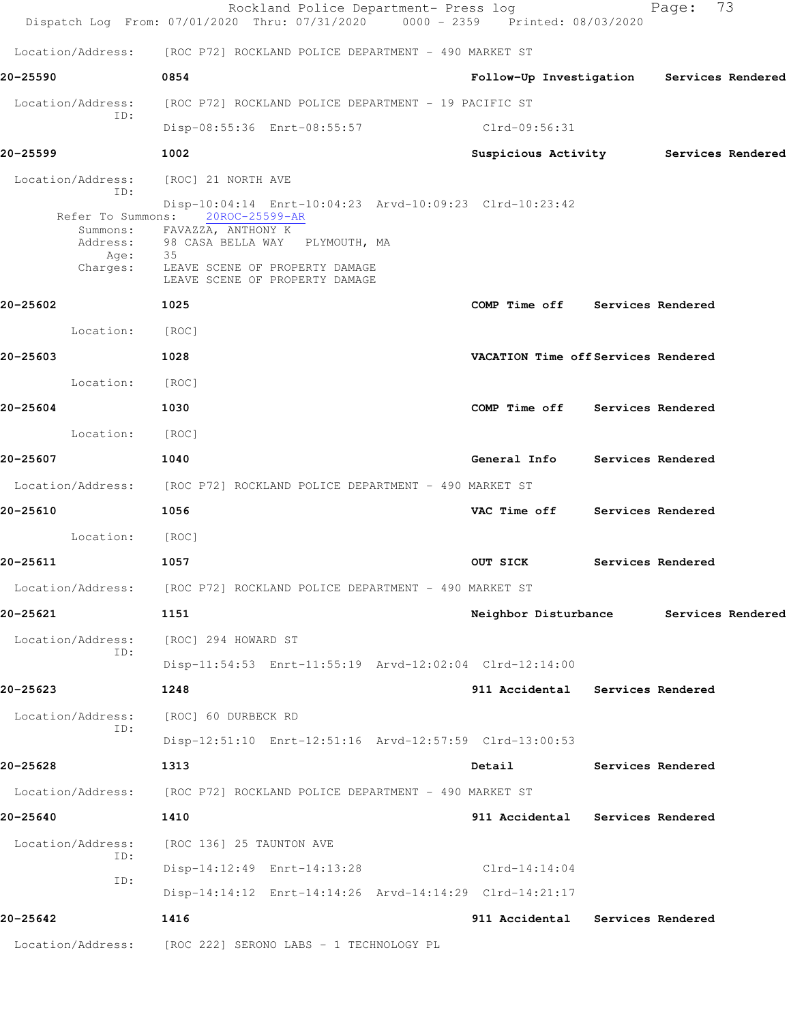|                                             | Rockland Police Department- Press log<br>Dispatch Log From: 07/01/2020 Thru: 07/31/2020 0000 - 2359 Printed: 08/03/2020 |                                           |                   | Page:             | 73                |
|---------------------------------------------|-------------------------------------------------------------------------------------------------------------------------|-------------------------------------------|-------------------|-------------------|-------------------|
|                                             | Location/Address: [ROC P72] ROCKLAND POLICE DEPARTMENT - 490 MARKET ST                                                  |                                           |                   |                   |                   |
| 20-25590                                    | 0854                                                                                                                    | Follow-Up Investigation Services Rendered |                   |                   |                   |
| Location/Address:<br>ID:                    | [ROC P72] ROCKLAND POLICE DEPARTMENT - 19 PACIFIC ST                                                                    |                                           |                   |                   |                   |
|                                             | Disp-08:55:36 Enrt-08:55:57 Clrd-09:56:31                                                                               |                                           |                   |                   |                   |
| 20-25599                                    | 1002                                                                                                                    | Suspicious Activity Services Rendered     |                   |                   |                   |
| Location/Address: [ROC] 21 NORTH AVE<br>ID: |                                                                                                                         |                                           |                   |                   |                   |
|                                             | Disp-10:04:14 Enrt-10:04:23 Arvd-10:09:23 Clrd-10:23:42<br>Refer To Summons: 20ROC-25599-AR                             |                                           |                   |                   |                   |
|                                             | Summons: FAVAZZA, ANTHONY K<br>Address: 98 CASA BELLA WAY PLYMOUTH, MA                                                  |                                           |                   |                   |                   |
| Age:<br>Charges:                            | 35<br>LEAVE SCENE OF PROPERTY DAMAGE                                                                                    |                                           |                   |                   |                   |
|                                             | LEAVE SCENE OF PROPERTY DAMAGE                                                                                          |                                           |                   |                   |                   |
| 20-25602                                    | 1025                                                                                                                    | COMP Time off Services Rendered           |                   |                   |                   |
| Location: [ROC]                             |                                                                                                                         |                                           |                   |                   |                   |
| 20-25603                                    | 1028                                                                                                                    | VACATION Time off Services Rendered       |                   |                   |                   |
| Location:                                   | [ROC]                                                                                                                   |                                           |                   |                   |                   |
| 20-25604                                    | 1030                                                                                                                    | COMP Time off Services Rendered           |                   |                   |                   |
| Location: [ROC]                             |                                                                                                                         |                                           |                   |                   |                   |
| 20-25607                                    | 1040                                                                                                                    | General Info Services Rendered            |                   |                   |                   |
|                                             | Location/Address: [ROC P72] ROCKLAND POLICE DEPARTMENT - 490 MARKET ST                                                  |                                           |                   |                   |                   |
| 20-25610                                    | 1056                                                                                                                    | VAC Time off Services Rendered            |                   |                   |                   |
| Location:                                   | [ROC]                                                                                                                   |                                           |                   |                   |                   |
| 20-25611                                    | 1057                                                                                                                    | OUT SICK                                  |                   | Services Rendered |                   |
|                                             | Location/Address: [ROC P72] ROCKLAND POLICE DEPARTMENT - 490 MARKET ST                                                  |                                           |                   |                   |                   |
| 20-25621                                    | 1151                                                                                                                    | Neighbor Disturbance                      |                   |                   | Services Rendered |
| Location/Address:                           | [ROC] 294 HOWARD ST                                                                                                     |                                           |                   |                   |                   |
| ID:                                         | Disp-11:54:53 Enrt-11:55:19 Arvd-12:02:04 Clrd-12:14:00                                                                 |                                           |                   |                   |                   |
| 20-25623                                    | 1248                                                                                                                    | 911 Accidental Services Rendered          |                   |                   |                   |
| Location/Address:                           | [ROC] 60 DURBECK RD                                                                                                     |                                           |                   |                   |                   |
| ID:                                         | Disp-12:51:10 Enrt-12:51:16 Arvd-12:57:59 Clrd-13:00:53                                                                 |                                           |                   |                   |                   |
| 20-25628                                    | 1313                                                                                                                    | Detail                                    |                   | Services Rendered |                   |
| Location/Address:                           | [ROC P72] ROCKLAND POLICE DEPARTMENT - 490 MARKET ST                                                                    |                                           |                   |                   |                   |
| 20-25640                                    | 1410                                                                                                                    | 911 Accidental                            | Services Rendered |                   |                   |
| Location/Address:                           | [ROC 136] 25 TAUNTON AVE                                                                                                |                                           |                   |                   |                   |
| ID:                                         | Disp-14:12:49 Enrt-14:13:28                                                                                             | Clrd-14:14:04                             |                   |                   |                   |
| ID:                                         | Disp-14:14:12 Enrt-14:14:26 Arvd-14:14:29 Clrd-14:21:17                                                                 |                                           |                   |                   |                   |
| 20-25642                                    | 1416                                                                                                                    | 911 Accidental Services Rendered          |                   |                   |                   |
| Location/Address:                           | [ROC 222] SERONO LABS - 1 TECHNOLOGY PL                                                                                 |                                           |                   |                   |                   |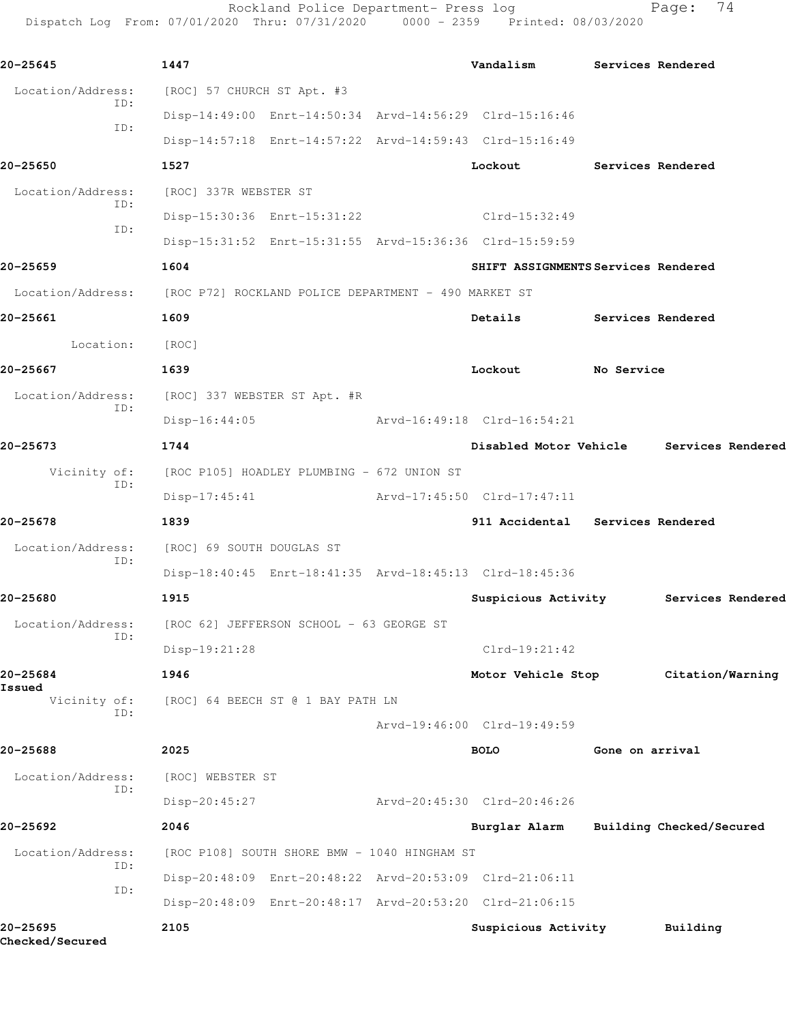Rockland Police Department- Press log entitled Page: 74 Dispatch Log From: 07/01/2020 Thru: 07/31/2020 0000 - 2359 Printed: 08/03/2020

| 20-25645                           | 1447                                                                   | Vandalism                           |                          | Services Rendered                        |
|------------------------------------|------------------------------------------------------------------------|-------------------------------------|--------------------------|------------------------------------------|
| Location/Address:                  | [ROC] 57 CHURCH ST Apt. #3                                             |                                     |                          |                                          |
| ID:                                | Disp-14:49:00 Enrt-14:50:34 Arvd-14:56:29 Clrd-15:16:46                |                                     |                          |                                          |
| ID:                                | Disp-14:57:18 Enrt-14:57:22 Arvd-14:59:43 Clrd-15:16:49                |                                     |                          |                                          |
| 20-25650                           | 1527                                                                   | Lockout                             | <b>Services Rendered</b> |                                          |
| Location/Address:                  | [ROC] 337R WEBSTER ST                                                  |                                     |                          |                                          |
| ID:                                | Disp-15:30:36 Enrt-15:31:22                                            | $Clrd-15:32:49$                     |                          |                                          |
| ID:                                | Disp-15:31:52 Enrt-15:31:55 Arvd-15:36:36 Clrd-15:59:59                |                                     |                          |                                          |
| 20-25659                           | 1604                                                                   | SHIFT ASSIGNMENTS Services Rendered |                          |                                          |
|                                    | Location/Address: [ROC P72] ROCKLAND POLICE DEPARTMENT - 490 MARKET ST |                                     |                          |                                          |
| 20-25661                           | 1609                                                                   | Details                             | Services Rendered        |                                          |
| Location:                          | [ROC]                                                                  |                                     |                          |                                          |
| 20-25667                           | 1639                                                                   | Lockout                             | No Service               |                                          |
|                                    | Location/Address: [ROC] 337 WEBSTER ST Apt. #R                         |                                     |                          |                                          |
| ID:                                | $Disp-16:44:05$                                                        | Arvd-16:49:18 Clrd-16:54:21         |                          |                                          |
| 20-25673                           | 1744                                                                   |                                     |                          | Disabled Motor Vehicle Services Rendered |
|                                    | Vicinity of: [ROC P105] HOADLEY PLUMBING - 672 UNION ST                |                                     |                          |                                          |
| ID:                                | $Disp-17:45:41$                                                        | Arvd-17:45:50 Clrd-17:47:11         |                          |                                          |
| 20-25678                           | 1839                                                                   | 911 Accidental Services Rendered    |                          |                                          |
| Location/Address:                  | [ROC] 69 SOUTH DOUGLAS ST                                              |                                     |                          |                                          |
| ID:                                | Disp-18:40:45 Enrt-18:41:35 Arvd-18:45:13 Clrd-18:45:36                |                                     |                          |                                          |
| 20-25680                           | 1915                                                                   | Suspicious Activity                 |                          | Services Rendered                        |
| Location/Address:                  | [ROC 62] JEFFERSON SCHOOL - 63 GEORGE ST                               |                                     |                          |                                          |
| ID:                                | Disp-19:21:28                                                          | $Clrd-19:21:42$                     |                          |                                          |
| 20-25684                           | 1946                                                                   | Motor Vehicle Stop                  |                          | Citation/Warning                         |
| Issued<br>Vicinity of:             | [ROC] 64 BEECH ST @ 1 BAY PATH LN                                      |                                     |                          |                                          |
| ID:                                |                                                                        | Arvd-19:46:00 Clrd-19:49:59         |                          |                                          |
| 20-25688                           | 2025                                                                   | <b>BOLO</b>                         | Gone on arrival          |                                          |
| Location/Address:                  | [ROC] WEBSTER ST                                                       |                                     |                          |                                          |
| ID:                                | Disp-20:45:27                                                          | Arvd-20:45:30 Clrd-20:46:26         |                          |                                          |
| 20-25692                           | 2046                                                                   | Burglar Alarm                       |                          | Building Checked/Secured                 |
| Location/Address:                  | [ROC P108] SOUTH SHORE BMW - 1040 HINGHAM ST                           |                                     |                          |                                          |
| ID:                                | Disp-20:48:09 Enrt-20:48:22 Arvd-20:53:09 Clrd-21:06:11                |                                     |                          |                                          |
| ID:                                | Disp-20:48:09 Enrt-20:48:17 Arvd-20:53:20 Clrd-21:06:15                |                                     |                          |                                          |
| 20-25695<br><b>Checked/Secured</b> | 2105                                                                   | Suspicious Activity                 |                          | Building                                 |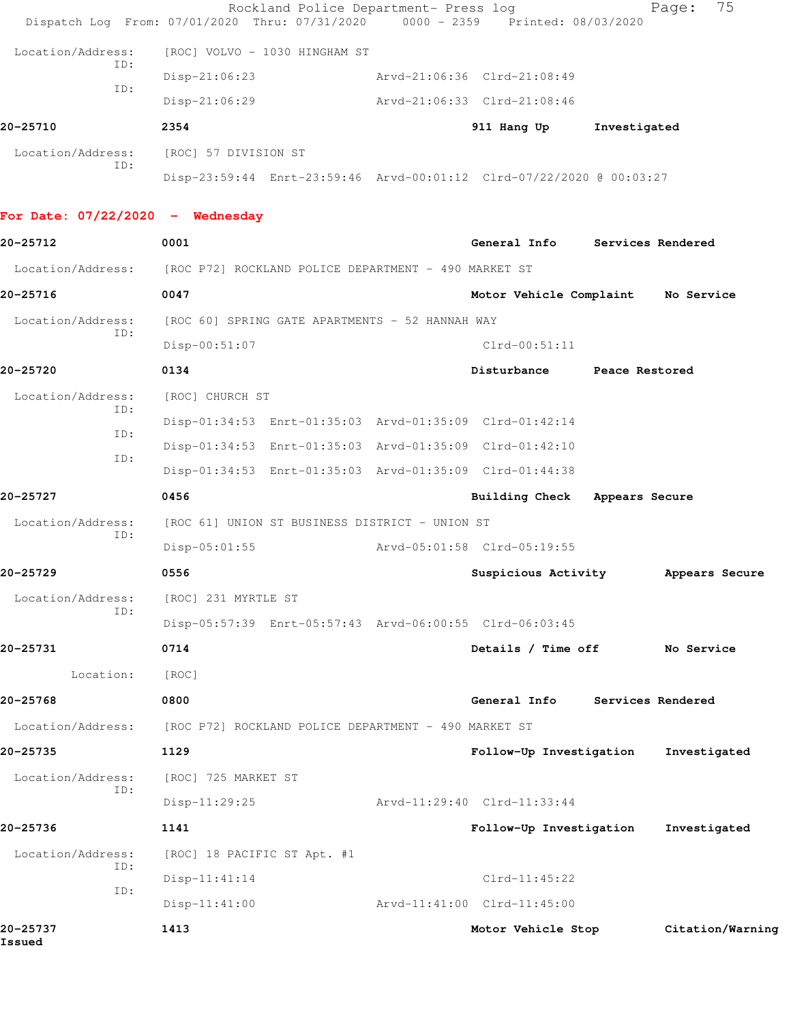|                                  | Rockland Police Department- Press log<br>Dispatch Log From: 07/01/2020 Thru: 07/31/2020 0000 - 2359 Printed: 08/03/2020 |                                    |              | 75<br>Page:      |
|----------------------------------|-------------------------------------------------------------------------------------------------------------------------|------------------------------------|--------------|------------------|
| Location/Address:                | [ROC] VOLVO - 1030 HINGHAM ST                                                                                           |                                    |              |                  |
| ID:                              | $Disp-21:06:23$                                                                                                         | Arvd-21:06:36 Clrd-21:08:49        |              |                  |
| ID:                              | Disp-21:06:29                                                                                                           | Arvd-21:06:33 Clrd-21:08:46        |              |                  |
| 20-25710                         | 2354                                                                                                                    | 911 Hang Up                        | Investigated |                  |
| Location/Address:                | [ROC] 57 DIVISION ST                                                                                                    |                                    |              |                  |
| ID:                              | Disp-23:59:44 Enrt-23:59:46 Arvd-00:01:12 Clrd-07/22/2020 @ 00:03:27                                                    |                                    |              |                  |
| For Date: 07/22/2020 - Wednesday |                                                                                                                         |                                    |              |                  |
| 20-25712                         | 0001                                                                                                                    | General Info Services Rendered     |              |                  |
|                                  | Location/Address: [ROC P72] ROCKLAND POLICE DEPARTMENT - 490 MARKET ST                                                  |                                    |              |                  |
| 20-25716                         | 0047                                                                                                                    | Motor Vehicle Complaint No Service |              |                  |
| Location/Address:                | [ROC 60] SPRING GATE APARTMENTS - 52 HANNAH WAY                                                                         |                                    |              |                  |
| ID:                              | Disp-00:51:07                                                                                                           | $Clrd-00:51:11$                    |              |                  |
| 20-25720                         | 0134                                                                                                                    | Disturbance Peace Restored         |              |                  |
| Location/Address:                | [ROC] CHURCH ST                                                                                                         |                                    |              |                  |
| ID:                              | Disp-01:34:53 Enrt-01:35:03 Arvd-01:35:09 Clrd-01:42:14                                                                 |                                    |              |                  |
| ID:<br>ID:                       | Disp-01:34:53 Enrt-01:35:03 Arvd-01:35:09 Clrd-01:42:10                                                                 |                                    |              |                  |
|                                  | Disp-01:34:53 Enrt-01:35:03 Arvd-01:35:09 Clrd-01:44:38                                                                 |                                    |              |                  |
| 20-25727                         | 0456                                                                                                                    | Building Check Appears Secure      |              |                  |
| Location/Address:<br>ID:         | [ROC 61] UNION ST BUSINESS DISTRICT - UNION ST                                                                          |                                    |              |                  |
|                                  | $Disp-05:01:55$                                                                                                         | Arvd-05:01:58 Clrd-05:19:55        |              |                  |
| 20-25729                         | 0556                                                                                                                    | Suspicious Activity                |              | Appears Secure   |
| Location/Address:<br>ID:         | [ROC] 231 MYRTLE ST                                                                                                     |                                    |              |                  |
|                                  | Disp-05:57:39 Enrt-05:57:43 Arvd-06:00:55 Clrd-06:03:45                                                                 |                                    |              |                  |
| 20-25731                         | 0714                                                                                                                    | Details / Time off                 |              | No Service       |
| Location:                        | [ROC]                                                                                                                   |                                    |              |                  |
| 20-25768                         | 0800                                                                                                                    | General Info Services Rendered     |              |                  |
| Location/Address:                | [ROC P72] ROCKLAND POLICE DEPARTMENT - 490 MARKET ST                                                                    |                                    |              |                  |
| 20-25735                         | 1129                                                                                                                    | Follow-Up Investigation            |              | Investigated     |
| Location/Address:<br>ID:         | [ROC] 725 MARKET ST                                                                                                     |                                    |              |                  |
|                                  | $Disp-11:29:25$                                                                                                         | Arvd-11:29:40 Clrd-11:33:44        |              |                  |
| 20-25736                         | 1141                                                                                                                    | Follow-Up Investigation            |              | Investigated     |
| Location/Address:<br>ID:         | [ROC] 18 PACIFIC ST Apt. #1                                                                                             |                                    |              |                  |
| ID:                              | $Disp-11:41:14$                                                                                                         | $Clrd-11:45:22$                    |              |                  |
|                                  | $Disp-11:41:00$                                                                                                         | Arvd-11:41:00 Clrd-11:45:00        |              |                  |
| 20-25737<br>Issued               | 1413                                                                                                                    | Motor Vehicle Stop                 |              | Citation/Warning |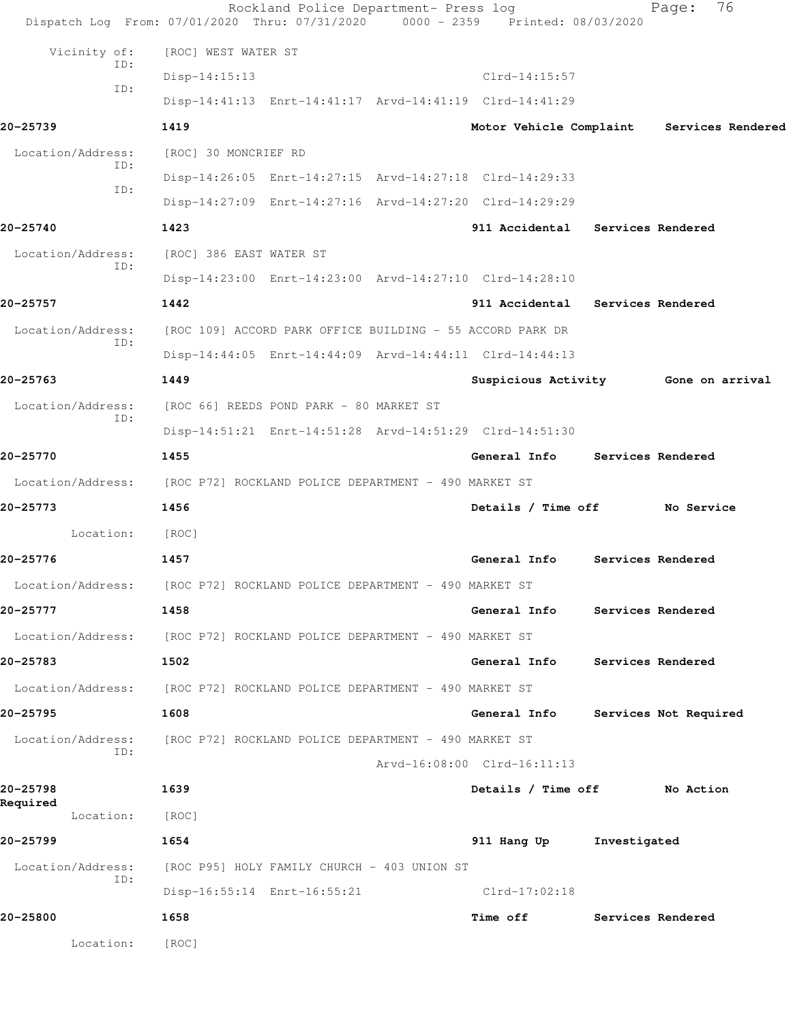|                          | Rockland Police Department- Press log<br>Dispatch Log From: 07/01/2020 Thru: 07/31/2020 0000 - 2359 Printed: 08/03/2020 |                                  | 76<br>Page:           |
|--------------------------|-------------------------------------------------------------------------------------------------------------------------|----------------------------------|-----------------------|
| Vicinity of:             | [ROC] WEST WATER ST                                                                                                     |                                  |                       |
| ID:                      | Disp-14:15:13                                                                                                           | Clrd-14:15:57                    |                       |
| ID:                      | Disp-14:41:13 Enrt-14:41:17 Arvd-14:41:19 Clrd-14:41:29                                                                 |                                  |                       |
| 20-25739                 | 1419                                                                                                                    | Motor Vehicle Complaint          | Services Rendered     |
| Location/Address:        | [ROC] 30 MONCRIEF RD                                                                                                    |                                  |                       |
| ID:                      | Disp-14:26:05 Enrt-14:27:15 Arvd-14:27:18 Clrd-14:29:33                                                                 |                                  |                       |
| ID:                      | Disp-14:27:09 Enrt-14:27:16 Arvd-14:27:20 Clrd-14:29:29                                                                 |                                  |                       |
| 20-25740                 | 1423                                                                                                                    | 911 Accidental Services Rendered |                       |
| Location/Address:        | [ROC] 386 EAST WATER ST                                                                                                 |                                  |                       |
| ID:                      | Disp-14:23:00 Enrt-14:23:00 Arvd-14:27:10 Clrd-14:28:10                                                                 |                                  |                       |
| 20-25757                 | 1442                                                                                                                    | 911 Accidental Services Rendered |                       |
| Location/Address:<br>ID: | [ROC 109] ACCORD PARK OFFICE BUILDING - 55 ACCORD PARK DR                                                               |                                  |                       |
|                          | Disp-14:44:05 Enrt-14:44:09 Arvd-14:44:11 Clrd-14:44:13                                                                 |                                  |                       |
| 20-25763                 | 1449                                                                                                                    | Suspicious Activity              | Gone on arrival       |
| Location/Address:<br>ID: | [ROC 66] REEDS POND PARK - 80 MARKET ST                                                                                 |                                  |                       |
|                          | Disp-14:51:21 Enrt-14:51:28 Arvd-14:51:29 Clrd-14:51:30                                                                 |                                  |                       |
| 20-25770                 | 1455                                                                                                                    | General Info                     | Services Rendered     |
|                          | Location/Address: [ROC P72] ROCKLAND POLICE DEPARTMENT - 490 MARKET ST                                                  |                                  |                       |
| 20-25773                 | 1456                                                                                                                    | Details / Time off               | No Service            |
| Location:                | [ROC]                                                                                                                   |                                  |                       |
| 20-25776                 | 1457                                                                                                                    | General Info                     | Services Rendered     |
| Location/Address:        | [ROC P72] ROCKLAND POLICE DEPARTMENT - 490 MARKET ST                                                                    |                                  |                       |
| 20-25777                 | 1458                                                                                                                    | General Info Services Rendered   |                       |
|                          | Location/Address: [ROC P72] ROCKLAND POLICE DEPARTMENT - 490 MARKET ST                                                  |                                  |                       |
| 20-25783                 | 1502                                                                                                                    | General Info                     | Services Rendered     |
|                          | Location/Address: [ROC P72] ROCKLAND POLICE DEPARTMENT - 490 MARKET ST                                                  |                                  |                       |
| 20-25795                 | 1608                                                                                                                    | General Info                     | Services Not Required |
| Location/Address:<br>ID: | [ROC P72] ROCKLAND POLICE DEPARTMENT - 490 MARKET ST                                                                    |                                  |                       |
|                          |                                                                                                                         | Arvd-16:08:00 Clrd-16:11:13      |                       |
| 20-25798<br>Required     | 1639                                                                                                                    | Details / Time off               | No Action             |
| Location:                | [ROC]                                                                                                                   |                                  |                       |
| 20-25799                 | 1654                                                                                                                    | 911 Hang Up Investigated         |                       |
| Location/Address:<br>ID: | [ROC P95] HOLY FAMILY CHURCH - 403 UNION ST                                                                             |                                  |                       |
|                          | Disp-16:55:14 Enrt-16:55:21                                                                                             | Clrd-17:02:18                    |                       |
| 20-25800                 | 1658                                                                                                                    | Time off                         | Services Rendered     |
| Location:                | [ROC]                                                                                                                   |                                  |                       |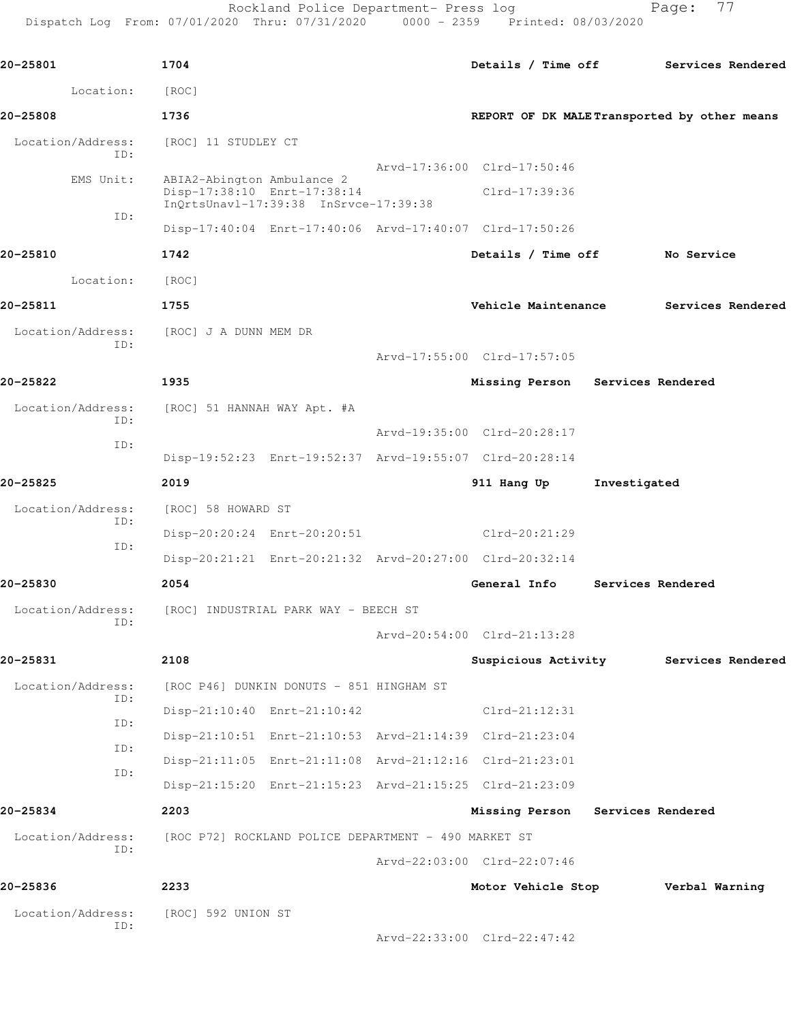Rockland Police Department- Press log entitled Page: 77

| Location:         |     | [ROC]                       |                                                         |                                             |              |                   |  |
|-------------------|-----|-----------------------------|---------------------------------------------------------|---------------------------------------------|--------------|-------------------|--|
| 20-25808          |     | 1736                        |                                                         | REPORT OF DK MALETransported by other means |              |                   |  |
| Location/Address: | TD: | [ROC] 11 STUDLEY CT         |                                                         |                                             |              |                   |  |
| EMS Unit:         |     | ABIA2-Abington Ambulance 2  |                                                         | Arvd-17:36:00 Clrd-17:50:46                 |              |                   |  |
|                   | ID: | Disp-17:38:10 Enrt-17:38:14 | InOrtsUnavl-17:39:38 InSrvce-17:39:38                   | Clrd-17:39:36                               |              |                   |  |
|                   |     |                             | Disp-17:40:04 Enrt-17:40:06 Arvd-17:40:07 Clrd-17:50:26 |                                             |              |                   |  |
| 20-25810          |     | 1742                        |                                                         | Details / Time off                          |              | No Service        |  |
| Location:         |     | [ROC]                       |                                                         |                                             |              |                   |  |
| 20-25811          |     | 1755                        |                                                         | Vehicle Maintenance                         |              | Services Rendered |  |
| Location/Address: |     | [ROC] J A DUNN MEM DR       |                                                         |                                             |              |                   |  |
|                   | ID: |                             |                                                         | Arvd-17:55:00 Clrd-17:57:05                 |              |                   |  |
| 20-25822          |     | 1935                        |                                                         | Missing Person Services Rendered            |              |                   |  |
| Location/Address: |     | [ROC] 51 HANNAH WAY Apt. #A |                                                         |                                             |              |                   |  |
|                   | TD: |                             |                                                         | Arvd-19:35:00 Clrd-20:28:17                 |              |                   |  |
|                   | ID: |                             | Disp-19:52:23 Enrt-19:52:37 Arvd-19:55:07 Clrd-20:28:14 |                                             |              |                   |  |
| 20-25825          |     | 2019                        |                                                         | 911 Hang Up                                 | Investigated |                   |  |
| Location/Address: |     | [ROC] 58 HOWARD ST          |                                                         |                                             |              |                   |  |
|                   | ID: |                             | Disp-20:20:24 Enrt-20:20:51                             | Clrd-20:21:29                               |              |                   |  |
|                   | ID: |                             | Disp-20:21:21 Enrt-20:21:32 Arvd-20:27:00 Clrd-20:32:14 |                                             |              |                   |  |
| 20-25830          |     | 2054                        |                                                         | General Info                                |              | Services Rendered |  |
| Location/Address: |     |                             | [ROC] INDUSTRIAL PARK WAY - BEECH ST                    |                                             |              |                   |  |
|                   | ID: |                             |                                                         | Arvd-20:54:00 Clrd-21:13:28                 |              |                   |  |
| 20-25831          |     | 2108                        |                                                         | Suspicious Activity                         |              | Services Rendered |  |
| Location/Address: |     |                             | [ROC P46] DUNKIN DONUTS - 851 HINGHAM ST                |                                             |              |                   |  |
|                   | ID: |                             | Disp-21:10:40 Enrt-21:10:42                             | $Clrd-21:12:31$                             |              |                   |  |
|                   | ID: |                             | Disp-21:10:51 Enrt-21:10:53 Arvd-21:14:39 Clrd-21:23:04 |                                             |              |                   |  |
|                   | ID: |                             | Disp-21:11:05 Enrt-21:11:08 Arvd-21:12:16 Clrd-21:23:01 |                                             |              |                   |  |
|                   | ID: |                             | Disp-21:15:20 Enrt-21:15:23 Arvd-21:15:25 Clrd-21:23:09 |                                             |              |                   |  |
| 20-25834          |     | 2203                        |                                                         | Missing Person                              |              | Services Rendered |  |
| Location/Address: |     |                             | [ROC P72] ROCKLAND POLICE DEPARTMENT - 490 MARKET ST    |                                             |              |                   |  |
|                   | ID: |                             |                                                         | Arvd-22:03:00 Clrd-22:07:46                 |              |                   |  |
| 20-25836          |     | 2233                        |                                                         | Motor Vehicle Stop                          |              | Verbal Warning    |  |
| Location/Address: |     | [ROC] 592 UNION ST          |                                                         |                                             |              |                   |  |
|                   | ID: |                             |                                                         | Arvd-22:33:00 Clrd-22:47:42                 |              |                   |  |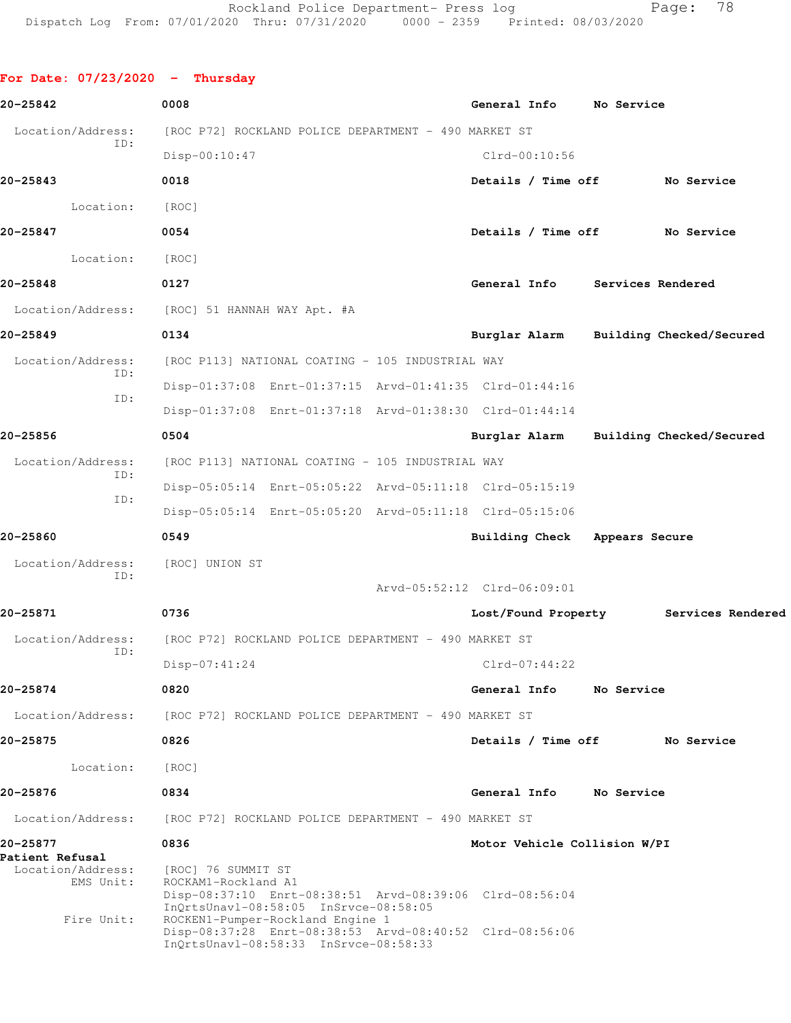**For Date: 07/23/2020 - Thursday 20-25842 0008 General Info No Service** Location/Address: [ROC P72] ROCKLAND POLICE DEPARTMENT - 490 MARKET ST ID: Disp-00:10:47 Clrd-00:10:56 **20-25843 0018 Details / Time off No Service** Location: [ROC] **20-25847 0054 Details / Time off No Service** Location: [ROC] **20-25848 0127 General Info Services Rendered** Location/Address: [ROC] 51 HANNAH WAY Apt. #A **20-25849 0134 Burglar Alarm Building Checked/Secured** Location/Address: [ROC P113] NATIONAL COATING - 105 INDUSTRIAL WAY ID: Disp-01:37:08 Enrt-01:37:15 Arvd-01:41:35 Clrd-01:44:16 ID: Disp-01:37:08 Enrt-01:37:18 Arvd-01:38:30 Clrd-01:44:14 **20-25856 0504 Burglar Alarm Building Checked/Secured** Location/Address: [ROC P113] NATIONAL COATING - 105 INDUSTRIAL WAY ID: Disp-05:05:14 Enrt-05:05:22 Arvd-05:11:18 Clrd-05:15:19 ID: Disp-05:05:14 Enrt-05:05:20 Arvd-05:11:18 Clrd-05:15:06 **20-25860 0549 Building Check Appears Secure** Location/Address: [ROC] UNION ST ID: Arvd-05:52:12 Clrd-06:09:01 **20-25871 0736 Lost/Found Property Services Rendered** Location/Address: [ROC P72] ROCKLAND POLICE DEPARTMENT - 490 MARKET ST ID: Disp-07:41:24 Clrd-07:44:22 **20-25874 0820 General Info No Service** Location/Address: [ROC P72] ROCKLAND POLICE DEPARTMENT - 490 MARKET ST **20-25875 0826 Details / Time off No Service** Location: [ROC] **20-25876 0834 General Info No Service** Location/Address: [ROC P72] ROCKLAND POLICE DEPARTMENT - 490 MARKET ST **20-25877 0836 Motor Vehicle Collision W/PI Patient Refusal**  Location/Address: [ROC] 76 SUMMIT ST EMS Unit: ROCKAM1-Rockland A1 Disp-08:37:10 Enrt-08:38:51 Arvd-08:39:06 Clrd-08:56:04 InQrtsUnavl-08:58:05 InSrvce-08:58:05 Fire Unit: ROCKEN1-Pumper-Rockland Engine 1 Disp-08:37:28 Enrt-08:38:53 Arvd-08:40:52 Clrd-08:56:06 InQrtsUnavl-08:58:33 InSrvce-08:58:33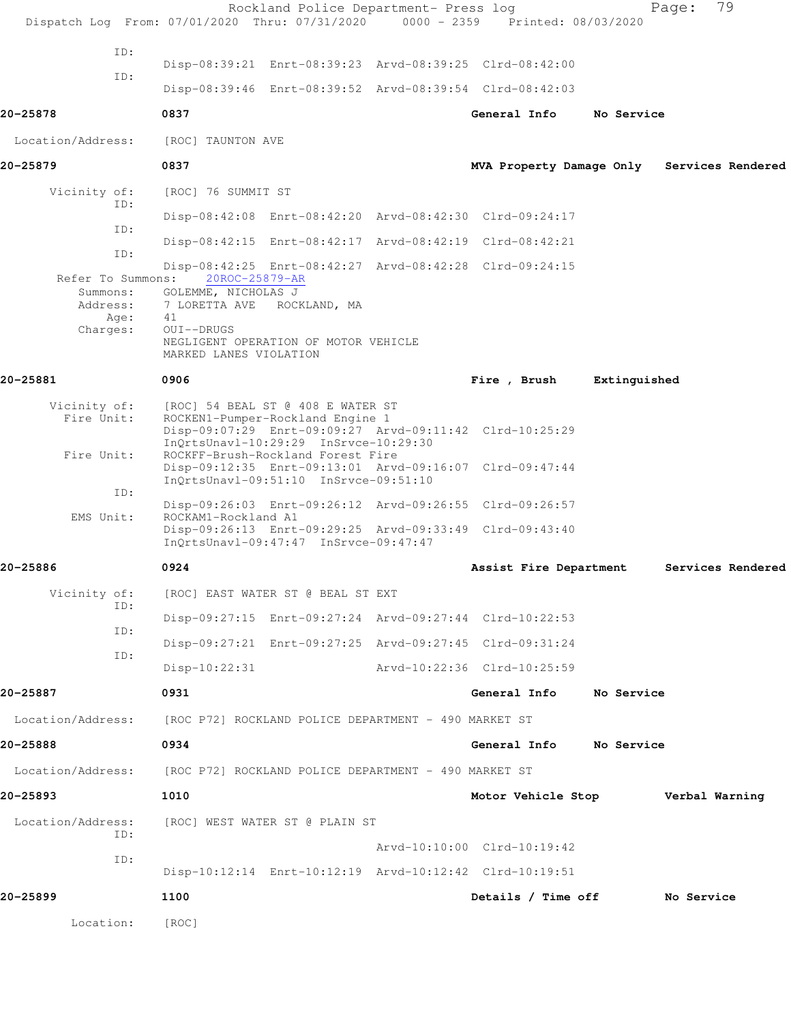|                                                   | Rockland Police Department- Press log<br>Dispatch Log From: 07/01/2020 Thru: 07/31/2020 0000 - 2359 Printed: 08/03/2020                                                        |                                   |              | 79<br>Page:       |
|---------------------------------------------------|--------------------------------------------------------------------------------------------------------------------------------------------------------------------------------|-----------------------------------|--------------|-------------------|
| ID:                                               |                                                                                                                                                                                |                                   |              |                   |
| ID:                                               | Disp-08:39:21 Enrt-08:39:23 Arvd-08:39:25 Clrd-08:42:00                                                                                                                        |                                   |              |                   |
|                                                   | Disp-08:39:46 Enrt-08:39:52 Arvd-08:39:54 Clrd-08:42:03                                                                                                                        |                                   |              |                   |
| 20-25878                                          | 0837                                                                                                                                                                           | General Info                      | No Service   |                   |
| Location/Address:                                 | [ROC] TAUNTON AVE                                                                                                                                                              |                                   |              |                   |
| 20-25879                                          | 0837                                                                                                                                                                           | MVA Property Damage Only          |              | Services Rendered |
| Vicinity of:<br>ID:                               | [ROC] 76 SUMMIT ST                                                                                                                                                             |                                   |              |                   |
| ID:                                               | Disp-08:42:08 Enrt-08:42:20 Arvd-08:42:30 Clrd-09:24:17                                                                                                                        |                                   |              |                   |
|                                                   | Disp-08:42:15 Enrt-08:42:17 Arvd-08:42:19 Clrd-08:42:21                                                                                                                        |                                   |              |                   |
| ID:                                               | Disp-08:42:25 Enrt-08:42:27 Arvd-08:42:28 Clrd-09:24:15                                                                                                                        |                                   |              |                   |
| Refer To Summons:<br>Summons:<br>Address:<br>Age: | 20ROC-25879-AR<br>GOLEMME, NICHOLAS J<br>7 LORETTA AVE<br>ROCKLAND, MA<br>41                                                                                                   |                                   |              |                   |
| Charges:                                          | OUI--DRUGS<br>NEGLIGENT OPERATION OF MOTOR VEHICLE<br>MARKED LANES VIOLATION                                                                                                   |                                   |              |                   |
| 20-25881                                          | 0906                                                                                                                                                                           | Fire , Brush                      | Extinguished |                   |
| Vicinity of:<br>Fire Unit:                        | [ROC] 54 BEAL ST @ 408 E WATER ST<br>ROCKEN1-Pumper-Rockland Engine 1<br>Disp-09:07:29 Enrt-09:09:27 Arvd-09:11:42 Clrd-10:25:29                                               |                                   |              |                   |
| Fire Unit:                                        | InOrtsUnavl-10:29:29 InSrvce-10:29:30<br>ROCKFF-Brush-Rockland Forest Fire<br>Disp-09:12:35 Enrt-09:13:01 Arvd-09:16:07 Clrd-09:47:44<br>InQrtsUnavl-09:51:10 InSrvce-09:51:10 |                                   |              |                   |
| ID:                                               | Disp-09:26:03 Enrt-09:26:12 Arvd-09:26:55 Clrd-09:26:57                                                                                                                        |                                   |              |                   |
| EMS Unit:                                         | ROCKAM1-Rockland A1<br>Disp-09:26:13 Enrt-09:29:25 Arvd-09:33:49 Clrd-09:43:40<br>$InQrtsUnav1-09:47:47 InSrvce-09:47:47$                                                      |                                   |              |                   |
| 20-25886                                          | 0924                                                                                                                                                                           | Assist Fire Department            |              | Services Rendered |
| Vicinity of:                                      | [ROC] EAST WATER ST @ BEAL ST EXT                                                                                                                                              |                                   |              |                   |
| ID:                                               | Disp-09:27:15 Enrt-09:27:24 Arvd-09:27:44 Clrd-10:22:53                                                                                                                        |                                   |              |                   |
| ID:                                               | Disp-09:27:21 Enrt-09:27:25 Arvd-09:27:45 Clrd-09:31:24                                                                                                                        |                                   |              |                   |
| ID:                                               | Disp-10:22:31                                                                                                                                                                  | Arvd-10:22:36 Clrd-10:25:59       |              |                   |
| 20-25887                                          | 0931                                                                                                                                                                           | General Info                      | No Service   |                   |
|                                                   | Location/Address: [ROC P72] ROCKLAND POLICE DEPARTMENT - 490 MARKET ST                                                                                                         |                                   |              |                   |
| 20-25888                                          | 0934                                                                                                                                                                           | General Info No Service           |              |                   |
|                                                   | Location/Address: [ROC P72] ROCKLAND POLICE DEPARTMENT - 490 MARKET ST                                                                                                         |                                   |              |                   |
| 20-25893                                          | 1010                                                                                                                                                                           | Motor Vehicle Stop Verbal Warning |              |                   |
| Location/Address:<br>ID:                          | [ROC] WEST WATER ST @ PLAIN ST                                                                                                                                                 |                                   |              |                   |
| ID:                                               |                                                                                                                                                                                | Arvd-10:10:00 Clrd-10:19:42       |              |                   |
|                                                   | Disp-10:12:14 Enrt-10:12:19 Arvd-10:12:42 Clrd-10:19:51                                                                                                                        |                                   |              |                   |
| 20-25899                                          | 1100                                                                                                                                                                           | Details / Time off                |              | No Service        |
| Location:                                         | [ROC]                                                                                                                                                                          |                                   |              |                   |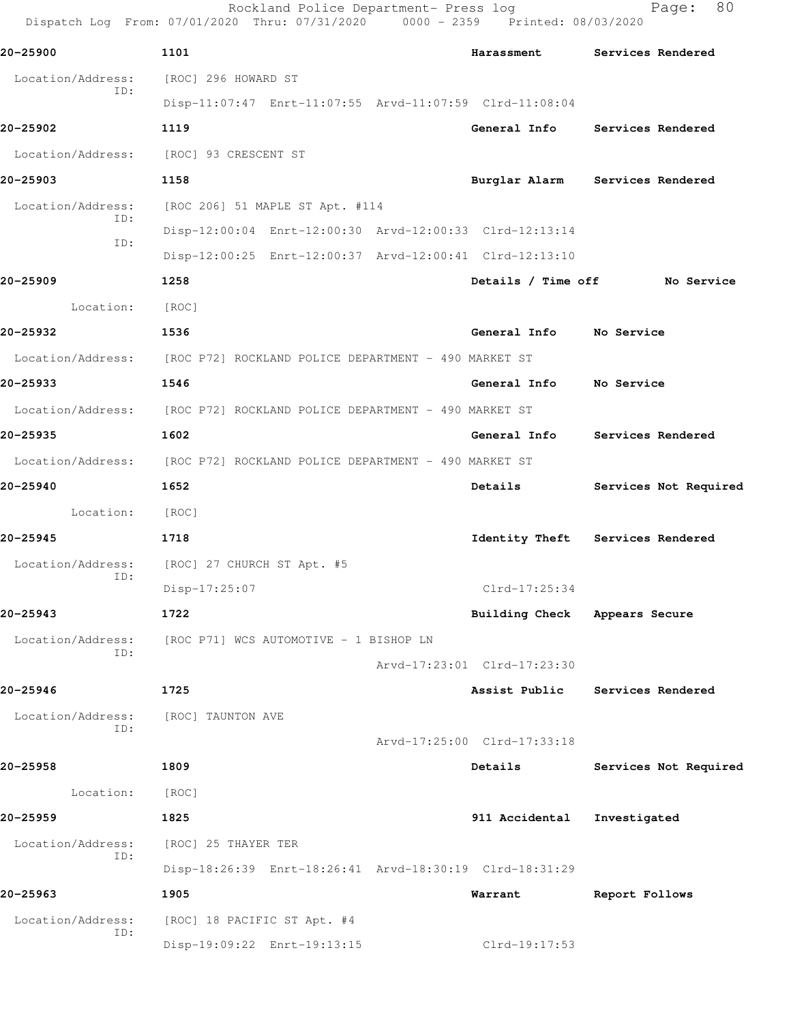Rockland Police Department- Press log Fage: 80 Dispatch Log From: 07/01/2020 Thru: 07/31/2020 0000 - 2359 Printed: 08/03/2020 **20-25900 1101 Harassment Services Rendered** Location/Address: [ROC] 296 HOWARD ST ID: Disp-11:07:47 Enrt-11:07:55 Arvd-11:07:59 Clrd-11:08:04 **20-25902 1119 General Info Services Rendered** Location/Address: [ROC] 93 CRESCENT ST **20-25903 1158 Burglar Alarm Services Rendered** Location/Address: [ROC 206] 51 MAPLE ST Apt. #114 ID: Disp-12:00:04 Enrt-12:00:30 Arvd-12:00:33 Clrd-12:13:14 ID: Disp-12:00:25 Enrt-12:00:37 Arvd-12:00:41 Clrd-12:13:10 **20-25909 1258 Details / Time off No Service** Location: [ROC] **20-25932 1536 General Info No Service** Location/Address: [ROC P72] ROCKLAND POLICE DEPARTMENT - 490 MARKET ST **20-25933 1546 General Info No Service** Location/Address: [ROC P72] ROCKLAND POLICE DEPARTMENT - 490 MARKET ST **20-25935 1602 General Info Services Rendered** Location/Address: [ROC P72] ROCKLAND POLICE DEPARTMENT - 490 MARKET ST **20-25940 1652 Details Services Not Required** Location: [ROC] **20-25945 1718 Identity Theft Services Rendered** Location/Address: [ROC] 27 CHURCH ST Apt. #5 ID: Disp-17:25:07 Clrd-17:25:34 **20-25943 1722 Building Check Appears Secure** Location/Address: [ROC P71] WCS AUTOMOTIVE - 1 BISHOP LN ID: Arvd-17:23:01 Clrd-17:23:30 **20-25946 1725 Assist Public Services Rendered** Location/Address: [ROC] TAUNTON AVE ID: Arvd-17:25:00 Clrd-17:33:18 **20-25958 1809 Details Services Not Required** Location: [ROC] **20-25959 1825 911 Accidental Investigated** Location/Address: [ROC] 25 THAYER TER ID: Disp-18:26:39 Enrt-18:26:41 Arvd-18:30:19 Clrd-18:31:29 **20-25963 1905 Warrant Report Follows** Location/Address: [ROC] 18 PACIFIC ST Apt. #4 ID: Disp-19:09:22 Enrt-19:13:15 Clrd-19:17:53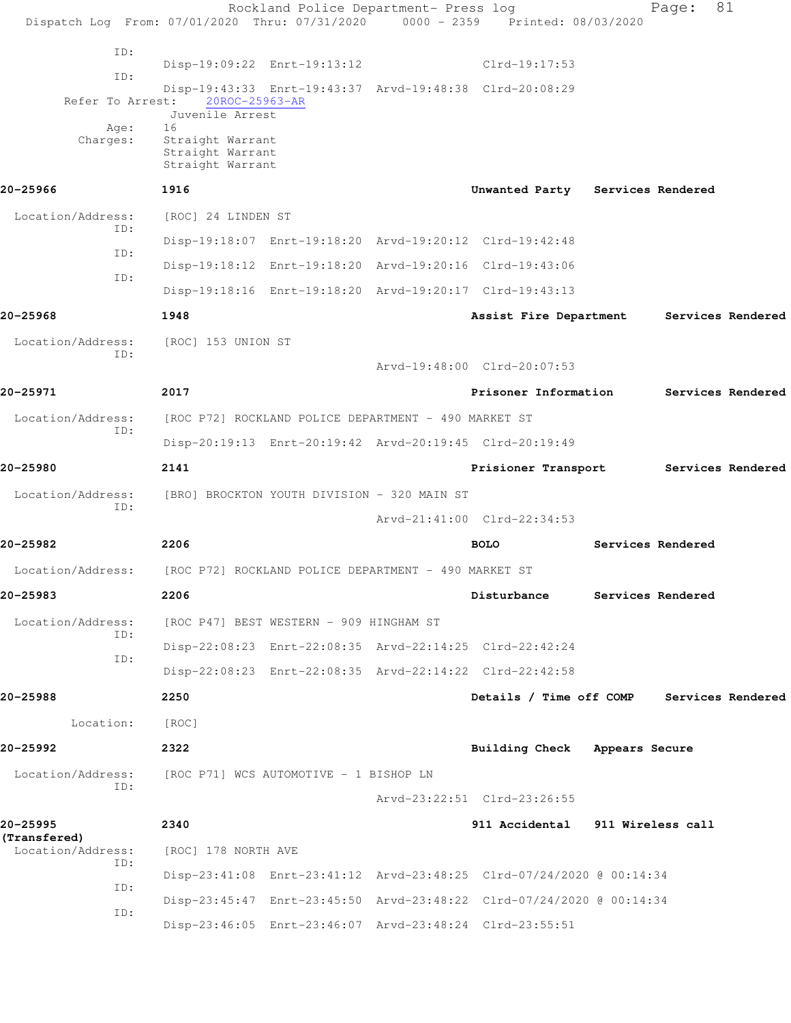Rockland Police Department- Press log Page: 81 Dispatch Log From: 07/01/2020 Thru: 07/31/2020 0000 - 2359 Printed: 08/03/2020 ID: Disp-19:09:22 Enrt-19:13:12 Clrd-19:17:53 ID: Disp-19:43:33 Enrt-19:43:37 Arvd-19:48:38 Clrd-20:08:29 Refer To Arrest: Juvenile Arrest Age: Charges: Straight Warrant Straight Warrant Straight Warrant **20-25966 1916 Unwanted Party Services Rendered** Location/Address: [ROC] 24 LINDEN ST ID: Disp-19:18:07 Enrt-19:18:20 Arvd-19:20:12 Clrd-19:42:48 ID: Disp-19:18:12 Enrt-19:18:20 Arvd-19:20:16 Clrd-19:43:06 ID: Disp-19:18:16 Enrt-19:18:20 Arvd-19:20:17 Clrd-19:43:13 **20-25968 1948 Assist Fire Department Services Rendered** Location/Address: [ROC] 153 UNION ST ID: Arvd-19:48:00 Clrd-20:07:53 **20-25971 2017 Prisoner Information Services Rendered** Location/Address: [ROC P72] ROCKLAND POLICE DEPARTMENT - 490 MARKET ST ID: Disp-20:19:13 Enrt-20:19:42 Arvd-20:19:45 Clrd-20:19:49 **20-25980 2141 Prisioner Transport Services Rendered** Location/Address: [BRO] BROCKTON YOUTH DIVISION - 320 MAIN ST ID: Arvd-21:41:00 Clrd-22:34:53 **20-25982 2206 BOLO Services Rendered** Location/Address: [ROC P72] ROCKLAND POLICE DEPARTMENT - 490 MARKET ST **20-25983 2206 Disturbance Services Rendered** Location/Address: [ROC P47] BEST WESTERN - 909 HINGHAM ST ID: Disp-22:08:23 Enrt-22:08:35 Arvd-22:14:25 Clrd-22:42:24 ID: Disp-22:08:23 Enrt-22:08:35 Arvd-22:14:22 Clrd-22:42:58 **20-25988 2250 Details / Time off COMP Services Rendered** Location: [ROC] **20-25992 2322 Building Check Appears Secure** Location/Address: [ROC P71] WCS AUTOMOTIVE - 1 BISHOP LN ID: Arvd-23:22:51 Clrd-23:26:55 **20-25995 2340 911 Accidental 911 Wireless call (Transfered)**  Location/Address: [ROC] 178 NORTH AVE ID: Disp-23:41:08 Enrt-23:41:12 Arvd-23:48:25 Clrd-07/24/2020 @ 00:14:34 ID: Disp-23:45:47 Enrt-23:45:50 Arvd-23:48:22 Clrd-07/24/2020 @ 00:14:34 ID: Disp-23:46:05 Enrt-23:46:07 Arvd-23:48:24 Clrd-23:55:51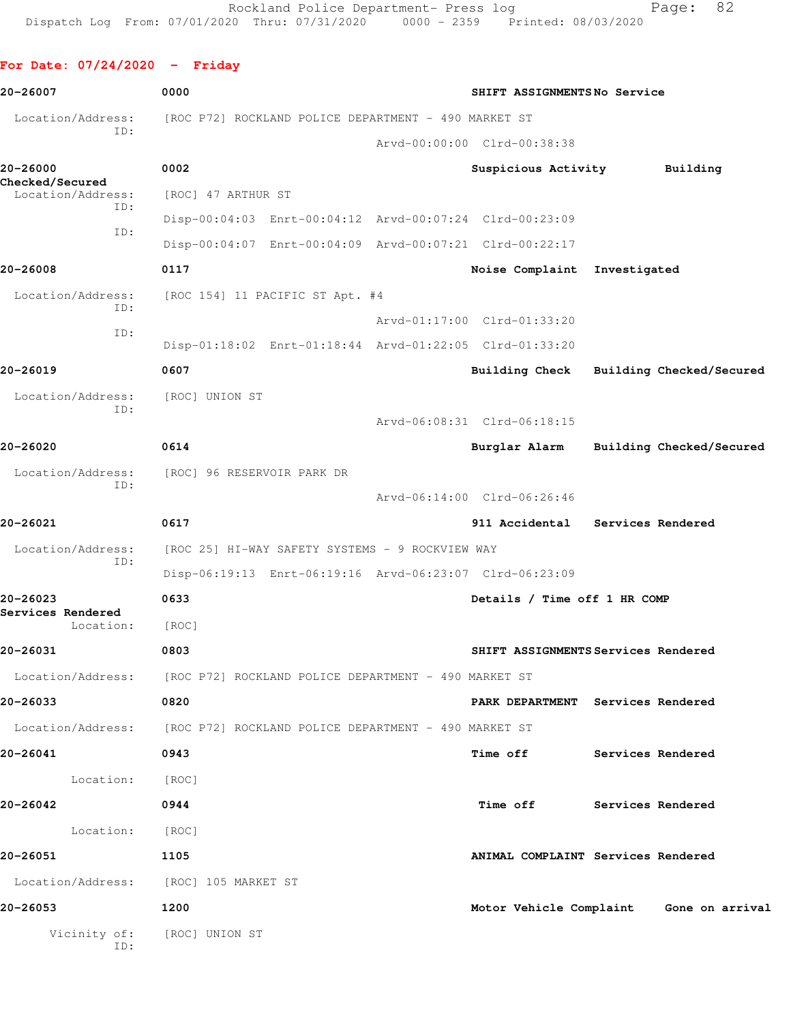# **For Date: 07/24/2020 - Friday 20-26007 0000 SHIFT ASSIGNMENTS No Service** Location/Address: [ROC P72] ROCKLAND POLICE DEPARTMENT - 490 MARKET ST ID: Arvd-00:00:00 Clrd-00:38:38 **20-26000 0002 Suspicious Activity Building Checked/Secured**  Location/Address: [ROC] 47 ARTHUR ST ID: Disp-00:04:03 Enrt-00:04:12 Arvd-00:07:24 Clrd-00:23:09 ID:

 Disp-00:04:07 Enrt-00:04:09 Arvd-00:07:21 Clrd-00:22:17 **20-26008 0117 Noise Complaint Investigated** Location/Address: [ROC 154] 11 PACIFIC ST Apt. #4 ID: Arvd-01:17:00 Clrd-01:33:20 ID: Disp-01:18:02 Enrt-01:18:44 Arvd-01:22:05 Clrd-01:33:20 **20-26019 0607 Building Check Building Checked/Secured** Location/Address: [ROC] UNION ST ID: Arvd-06:08:31 Clrd-06:18:15 **20-26020 0614 Burglar Alarm Building Checked/Secured** Location/Address: [ROC] 96 RESERVOIR PARK DR ID: Arvd-06:14:00 Clrd-06:26:46 **20-26021 0617 911 Accidental Services Rendered** Location/Address: [ROC 25] HI-WAY SAFETY SYSTEMS - 9 ROCKVIEW WAY ID: Disp-06:19:13 Enrt-06:19:16 Arvd-06:23:07 Clrd-06:23:09 **20-26023 0633 Details / Time off 1 HR COMP Services Rendered**  Location: [ROC] **20-26031 0803 SHIFT ASSIGNMENTS Services Rendered** Location/Address: [ROC P72] ROCKLAND POLICE DEPARTMENT - 490 MARKET ST **20-26033 0820 PARK DEPARTMENT Services Rendered** Location/Address: [ROC P72] ROCKLAND POLICE DEPARTMENT - 490 MARKET ST **20-26041 0943 Time off Services Rendered** Location: [ROC] **20-26042 0944 Time off Services Rendered** Location: [ROC] **20-26051 1105 ANIMAL COMPLAINT Services Rendered** Location/Address: [ROC] 105 MARKET ST **20-26053 1200 Motor Vehicle Complaint Gone on arrival**

 Vicinity of: [ROC] UNION ST ID: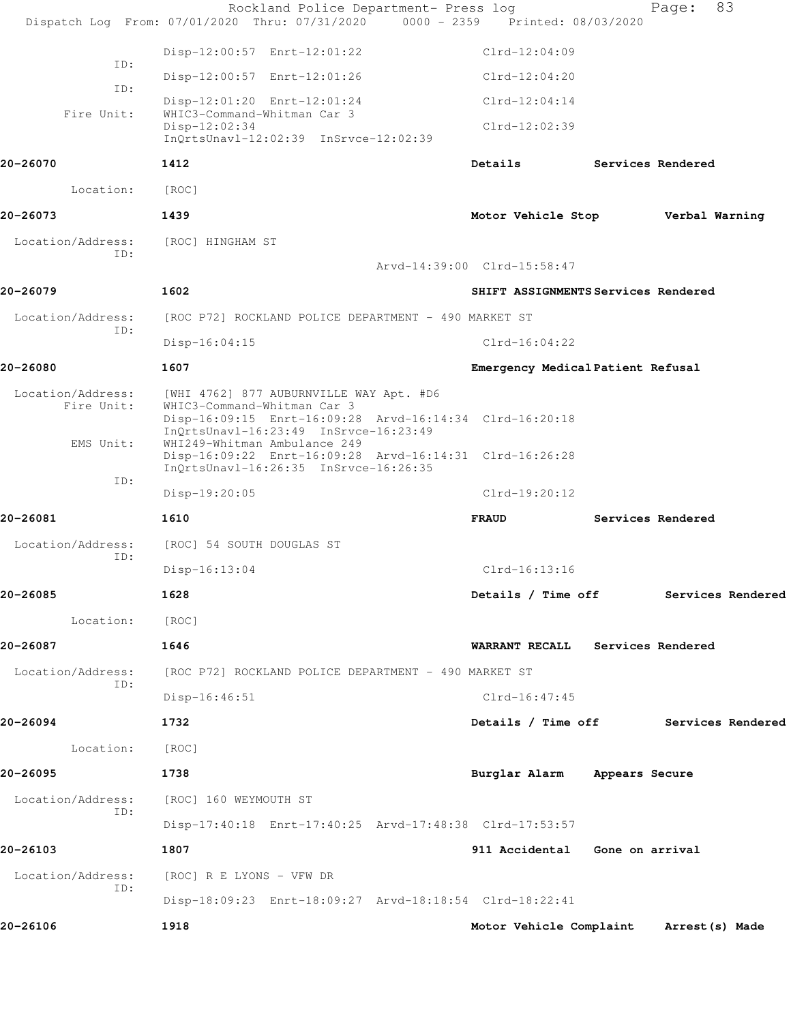|                                 | Rockland Police Department- Press log<br>Dispatch Log From: 07/01/2020 Thru: 07/31/2020 0000 - 2359 Printed: 08/03/2020           |                                         |                   | Page:          | 83 |
|---------------------------------|-----------------------------------------------------------------------------------------------------------------------------------|-----------------------------------------|-------------------|----------------|----|
|                                 |                                                                                                                                   | $Clrd-12:04:09$                         |                   |                |    |
| ID:                             | Disp-12:00:57 Enrt-12:01:22<br>Disp-12:00:57 Enrt-12:01:26                                                                        | $Clrd-12:04:20$                         |                   |                |    |
| ID:                             |                                                                                                                                   |                                         |                   |                |    |
| Fire Unit:                      | Disp-12:01:20 Enrt-12:01:24<br>WHIC3-Command-Whitman Car 3                                                                        | $Clrd-12:04:14$                         |                   |                |    |
|                                 | Disp-12:02:34<br>InQrtsUnavl-12:02:39 InSrvce-12:02:39                                                                            | $Clrd-12:02:39$                         |                   |                |    |
| 20-26070                        | 1412                                                                                                                              | Details                                 | Services Rendered |                |    |
| Location:                       | [ROC]                                                                                                                             |                                         |                   |                |    |
| 20-26073                        | 1439                                                                                                                              | Motor Vehicle Stop                      |                   | Verbal Warning |    |
| Location/Address:               | [ROC] HINGHAM ST                                                                                                                  |                                         |                   |                |    |
| ID:                             |                                                                                                                                   | Arvd-14:39:00 Clrd-15:58:47             |                   |                |    |
| 20-26079                        | 1602                                                                                                                              | SHIFT ASSIGNMENTS Services Rendered     |                   |                |    |
| Location/Address:               | [ROC P72] ROCKLAND POLICE DEPARTMENT - 490 MARKET ST                                                                              |                                         |                   |                |    |
| ID:                             | $Disp-16:04:15$                                                                                                                   | $Clrd-16:04:22$                         |                   |                |    |
| 20-26080                        | 1607                                                                                                                              | Emergency Medical Patient Refusal       |                   |                |    |
| Location/Address:<br>Fire Unit: | [WHI 4762] 877 AUBURNVILLE WAY Apt. #D6<br>WHIC3-Command-Whitman Car 3<br>Disp-16:09:15 Enrt-16:09:28 Arvd-16:14:34 Clrd-16:20:18 |                                         |                   |                |    |
| EMS Unit:                       | InQrtsUnavl-16:23:49 InSrvce-16:23:49<br>WHI249-Whitman Ambulance 249<br>Disp-16:09:22 Enrt-16:09:28 Arvd-16:14:31 Clrd-16:26:28  |                                         |                   |                |    |
| ID:                             | InQrtsUnavl-16:26:35 InSrvce-16:26:35                                                                                             |                                         |                   |                |    |
|                                 | Disp-19:20:05                                                                                                                     | $Clrd-19:20:12$                         |                   |                |    |
| 20-26081                        | 1610                                                                                                                              | <b>FRAUD</b>                            | Services Rendered |                |    |
| Location/Address:<br>ID:        | [ROC] 54 SOUTH DOUGLAS ST                                                                                                         |                                         |                   |                |    |
|                                 | $Disp-16:13:04$                                                                                                                   | $Clrd-16:13:16$                         |                   |                |    |
| 20-26085                        | 1628                                                                                                                              | Details / Time off Services Rendered    |                   |                |    |
| Location:                       | [ROC]                                                                                                                             |                                         |                   |                |    |
| 20-26087                        | 1646                                                                                                                              | WARRANT RECALL Services Rendered        |                   |                |    |
| Location/Address:<br>ID:        | [ROC P72] ROCKLAND POLICE DEPARTMENT - 490 MARKET ST                                                                              |                                         |                   |                |    |
|                                 | $Disp-16:46:51$                                                                                                                   | $Clrd-16:47:45$                         |                   |                |    |
| 20-26094                        | 1732                                                                                                                              | Details / Time off Services Rendered    |                   |                |    |
| Location:                       | [ROC]                                                                                                                             |                                         |                   |                |    |
| 20-26095                        | 1738                                                                                                                              | Burglar Alarm Appears Secure            |                   |                |    |
| Location/Address:               | [ROC] 160 WEYMOUTH ST                                                                                                             |                                         |                   |                |    |
| ID:                             | Disp-17:40:18 Enrt-17:40:25 Arvd-17:48:38 Clrd-17:53:57                                                                           |                                         |                   |                |    |
| 20-26103                        | 1807                                                                                                                              | 911 Accidental Gone on arrival          |                   |                |    |
| Location/Address:               | [ROC] R E LYONS - VFW DR                                                                                                          |                                         |                   |                |    |
| ID:                             | Disp-18:09:23 Enrt-18:09:27 Arvd-18:18:54 Clrd-18:22:41                                                                           |                                         |                   |                |    |
| 20-26106                        | 1918                                                                                                                              | Motor Vehicle Complaint Arrest (s) Made |                   |                |    |
|                                 |                                                                                                                                   |                                         |                   |                |    |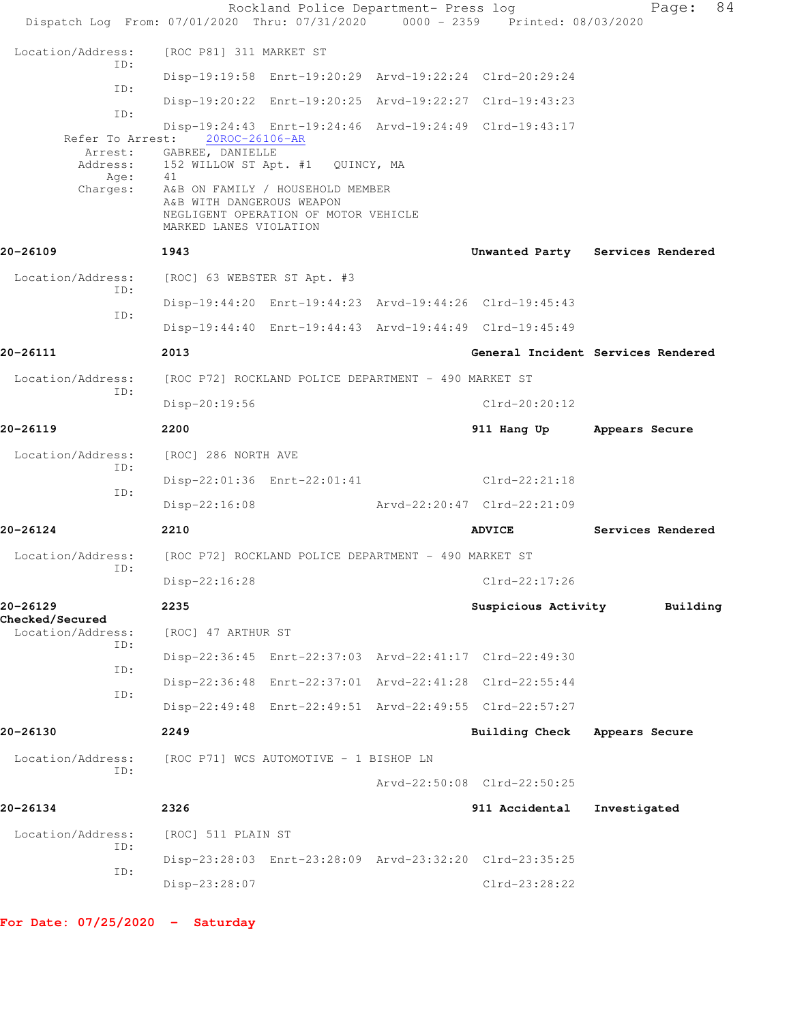| Dispatch Log From: 07/01/2020 Thru: 07/31/2020 0000 - 2359 Printed: 08/03/2020 |                                                                                                                                                                                  | Rockland Police Department- Press log |                                                         | 84<br>Page:                        |
|--------------------------------------------------------------------------------|----------------------------------------------------------------------------------------------------------------------------------------------------------------------------------|---------------------------------------|---------------------------------------------------------|------------------------------------|
| Location/Address:                                                              | [ROC P81] 311 MARKET ST                                                                                                                                                          |                                       |                                                         |                                    |
| ID:                                                                            |                                                                                                                                                                                  |                                       | Disp-19:19:58 Enrt-19:20:29 Arvd-19:22:24 Clrd-20:29:24 |                                    |
| ID:                                                                            |                                                                                                                                                                                  |                                       | Disp-19:20:22 Enrt-19:20:25 Arvd-19:22:27 Clrd-19:43:23 |                                    |
| ID:                                                                            |                                                                                                                                                                                  |                                       | Disp-19:24:43 Enrt-19:24:46 Arvd-19:24:49 Clrd-19:43:17 |                                    |
| Refer To Arrest:<br>Arrest:<br>Age:<br>Charges:                                | 20ROC-26106-AR<br>GABREE, DANIELLE<br>Address: 152 WILLOW ST Apt. #1 QUINCY, MA<br>41<br>A&B ON FAMILY / HOUSEHOLD MEMBER<br>A&B WITH DANGEROUS WEAPON<br>MARKED LANES VIOLATION | NEGLIGENT OPERATION OF MOTOR VEHICLE  |                                                         |                                    |
| 20-26109                                                                       | 1943                                                                                                                                                                             |                                       |                                                         | Unwanted Party Services Rendered   |
| Location/Address:                                                              | [ROC] 63 WEBSTER ST Apt. #3                                                                                                                                                      |                                       |                                                         |                                    |
| ID:<br>ID:                                                                     |                                                                                                                                                                                  |                                       | Disp-19:44:20 Enrt-19:44:23 Arvd-19:44:26 Clrd-19:45:43 |                                    |
|                                                                                |                                                                                                                                                                                  |                                       | Disp-19:44:40 Enrt-19:44:43 Arvd-19:44:49 Clrd-19:45:49 |                                    |
| 20-26111                                                                       | 2013                                                                                                                                                                             |                                       |                                                         | General Incident Services Rendered |
| Location/Address:<br>ID:                                                       | [ROC P72] ROCKLAND POLICE DEPARTMENT - 490 MARKET ST                                                                                                                             |                                       |                                                         |                                    |
|                                                                                | Disp-20:19:56                                                                                                                                                                    |                                       | $Clrd-20:20:12$                                         |                                    |
| 20-26119                                                                       | 2200                                                                                                                                                                             |                                       | 911 Hang Up Appears Secure                              |                                    |
| Location/Address:<br>ID:                                                       | [ROC] 286 NORTH AVE                                                                                                                                                              |                                       |                                                         |                                    |
| ID:                                                                            |                                                                                                                                                                                  | Disp-22:01:36 Enrt-22:01:41           | Clrd-22:21:18                                           |                                    |
|                                                                                | $Disp-22:16:08$                                                                                                                                                                  |                                       | Arvd-22:20:47 Clrd-22:21:09                             |                                    |
| 20-26124                                                                       | 2210                                                                                                                                                                             |                                       | <b>ADVICE</b>                                           | Services Rendered                  |
| Location/Address:<br>ID:                                                       | [ROC P72] ROCKLAND POLICE DEPARTMENT - 490 MARKET ST                                                                                                                             |                                       |                                                         |                                    |
|                                                                                | $Disp-22:16:28$                                                                                                                                                                  |                                       | Clrd-22:17:26                                           |                                    |
| 20-26129<br><b>Checked/Secured</b>                                             | 2235                                                                                                                                                                             |                                       | Suspicious Activity                                     | Building                           |
| Location/Address:<br>ID:                                                       | [ROC] 47 ARTHUR ST                                                                                                                                                               |                                       |                                                         |                                    |
| ID:                                                                            |                                                                                                                                                                                  |                                       | Disp-22:36:45 Enrt-22:37:03 Arvd-22:41:17 Clrd-22:49:30 |                                    |
| ID:                                                                            |                                                                                                                                                                                  |                                       | Disp-22:36:48 Enrt-22:37:01 Arvd-22:41:28 Clrd-22:55:44 |                                    |
|                                                                                |                                                                                                                                                                                  |                                       | Disp-22:49:48 Enrt-22:49:51 Arvd-22:49:55 Clrd-22:57:27 |                                    |
| 20-26130                                                                       | 2249                                                                                                                                                                             |                                       | Building Check                                          | Appears Secure                     |
| Location/Address:<br>ID:                                                       | [ROC P71] WCS AUTOMOTIVE - 1 BISHOP LN                                                                                                                                           |                                       |                                                         |                                    |
|                                                                                |                                                                                                                                                                                  |                                       | Arvd-22:50:08 Clrd-22:50:25                             |                                    |
| 20-26134                                                                       | 2326                                                                                                                                                                             |                                       | 911 Accidental                                          | Investigated                       |
| Location/Address:<br>ID:                                                       | [ROC] 511 PLAIN ST                                                                                                                                                               |                                       |                                                         |                                    |
| ID:                                                                            |                                                                                                                                                                                  |                                       | Disp-23:28:03 Enrt-23:28:09 Arvd-23:32:20 Clrd-23:35:25 |                                    |
|                                                                                | Disp-23:28:07                                                                                                                                                                    |                                       | $Clrd-23:28:22$                                         |                                    |
|                                                                                |                                                                                                                                                                                  |                                       |                                                         |                                    |

**For Date: 07/25/2020 - Saturday**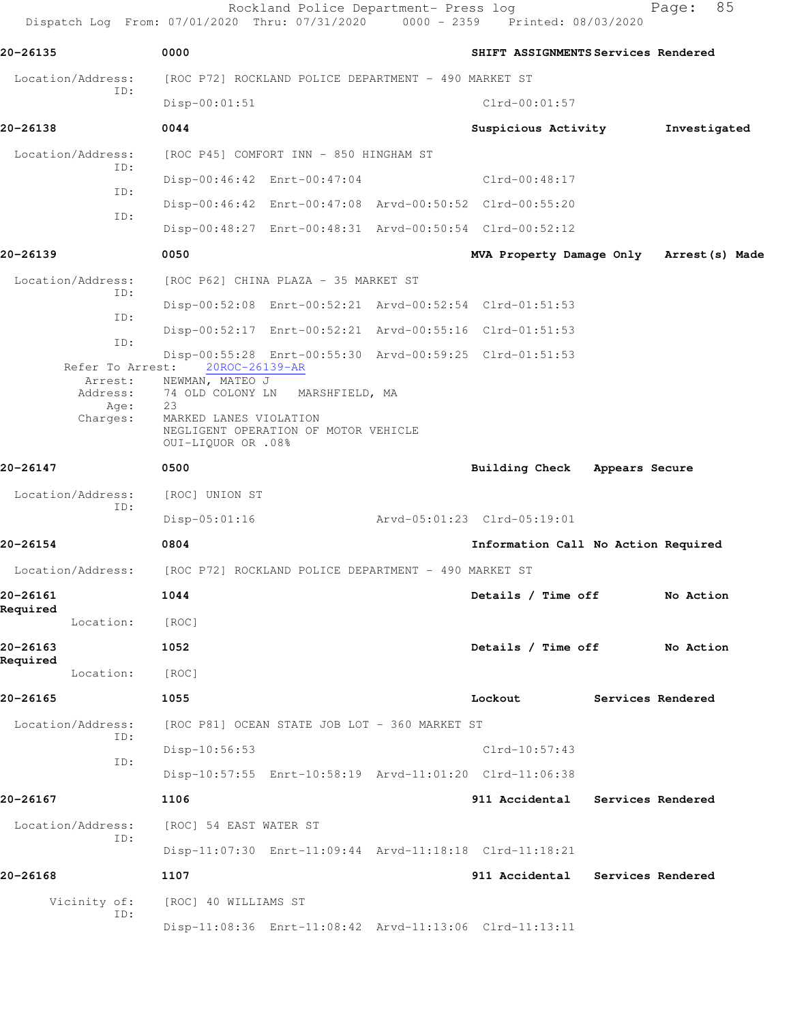Dispatch Log From: 07/01/2020 Thru: 07/31/2020 0000 - 2359 Printed: 08/03/2020 **20-26135 0000 SHIFT ASSIGNMENTS Services Rendered** Location/Address: [ROC P72] ROCKLAND POLICE DEPARTMENT - 490 MARKET ST ID: Disp-00:01:51 Clrd-00:01:57 **20-26138 0044 Suspicious Activity Investigated** Location/Address: [ROC P45] COMFORT INN - 850 HINGHAM ST ID: Disp-00:46:42 Enrt-00:47:04 Clrd-00:48:17 ID: Disp-00:46:42 Enrt-00:47:08 Arvd-00:50:52 Clrd-00:55:20 ID: Disp-00:48:27 Enrt-00:48:31 Arvd-00:50:54 Clrd-00:52:12 **20-26139 0050 MVA Property Damage Only Arrest(s) Made** Location/Address: [ROC P62] CHINA PLAZA - 35 MARKET ST ID: Disp-00:52:08 Enrt-00:52:21 Arvd-00:52:54 Clrd-01:51:53 ID: Disp-00:52:17 Enrt-00:52:21 Arvd-00:55:16 Clrd-01:51:53 ID: Disp-00:55:28 Enrt-00:55:30 Arvd-00:59:25 Clrd-01:51:53 Refer To Arrest: 20ROC-26139-AR Arrest: NEWMAN, MATEO J Address: 74 OLD COLONY LN MARSHFIELD, MA<br>Age: 23 Age: Charges: MARKED LANES VIOLATION NEGLIGENT OPERATION OF MOTOR VEHICLE OUI-LIQUOR OR .08% **20-26147 0500 Building Check Appears Secure** Location/Address: [ROC] UNION ST ID: Disp-05:01:16 Arvd-05:01:23 Clrd-05:19:01 **20-26154 0804 Information Call No Action Required** Location/Address: [ROC P72] ROCKLAND POLICE DEPARTMENT - 490 MARKET ST **20-26161 1044 Details / Time off No Action Required**  Location: [ROC] **20-26163 1052 Details / Time off No Action Required**  Location: [ROC] **20-26165 1055 Lockout Services Rendered** Location/Address: [ROC P81] OCEAN STATE JOB LOT - 360 MARKET ST ID: Disp-10:56:53 Clrd-10:57:43 ID: Disp-10:57:55 Enrt-10:58:19 Arvd-11:01:20 Clrd-11:06:38 **20-26167 1106 911 Accidental Services Rendered** Location/Address: [ROC] 54 EAST WATER ST ID: Disp-11:07:30 Enrt-11:09:44 Arvd-11:18:18 Clrd-11:18:21 **20-26168 1107 911 Accidental Services Rendered** Vicinity of: [ROC] 40 WILLIAMS ST ID: Disp-11:08:36 Enrt-11:08:42 Arvd-11:13:06 Clrd-11:13:11

Rockland Police Department- Press log Fage: 85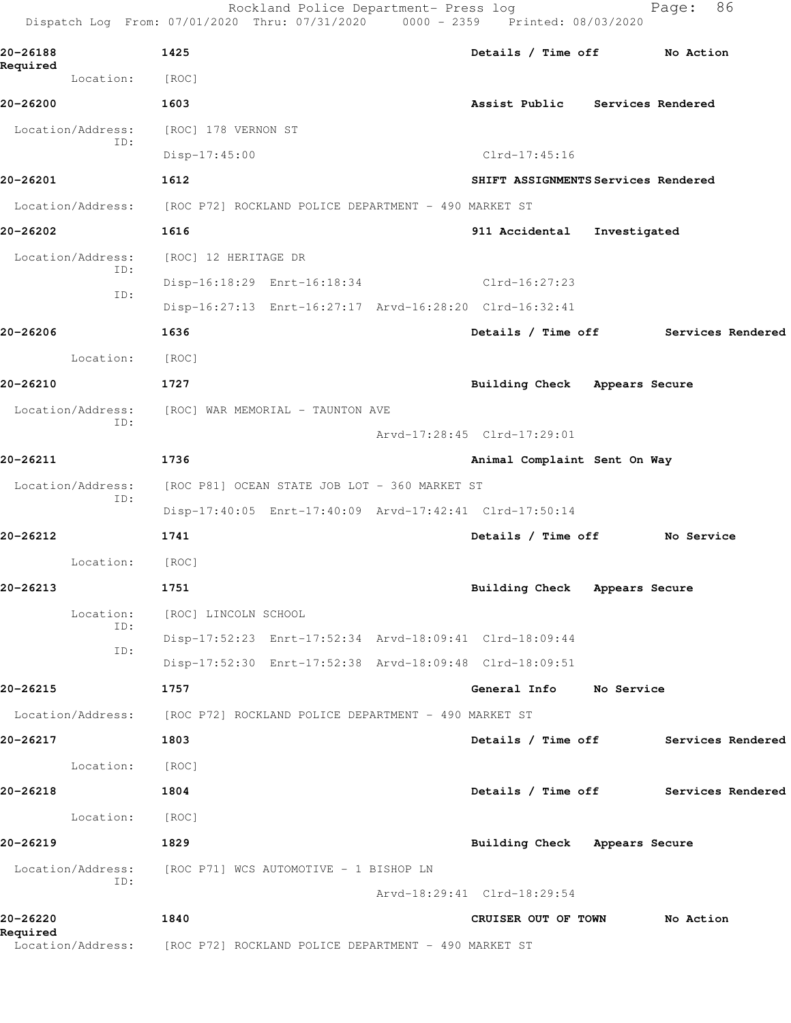|                          | Rockland Police Department- Press log<br>Dispatch Log From: 07/01/2020 Thru: 07/31/2020 0000 - 2359 Printed: 08/03/2020 |                                      | 86<br>Page:       |
|--------------------------|-------------------------------------------------------------------------------------------------------------------------|--------------------------------------|-------------------|
| 20-26188                 | 1425                                                                                                                    | Details / Time off No Action         |                   |
| Required<br>Location:    | [ROC]                                                                                                                   |                                      |                   |
| 20-26200                 | 1603                                                                                                                    | Assist Public Services Rendered      |                   |
| Location/Address:<br>ID: | [ROC] 178 VERNON ST                                                                                                     |                                      |                   |
|                          | $Disp-17:45:00$                                                                                                         | Clrd-17:45:16                        |                   |
| 20-26201                 | 1612                                                                                                                    | SHIFT ASSIGNMENTS Services Rendered  |                   |
| Location/Address:        | [ROC P72] ROCKLAND POLICE DEPARTMENT - 490 MARKET ST                                                                    |                                      |                   |
| 20-26202                 | 1616                                                                                                                    | 911 Accidental<br>Investigated       |                   |
| Location/Address:<br>ID: | [ROC] 12 HERITAGE DR                                                                                                    |                                      |                   |
| ID:                      | Disp-16:18:29 Enrt-16:18:34                                                                                             | Clrd-16:27:23                        |                   |
|                          | Disp-16:27:13 Enrt-16:27:17 Arvd-16:28:20 Clrd-16:32:41                                                                 |                                      |                   |
| 20-26206                 | 1636                                                                                                                    | Details / Time off                   | Services Rendered |
| Location:                | [ROC]                                                                                                                   |                                      |                   |
| 20-26210                 | 1727                                                                                                                    | Building Check Appears Secure        |                   |
| Location/Address:        | [ROC] WAR MEMORIAL - TAUNTON AVE                                                                                        |                                      |                   |
| ID:                      |                                                                                                                         | Arvd-17:28:45 Clrd-17:29:01          |                   |
| 20-26211                 | 1736                                                                                                                    | Animal Complaint Sent On Way         |                   |
| Location/Address:        | [ROC P81] OCEAN STATE JOB LOT - 360 MARKET ST                                                                           |                                      |                   |
| ID:                      | Disp-17:40:05 Enrt-17:40:09 Arvd-17:42:41 Clrd-17:50:14                                                                 |                                      |                   |
| 20-26212                 | 1741                                                                                                                    | Details / Time off                   | No Service        |
| Location:                | [ROC]                                                                                                                   |                                      |                   |
| 20-26213                 | 1751                                                                                                                    | Building Check Appears Secure        |                   |
| Location:                | [ROC] LINCOLN SCHOOL                                                                                                    |                                      |                   |
| ID:                      | Disp-17:52:23 Enrt-17:52:34 Arvd-18:09:41 Clrd-18:09:44                                                                 |                                      |                   |
| ID:                      | Disp-17:52:30 Enrt-17:52:38 Arvd-18:09:48 Clrd-18:09:51                                                                 |                                      |                   |
| 20-26215                 | 1757                                                                                                                    | General Info No Service              |                   |
|                          | Location/Address: [ROC P72] ROCKLAND POLICE DEPARTMENT - 490 MARKET ST                                                  |                                      |                   |
| 20-26217                 | 1803                                                                                                                    | Details / Time off Services Rendered |                   |
| Location:                | [ROC]                                                                                                                   |                                      |                   |
| 20-26218                 | 1804                                                                                                                    | Details / Time off Services Rendered |                   |
| Location:                | [ ROC ]                                                                                                                 |                                      |                   |
| 20-26219                 | 1829                                                                                                                    | Building Check Appears Secure        |                   |
|                          | Location/Address: [ROC P71] WCS AUTOMOTIVE - 1 BISHOP LN                                                                |                                      |                   |
| ID:                      |                                                                                                                         | Arvd-18:29:41 Clrd-18:29:54          |                   |
| 20-26220                 | 1840                                                                                                                    | CRUISER OUT OF TOWN                  | No Action         |
| Required                 | Location/Address: [ROC P72] ROCKLAND POLICE DEPARTMENT - 490 MARKET ST                                                  |                                      |                   |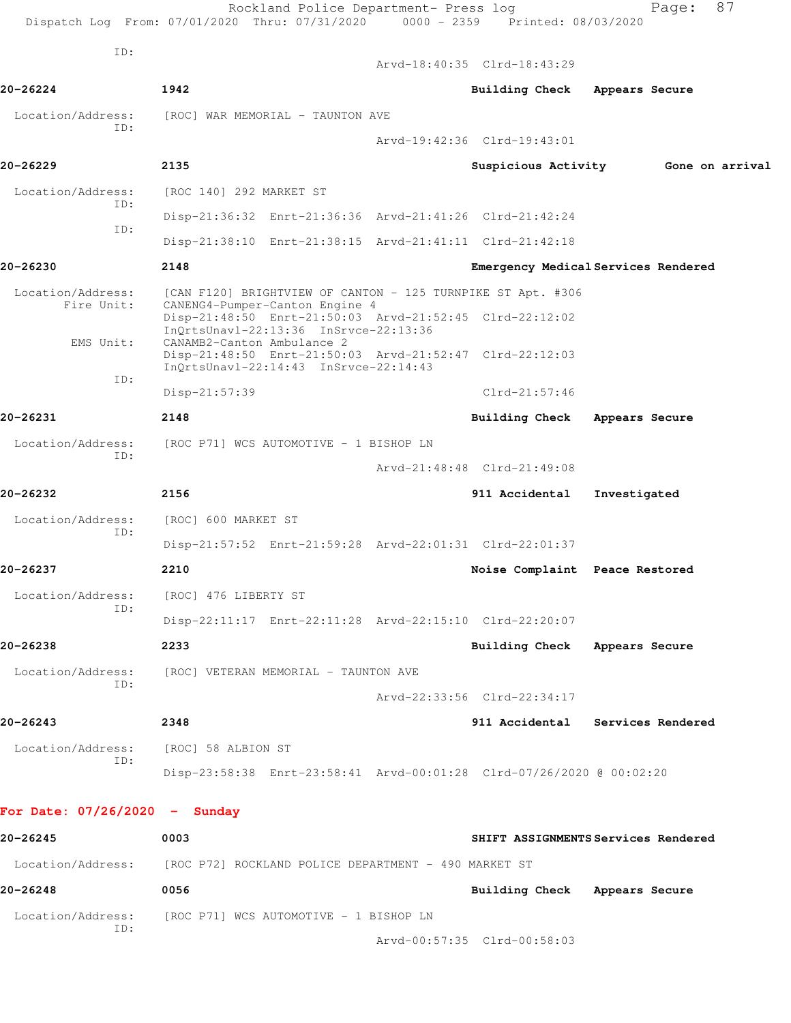|                                 | Rockland Police Department- Press log<br>Dispatch Log From: 07/01/2020 Thru: 07/31/2020 0000 - 2359 Printed: 08/03/2020 |                                | 87<br>Page:                         |
|---------------------------------|-------------------------------------------------------------------------------------------------------------------------|--------------------------------|-------------------------------------|
| ID:                             |                                                                                                                         |                                |                                     |
| 20-26224                        | 1942                                                                                                                    | Arvd-18:40:35 Clrd-18:43:29    | Appears Secure                      |
|                                 |                                                                                                                         | <b>Building Check</b>          |                                     |
| Location/Address:<br>TD:        | [ROC] WAR MEMORIAL - TAUNTON AVE                                                                                        |                                |                                     |
|                                 |                                                                                                                         | Arvd-19:42:36 Clrd-19:43:01    |                                     |
| 20-26229                        | 2135                                                                                                                    |                                | Suspicious Activity 6one on arrival |
| Location/Address:<br>ID:        | [ROC 140] 292 MARKET ST                                                                                                 |                                |                                     |
| ID:                             | Disp-21:36:32 Enrt-21:36:36 Arvd-21:41:26 Clrd-21:42:24                                                                 |                                |                                     |
|                                 | Disp-21:38:10 Enrt-21:38:15 Arvd-21:41:11 Clrd-21:42:18                                                                 |                                |                                     |
| 20-26230                        | 2148                                                                                                                    |                                | Emergency Medical Services Rendered |
| Location/Address:<br>Fire Unit: | [CAN F120] BRIGHTVIEW OF CANTON - 125 TURNPIKE ST Apt. #306<br>CANENG4-Pumper-Canton Engine 4                           |                                |                                     |
|                                 | Disp-21:48:50 Enrt-21:50:03 Arvd-21:52:45 Clrd-22:12:02<br>InOrtsUnav1-22:13:36 InSrvce-22:13:36                        |                                |                                     |
| EMS Unit:                       | CANAMB2-Canton Ambulance 2<br>Disp-21:48:50 Enrt-21:50:03 Arvd-21:52:47 Clrd-22:12:03                                   |                                |                                     |
| ID:                             | $InQrtsUnav1-22:14:43 InSrvce-22:14:43$                                                                                 |                                |                                     |
|                                 | Disp-21:57:39                                                                                                           | Clrd-21:57:46                  |                                     |
| 20-26231                        | 2148                                                                                                                    | <b>Building Check</b>          | Appears Secure                      |
| Location/Address:               | [ROC P71] WCS AUTOMOTIVE - 1 BISHOP LN                                                                                  |                                |                                     |
| ID:                             |                                                                                                                         | Arvd-21:48:48 Clrd-21:49:08    |                                     |
| 20-26232                        | 2156                                                                                                                    | 911 Accidental                 | Investigated                        |
| Location/Address:               | [ROC] 600 MARKET ST                                                                                                     |                                |                                     |
| ID:                             | Disp-21:57:52 Enrt-21:59:28 Arvd-22:01:31 Clrd-22:01:37                                                                 |                                |                                     |
| 20-26237                        | 2210                                                                                                                    | Noise Complaint Peace Restored |                                     |
| Location/Address:               | [ROC] 476 LIBERTY ST                                                                                                    |                                |                                     |
| ID:                             | Disp-22:11:17 Enrt-22:11:28 Arvd-22:15:10 Clrd-22:20:07                                                                 |                                |                                     |
| 20-26238                        | 2233                                                                                                                    | Building Check Appears Secure  |                                     |
| Location/Address:               | [ROC] VETERAN MEMORIAL - TAUNTON AVE                                                                                    |                                |                                     |
| ID:                             |                                                                                                                         | Arvd-22:33:56 Clrd-22:34:17    |                                     |
|                                 |                                                                                                                         |                                |                                     |
| 20-26243                        | 2348                                                                                                                    |                                | 911 Accidental Services Rendered    |
| Location/Address:<br>ID:        | [ROC] 58 ALBION ST                                                                                                      |                                |                                     |
|                                 | Disp-23:58:38 Enrt-23:58:41 Arvd-00:01:28 Clrd-07/26/2020 @ 00:02:20                                                    |                                |                                     |
| For Date: $07/26/2020 -$ Sunday |                                                                                                                         |                                |                                     |
| 20-26245                        | 0003                                                                                                                    |                                | SHIFT ASSIGNMENTS Services Rendered |
| Location/Address:               | [ROC P72] ROCKLAND POLICE DEPARTMENT - 490 MARKET ST                                                                    |                                |                                     |
| 20-26248                        | 0056                                                                                                                    | Building Check Appears Secure  |                                     |
| Location/Address:<br>ID:        | [ROC P71] WCS AUTOMOTIVE - 1 BISHOP LN                                                                                  |                                |                                     |

Arvd-00:57:35 Clrd-00:58:03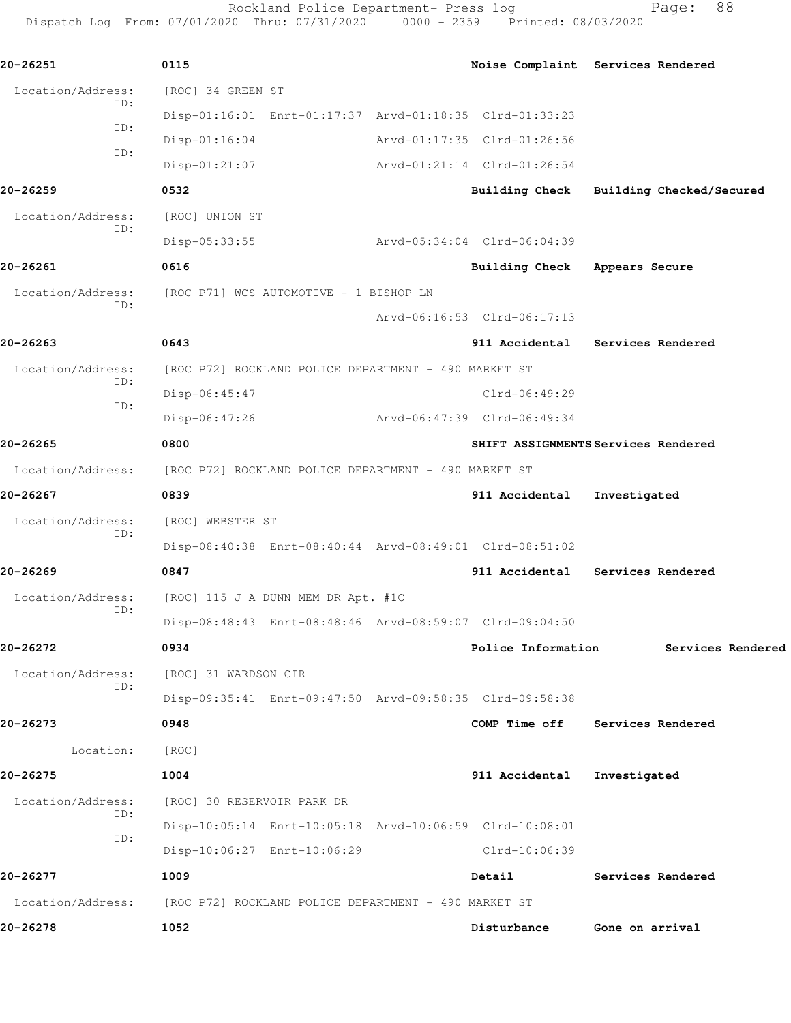Rockland Police Department- Press log Fage: 88 Dispatch Log From: 07/01/2020 Thru: 07/31/2020 0000 - 2359 Printed: 08/03/2020 **20-26251 0115 Noise Complaint Services Rendered** Location/Address: [ROC] 34 GREEN ST ID: Disp-01:16:01 Enrt-01:17:37 Arvd-01:18:35 Clrd-01:33:23 ID: Disp-01:16:04 Arvd-01:17:35 Clrd-01:26:56 ID: Disp-01:21:07 Arvd-01:21:14 Clrd-01:26:54 **20-26259 0532 Building Check Building Checked/Secured** Location/Address: [ROC] UNION ST ID: Disp-05:33:55 Arvd-05:34:04 Clrd-06:04:39 **20-26261 0616 Building Check Appears Secure** Location/Address: [ROC P71] WCS AUTOMOTIVE - 1 BISHOP LN ID: Arvd-06:16:53 Clrd-06:17:13 **20-26263 0643 911 Accidental Services Rendered** Location/Address: [ROC P72] ROCKLAND POLICE DEPARTMENT - 490 MARKET ST ID: Disp-06:45:47 Clrd-06:49:29 ID:

**20-26265 0800 SHIFT ASSIGNMENTS Services Rendered** Location/Address: [ROC P72] ROCKLAND POLICE DEPARTMENT - 490 MARKET ST **20-26267 0839 911 Accidental Investigated** Location/Address: [ROC] WEBSTER ST ID: Disp-08:40:38 Enrt-08:40:44 Arvd-08:49:01 Clrd-08:51:02

Disp-06:47:26 Arvd-06:47:39 Clrd-06:49:34

**20-26269 0847 911 Accidental Services Rendered** Location/Address: [ROC] 115 J A DUNN MEM DR Apt. #1C ID: Disp-08:48:43 Enrt-08:48:46 Arvd-08:59:07 Clrd-09:04:50

**20-26272 0934 Police Information Services Rendered** Location/Address: [ROC] 31 WARDSON CIR ID: Disp-09:35:41 Enrt-09:47:50 Arvd-09:58:35 Clrd-09:58:38 **20-26273 0948 COMP Time off Services Rendered** Location: [ROC] **20-26275 1004 911 Accidental Investigated**

Location/Address: [ROC] 30 RESERVOIR PARK DR ID: Disp-10:05:14 Enrt-10:05:18 Arvd-10:06:59 Clrd-10:08:01 ID: Disp-10:06:27 Enrt-10:06:29 Clrd-10:06:39 **20-26277 1009 Detail Services Rendered** Location/Address: [ROC P72] ROCKLAND POLICE DEPARTMENT - 490 MARKET ST **20-26278 1052 Disturbance Gone on arrival**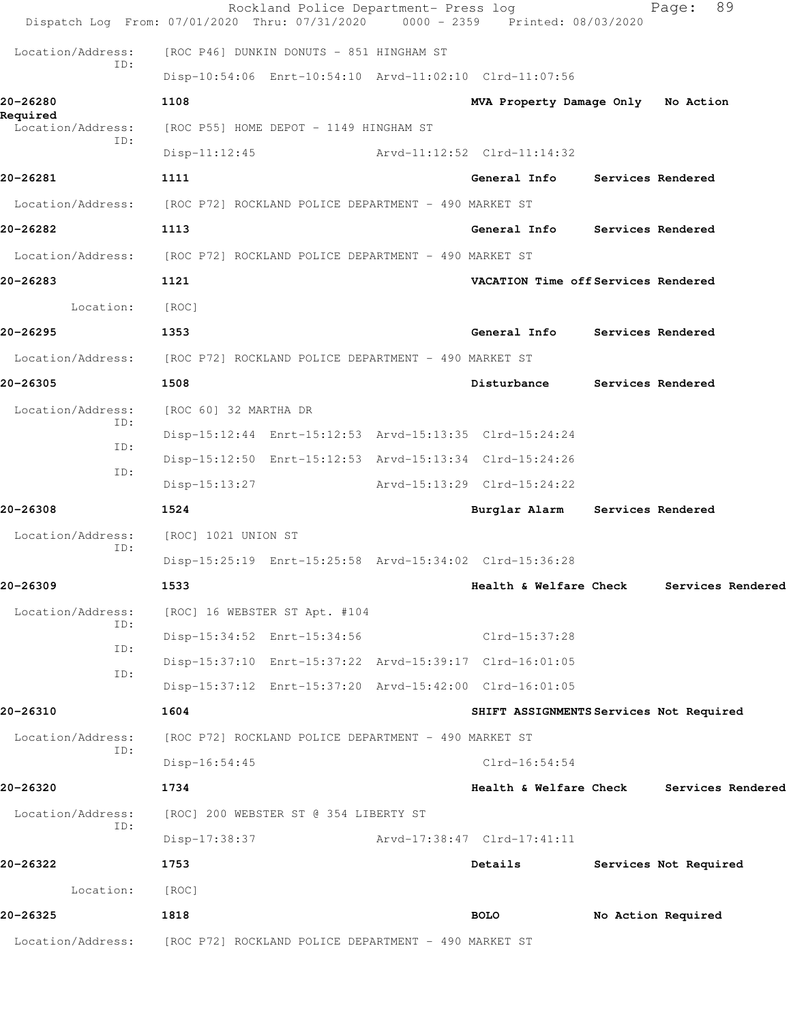| Location/Address:        | [ROC P72] ROCKLAND POLICE DEPARTMENT - 490 MARKET ST                                                                    |                                         |                       |
|--------------------------|-------------------------------------------------------------------------------------------------------------------------|-----------------------------------------|-----------------------|
| 20-26325                 | 1818                                                                                                                    | <b>BOLO</b>                             | No Action Required    |
| Location:                | [ROC]                                                                                                                   |                                         |                       |
| 20-26322                 | 1753                                                                                                                    | Details                                 | Services Not Required |
| ID:                      | Disp-17:38:37                                                                                                           | Arvd-17:38:47 Clrd-17:41:11             |                       |
| Location/Address:        | [ROC] 200 WEBSTER ST @ 354 LIBERTY ST                                                                                   |                                         |                       |
| 20-26320                 | 1734                                                                                                                    | Health & Welfare Check                  | Services Rendered     |
| ID:                      | $Disp-16:54:45$                                                                                                         | $Clrd-16:54:54$                         |                       |
| Location/Address:        | [ROC P72] ROCKLAND POLICE DEPARTMENT - 490 MARKET ST                                                                    |                                         |                       |
| 20-26310                 | 1604                                                                                                                    | SHIFT ASSIGNMENTS Services Not Required |                       |
| ID:                      | Disp-15:37:12 Enrt-15:37:20 Arvd-15:42:00 Clrd-16:01:05                                                                 |                                         |                       |
| ID:                      | Disp-15:37:10 Enrt-15:37:22 Arvd-15:39:17 Clrd-16:01:05                                                                 |                                         |                       |
| ID:                      | Disp-15:34:52 Enrt-15:34:56                                                                                             | Clrd-15:37:28                           |                       |
| Location/Address:        | [ROC] 16 WEBSTER ST Apt. #104                                                                                           |                                         |                       |
| 20-26309                 | 1533                                                                                                                    | Health & Welfare Check                  | Services Rendered     |
| ID:                      | Disp-15:25:19 Enrt-15:25:58 Arvd-15:34:02 Clrd-15:36:28                                                                 |                                         |                       |
| Location/Address:        | [ROC] 1021 UNION ST                                                                                                     |                                         |                       |
| 20-26308                 | 1524                                                                                                                    | Burglar Alarm Services Rendered         |                       |
| ID:                      | $Disp-15:13:27$                                                                                                         | Arvd-15:13:29 Clrd-15:24:22             |                       |
| ID:                      | Disp-15:12:50 Enrt-15:12:53 Arvd-15:13:34 Clrd-15:24:26                                                                 |                                         |                       |
| ID:                      | Disp-15:12:44 Enrt-15:12:53 Arvd-15:13:35 Clrd-15:24:24                                                                 |                                         |                       |
| Location/Address:        | [ROC 60] 32 MARTHA DR                                                                                                   |                                         |                       |
| 20-26305                 | 1508                                                                                                                    | Disturbance                             | Services Rendered     |
|                          | Location/Address: [ROC P72] ROCKLAND POLICE DEPARTMENT - 490 MARKET ST                                                  |                                         |                       |
| 20-26295                 | 1353                                                                                                                    | General Info Services Rendered          |                       |
| Location:                | [ROC]                                                                                                                   |                                         |                       |
| 20-26283                 | 1121                                                                                                                    | VACATION Time off Services Rendered     |                       |
| Location/Address:        | [ROC P72] ROCKLAND POLICE DEPARTMENT - 490 MARKET ST                                                                    |                                         |                       |
| 20-26282                 | Location/Address: [ROC P72] ROCKLAND POLICE DEPARTMENT - 490 MARKET ST<br>1113                                          | General Info Services Rendered          |                       |
| 20-26281                 | 1111                                                                                                                    | General Info Services Rendered          |                       |
|                          | $Disp-11:12:45$                                                                                                         | Arvd-11:12:52 Clrd-11:14:32             |                       |
| Location/Address:<br>ID: | [ROC P55] HOME DEPOT - 1149 HINGHAM ST                                                                                  |                                         |                       |
| 20-26280<br>Required     | 1108                                                                                                                    | MVA Property Damage Only No Action      |                       |
|                          | Disp-10:54:06 Enrt-10:54:10 Arvd-11:02:10 Clrd-11:07:56                                                                 |                                         |                       |
| Location/Address:<br>ID: | [ROC P46] DUNKIN DONUTS - 851 HINGHAM ST                                                                                |                                         |                       |
|                          | Rockland Police Department- Press log<br>Dispatch Log From: 07/01/2020 Thru: 07/31/2020 0000 - 2359 Printed: 08/03/2020 |                                         | 89<br>Page:           |
|                          |                                                                                                                         |                                         |                       |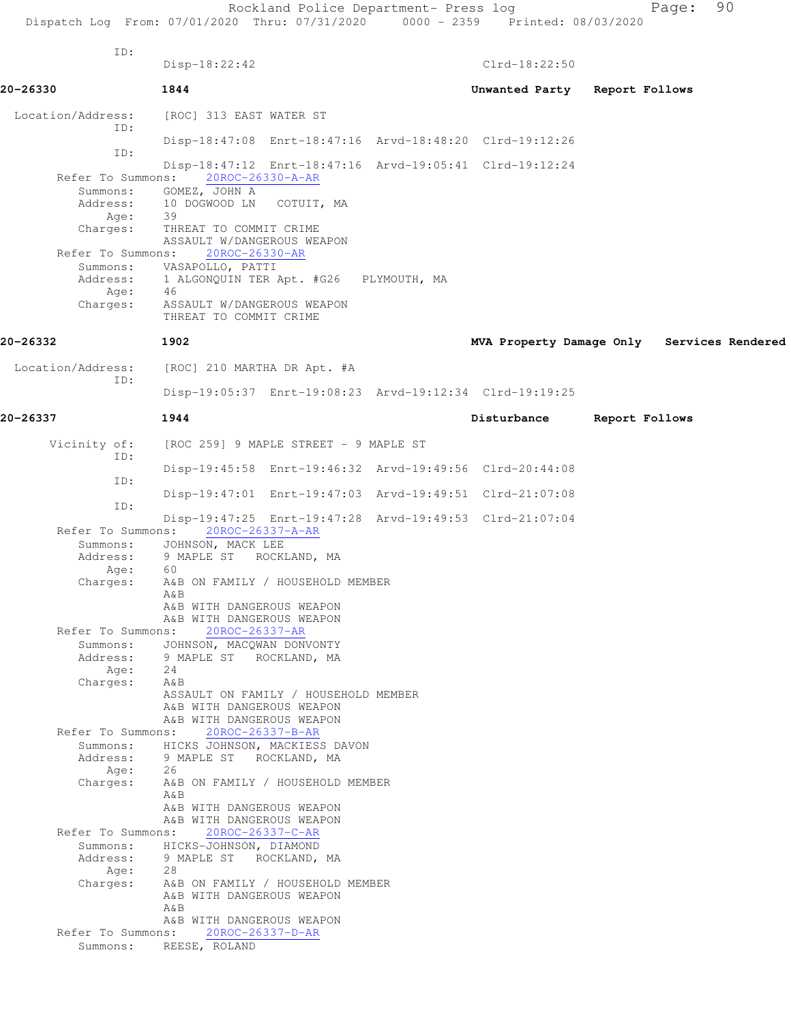Rockland Police Department- Press log Fage: 90 Dispatch Log From: 07/01/2020 Thru: 07/31/2020 0000 - 2359 Printed: 08/03/2020 ID: Disp-18:22:42 Clrd-18:22:50 **20-26330 1844 Unwanted Party Report Follows** Location/Address: [ROC] 313 EAST WATER ST ID: Disp-18:47:08 Enrt-18:47:16 Arvd-18:48:20 Clrd-19:12:26 ID: Disp-18:47:12 Enrt-18:47:16 Arvd-19:05:41 Clrd-19:12:24 Refer To Summons: 20ROC-26330-A-AR Summons: GOMEZ, JOHN A Address: 10 DOGWOOD LN COTUIT, MA<br>Age: 39 Age: Charges: THREAT TO COMMIT CRIME ASSAULT W/DANGEROUS WEAPON Refer To Summons: 20ROC-26330-AR Summons: VASAPOLLO, PATTI Address: 1 ALGONQUIN TER Apt. #G26 PLYMOUTH, MA Age: 46 Charges: ASSAULT W/DANGEROUS WEAPON THREAT TO COMMIT CRIME **20-26332 1902 MVA Property Damage Only Services Rendered** Location/Address: [ROC] 210 MARTHA DR Apt. #A ID: Disp-19:05:37 Enrt-19:08:23 Arvd-19:12:34 Clrd-19:19:25 **20-26337 1944 Disturbance Report Follows** Vicinity of: [ROC 259] 9 MAPLE STREET - 9 MAPLE ST ID: Disp-19:45:58 Enrt-19:46:32 Arvd-19:49:56 Clrd-20:44:08 ID: Disp-19:47:01 Enrt-19:47:03 Arvd-19:49:51 Clrd-21:07:08 ID: Disp-19:47:25 Enrt-19:47:28 Arvd-19:49:53 Clrd-21:07:04 Refer To Summons: 20ROC-26337-A-AR Summons: JOHNSON, MACK LEE Address: 9 MAPLE ST ROCKLAND, MA<br>Age: 60 Age: Charges: A&B ON FAMILY / HOUSEHOLD MEMBER A&B A&B WITH DANGEROUS WEAPON A&B WITH DANGEROUS WEAPON Refer To Summons: 20ROC-26337-AR Summons: JOHNSON, MACQWAN DONVONTY Address: 9 MAPLE ST ROCKLAND, MA<br>Age: 24 Age: Charges: A&B ASSAULT ON FAMILY / HOUSEHOLD MEMBER A&B WITH DANGEROUS WEAPON A&B WITH DANGEROUS WEAPON Refer To Summons: 20ROC-26337-B-AR Summons: HICKS JOHNSON, MACKIESS DAVON<br>Address: 9 MAPLE ST ROCKLAND, MA 9 MAPLE ST ROCKLAND, MA Age: 26 Charges: A&B ON FAMILY / HOUSEHOLD MEMBER A&B A&B WITH DANGEROUS WEAPON A&B WITH DANGEROUS WEAPON Refer To Summons: 20ROC-26337-C-AR Summons: HICKS-JOHNSON, DIAMOND Address: 9 MAPLE ST ROCKLAND, MA<br>Age: 28 Age: Charges: A&B ON FAMILY / HOUSEHOLD MEMBER A&B WITH DANGEROUS WEAPON A&B A&B WITH DANGEROUS WEAPON Refer To Summons: 20ROC-26337-D-AR Summons: REESE, ROLAND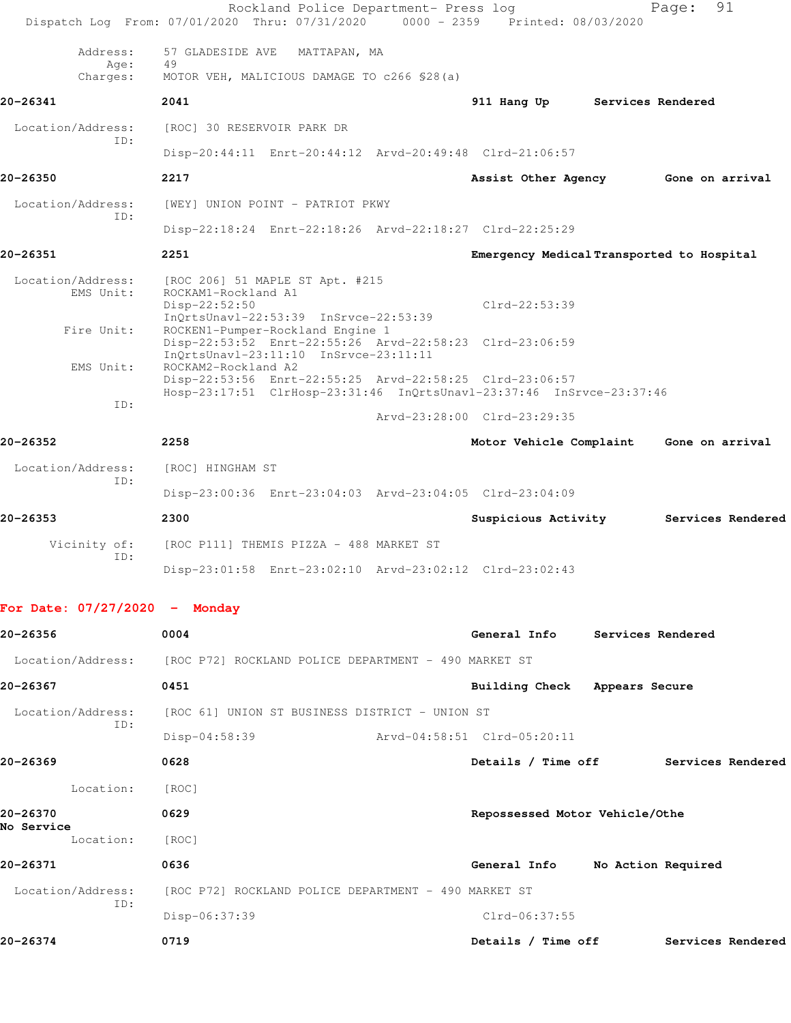|                                 | Rockland Police Department- Press log<br>$0000 - 2359$<br>Dispatch Log From: 07/01/2020 Thru: 07/31/2020                                               | Printed: 08/03/2020                       | 91<br>Page:       |
|---------------------------------|--------------------------------------------------------------------------------------------------------------------------------------------------------|-------------------------------------------|-------------------|
| Address:<br>Age:                | 57 GLADESIDE AVE<br>MATTAPAN, MA<br>49                                                                                                                 |                                           |                   |
| Charges:                        | MOTOR VEH, MALICIOUS DAMAGE TO c266 \$28(a)                                                                                                            |                                           |                   |
| 20-26341                        | 2041                                                                                                                                                   | 911 Hang Up                               | Services Rendered |
| Location/Address:<br>ID:        | [ROC] 30 RESERVOIR PARK DR                                                                                                                             |                                           |                   |
|                                 | Disp-20:44:11 Enrt-20:44:12 Arvd-20:49:48 Clrd-21:06:57                                                                                                |                                           |                   |
| 20-26350                        | 2217                                                                                                                                                   | Assist Other Agency                       | Gone on arrival   |
| Location/Address:<br>ID:        | [WEY] UNION POINT - PATRIOT PKWY                                                                                                                       |                                           |                   |
|                                 | Disp-22:18:24 Enrt-22:18:26 Arvd-22:18:27 Clrd-22:25:29                                                                                                |                                           |                   |
| 20-26351                        | 2251                                                                                                                                                   | Emergency Medical Transported to Hospital |                   |
| Location/Address:<br>EMS Unit:  | [ROC 206] 51 MAPLE ST Apt. #215<br>ROCKAM1-Rockland A1<br>$Disp-22:52:50$<br>$InQrtsUnav1-22:53:39$ $InSrvce-22:53:39$                                 | $Clrd-22:53:39$                           |                   |
| Fire Unit:                      | ROCKEN1-Pumper-Rockland Engine 1<br>Disp-22:53:52 Enrt-22:55:26 Arvd-22:58:23 Clrd-23:06:59<br>InOrtsUnav1-23:11:10 InSrvce-23:11:11                   |                                           |                   |
| EMS Unit:                       | ROCKAM2-Rockland A2<br>Disp-22:53:56 Enrt-22:55:25 Arvd-22:58:25 Clrd-23:06:57<br>Hosp-23:17:51 ClrHosp-23:31:46 InQrtsUnavl-23:37:46 InSrvce-23:37:46 |                                           |                   |
| ID:                             |                                                                                                                                                        | Arvd-23:28:00 Clrd-23:29:35               |                   |
| 20-26352                        | 2258                                                                                                                                                   | Motor Vehicle Complaint                   | Gone on arrival   |
| Location/Address:               | [ROC] HINGHAM ST                                                                                                                                       |                                           |                   |
| ID:                             | Disp-23:00:36 Enrt-23:04:03 Arvd-23:04:05 Clrd-23:04:09                                                                                                |                                           |                   |
| 20-26353                        | 2300                                                                                                                                                   | Suspicious Activity                       | Services Rendered |
| Vicinity of:<br>ID:             | [ROC P111] THEMIS PIZZA - 488 MARKET ST                                                                                                                |                                           |                   |
|                                 | Disp-23:01:58 Enrt-23:02:10 Arvd-23:02:12 Clrd-23:02:43                                                                                                |                                           |                   |
| For Date: $07/27/2020 -$ Monday |                                                                                                                                                        |                                           |                   |
| 20-26356                        | 0004                                                                                                                                                   | General Info Services Rendered            |                   |
|                                 | Location/Address: [ROC P72] ROCKLAND POLICE DEPARTMENT - 490 MARKET ST                                                                                 |                                           |                   |
| 20-26367                        | 0451                                                                                                                                                   | Building Check Appears Secure             |                   |
| Location/Address:               | [ROC 61] UNION ST BUSINESS DISTRICT - UNION ST                                                                                                         |                                           |                   |
| ID:                             | Disp-04:58:39                                                                                                                                          | Arvd-04:58:51 Clrd-05:20:11               |                   |
| 20-26369                        | 0628                                                                                                                                                   | Details / Time off Services Rendered      |                   |
| Location:                       | [ROC]                                                                                                                                                  |                                           |                   |
| 20-26370                        | 0629                                                                                                                                                   | Repossessed Motor Vehicle/Othe            |                   |
| No Service<br>Location:         | [ROC]                                                                                                                                                  |                                           |                   |
|                                 |                                                                                                                                                        |                                           |                   |

**20-26371 0636 General Info No Action Required** Location/Address: [ROC P72] ROCKLAND POLICE DEPARTMENT - 490 MARKET ST ID:

Disp-06:37:39 Clrd-06:37:55

**20-26374 0719 Details / Time off Services Rendered**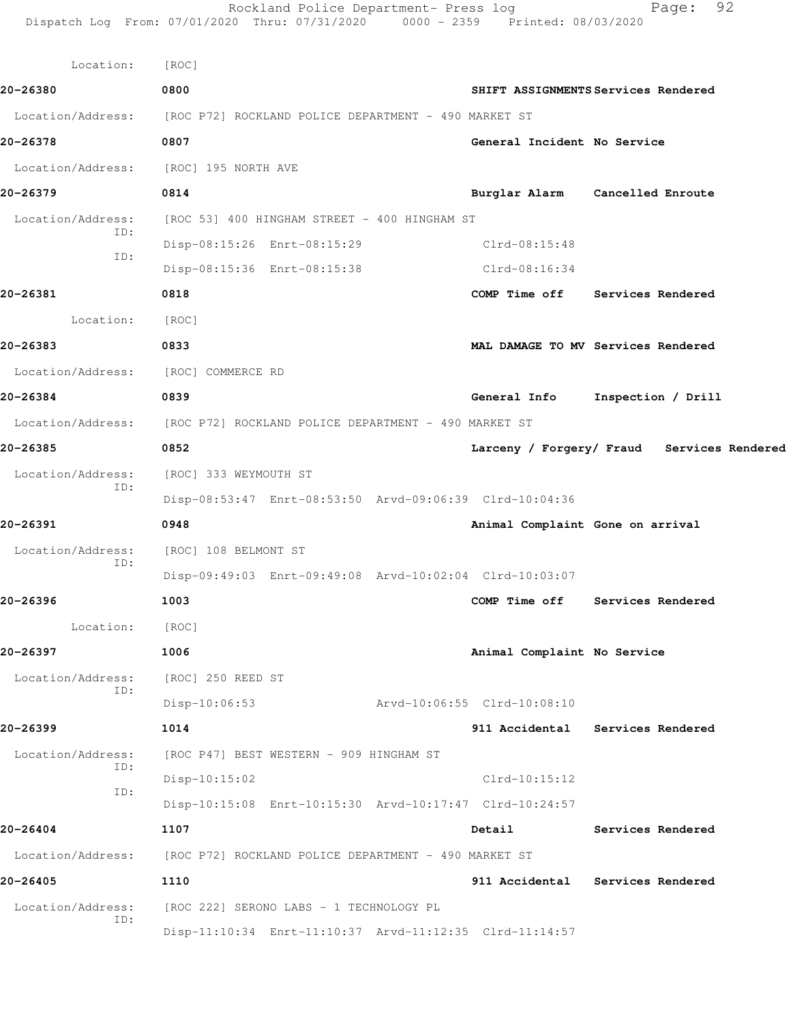|                                     | Rockland Police Department- Press log<br>Dispatch Log From: 07/01/2020 Thru: 07/31/2020 0000 - 2359 Printed: 08/03/2020 |                             | 92<br>Page:                                |
|-------------------------------------|-------------------------------------------------------------------------------------------------------------------------|-----------------------------|--------------------------------------------|
| Location:                           | [ROC]                                                                                                                   |                             |                                            |
| 20-26380                            | 0800                                                                                                                    |                             | SHIFT ASSIGNMENTS Services Rendered        |
|                                     | Location/Address: [ROC P72] ROCKLAND POLICE DEPARTMENT - 490 MARKET ST                                                  |                             |                                            |
| 20-26378                            | 0807                                                                                                                    | General Incident No Service |                                            |
| Location/Address:                   | [ROC] 195 NORTH AVE                                                                                                     |                             |                                            |
| 20-26379                            | 0814                                                                                                                    |                             | Burglar Alarm Cancelled Enroute            |
| Location/Address:                   | [ROC 53] 400 HINGHAM STREET - 400 HINGHAM ST                                                                            |                             |                                            |
| ID:                                 | Disp-08:15:26 Enrt-08:15:29                                                                                             | Clrd-08:15:48               |                                            |
| ID:                                 | Disp-08:15:36 Enrt-08:15:38                                                                                             | $Clrd-08:16:34$             |                                            |
| 20-26381                            | 0818                                                                                                                    |                             | COMP Time off Services Rendered            |
| Location:                           | [ROC]                                                                                                                   |                             |                                            |
| 20-26383                            | 0833                                                                                                                    |                             | MAL DAMAGE TO MV Services Rendered         |
| Location/Address: [ROC] COMMERCE RD |                                                                                                                         |                             |                                            |
| 20-26384                            | 0839                                                                                                                    |                             | General Info Inspection / Drill            |
|                                     | Location/Address: [ROC P72] ROCKLAND POLICE DEPARTMENT - 490 MARKET ST                                                  |                             |                                            |
| 20-26385                            | 0852                                                                                                                    |                             | Larceny / Forgery/ Fraud Services Rendered |
| Location/Address:                   | [ROC] 333 WEYMOUTH ST                                                                                                   |                             |                                            |
| ID:                                 | Disp-08:53:47 Enrt-08:53:50 Arvd-09:06:39 Clrd-10:04:36                                                                 |                             |                                            |
| 20-26391                            | 0948                                                                                                                    |                             | Animal Complaint Gone on arrival           |
| Location/Address:                   | [ROC] 108 BELMONT ST                                                                                                    |                             |                                            |
| ID:                                 | Disp-09:49:03 Enrt-09:49:08 Arvd-10:02:04 Clrd-10:03:07                                                                 |                             |                                            |
| 20-26396                            | 1003                                                                                                                    | COMP Time off               | Services Rendered                          |
| Location:                           | [ROC]                                                                                                                   |                             |                                            |
| 20-26397                            | 1006                                                                                                                    | Animal Complaint No Service |                                            |
| Location/Address:                   | [ROC] 250 REED ST                                                                                                       |                             |                                            |
| ID:                                 | $Disp-10:06:53$                                                                                                         | Arvd-10:06:55 Clrd-10:08:10 |                                            |
| 20-26399                            | 1014                                                                                                                    |                             | 911 Accidental Services Rendered           |
| Location/Address:                   | [ROC P47] BEST WESTERN - 909 HINGHAM ST                                                                                 |                             |                                            |
| ID:<br>ID:                          | $Disp-10:15:02$                                                                                                         | $Clrd-10:15:12$             |                                            |
|                                     | Disp-10:15:08 Enrt-10:15:30 Arvd-10:17:47 Clrd-10:24:57                                                                 |                             |                                            |
| 20-26404                            | 1107                                                                                                                    | Detail                      | Services Rendered                          |
| Location/Address:                   | [ROC P72] ROCKLAND POLICE DEPARTMENT - 490 MARKET ST                                                                    |                             |                                            |
| 20-26405                            | 1110                                                                                                                    |                             | 911 Accidental Services Rendered           |
| Location/Address:<br>ID:            | [ROC 222] SERONO LABS - 1 TECHNOLOGY PL                                                                                 |                             |                                            |
|                                     | Disp-11:10:34 Enrt-11:10:37 Arvd-11:12:35 Clrd-11:14:57                                                                 |                             |                                            |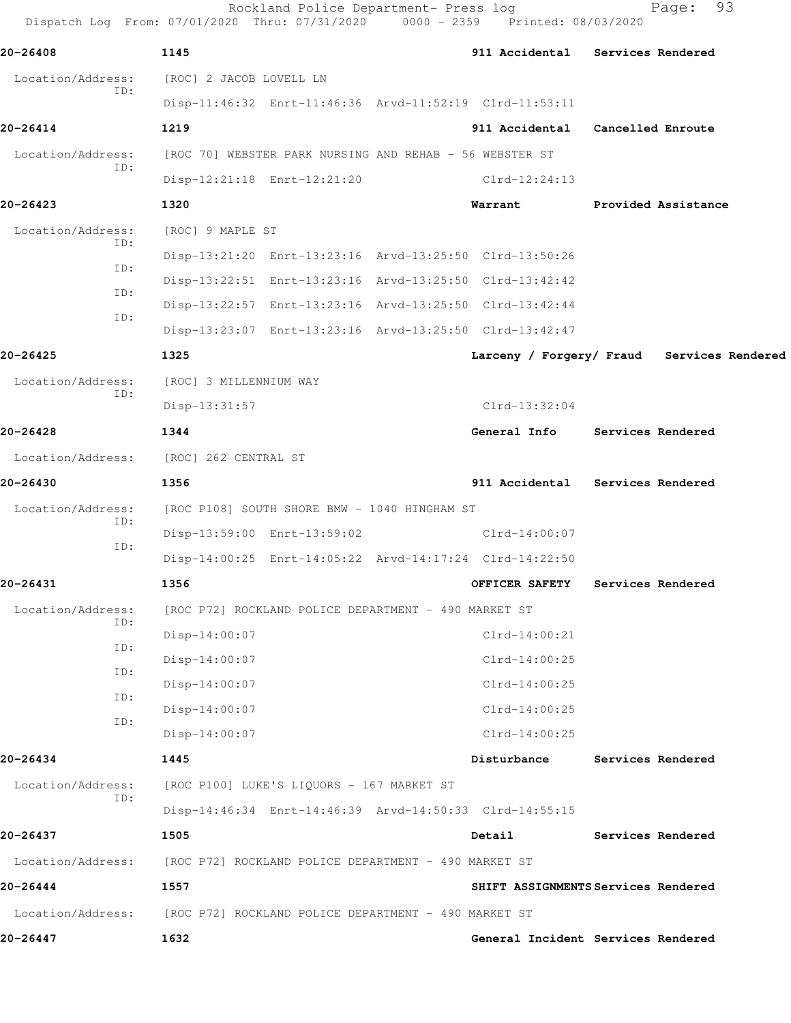|                          | Rockland Police Department- Press log<br>Dispatch Log From: 07/01/2020 Thru: 07/31/2020 | 0000 - 2359 Printed: 08/03/2020 | 93<br>Page:                                |
|--------------------------|-----------------------------------------------------------------------------------------|---------------------------------|--------------------------------------------|
| 20-26408                 | 1145                                                                                    |                                 | 911 Accidental Services Rendered           |
| Location/Address:<br>ID: | [ROC] 2 JACOB LOVELL LN                                                                 |                                 |                                            |
|                          | Disp-11:46:32 Enrt-11:46:36 Arvd-11:52:19 Clrd-11:53:11                                 |                                 |                                            |
| 20-26414                 | 1219                                                                                    |                                 | 911 Accidental Cancelled Enroute           |
| Location/Address:<br>ID: | [ROC 70] WEBSTER PARK NURSING AND REHAB - 56 WEBSTER ST                                 |                                 |                                            |
|                          | Disp-12:21:18 Enrt-12:21:20                                                             | Clrd-12:24:13                   |                                            |
| 20-26423                 | 1320                                                                                    | Warrant                         | Provided Assistance                        |
| Location/Address:        | [ROC] 9 MAPLE ST                                                                        |                                 |                                            |
| ID:                      | Disp-13:21:20 Enrt-13:23:16 Arvd-13:25:50 Clrd-13:50:26                                 |                                 |                                            |
| ID:                      | Disp-13:22:51 Enrt-13:23:16 Arvd-13:25:50 Clrd-13:42:42                                 |                                 |                                            |
| ID:<br>ID:               | Disp-13:22:57 Enrt-13:23:16 Arvd-13:25:50 Clrd-13:42:44                                 |                                 |                                            |
|                          | Disp-13:23:07 Enrt-13:23:16 Arvd-13:25:50 Clrd-13:42:47                                 |                                 |                                            |
| 20-26425                 | 1325                                                                                    |                                 | Larceny / Forgery/ Fraud Services Rendered |
| Location/Address:<br>ID: | [ROC] 3 MILLENNIUM WAY                                                                  |                                 |                                            |
|                          | $Disp-13:31:57$                                                                         | $Clrd-13:32:04$                 |                                            |
| 20-26428                 | 1344                                                                                    | General Info                    | Services Rendered                          |
| Location/Address:        | [ROC] 262 CENTRAL ST                                                                    |                                 |                                            |
| 20-26430                 | 1356                                                                                    |                                 | 911 Accidental Services Rendered           |
| Location/Address:<br>ID: | [ROC P108] SOUTH SHORE BMW - 1040 HINGHAM ST                                            |                                 |                                            |
| ID:                      | Disp-13:59:00 Enrt-13:59:02                                                             | Clrd-14:00:07                   |                                            |
|                          | Disp-14:00:25 Enrt-14:05:22 Arvd-14:17:24 Clrd-14:22:50                                 |                                 |                                            |
| 20-26431                 | 1356                                                                                    | <b>OFFICER SAFETY</b>           | Services Rendered                          |
| Location/Address:<br>ID: | [ROC P72] ROCKLAND POLICE DEPARTMENT - 490 MARKET ST                                    |                                 |                                            |
|                          | Disp-14:00:07                                                                           | $Clrd-14:00:21$                 |                                            |
| ID:                      | Disp-14:00:07                                                                           | $Clrd-14:00:25$                 |                                            |
| ID:<br>ID:               | Disp-14:00:07                                                                           | $Clrd-14:00:25$                 |                                            |
| ID:                      | Disp-14:00:07                                                                           | $Clrd-14:00:25$                 |                                            |
|                          | Disp-14:00:07                                                                           | $Clrd-14:00:25$                 |                                            |
| 20-26434                 | 1445                                                                                    | Disturbance                     | Services Rendered                          |
| Location/Address:<br>ID: | [ROC P100] LUKE'S LIQUORS - 167 MARKET ST                                               |                                 |                                            |
|                          | Disp-14:46:34 Enrt-14:46:39 Arvd-14:50:33 Clrd-14:55:15                                 |                                 |                                            |
| 20-26437                 | 1505                                                                                    | Detail                          | Services Rendered                          |
| Location/Address:        | [ROC P72] ROCKLAND POLICE DEPARTMENT - 490 MARKET ST                                    |                                 |                                            |
| 20-26444                 | 1557                                                                                    |                                 | SHIFT ASSIGNMENTS Services Rendered        |
|                          | Location/Address: [ROC P72] ROCKLAND POLICE DEPARTMENT - 490 MARKET ST                  |                                 |                                            |
| 20-26447                 | 1632                                                                                    |                                 | General Incident Services Rendered         |
|                          |                                                                                         |                                 |                                            |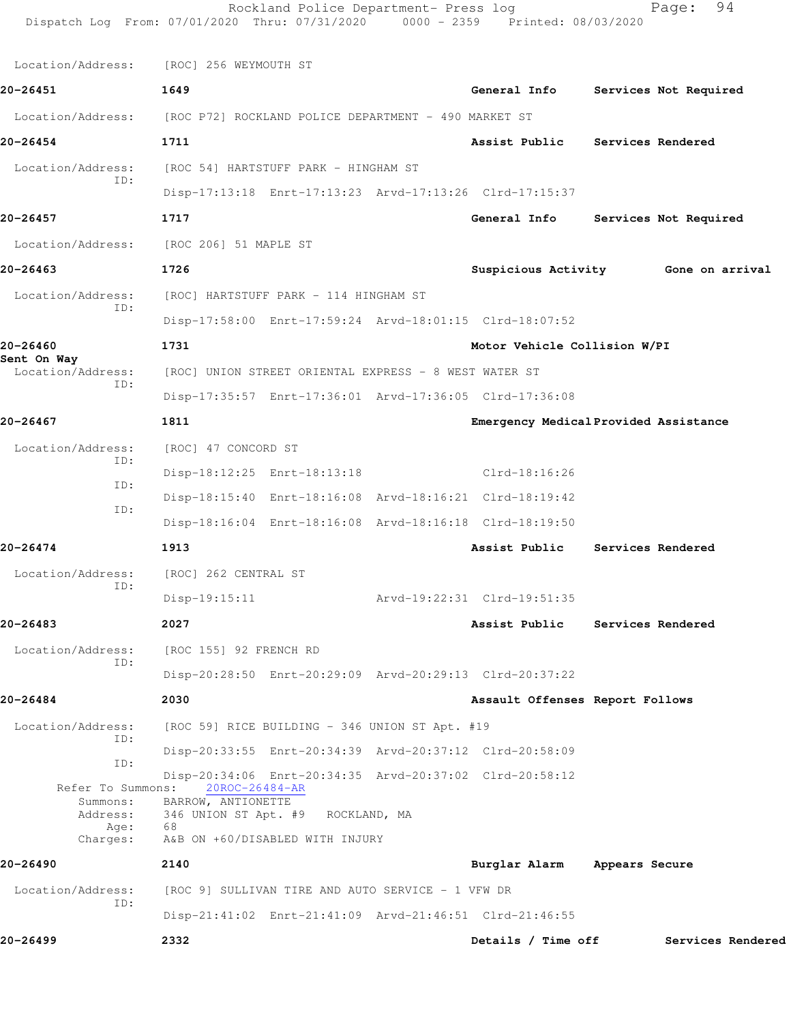| Location/Address:        | [ROC] 256 WEYMOUTH ST                                                                       |  |                                       |                          |                                     |
|--------------------------|---------------------------------------------------------------------------------------------|--|---------------------------------------|--------------------------|-------------------------------------|
| 20-26451                 | 1649                                                                                        |  | General Info                          |                          | Services Not Required               |
| Location/Address:        | [ROC P72] ROCKLAND POLICE DEPARTMENT - 490 MARKET ST                                        |  |                                       |                          |                                     |
| 20-26454                 | 1711                                                                                        |  | Assist Public                         |                          | Services Rendered                   |
| Location/Address:        | [ROC 54] HARTSTUFF PARK - HINGHAM ST                                                        |  |                                       |                          |                                     |
| ID:                      | Disp-17:13:18 Enrt-17:13:23 Arvd-17:13:26 Clrd-17:15:37                                     |  |                                       |                          |                                     |
| 20-26457                 | 1717                                                                                        |  | General Info                          |                          | Services Not Required               |
| Location/Address:        | [ROC 206] 51 MAPLE ST                                                                       |  |                                       |                          |                                     |
|                          |                                                                                             |  |                                       |                          |                                     |
| 20-26463                 | 1726                                                                                        |  |                                       |                          | Suspicious Activity Gone on arrival |
| Location/Address:<br>ID: | [ROC] HARTSTUFF PARK - 114 HINGHAM ST                                                       |  |                                       |                          |                                     |
|                          | Disp-17:58:00 Enrt-17:59:24 Arvd-18:01:15 Clrd-18:07:52                                     |  |                                       |                          |                                     |
| 20-26460<br>Sent On Way  | 1731                                                                                        |  | Motor Vehicle Collision W/PI          |                          |                                     |
| Location/Address:<br>ID: | [ROC] UNION STREET ORIENTAL EXPRESS - 8 WEST WATER ST                                       |  |                                       |                          |                                     |
|                          | Disp-17:35:57 Enrt-17:36:01 Arvd-17:36:05 Clrd-17:36:08                                     |  |                                       |                          |                                     |
| 20-26467                 | 1811                                                                                        |  | Emergency Medical Provided Assistance |                          |                                     |
| Location/Address:<br>ID: | [ROC] 47 CONCORD ST                                                                         |  |                                       |                          |                                     |
| ID:                      | Disp-18:12:25 Enrt-18:13:18                                                                 |  | Clrd-18:16:26                         |                          |                                     |
| ID:                      | Disp-18:15:40 Enrt-18:16:08 Arvd-18:16:21 Clrd-18:19:42                                     |  |                                       |                          |                                     |
|                          | Disp-18:16:04 Enrt-18:16:08 Arvd-18:16:18 Clrd-18:19:50                                     |  |                                       |                          |                                     |
| 20-26474                 | 1913                                                                                        |  | Assist Public                         |                          | Services Rendered                   |
| Location/Address:<br>ID: | [ROC] 262 CENTRAL ST                                                                        |  |                                       |                          |                                     |
|                          | $Disp-19:15:11$                                                                             |  | Arvd-19:22:31 Clrd-19:51:35           |                          |                                     |
| 20-26483                 | 2027                                                                                        |  | Assist Public                         | <b>Services Rendered</b> |                                     |
| Location/Address:<br>ID: | [ROC 155] 92 FRENCH RD                                                                      |  |                                       |                          |                                     |
|                          | Disp-20:28:50 Enrt-20:29:09 Arvd-20:29:13 Clrd-20:37:22                                     |  |                                       |                          |                                     |
| 20-26484                 | 2030                                                                                        |  | Assault Offenses Report Follows       |                          |                                     |
| Location/Address:<br>ID: | [ROC 59] RICE BUILDING - 346 UNION ST Apt. #19                                              |  |                                       |                          |                                     |
| ID:                      | Disp-20:33:55 Enrt-20:34:39 Arvd-20:37:12 Clrd-20:58:09                                     |  |                                       |                          |                                     |
|                          | Disp-20:34:06 Enrt-20:34:35 Arvd-20:37:02 Clrd-20:58:12<br>Refer To Summons: 20ROC-26484-AR |  |                                       |                          |                                     |
| Summons:<br>Address:     | BARROW, ANTIONETTE<br>346 UNION ST Apt. #9 ROCKLAND, MA                                     |  |                                       |                          |                                     |
| Age:<br>Charges:         | 68<br>A&B ON +60/DISABLED WITH INJURY                                                       |  |                                       |                          |                                     |
| 20-26490                 | 2140                                                                                        |  | Burglar Alarm                         | Appears Secure           |                                     |
| Location/Address:        | [ROC 9] SULLIVAN TIRE AND AUTO SERVICE - 1 VFW DR                                           |  |                                       |                          |                                     |
| ID:                      | Disp-21:41:02 Enrt-21:41:09 Arvd-21:46:51 Clrd-21:46:55                                     |  |                                       |                          |                                     |
|                          |                                                                                             |  | Details / Time off                    |                          |                                     |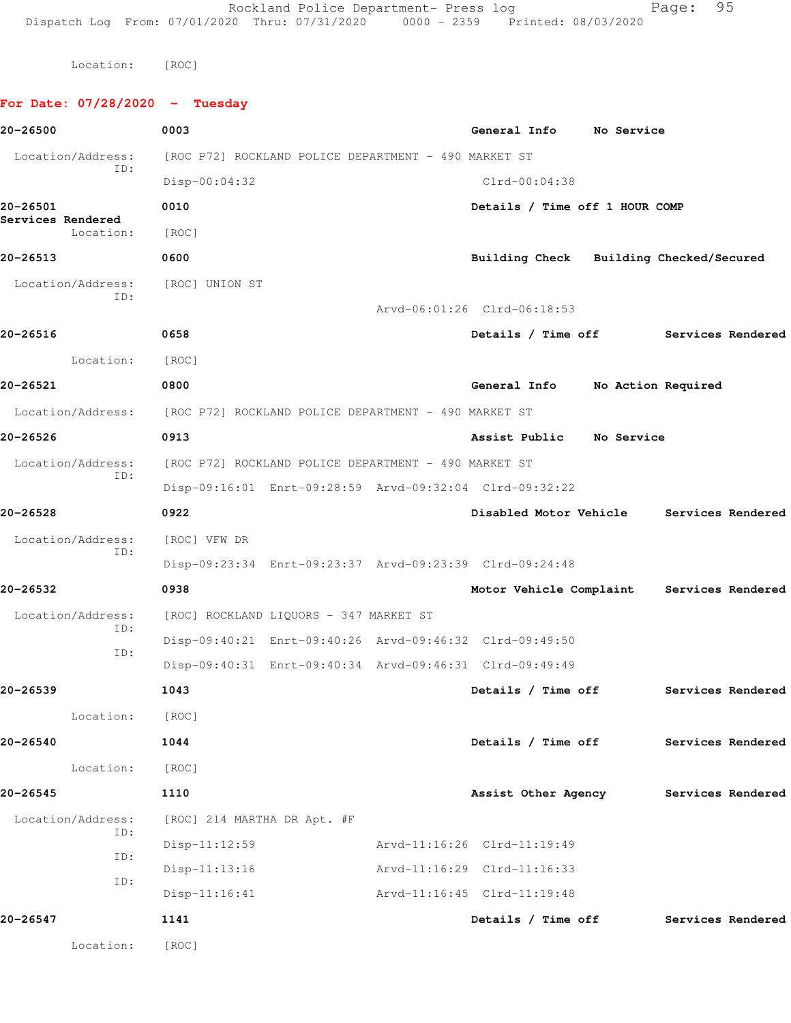Rockland Police Department- Press log Page: 95 Dispatch Log From: 07/01/2020 Thru: 07/31/2020 0000 - 2359 Printed: 08/03/2020

Location: [ROC]

## **For Date: 07/28/2020 - Tuesday 20-26500 0003 General Info No Service** Location/Address: [ROC P72] ROCKLAND POLICE DEPARTMENT - 490 MARKET ST ID: Disp-00:04:32 Clrd-00:04:38 **20-26501 0010 Details / Time off 1 HOUR COMP Services Rendered**  Location: [ROC] **20-26513 0600 Building Check Building Checked/Secured** Location/Address: [ROC] UNION ST ID: Arvd-06:01:26 Clrd-06:18:53 **20-26516 0658 Details / Time off Services Rendered** Location: [ROC] **20-26521 0800 General Info No Action Required** Location/Address: [ROC P72] ROCKLAND POLICE DEPARTMENT - 490 MARKET ST **20-26526 0913 Assist Public No Service** Location/Address: [ROC P72] ROCKLAND POLICE DEPARTMENT - 490 MARKET ST ID: Disp-09:16:01 Enrt-09:28:59 Arvd-09:32:04 Clrd-09:32:22 **20-26528 0922 Disabled Motor Vehicle Services Rendered** Location/Address: [ROC] VFW DR ID: Disp-09:23:34 Enrt-09:23:37 Arvd-09:23:39 Clrd-09:24:48 **20-26532 0938 Motor Vehicle Complaint Services Rendered** Location/Address: [ROC] ROCKLAND LIQUORS - 347 MARKET ST ID: Disp-09:40:21 Enrt-09:40:26 Arvd-09:46:32 Clrd-09:49:50 ID: Disp-09:40:31 Enrt-09:40:34 Arvd-09:46:31 Clrd-09:49:49 **20-26539 1043 Details / Time off Services Rendered** Location: [ROC] **20-26540 1044 Details / Time off Services Rendered** Location: [ROC] **20-26545 1110 Assist Other Agency Services Rendered** Location/Address: [ROC] 214 MARTHA DR Apt. #F ID: Disp-11:12:59 Arvd-11:16:26 Clrd-11:19:49 ID: Disp-11:13:16 Arvd-11:16:29 Clrd-11:16:33 ID: Disp-11:16:41 Arvd-11:16:45 Clrd-11:19:48 **20-26547 1141 Details / Time off Services Rendered** Location: [ROC]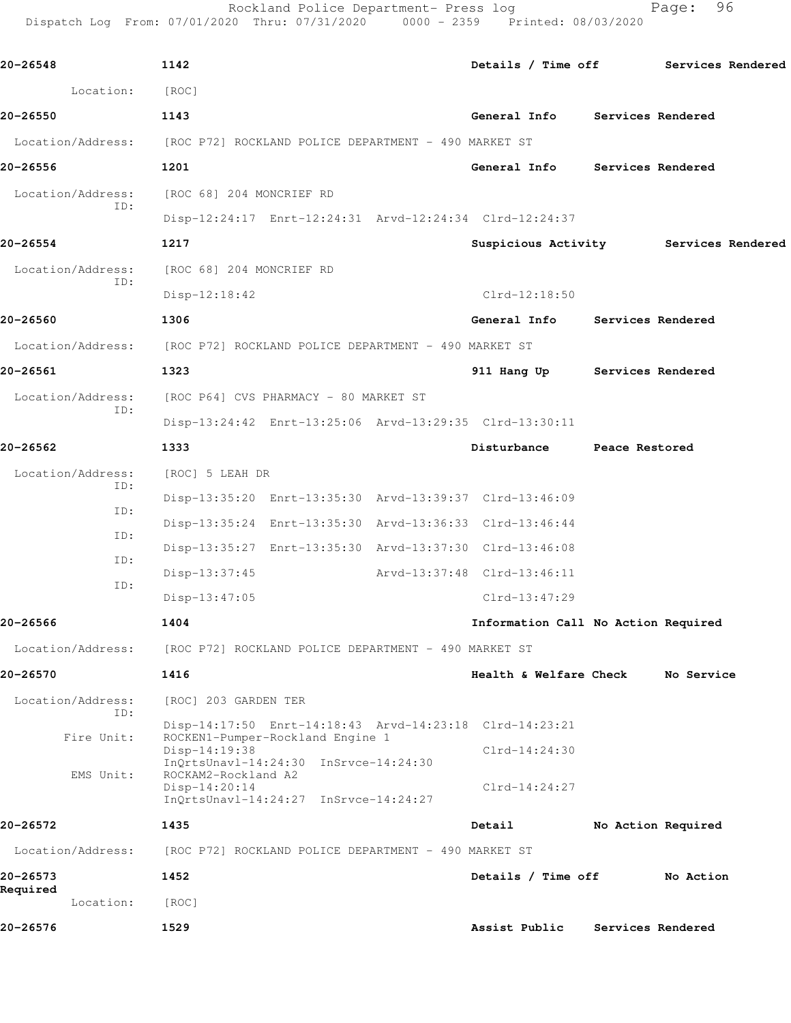Rockland Police Department- Press log entitled and Page: 96 Dispatch Log From: 07/01/2020 Thru: 07/31/2020 0000 - 2359 Printed: 08/03/2020

| 20-26548              | 1142                                                                                |                                     |                   | Details / Time off Services Rendered  |
|-----------------------|-------------------------------------------------------------------------------------|-------------------------------------|-------------------|---------------------------------------|
| Location:             | [ROC]                                                                               |                                     |                   |                                       |
| 20-26550              | 1143                                                                                | General Info Services Rendered      |                   |                                       |
|                       | Location/Address: [ROC P72] ROCKLAND POLICE DEPARTMENT - 490 MARKET ST              |                                     |                   |                                       |
| 20-26556              | 1201                                                                                | General Info Services Rendered      |                   |                                       |
|                       | Location/Address: [ROC 68] 204 MONCRIEF RD                                          |                                     |                   |                                       |
| ID:                   | Disp-12:24:17 Enrt-12:24:31 Arvd-12:24:34 Clrd-12:24:37                             |                                     |                   |                                       |
| 20-26554              | 1217                                                                                |                                     |                   | Suspicious Activity Services Rendered |
|                       | Location/Address: [ROC 68] 204 MONCRIEF RD                                          |                                     |                   |                                       |
| ID:                   | $Disp-12:18:42$                                                                     | $Clrd-12:18:50$                     |                   |                                       |
| 20-26560              | 1306                                                                                | General Info Services Rendered      |                   |                                       |
|                       | Location/Address: [ROC P72] ROCKLAND POLICE DEPARTMENT - 490 MARKET ST              |                                     |                   |                                       |
| 20-26561              | 1323                                                                                | 911 Hang Up Services Rendered       |                   |                                       |
| Location/Address:     | [ROC P64] CVS PHARMACY - 80 MARKET ST                                               |                                     |                   |                                       |
| ID:                   | Disp-13:24:42 Enrt-13:25:06 Arvd-13:29:35 Clrd-13:30:11                             |                                     |                   |                                       |
| 20-26562              | 1333                                                                                | Disturbance Peace Restored          |                   |                                       |
| Location/Address:     | [ROC] 5 LEAH DR                                                                     |                                     |                   |                                       |
| ID:                   | Disp-13:35:20 Enrt-13:35:30 Arvd-13:39:37 Clrd-13:46:09                             |                                     |                   |                                       |
| ID:                   | Disp-13:35:24 Enrt-13:35:30 Arvd-13:36:33 Clrd-13:46:44                             |                                     |                   |                                       |
| ID:                   | Disp-13:35:27 Enrt-13:35:30 Arvd-13:37:30 Clrd-13:46:08                             |                                     |                   |                                       |
| ID:                   | Disp-13:37:45                                                                       | Arvd-13:37:48 Clrd-13:46:11         |                   |                                       |
| ID:                   | $Disp-13:47:05$                                                                     | Clrd-13:47:29                       |                   |                                       |
| 20-26566              | 1404                                                                                | Information Call No Action Required |                   |                                       |
| Location/Address:     | [ROC P72] ROCKLAND POLICE DEPARTMENT - 490 MARKET ST                                |                                     |                   |                                       |
| 20-26570              | 1416                                                                                | Health & Welfare Check              |                   | No Service                            |
| Location/Address:     | [ROC] 203 GARDEN TER                                                                |                                     |                   |                                       |
| ID:                   | Disp-14:17:50 Enrt-14:18:43 Arvd-14:23:18 Clrd-14:23:21                             |                                     |                   |                                       |
| Fire Unit:            | ROCKEN1-Pumper-Rockland Engine 1<br>$Disp-14:19:38$                                 | $Clrd-14:24:30$                     |                   |                                       |
| EMS Unit:             | $InQrtsUnav1-14:24:30$ $InSrvce-14:24:30$<br>ROCKAM2-Rockland A2<br>$Disp-14:20:14$ | $Clrd-14:24:27$                     |                   |                                       |
|                       | InQrtsUnavl-14:24:27 InSrvce-14:24:27                                               |                                     |                   |                                       |
| 20-26572              | 1435                                                                                | Detail                              |                   | No Action Required                    |
| Location/Address:     | [ROC P72] ROCKLAND POLICE DEPARTMENT - 490 MARKET ST                                |                                     |                   |                                       |
| 20-26573              | 1452                                                                                | Details / Time off                  |                   | No Action                             |
| Required<br>Location: | [ROC]                                                                               |                                     |                   |                                       |
| 20-26576              | 1529                                                                                | Assist Public                       | Services Rendered |                                       |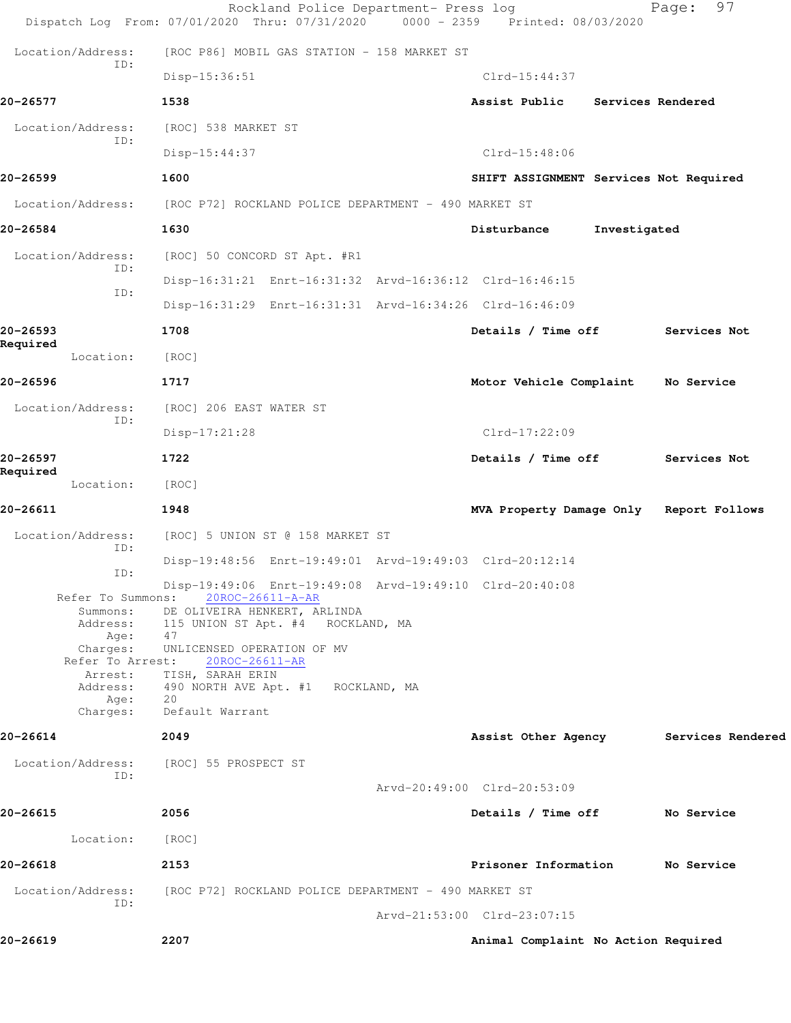|                             | Rockland Police Department- Press log<br>Dispatch Log From: 07/01/2020 Thru: 07/31/2020       | $0000 - 2359$ | Printed: 08/03/2020                     |                   | 97<br>Page:       |
|-----------------------------|-----------------------------------------------------------------------------------------------|---------------|-----------------------------------------|-------------------|-------------------|
| Location/Address:           | [ROC P86] MOBIL GAS STATION - 158 MARKET ST                                                   |               |                                         |                   |                   |
| ID:                         | Disp-15:36:51                                                                                 |               | $Clrd-15:44:37$                         |                   |                   |
| 20-26577                    | 1538                                                                                          |               | Assist Public                           | Services Rendered |                   |
| Location/Address:           | [ROC] 538 MARKET ST                                                                           |               |                                         |                   |                   |
| ID:                         | Disp-15:44:37                                                                                 |               | $Clrd-15:48:06$                         |                   |                   |
| 20-26599                    | 1600                                                                                          |               | SHIFT ASSIGNMENT Services Not Required  |                   |                   |
|                             | Location/Address: [ROC P72] ROCKLAND POLICE DEPARTMENT - 490 MARKET ST                        |               |                                         |                   |                   |
| 20-26584                    | 1630                                                                                          |               | Disturbance                             | Investigated      |                   |
| Location/Address:           | [ROC] 50 CONCORD ST Apt. #R1                                                                  |               |                                         |                   |                   |
| ID:                         | Disp-16:31:21 Enrt-16:31:32 Arvd-16:36:12 Clrd-16:46:15                                       |               |                                         |                   |                   |
| ID:                         | Disp-16:31:29 Enrt-16:31:31 Arvd-16:34:26 Clrd-16:46:09                                       |               |                                         |                   |                   |
| 20-26593                    | 1708                                                                                          |               | Details / Time off                      |                   | Services Not      |
| Required<br>Location:       | [ROC]                                                                                         |               |                                         |                   |                   |
| 20-26596                    | 1717                                                                                          |               | Motor Vehicle Complaint                 |                   | No Service        |
| Location/Address:<br>ID:    | [ROC] 206 EAST WATER ST                                                                       |               |                                         |                   |                   |
|                             | $Disp-17:21:28$                                                                               |               | $Clrd-17:22:09$                         |                   |                   |
| 20-26597<br>Required        | 1722                                                                                          |               | Details / Time off                      |                   | Services Not      |
| Location:                   | [ROC]                                                                                         |               |                                         |                   |                   |
| 20-26611                    | 1948                                                                                          |               | MVA Property Damage Only Report Follows |                   |                   |
| Location/Address:<br>ID:    | [ROC] 5 UNION ST @ 158 MARKET ST                                                              |               |                                         |                   |                   |
| ID:                         | Disp-19:48:56 Enrt-19:49:01 Arvd-19:49:03 Clrd-20:12:14                                       |               |                                         |                   |                   |
|                             | Disp-19:49:06 Enrt-19:49:08 Arvd-19:49:10 Clrd-20:40:08<br>Refer To Summons: 20ROC-26611-A-AR |               |                                         |                   |                   |
| Summons:<br>Address:        | DE OLIVEIRA HENKERT, ARLINDA<br>115 UNION ST Apt. #4 ROCKLAND, MA                             |               |                                         |                   |                   |
| Age:<br>Charges:            | 47<br>UNLICENSED OPERATION OF MV                                                              |               |                                         |                   |                   |
| Refer To Arrest:<br>Arrest: | 20ROC-26611-AR<br>TISH, SARAH ERIN                                                            |               |                                         |                   |                   |
| Address:<br>Age:            | 490 NORTH AVE Apt. #1 ROCKLAND, MA<br>20                                                      |               |                                         |                   |                   |
| Charges:                    | Default Warrant                                                                               |               |                                         |                   |                   |
| 20-26614                    | 2049                                                                                          |               | Assist Other Agency                     |                   | Services Rendered |
| Location/Address:<br>ID:    | [ROC] 55 PROSPECT ST                                                                          |               |                                         |                   |                   |
|                             |                                                                                               |               | Arvd-20:49:00 Clrd-20:53:09             |                   |                   |
| 20-26615                    | 2056                                                                                          |               | Details / Time off                      |                   | No Service        |
| Location:                   | [ROC]                                                                                         |               |                                         |                   |                   |
| 20-26618                    | 2153                                                                                          |               | Prisoner Information                    |                   | No Service        |
| Location/Address:<br>ID:    | [ROC P72] ROCKLAND POLICE DEPARTMENT - 490 MARKET ST                                          |               |                                         |                   |                   |
|                             |                                                                                               |               | Arvd-21:53:00 Clrd-23:07:15             |                   |                   |
| 20-26619                    | 2207                                                                                          |               | Animal Complaint No Action Required     |                   |                   |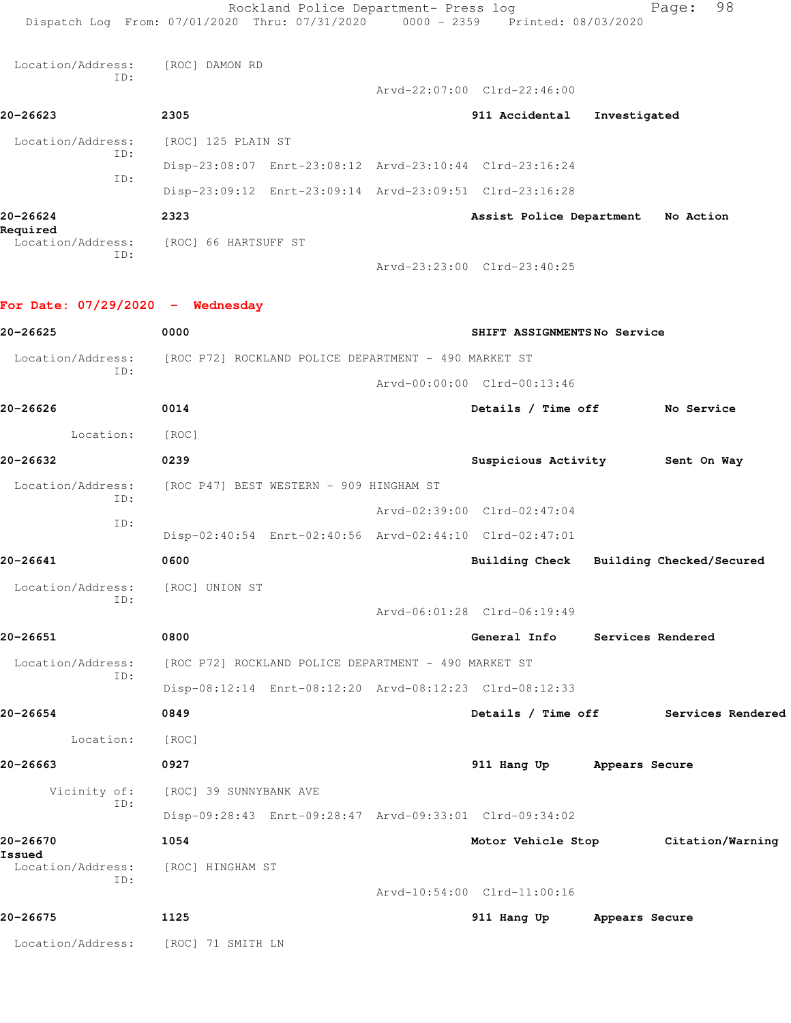Rockland Police Department- Press log Fage: 98 Dispatch Log From: 07/01/2020 Thru: 07/31/2020 0000 - 2359 Printed: 08/03/2020 Location/Address: [ROC] DAMON RD ID: Arvd-22:07:00 Clrd-22:46:00 **20-26623 2305 911 Accidental Investigated** Location/Address: [ROC] 125 PLAIN ST ID: Disp-23:08:07 Enrt-23:08:12 Arvd-23:10:44 Clrd-23:16:24 ID: Disp-23:09:12 Enrt-23:09:14 Arvd-23:09:51 Clrd-23:16:28 **20-26624 2323 Assist Police Department No Action Required**  Location/Address: [ROC] 66 HARTSUFF ST ID: Arvd-23:23:00 Clrd-23:40:25 **For Date: 07/29/2020 - Wednesday 20-26625 0000 SHIFT ASSIGNMENTS No Service** Location/Address: [ROC P72] ROCKLAND POLICE DEPARTMENT - 490 MARKET ST ID: Arvd-00:00:00 Clrd-00:13:46 **20-26626 0014 Details / Time off No Service** Location: [ROC] **20-26632 0239 Suspicious Activity Sent On Way** Location/Address: [ROC P47] BEST WESTERN - 909 HINGHAM ST ID: Arvd-02:39:00 Clrd-02:47:04 ID: Disp-02:40:54 Enrt-02:40:56 Arvd-02:44:10 Clrd-02:47:01 **20-26641 0600 Building Check Building Checked/Secured** Location/Address: [ROC] UNION ST ID: Arvd-06:01:28 Clrd-06:19:49 **20-26651 0800 General Info Services Rendered** Location/Address: [ROC P72] ROCKLAND POLICE DEPARTMENT - 490 MARKET ST ID: Disp-08:12:14 Enrt-08:12:20 Arvd-08:12:23 Clrd-08:12:33 **20-26654 0849 Details / Time off Services Rendered** Location: [ROC] **20-26663 0927 911 Hang Up Appears Secure** Vicinity of: [ROC] 39 SUNNYBANK AVE ID: Disp-09:28:43 Enrt-09:28:47 Arvd-09:33:01 Clrd-09:34:02 **20-26670 1054 Motor Vehicle Stop Citation/Warning Issued**  Location/Address: [ROC] HINGHAM ST ID: Arvd-10:54:00 Clrd-11:00:16 **20-26675 1125 911 Hang Up Appears Secure** Location/Address: [ROC] 71 SMITH LN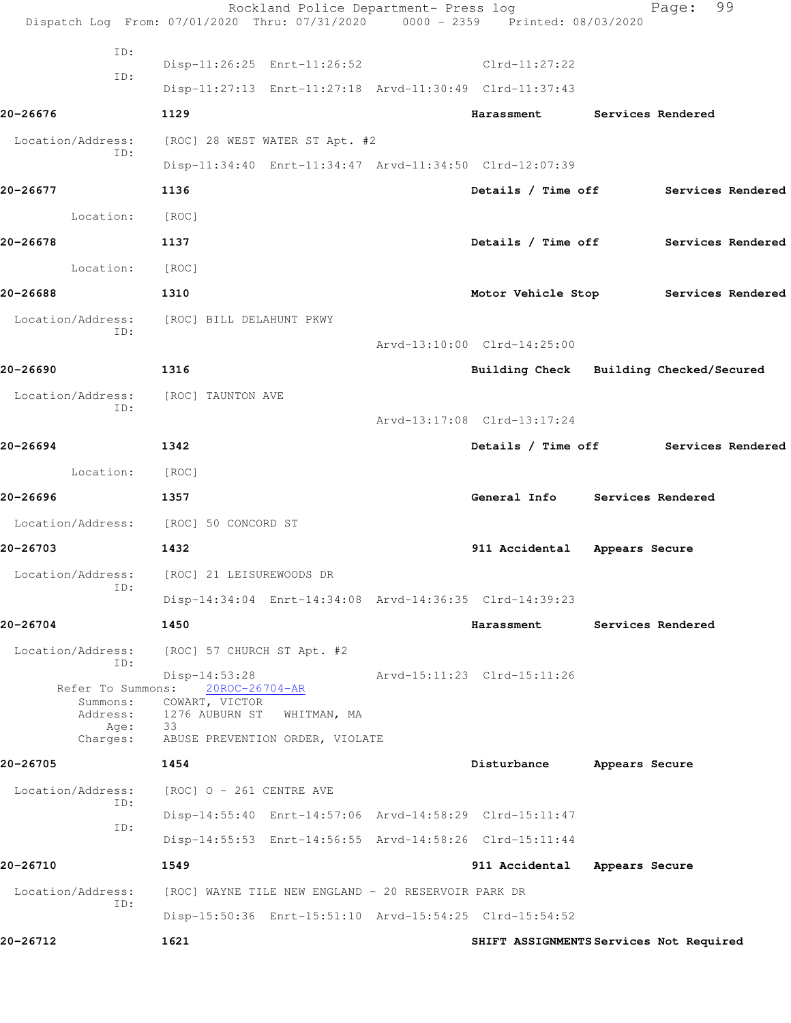|                                       | Rockland Police Department- Press log<br>Dispatch Log From: 07/01/2020 Thru: 07/31/2020 0000 - 2359 Printed: 08/03/2020 |                                         |                   | 99<br>Page:       |  |
|---------------------------------------|-------------------------------------------------------------------------------------------------------------------------|-----------------------------------------|-------------------|-------------------|--|
| ID:                                   |                                                                                                                         |                                         |                   |                   |  |
| ID:                                   | Disp-11:26:25 Enrt-11:26:52 Clrd-11:27:22                                                                               |                                         |                   |                   |  |
|                                       | Disp-11:27:13 Enrt-11:27:18 Arvd-11:30:49 Clrd-11:37:43                                                                 |                                         |                   |                   |  |
| 20-26676                              | 1129                                                                                                                    | Harassment                              | Services Rendered |                   |  |
| Location/Address:                     | [ROC] 28 WEST WATER ST Apt. #2                                                                                          |                                         |                   |                   |  |
| ID:                                   | Disp-11:34:40 Enrt-11:34:47 Arvd-11:34:50 Clrd-12:07:39                                                                 |                                         |                   |                   |  |
| 20-26677                              | 1136                                                                                                                    | Details / Time off Services Rendered    |                   |                   |  |
| Location:                             | [ROC]                                                                                                                   |                                         |                   |                   |  |
| 20-26678                              | 1137                                                                                                                    | Details / Time off Services Rendered    |                   |                   |  |
| Location: [ROC]                       |                                                                                                                         |                                         |                   |                   |  |
| 20-26688                              | 1310                                                                                                                    | Motor Vehicle Stop Services Rendered    |                   |                   |  |
| Location/Address:                     | [ROC] BILL DELAHUNT PKWY                                                                                                |                                         |                   |                   |  |
| ID:                                   |                                                                                                                         | Arvd-13:10:00 Clrd-14:25:00             |                   |                   |  |
| 20-26690                              | 1316                                                                                                                    | Building Check Building Checked/Secured |                   |                   |  |
| Location/Address:                     | [ROC] TAUNTON AVE                                                                                                       |                                         |                   |                   |  |
| ID:                                   |                                                                                                                         | Arvd-13:17:08 Clrd-13:17:24             |                   |                   |  |
| 20-26694                              | 1342                                                                                                                    | Details / Time off Services Rendered    |                   |                   |  |
| Location:                             | [ROC]                                                                                                                   |                                         |                   |                   |  |
| 20-26696                              | 1357                                                                                                                    | General Info Services Rendered          |                   |                   |  |
| Location/Address: [ROC] 50 CONCORD ST |                                                                                                                         |                                         |                   |                   |  |
| 20-26703                              | 1432                                                                                                                    | 911 Accidental Appears Secure           |                   |                   |  |
| Location/Address:                     | [ROC] 21 LEISUREWOODS DR                                                                                                |                                         |                   |                   |  |
| ID:                                   | Disp-14:34:04 Enrt-14:34:08 Arvd-14:36:35 Clrd-14:39:23                                                                 |                                         |                   |                   |  |
| 20-26704                              | 1450                                                                                                                    | Harassment                              |                   | Services Rendered |  |
|                                       |                                                                                                                         |                                         |                   |                   |  |
| Location/Address:<br>ID:              | [ROC] 57 CHURCH ST Apt. #2                                                                                              |                                         |                   |                   |  |
| Refer To Summons:                     | Disp-14:53:28<br>20ROC-26704-AR                                                                                         | Arvd-15:11:23 Clrd-15:11:26             |                   |                   |  |
| Summons:                              | COWART, VICTOR<br>Address: 1276 AUBURN ST<br>WHITMAN, MA                                                                |                                         |                   |                   |  |
| Age:<br>Charges:                      | 33<br>ABUSE PREVENTION ORDER, VIOLATE                                                                                   |                                         |                   |                   |  |
| 20-26705                              | 1454                                                                                                                    | Disturbance                             | Appears Secure    |                   |  |
| Location/Address:                     | [ROC] O - 261 CENTRE AVE                                                                                                |                                         |                   |                   |  |
| TD:                                   | Disp-14:55:40 Enrt-14:57:06 Arvd-14:58:29 Clrd-15:11:47                                                                 |                                         |                   |                   |  |
| ID:                                   | Disp-14:55:53 Enrt-14:56:55 Arvd-14:58:26 Clrd-15:11:44                                                                 |                                         |                   |                   |  |
| 20-26710                              | 1549                                                                                                                    | 911 Accidental                          | Appears Secure    |                   |  |
| Location/Address:                     | [ROC] WAYNE TILE NEW ENGLAND - 20 RESERVOIR PARK DR                                                                     |                                         |                   |                   |  |
| ID:                                   | Disp-15:50:36 Enrt-15:51:10 Arvd-15:54:25 Clrd-15:54:52                                                                 |                                         |                   |                   |  |
| 20-26712                              | 1621                                                                                                                    | SHIFT ASSIGNMENTS Services Not Required |                   |                   |  |
|                                       |                                                                                                                         |                                         |                   |                   |  |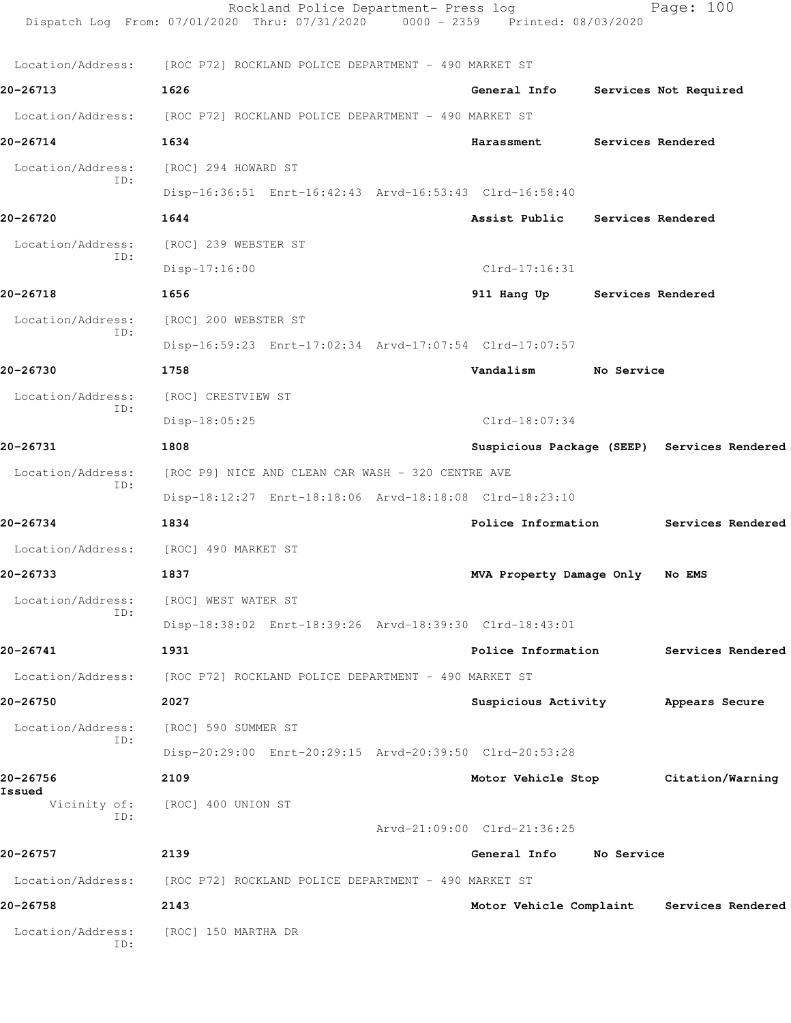| 20-26758<br>Location/Address:<br>ID: | 2143<br>[ROC] 150 MARTHA DR                                                                                             |                                 |            | Motor Vehicle Complaint Services Rendered   |
|--------------------------------------|-------------------------------------------------------------------------------------------------------------------------|---------------------------------|------------|---------------------------------------------|
|                                      | Location/Address: [ROC P72] ROCKLAND POLICE DEPARTMENT - 490 MARKET ST                                                  |                                 |            |                                             |
| 20-26757                             | 2139                                                                                                                    | General Info No Service         |            |                                             |
| ID:                                  |                                                                                                                         | Arvd-21:09:00 Clrd-21:36:25     |            |                                             |
| Issued                               | Vicinity of: [ROC] 400 UNION ST                                                                                         |                                 |            |                                             |
| 20-26756                             | Disp-20:29:00 Enrt-20:29:15 Arvd-20:39:50 Clrd-20:53:28<br>2109                                                         |                                 |            | Motor Vehicle Stop Citation/Warning         |
| Location/Address:<br>ID:             | [ROC] 590 SUMMER ST                                                                                                     |                                 |            |                                             |
| 20-26750                             | 2027                                                                                                                    |                                 |            | Suspicious Activity Mappears Secure         |
|                                      | Location/Address: [ROC P72] ROCKLAND POLICE DEPARTMENT - 490 MARKET ST                                                  |                                 |            |                                             |
| 20-26741                             | 1931                                                                                                                    |                                 |            | Police Information Services Rendered        |
|                                      | Disp-18:38:02 Enrt-18:39:26 Arvd-18:39:30 Clrd-18:43:01                                                                 |                                 |            |                                             |
| ID:                                  | Location/Address: [ROC] WEST WATER ST                                                                                   |                                 |            |                                             |
| 20-26733                             | 1837                                                                                                                    | MVA Property Damage Only No EMS |            |                                             |
| Location/Address:                    | [ROC] 490 MARKET ST                                                                                                     |                                 |            |                                             |
| 20-26734                             | 1834                                                                                                                    | Police Information              |            | Services Rendered                           |
|                                      | Disp-18:12:27 Enrt-18:18:06 Arvd-18:18:08 Clrd-18:23:10                                                                 |                                 |            |                                             |
| Location/Address:<br>ID:             | [ROC P9] NICE AND CLEAN CAR WASH - 320 CENTRE AVE                                                                       |                                 |            |                                             |
| 20-26731                             | 1808                                                                                                                    |                                 |            | Suspicious Package (SEEP) Services Rendered |
|                                      | Disp-18:05:25                                                                                                           | Clrd-18:07:34                   |            |                                             |
| Location/Address:<br>ID:             | [ROC] CRESTVIEW ST                                                                                                      |                                 |            |                                             |
| 20-26730                             | 1758                                                                                                                    | Vandalism                       | No Service |                                             |
| ID:                                  | Disp-16:59:23 Enrt-17:02:34 Arvd-17:07:54 Clrd-17:07:57                                                                 |                                 |            |                                             |
| Location/Address:                    | [ROC] 200 WEBSTER ST                                                                                                    |                                 |            |                                             |
| 20-26718                             | 1656                                                                                                                    | 911 Hang Up Services Rendered   |            |                                             |
| ID:                                  | Disp-17:16:00                                                                                                           | $Clrd-17:16:31$                 |            |                                             |
| Location/Address:                    | [ROC] 239 WEBSTER ST                                                                                                    |                                 |            |                                             |
| 20-26720                             | 1644                                                                                                                    | Assist Public Services Rendered |            |                                             |
| ID:                                  | Disp-16:36:51 Enrt-16:42:43 Arvd-16:53:43 Clrd-16:58:40                                                                 |                                 |            |                                             |
| Location/Address:                    | [ROC] 294 HOWARD ST                                                                                                     |                                 |            |                                             |
| 20-26714                             | 1634                                                                                                                    | Harassment Services Rendered    |            |                                             |
|                                      | Location/Address: [ROC P72] ROCKLAND POLICE DEPARTMENT - 490 MARKET ST                                                  |                                 |            |                                             |
| 20-26713                             | 1626                                                                                                                    | General Info                    |            | Services Not Required                       |
|                                      | Location/Address: [ROC P72] ROCKLAND POLICE DEPARTMENT - 490 MARKET ST                                                  |                                 |            |                                             |
|                                      | Rockland Police Department- Press log<br>Dispatch Log From: 07/01/2020 Thru: 07/31/2020 0000 - 2359 Printed: 08/03/2020 |                                 |            | Page: 100                                   |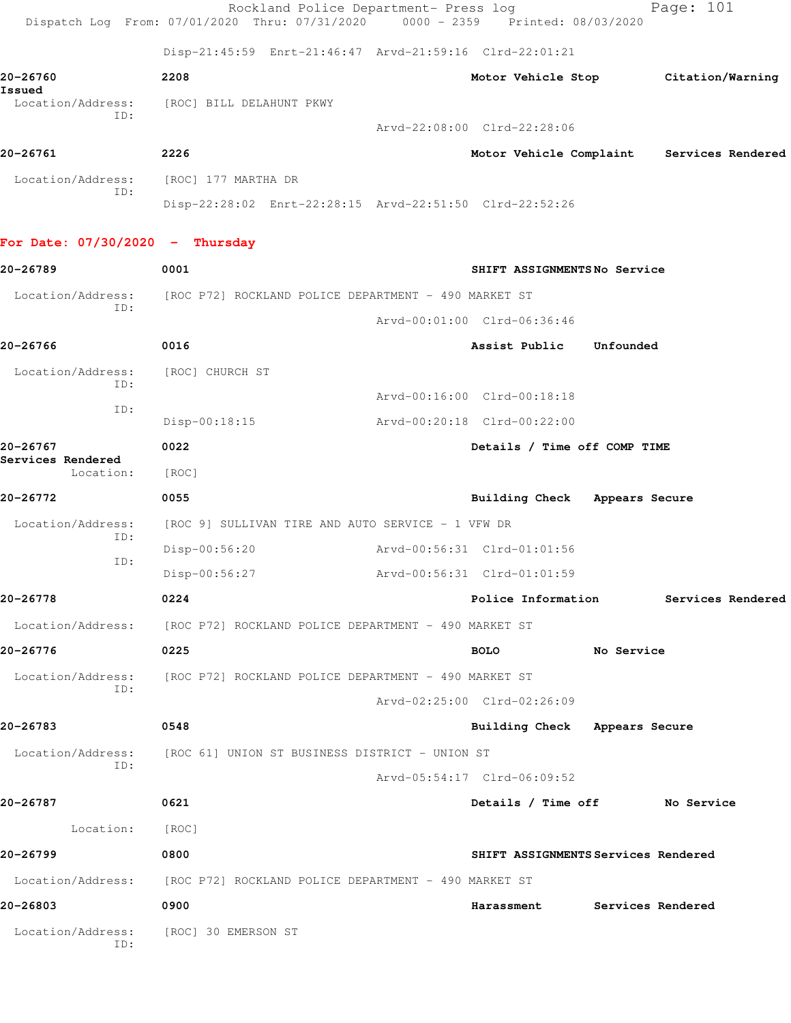|                                 | Rockland Police Department- Press log<br>Dispatch Log From: 07/01/2020 Thru: 07/31/2020 0000 - 2359 Printed: 08/03/2020 |                                     |            | Page: 101                                 |
|---------------------------------|-------------------------------------------------------------------------------------------------------------------------|-------------------------------------|------------|-------------------------------------------|
|                                 | Disp-21:45:59 Enrt-21:46:47 Arvd-21:59:16 Clrd-22:01:21                                                                 |                                     |            |                                           |
| 20-26760<br>Issued              | 2208                                                                                                                    |                                     |            | Motor Vehicle Stop Citation/Warning       |
| Location/Address:<br>ID:        | [ROC] BILL DELAHUNT PKWY                                                                                                |                                     |            |                                           |
|                                 |                                                                                                                         | Arvd-22:08:00 Clrd-22:28:06         |            |                                           |
| 20-26761                        | 2226                                                                                                                    |                                     |            | Motor Vehicle Complaint Services Rendered |
| Location/Address:<br>ID:        | [ROC] 177 MARTHA DR                                                                                                     |                                     |            |                                           |
|                                 | Disp-22:28:02 Enrt-22:28:15 Arvd-22:51:50 Clrd-22:52:26                                                                 |                                     |            |                                           |
| For Date: 07/30/2020 - Thursday |                                                                                                                         |                                     |            |                                           |
| 20-26789                        | 0001                                                                                                                    | SHIFT ASSIGNMENTSNo Service         |            |                                           |
| Location/Address:<br>ID:        | [ROC P72] ROCKLAND POLICE DEPARTMENT - 490 MARKET ST                                                                    |                                     |            |                                           |
|                                 |                                                                                                                         | Arvd-00:01:00 Clrd-06:36:46         |            |                                           |
| 20-26766                        | 0016                                                                                                                    | Assist Public                       | Unfounded  |                                           |
| Location/Address:<br>ID:        | [ROC] CHURCH ST                                                                                                         |                                     |            |                                           |
| ID:                             |                                                                                                                         | Arvd-00:16:00 Clrd-00:18:18         |            |                                           |
|                                 | $Disp-00:18:15$                                                                                                         | Arvd-00:20:18 Clrd-00:22:00         |            |                                           |
| 20-26767<br>Services Rendered   | 0022                                                                                                                    | Details / Time off COMP TIME        |            |                                           |
| Location:                       | [ROC]                                                                                                                   |                                     |            |                                           |
| 20-26772                        | 0055                                                                                                                    | Building Check Appears Secure       |            |                                           |
| Location/Address:<br>ID:        | [ROC 9] SULLIVAN TIRE AND AUTO SERVICE - 1 VFW DR                                                                       |                                     |            |                                           |
| ID:                             | Disp-00:56:20                                                                                                           | Arvd-00:56:31 Clrd-01:01:56         |            |                                           |
|                                 | Disp-00:56:27                                                                                                           | Arvd-00:56:31 Clrd-01:01:59         |            |                                           |
| 20-26778                        | 0224                                                                                                                    | Police Information                  |            | Services Rendered                         |
|                                 | Location/Address: [ROC P72] ROCKLAND POLICE DEPARTMENT - 490 MARKET ST                                                  |                                     |            |                                           |
| 20-26776                        | 0225                                                                                                                    | <b>BOLO</b>                         | No Service |                                           |
| Location/Address:<br>ID:        | [ROC P72] ROCKLAND POLICE DEPARTMENT - 490 MARKET ST                                                                    |                                     |            |                                           |
|                                 |                                                                                                                         | Arvd-02:25:00 Clrd-02:26:09         |            |                                           |
| 20-26783                        | 0548                                                                                                                    | Building Check Appears Secure       |            |                                           |
| Location/Address:<br>ID:        | [ROC 61] UNION ST BUSINESS DISTRICT - UNION ST                                                                          |                                     |            |                                           |
|                                 |                                                                                                                         | Arvd-05:54:17 Clrd-06:09:52         |            |                                           |
| 20-26787                        | 0621                                                                                                                    | Details / Time off No Service       |            |                                           |
| Location:                       | [ROC]                                                                                                                   |                                     |            |                                           |
| 20-26799                        | 0800                                                                                                                    | SHIFT ASSIGNMENTS Services Rendered |            |                                           |
|                                 | Location/Address: [ROC P72] ROCKLAND POLICE DEPARTMENT - 490 MARKET ST                                                  |                                     |            |                                           |
| 20-26803                        | 0900                                                                                                                    | Harassment                          |            | Services Rendered                         |
| Location/Address:<br>ID:        | [ROC] 30 EMERSON ST                                                                                                     |                                     |            |                                           |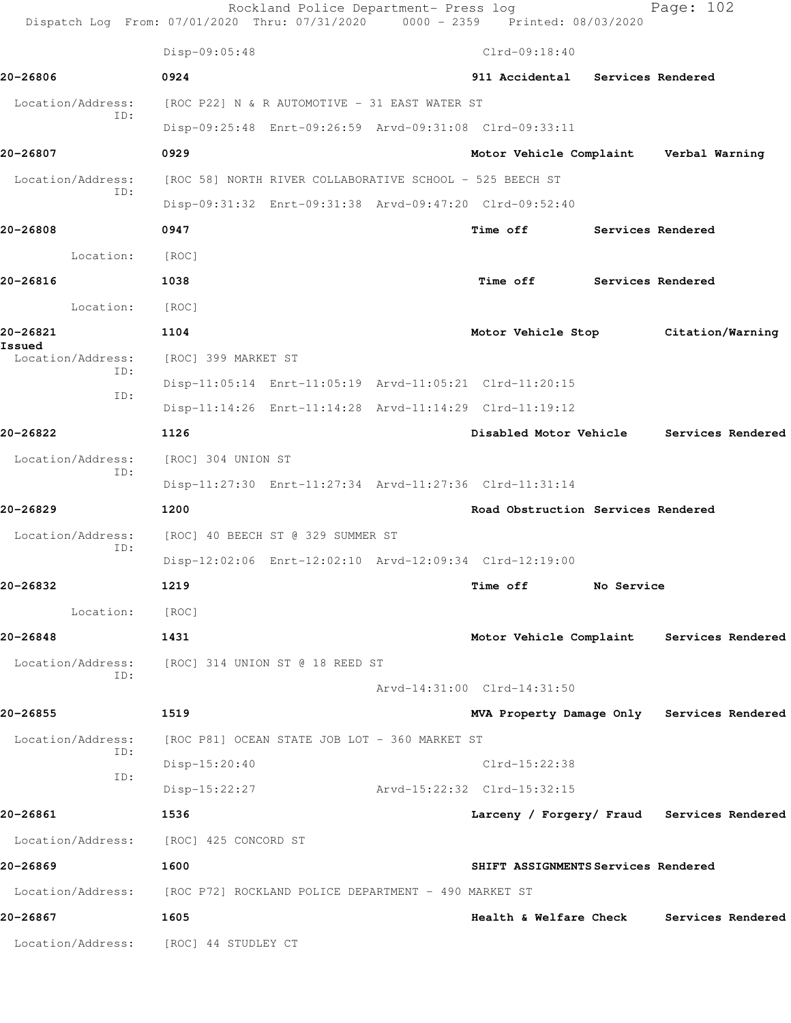|                             | Dispatch Log From: 07/01/2020 Thru: 07/31/2020 0000 - 2359 Printed: 08/03/2020 | Rockland Police Department- Press log |                                            |                   | Page: 102         |  |
|-----------------------------|--------------------------------------------------------------------------------|---------------------------------------|--------------------------------------------|-------------------|-------------------|--|
|                             | Disp-09:05:48                                                                  |                                       | $Clrd-09:18:40$                            |                   |                   |  |
| 20-26806                    | 0924                                                                           |                                       | 911 Accidental Services Rendered           |                   |                   |  |
| Location/Address:           | [ROC P22] N & R AUTOMOTIVE - 31 EAST WATER ST                                  |                                       |                                            |                   |                   |  |
| ID:                         | Disp-09:25:48 Enrt-09:26:59 Arvd-09:31:08 Clrd-09:33:11                        |                                       |                                            |                   |                   |  |
| 20-26807                    | 0929                                                                           |                                       | Motor Vehicle Complaint Verbal Warning     |                   |                   |  |
| Location/Address:           | [ROC 58] NORTH RIVER COLLABORATIVE SCHOOL - 525 BEECH ST                       |                                       |                                            |                   |                   |  |
| ID:                         | Disp-09:31:32 Enrt-09:31:38 Arvd-09:47:20 Clrd-09:52:40                        |                                       |                                            |                   |                   |  |
| 20-26808                    | 0947                                                                           |                                       | Time off                                   | Services Rendered |                   |  |
| Location:                   | [ROC]                                                                          |                                       |                                            |                   |                   |  |
| 20-26816                    | 1038                                                                           |                                       | Time off Services Rendered                 |                   |                   |  |
| Location: [ROC]             |                                                                                |                                       |                                            |                   |                   |  |
| 20-26821                    | 1104                                                                           |                                       | Motor Vehicle Stop Citation/Warning        |                   |                   |  |
| Issued<br>Location/Address: | [ROC] 399 MARKET ST                                                            |                                       |                                            |                   |                   |  |
| ID:                         | Disp-11:05:14 Enrt-11:05:19 Arvd-11:05:21 Clrd-11:20:15                        |                                       |                                            |                   |                   |  |
| ID:                         | Disp-11:14:26 Enrt-11:14:28 Arvd-11:14:29 Clrd-11:19:12                        |                                       |                                            |                   |                   |  |
| 20-26822                    | 1126                                                                           |                                       | Disabled Motor Vehicle Services Rendered   |                   |                   |  |
| Location/Address:<br>ID:    | [ROC] 304 UNION ST                                                             |                                       |                                            |                   |                   |  |
|                             | Disp-11:27:30 Enrt-11:27:34 Arvd-11:27:36 Clrd-11:31:14                        |                                       |                                            |                   |                   |  |
| 20-26829                    | 1200                                                                           |                                       | Road Obstruction Services Rendered         |                   |                   |  |
| Location/Address:           | [ROC] 40 BEECH ST @ 329 SUMMER ST                                              |                                       |                                            |                   |                   |  |
| ID:                         | Disp-12:02:06 Enrt-12:02:10 Arvd-12:09:34 Clrd-12:19:00                        |                                       |                                            |                   |                   |  |
| 20-26832                    | 1219                                                                           |                                       | <b>Time off</b>                            | No Service        |                   |  |
| Location:                   | [ROC]                                                                          |                                       |                                            |                   |                   |  |
| 20-26848                    | 1431                                                                           |                                       | Motor Vehicle Complaint Services Rendered  |                   |                   |  |
| ID:                         | Location/Address: [ROC] 314 UNION ST @ 18 REED ST                              |                                       |                                            |                   |                   |  |
|                             |                                                                                |                                       | Arvd-14:31:00 Clrd-14:31:50                |                   |                   |  |
| 20-26855                    | 1519                                                                           |                                       | MVA Property Damage Only Services Rendered |                   |                   |  |
| Location/Address:<br>ID:    | [ROC P81] OCEAN STATE JOB LOT - 360 MARKET ST                                  |                                       |                                            |                   |                   |  |
| ID:                         | Disp-15:20:40                                                                  |                                       | $Clrd-15:22:38$                            |                   |                   |  |
|                             | Disp-15:22:27                                                                  |                                       | Arvd-15:22:32 Clrd-15:32:15                |                   |                   |  |
| 20-26861                    | 1536                                                                           |                                       | Larceny / Forgery/ Fraud Services Rendered |                   |                   |  |
|                             | Location/Address: [ROC] 425 CONCORD ST                                         |                                       |                                            |                   |                   |  |
| 20-26869                    | 1600                                                                           |                                       | SHIFT ASSIGNMENTS Services Rendered        |                   |                   |  |
|                             | Location/Address: [ROC P72] ROCKLAND POLICE DEPARTMENT - 490 MARKET ST         |                                       |                                            |                   |                   |  |
| 20-26867                    | 1605                                                                           |                                       | Health & Welfare Check                     |                   | Services Rendered |  |
|                             | Location/Address: [ROC] 44 STUDLEY CT                                          |                                       |                                            |                   |                   |  |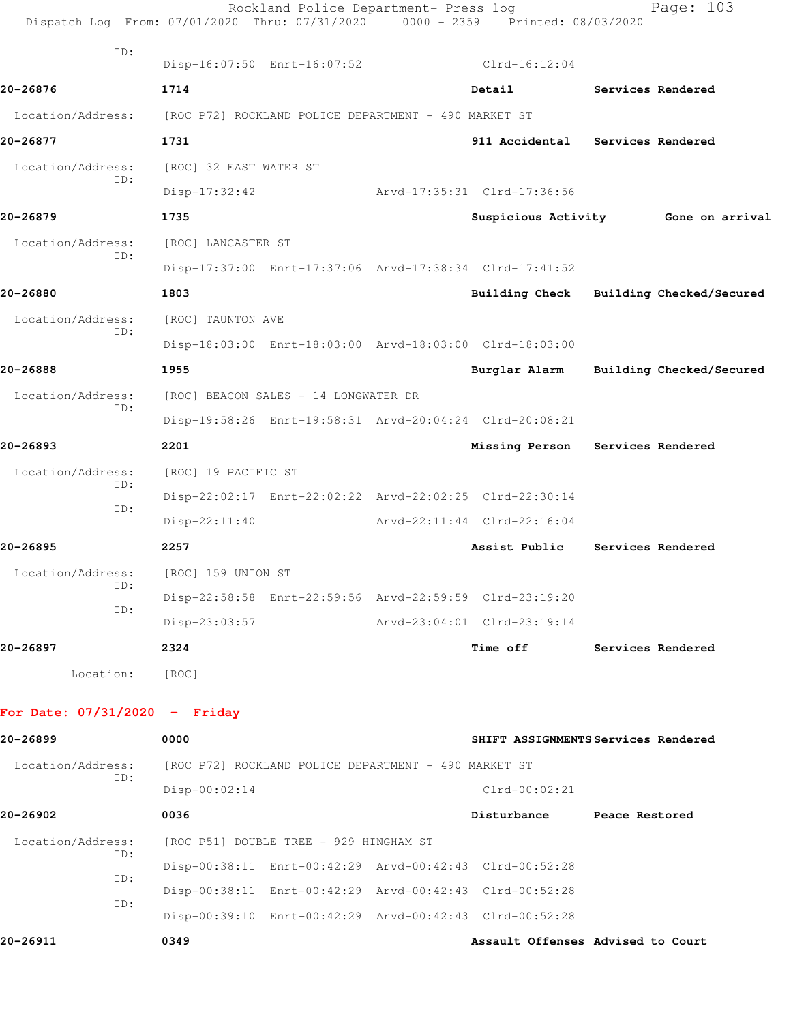|                                      | Dispatch Log From: 07/01/2020 Thru: 07/31/2020 0000 - 2359 Printed: 08/03/2020 | Rockland Police Department- Press log                   |                                                         | Page: 103                           |
|--------------------------------------|--------------------------------------------------------------------------------|---------------------------------------------------------|---------------------------------------------------------|-------------------------------------|
| ID:                                  |                                                                                | Disp-16:07:50 Enrt-16:07:52                             | $Clrd-16:12:04$                                         |                                     |
| 20-26876                             | 1714                                                                           |                                                         | Detail                                                  | Services Rendered                   |
|                                      | Location/Address: [ROC P72] ROCKLAND POLICE DEPARTMENT - 490 MARKET ST         |                                                         |                                                         |                                     |
| 20-26877                             | 1731                                                                           |                                                         |                                                         | 911 Accidental Services Rendered    |
| Location/Address:                    | [ROC] 32 EAST WATER ST                                                         |                                                         |                                                         |                                     |
| ID:                                  | $Disp-17:32:42$                                                                |                                                         | Arvd-17:35:31 Clrd-17:36:56                             |                                     |
| 20-26879                             | 1735                                                                           |                                                         |                                                         | Suspicious Activity 6one on arrival |
| Location/Address:                    | [ROC] LANCASTER ST                                                             |                                                         |                                                         |                                     |
| ID:                                  |                                                                                | Disp-17:37:00 Enrt-17:37:06 Arvd-17:38:34 Clrd-17:41:52 |                                                         |                                     |
| 20-26880                             | 1803                                                                           |                                                         | Building Check                                          | Building Checked/Secured            |
| Location/Address:                    | [ROC] TAUNTON AVE                                                              |                                                         |                                                         |                                     |
| ID:                                  |                                                                                | Disp-18:03:00 Enrt-18:03:00 Arvd-18:03:00 Clrd-18:03:00 |                                                         |                                     |
| 20-26888                             | 1955                                                                           |                                                         | Burglar Alarm                                           | Building Checked/Secured            |
| Location/Address:                    |                                                                                | [ROC] BEACON SALES - 14 LONGWATER DR                    |                                                         |                                     |
| ID:                                  |                                                                                |                                                         | Disp-19:58:26 Enrt-19:58:31 Arvd-20:04:24 Clrd-20:08:21 |                                     |
| 20-26893                             | 2201                                                                           |                                                         | Missing Person                                          | Services Rendered                   |
| Location/Address:                    | [ROC] 19 PACIFIC ST                                                            |                                                         |                                                         |                                     |
| ID:                                  |                                                                                | Disp-22:02:17 Enrt-22:02:22 Arvd-22:02:25 Clrd-22:30:14 |                                                         |                                     |
| ID:                                  | $Disp-22:11:40$                                                                |                                                         | Arvd-22:11:44 Clrd-22:16:04                             |                                     |
| 20-26895                             | 2257                                                                           |                                                         | Assist Public                                           | Services Rendered                   |
| Location/Address: [ROC] 159 UNION ST |                                                                                |                                                         |                                                         |                                     |
| ID:                                  |                                                                                | Disp-22:58:58 Enrt-22:59:56 Arvd-22:59:59 Clrd-23:19:20 |                                                         |                                     |
| ID:                                  | Disp-23:03:57                                                                  |                                                         | Arvd-23:04:01 Clrd-23:19:14                             |                                     |
| 20-26897                             | 2324                                                                           |                                                         | Time off                                                | Services Rendered                   |
|                                      | Location: [ROC]                                                                |                                                         |                                                         |                                     |
| For Date: $07/31/2020 -$ Friday      |                                                                                |                                                         |                                                         |                                     |
| 20-26899                             | 0000                                                                           |                                                         |                                                         | SHIFT ASSIGNMENTS Services Rendered |
| Location/Address:                    |                                                                                | [ROC P72] ROCKLAND POLICE DEPARTMENT - 490 MARKET ST    |                                                         |                                     |
| ID:                                  | $Disp-00:02:14$                                                                |                                                         | $Clrd-00:02:21$                                         |                                     |
| 20-26902                             | 0036                                                                           |                                                         | Disturbance Peace Restored                              |                                     |
| Location/Address:                    |                                                                                | [ROC P51] DOUBLE TREE - 929 HINGHAM ST                  |                                                         |                                     |
| ID:                                  |                                                                                | Disp-00:38:11 Enrt-00:42:29 Arvd-00:42:43 Clrd-00:52:28 |                                                         |                                     |
| ID:                                  |                                                                                | Disp-00:38:11 Enrt-00:42:29 Arvd-00:42:43 Clrd-00:52:28 |                                                         |                                     |
| ID:                                  |                                                                                |                                                         | Disp-00:39:10 Enrt-00:42:29 Arvd-00:42:43 Clrd-00:52:28 |                                     |

**20-26911 0349 Assault Offenses Advised to Court**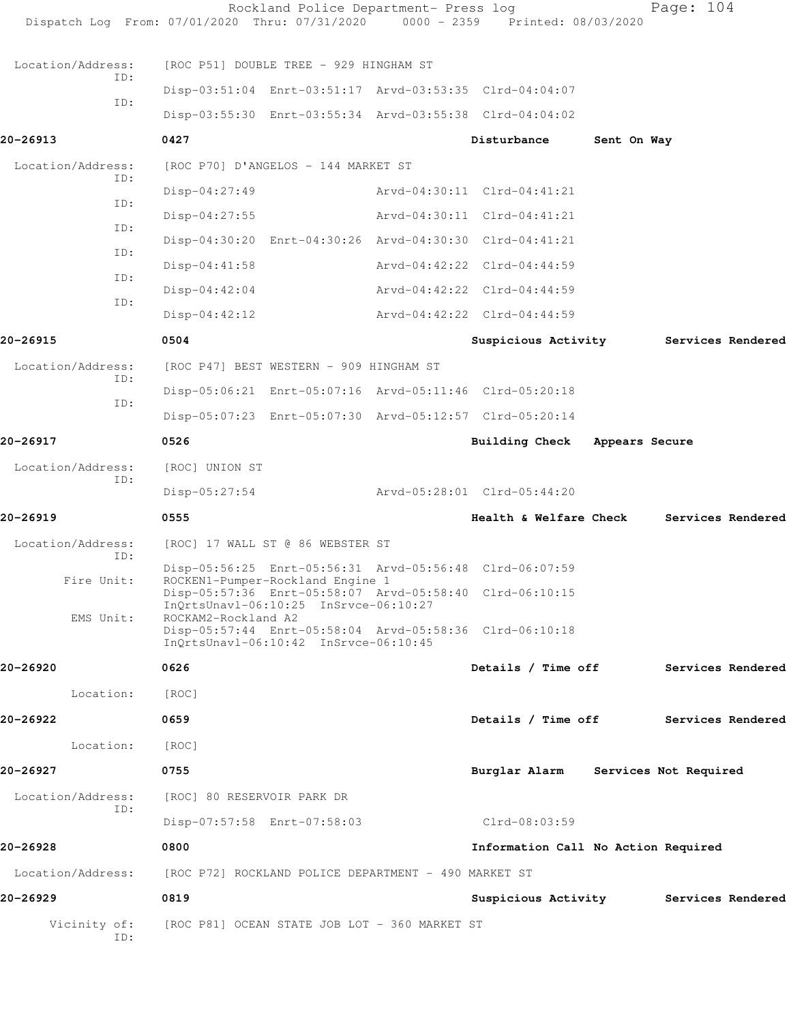|                     | Rockland Police Department- Press log<br>Dispatch Log From: 07/01/2020 Thru: 07/31/2020 0000 - 2359 Printed: 08/03/2020 |                                       |             | Page: 104             |  |
|---------------------|-------------------------------------------------------------------------------------------------------------------------|---------------------------------------|-------------|-----------------------|--|
| Location/Address:   | [ROC P51] DOUBLE TREE - 929 HINGHAM ST                                                                                  |                                       |             |                       |  |
| ID:                 | Disp-03:51:04 Enrt-03:51:17 Arvd-03:53:35 Clrd-04:04:07                                                                 |                                       |             |                       |  |
| ID:                 | Disp-03:55:30 Enrt-03:55:34 Arvd-03:55:38 Clrd-04:04:02                                                                 |                                       |             |                       |  |
| 20-26913            | 0427                                                                                                                    | Disturbance                           | Sent On Way |                       |  |
| Location/Address:   | [ROC P70] D'ANGELOS - 144 MARKET ST                                                                                     |                                       |             |                       |  |
| ID:                 | $Disp-04:27:49$                                                                                                         | Arvd-04:30:11 Clrd-04:41:21           |             |                       |  |
| ID:                 | $Disp-04:27:55$                                                                                                         | Arvd-04:30:11 Clrd-04:41:21           |             |                       |  |
| ID:                 | Disp-04:30:20 Enrt-04:30:26 Arvd-04:30:30 Clrd-04:41:21                                                                 |                                       |             |                       |  |
| ID:                 | $Disp-04:41:58$                                                                                                         | Arvd-04:42:22 Clrd-04:44:59           |             |                       |  |
| ID:                 | $Disp-04:42:04$                                                                                                         | Arvd-04:42:22 Clrd-04:44:59           |             |                       |  |
| ID:                 | $Disp-04:42:12$                                                                                                         | Arvd-04:42:22 Clrd-04:44:59           |             |                       |  |
| 20-26915            | 0504                                                                                                                    | Suspicious Activity Services Rendered |             |                       |  |
| Location/Address:   | [ROC P47] BEST WESTERN - 909 HINGHAM ST                                                                                 |                                       |             |                       |  |
| ID:                 | Disp-05:06:21 Enrt-05:07:16 Arvd-05:11:46 Clrd-05:20:18                                                                 |                                       |             |                       |  |
| ID:                 | Disp-05:07:23 Enrt-05:07:30 Arvd-05:12:57 Clrd-05:20:14                                                                 |                                       |             |                       |  |
| 20-26917            | 0526                                                                                                                    | Building Check Appears Secure         |             |                       |  |
| Location/Address:   | [ROC] UNION ST                                                                                                          |                                       |             |                       |  |
| ID:                 | $Disp-05:27:54$                                                                                                         | Arvd-05:28:01 Clrd-05:44:20           |             |                       |  |
| 20-26919            | 0555                                                                                                                    | Health & Welfare Check                |             | Services Rendered     |  |
| Location/Address:   | [ROC] 17 WALL ST @ 86 WEBSTER ST                                                                                        |                                       |             |                       |  |
| ID:                 | Disp-05:56:25 Enrt-05:56:31 Arvd-05:56:48 Clrd-06:07:59                                                                 |                                       |             |                       |  |
| Fire Unit:          | ROCKEN1-Pumper-Rockland Engine 1<br>Disp-05:57:36 Enrt-05:58:07 Arvd-05:58:40 Clrd-06:10:15                             |                                       |             |                       |  |
| EMS Unit:           | InOrtsUnavl-06:10:25 InSrvce-06:10:27<br>ROCKAM2-Rockland A2                                                            |                                       |             |                       |  |
|                     | Disp-05:57:44 Enrt-05:58:04 Arvd-05:58:36 Clrd-06:10:18<br>InQrtsUnavl-06:10:42 InSrvce-06:10:45                        |                                       |             |                       |  |
| 20-26920            | 0626                                                                                                                    | Details / Time off                    |             | Services Rendered     |  |
| Location:           | [ROC]                                                                                                                   |                                       |             |                       |  |
| 20-26922            | 0659                                                                                                                    | Details / Time off                    |             | Services Rendered     |  |
| Location:           | [ROC]                                                                                                                   |                                       |             |                       |  |
| 20-26927            | 0755                                                                                                                    | Burglar Alarm                         |             | Services Not Required |  |
| Location/Address:   | [ROC] 80 RESERVOIR PARK DR                                                                                              |                                       |             |                       |  |
| ID:                 | Disp-07:57:58 Enrt-07:58:03                                                                                             | Clrd-08:03:59                         |             |                       |  |
| 20-26928            | 0800                                                                                                                    | Information Call No Action Required   |             |                       |  |
| Location/Address:   | [ROC P72] ROCKLAND POLICE DEPARTMENT - 490 MARKET ST                                                                    |                                       |             |                       |  |
| 20-26929            | 0819                                                                                                                    | Suspicious Activity                   |             | Services Rendered     |  |
| Vicinity of:<br>ID: | [ROC P81] OCEAN STATE JOB LOT - 360 MARKET ST                                                                           |                                       |             |                       |  |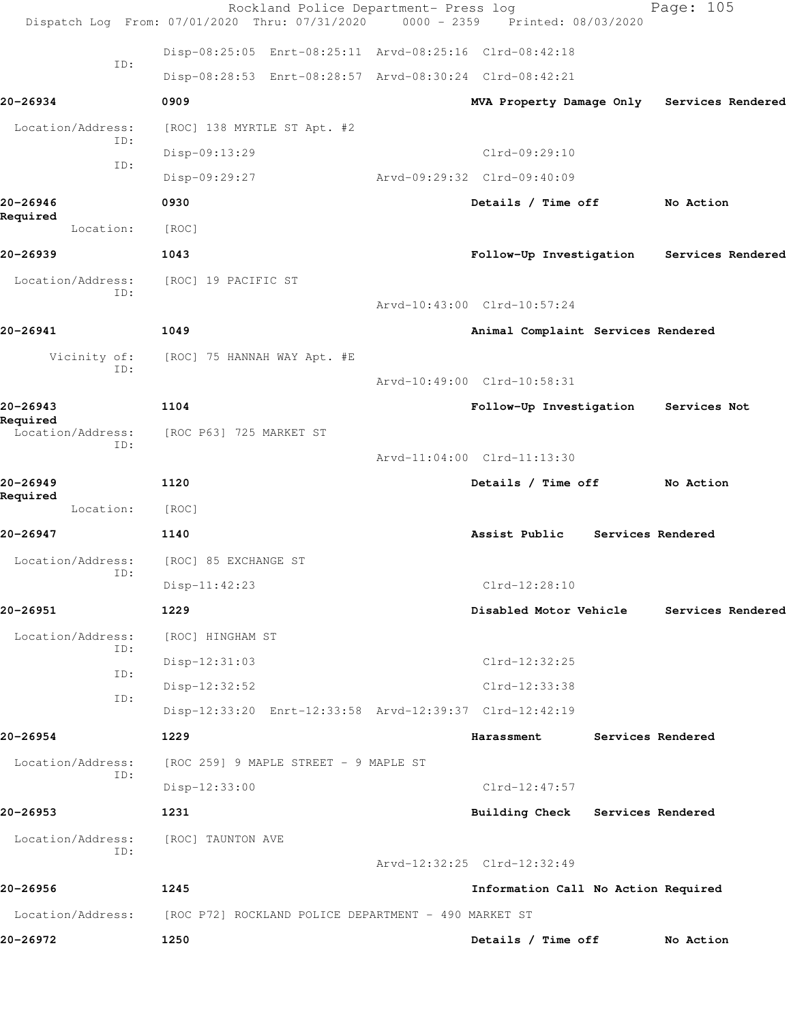|                          | Rockland Police Department- Press log<br>Dispatch Log From: 07/01/2020 Thru: 07/31/2020 0000 - 2359 Printed: 08/03/2020 |                                     | Page: 105         |  |
|--------------------------|-------------------------------------------------------------------------------------------------------------------------|-------------------------------------|-------------------|--|
|                          | Disp-08:25:05 Enrt-08:25:11 Arvd-08:25:16 Clrd-08:42:18                                                                 |                                     |                   |  |
| ID:                      | Disp-08:28:53 Enrt-08:28:57 Arvd-08:30:24 Clrd-08:42:21                                                                 |                                     |                   |  |
| 20-26934                 | 0909                                                                                                                    | MVA Property Damage Only            | Services Rendered |  |
| Location/Address:        | [ROC] 138 MYRTLE ST Apt. #2                                                                                             |                                     |                   |  |
| ID:<br>ID:               | Disp-09:13:29                                                                                                           | Clrd-09:29:10                       |                   |  |
|                          | Disp-09:29:27                                                                                                           | Arvd-09:29:32 Clrd-09:40:09         |                   |  |
| 20-26946<br>Required     | 0930                                                                                                                    | Details / Time off                  | No Action         |  |
| Location:                | [ROC]                                                                                                                   |                                     |                   |  |
| 20-26939                 | 1043                                                                                                                    | Follow-Up Investigation             | Services Rendered |  |
| Location/Address:<br>ID: | [ROC] 19 PACIFIC ST                                                                                                     |                                     |                   |  |
|                          |                                                                                                                         | Arvd-10:43:00 Clrd-10:57:24         |                   |  |
| 20-26941                 | 1049                                                                                                                    | Animal Complaint Services Rendered  |                   |  |
| Vicinity of:<br>ID:      | [ROC] 75 HANNAH WAY Apt. #E                                                                                             |                                     |                   |  |
|                          |                                                                                                                         | Arvd-10:49:00 Clrd-10:58:31         |                   |  |
| 20-26943<br>Required     | 1104                                                                                                                    | Follow-Up Investigation             | Services Not      |  |
| Location/Address:<br>ID: | [ROC P63] 725 MARKET ST                                                                                                 |                                     |                   |  |
|                          |                                                                                                                         | Arvd-11:04:00 Clrd-11:13:30         |                   |  |
| 20-26949<br>Required     | 1120                                                                                                                    | Details / Time off                  | No Action         |  |
| Location:                | [ROC]                                                                                                                   |                                     |                   |  |
| 20-26947                 | 1140                                                                                                                    | Assist Public                       | Services Rendered |  |
| Location/Address:<br>ID: | [ROC] 85 EXCHANGE ST                                                                                                    |                                     |                   |  |
|                          | Disp-11:42:23                                                                                                           | Clrd-12:28:10                       |                   |  |
| 20-26951                 | 1229                                                                                                                    | Disabled Motor Vehicle              | Services Rendered |  |
| Location/Address:<br>ID: | [ROC] HINGHAM ST                                                                                                        |                                     |                   |  |
| ID:                      | Disp-12:31:03                                                                                                           | $Clrd-12:32:25$                     |                   |  |
| ID:                      | Disp-12:32:52                                                                                                           | Clrd-12:33:38                       |                   |  |
|                          | Disp-12:33:20 Enrt-12:33:58 Arvd-12:39:37 Clrd-12:42:19                                                                 |                                     |                   |  |
| 20-26954                 | 1229                                                                                                                    | Harassment                          | Services Rendered |  |
| Location/Address:<br>ID: | [ROC 259] 9 MAPLE STREET - 9 MAPLE ST                                                                                   |                                     |                   |  |
|                          | $Disp-12:33:00$                                                                                                         | $Clrd-12:47:57$                     |                   |  |
| 20-26953                 | 1231                                                                                                                    | Building Check Services Rendered    |                   |  |
| Location/Address:<br>ID: | [ROC] TAUNTON AVE                                                                                                       |                                     |                   |  |
|                          |                                                                                                                         | Arvd-12:32:25 Clrd-12:32:49         |                   |  |
| 20-26956                 | 1245                                                                                                                    | Information Call No Action Required |                   |  |
| Location/Address:        | [ROC P72] ROCKLAND POLICE DEPARTMENT - 490 MARKET ST                                                                    |                                     |                   |  |
| 20-26972                 | 1250                                                                                                                    | Details / Time off                  | No Action         |  |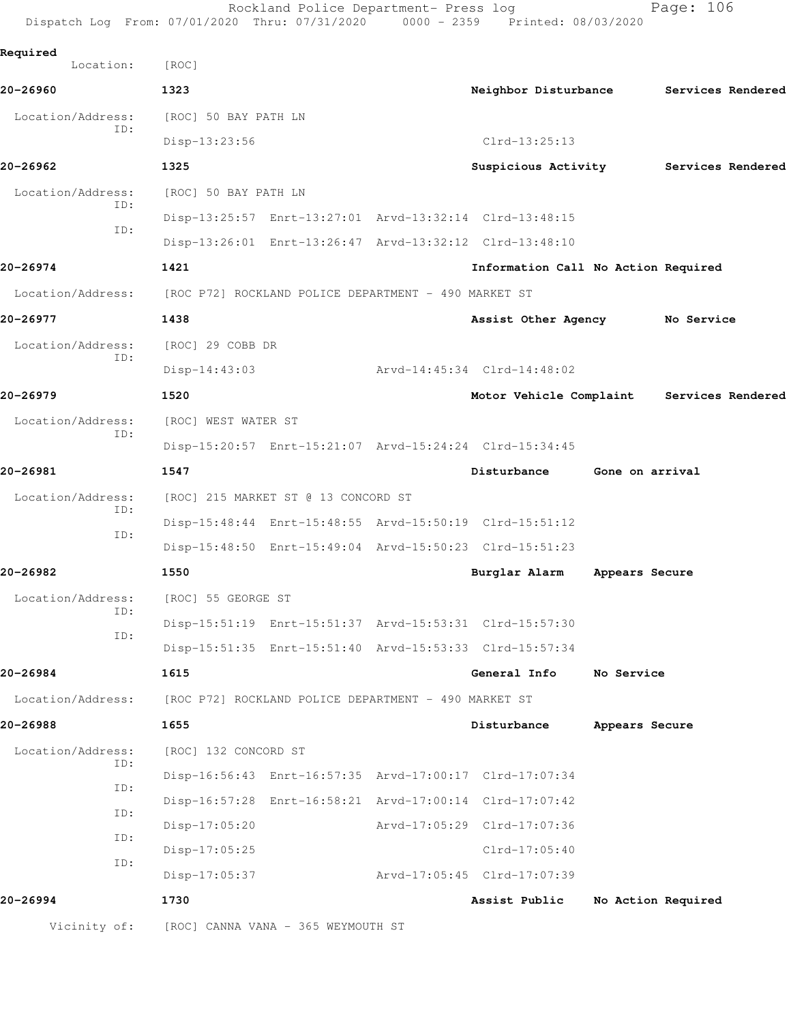| Dispatch Log From: 07/01/2020 Thru: 07/31/2020 0000 - 2359 Printed: 08/03/2020 |                                     | Rockland Police Department- Press log                |                 |                                                         |                                          | Page: 106          |
|--------------------------------------------------------------------------------|-------------------------------------|------------------------------------------------------|-----------------|---------------------------------------------------------|------------------------------------------|--------------------|
| Required<br>Location:                                                          | [ROC]                               |                                                      |                 |                                                         |                                          |                    |
| 20-26960                                                                       | 1323                                |                                                      |                 | Neighbor Disturbance                                    |                                          | Services Rendered  |
| Location/Address:                                                              | [ROC] 50 BAY PATH LN                |                                                      |                 |                                                         |                                          |                    |
| ID:                                                                            | Disp-13:23:56                       |                                                      |                 | $Clrd-13:25:13$                                         |                                          |                    |
| 20-26962                                                                       | 1325                                |                                                      |                 |                                                         | Suspicious Activity<br>Services Rendered |                    |
| Location/Address:<br>ID:<br>ID:                                                | [ROC] 50 BAY PATH LN                |                                                      |                 |                                                         |                                          |                    |
|                                                                                |                                     |                                                      |                 | Disp-13:25:57 Enrt-13:27:01 Arvd-13:32:14 Clrd-13:48:15 |                                          |                    |
|                                                                                |                                     |                                                      |                 | Disp-13:26:01 Enrt-13:26:47 Arvd-13:32:12 Clrd-13:48:10 |                                          |                    |
| 20-26974                                                                       | 1421                                |                                                      |                 | Information Call No Action Required                     |                                          |                    |
| Location/Address: [ROC P72] ROCKLAND POLICE DEPARTMENT - 490 MARKET ST         |                                     |                                                      |                 |                                                         |                                          |                    |
| 20-26977                                                                       | 1438                                |                                                      |                 | Assist Other Agency                                     |                                          | No Service         |
| Location/Address:<br>ID:                                                       | [ROC] 29 COBB DR                    |                                                      |                 |                                                         |                                          |                    |
|                                                                                | $Disp-14:43:03$                     |                                                      |                 | Arvd-14:45:34 Clrd-14:48:02                             |                                          |                    |
| 20-26979                                                                       | 1520                                |                                                      |                 | Motor Vehicle Complaint                                 |                                          | Services Rendered  |
| Location/Address:<br>ID:                                                       | [ROC] WEST WATER ST                 |                                                      |                 |                                                         |                                          |                    |
|                                                                                |                                     |                                                      |                 | Disp-15:20:57 Enrt-15:21:07 Arvd-15:24:24 Clrd-15:34:45 |                                          |                    |
| 20-26981                                                                       | 1547                                |                                                      |                 | Disturbance                                             | Gone on arrival                          |                    |
| Location/Address:<br>ID:<br>ID:                                                | [ROC] 215 MARKET ST @ 13 CONCORD ST |                                                      |                 |                                                         |                                          |                    |
|                                                                                |                                     |                                                      |                 | Disp-15:48:44 Enrt-15:48:55 Arvd-15:50:19 Clrd-15:51:12 |                                          |                    |
|                                                                                |                                     |                                                      |                 | Disp-15:48:50 Enrt-15:49:04 Arvd-15:50:23 Clrd-15:51:23 |                                          |                    |
| 20-26982                                                                       | 1550                                |                                                      |                 | Burglar Alarm                                           | Appears Secure                           |                    |
| Location/Address:<br>ID:<br>ID:                                                | [ROC] 55 GEORGE ST                  |                                                      |                 |                                                         |                                          |                    |
|                                                                                |                                     |                                                      |                 | Disp-15:51:19 Enrt-15:51:37 Arvd-15:53:31 Clrd-15:57:30 |                                          |                    |
|                                                                                |                                     |                                                      |                 | Disp-15:51:35 Enrt-15:51:40 Arvd-15:53:33 Clrd-15:57:34 |                                          |                    |
| 20-26984                                                                       | 1615                                |                                                      |                 | General Info                                            | No Service                               |                    |
| Location/Address:                                                              |                                     | [ROC P72] ROCKLAND POLICE DEPARTMENT - 490 MARKET ST |                 |                                                         |                                          |                    |
| 20-26988                                                                       | 1655                                |                                                      |                 | Disturbance                                             | Appears Secure                           |                    |
| Location/Address:<br>ID:                                                       | [ROC] 132 CONCORD ST                |                                                      |                 |                                                         |                                          |                    |
|                                                                                |                                     |                                                      |                 | Disp-16:56:43 Enrt-16:57:35 Arvd-17:00:17 Clrd-17:07:34 |                                          |                    |
| ID:                                                                            |                                     |                                                      |                 | Disp-16:57:28 Enrt-16:58:21 Arvd-17:00:14 Clrd-17:07:42 |                                          |                    |
| ID:                                                                            | $Disp-17:05:20$                     |                                                      |                 | Arvd-17:05:29 Clrd-17:07:36                             |                                          |                    |
| ID:<br>ID:                                                                     | $Disp-17:05:25$                     |                                                      | $Clrd-17:05:40$ |                                                         |                                          |                    |
|                                                                                | $Disp-17:05:37$                     |                                                      |                 | Arvd-17:05:45 Clrd-17:07:39                             |                                          |                    |
| 20-26994                                                                       | 1730                                |                                                      |                 | Assist Public                                           |                                          | No Action Required |
| Vicinity of:                                                                   |                                     | [ROC] CANNA VANA - 365 WEYMOUTH ST                   |                 |                                                         |                                          |                    |